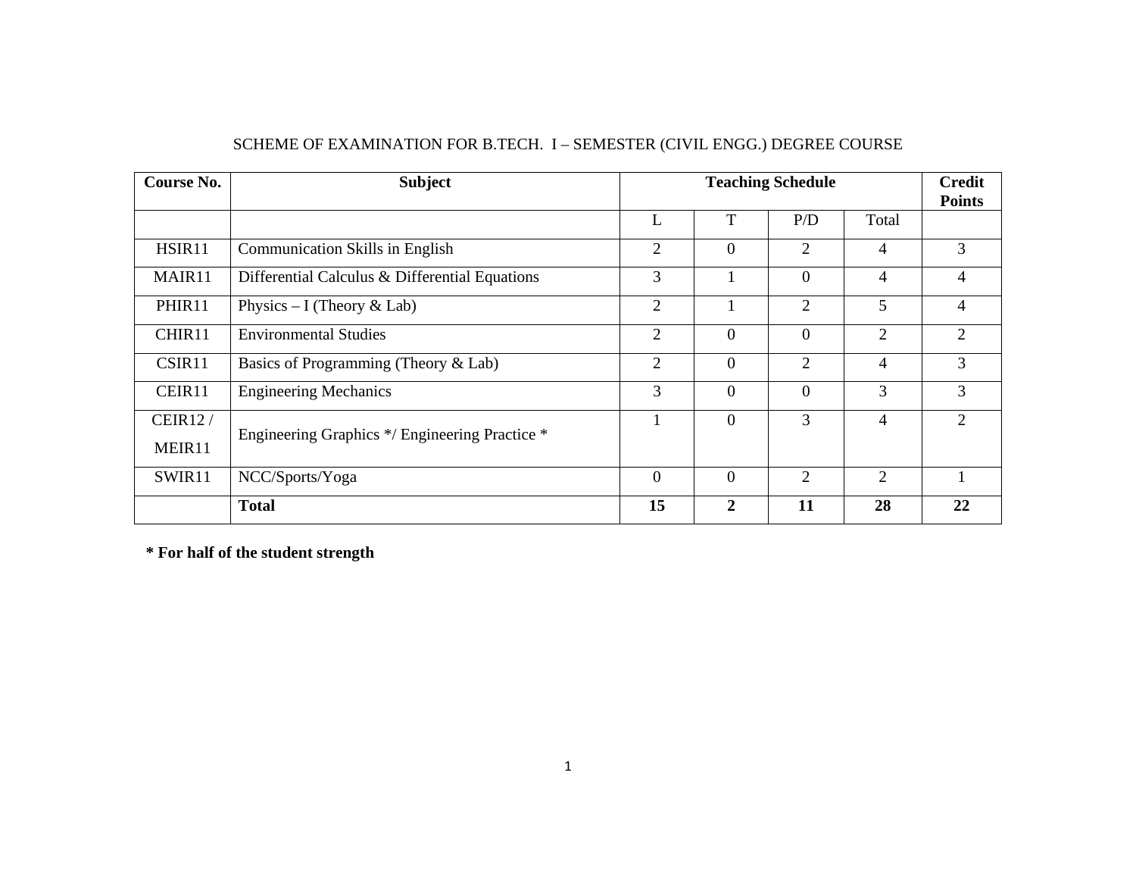| <b>Course No.</b> | <b>Subject</b>                                                                                     |                                                                      |                | <b>Credit</b><br><b>Points</b> |                |                |  |
|-------------------|----------------------------------------------------------------------------------------------------|----------------------------------------------------------------------|----------------|--------------------------------|----------------|----------------|--|
|                   |                                                                                                    | L                                                                    | T              | P/D                            | Total          |                |  |
| HSIR11            | <b>Communication Skills in English</b>                                                             | $\overline{2}$                                                       | $\overline{0}$ | 2                              | $\overline{4}$ | 3              |  |
| MAIR11            | Differential Calculus & Differential Equations                                                     | 3                                                                    |                | $\theta$                       | $\overline{4}$ |                |  |
| PHIR11            | 5<br>$\overline{2}$<br>$\overline{2}$<br>Physics $-$ I (Theory & Lab)                              |                                                                      |                |                                | 4              |                |  |
| CHIR11            | $\overline{2}$<br>$\overline{0}$<br>$\mathbf{0}$<br>$\overline{2}$<br><b>Environmental Studies</b> |                                                                      | $\overline{2}$ |                                |                |                |  |
| CSIR11            | Basics of Programming (Theory & Lab)                                                               | 2                                                                    | $\overline{0}$ | 2                              | $\overline{4}$ | 3              |  |
| CEIR11            | <b>Engineering Mechanics</b>                                                                       | 3                                                                    | $\overline{0}$ | $\theta$                       | 3              | 3              |  |
| <b>CEIR12/</b>    | Engineering Graphics */ Engineering Practice *                                                     |                                                                      | $\overline{0}$ | 3                              | $\overline{4}$ | $\overline{2}$ |  |
| MEIR11            |                                                                                                    |                                                                      |                |                                |                |                |  |
| SWIR11            | NCC/Sports/Yoga                                                                                    | $\overline{0}$<br>$\overline{0}$<br>$\overline{2}$<br>$\overline{2}$ |                |                                |                |                |  |
|                   | <b>Total</b>                                                                                       | 15                                                                   | $\mathbf{2}$   | 11                             | 28             | 22             |  |

## SCHEME OF EXAMINATION FOR B.TECH. I – SEMESTER (CIVIL ENGG.) DEGREE COURSE

**\* For half of the student strength**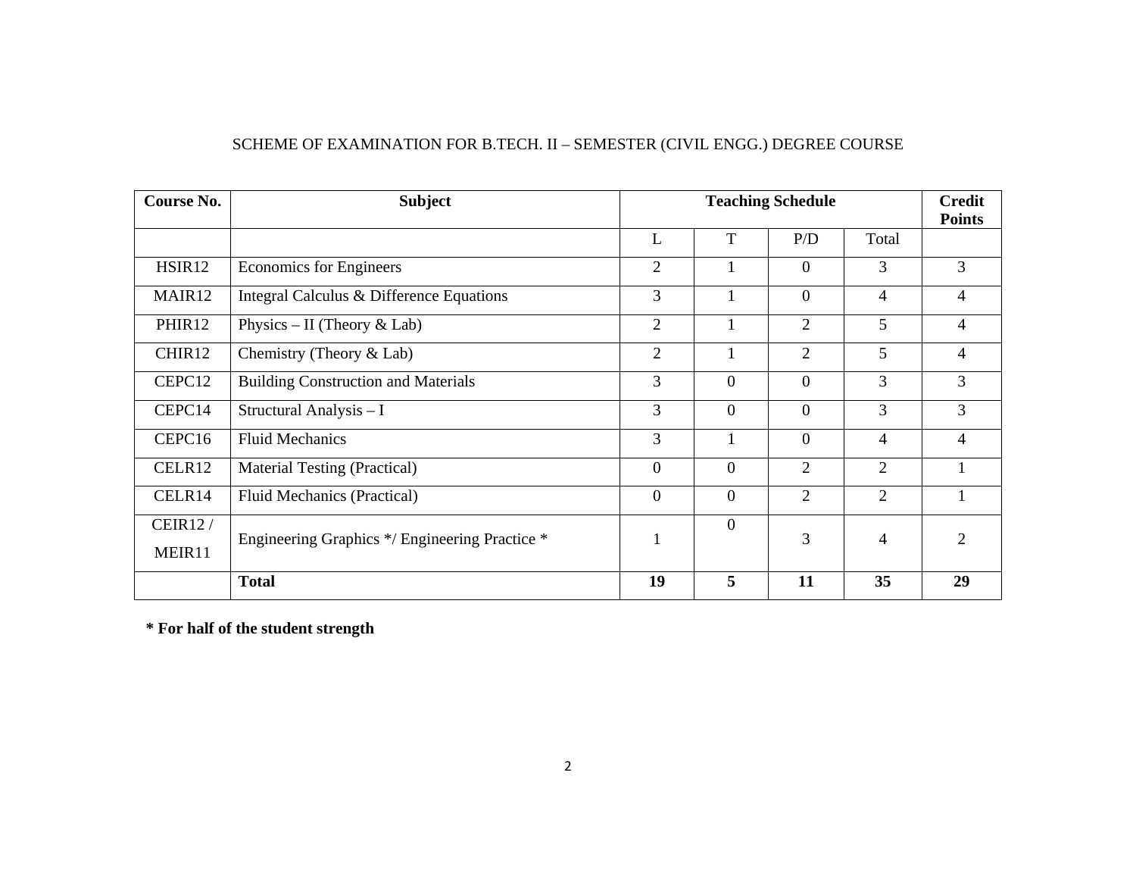| SCHEME OF EXAMINATION FOR B.TECH. II – SEMESTER (CIVIL ENGG.) DEGREE COURSE |  |  |
|-----------------------------------------------------------------------------|--|--|
|                                                                             |  |  |

| <b>Course No.</b>  | <b>Subject</b>                                 |                  |                | <b>Teaching Schedule</b> |                | <b>Credit</b><br><b>Points</b> |
|--------------------|------------------------------------------------|------------------|----------------|--------------------------|----------------|--------------------------------|
|                    |                                                | L                | T              | P/D                      | Total          |                                |
| HSIR <sub>12</sub> | Economics for Engineers                        | $\overline{2}$   | $\mathbf{1}$   | $\overline{0}$           | 3              | 3                              |
| MAIR12             | Integral Calculus & Difference Equations       | 3                | 1              | $\theta$                 | $\overline{4}$ | $\overline{4}$                 |
| PHIR12             | Physics – II (Theory & Lab)                    | $\overline{2}$   | 1              | $\overline{2}$           | 5              | 4                              |
| CHIR12             | Chemistry (Theory $&$ Lab)                     | $\overline{2}$   | $\mathbf{1}$   | 5<br>$\overline{2}$      |                | $\overline{4}$                 |
| CEPC12             | <b>Building Construction and Materials</b>     | 3                | $\overline{0}$ | $\theta$                 | 3              | 3                              |
| CEPC14             | Structural Analysis - I                        | 3                | $\overline{0}$ | $\Omega$                 | 3              | 3                              |
| CEPC16             | <b>Fluid Mechanics</b>                         | 3                | $\mathbf{1}$   | $\theta$                 | $\overline{4}$ | $\overline{4}$                 |
| CELR12             | <b>Material Testing (Practical)</b>            | $\boldsymbol{0}$ | $\overline{0}$ | 2                        | $\overline{2}$ | 1                              |
| CELR14             | Fluid Mechanics (Practical)                    | $\theta$         | $\mathbf{0}$   | $\overline{2}$           | $\overline{2}$ | 1                              |
| <b>CEIR12/</b>     | Engineering Graphics */ Engineering Practice * |                  | $\mathbf{0}$   | 3                        | $\overline{4}$ | $\overline{2}$                 |
| MEIR11             |                                                |                  |                |                          |                |                                |
|                    | <b>Total</b>                                   | 19               | 5              | 11                       | 35             | 29                             |

**\* For half of the student strength**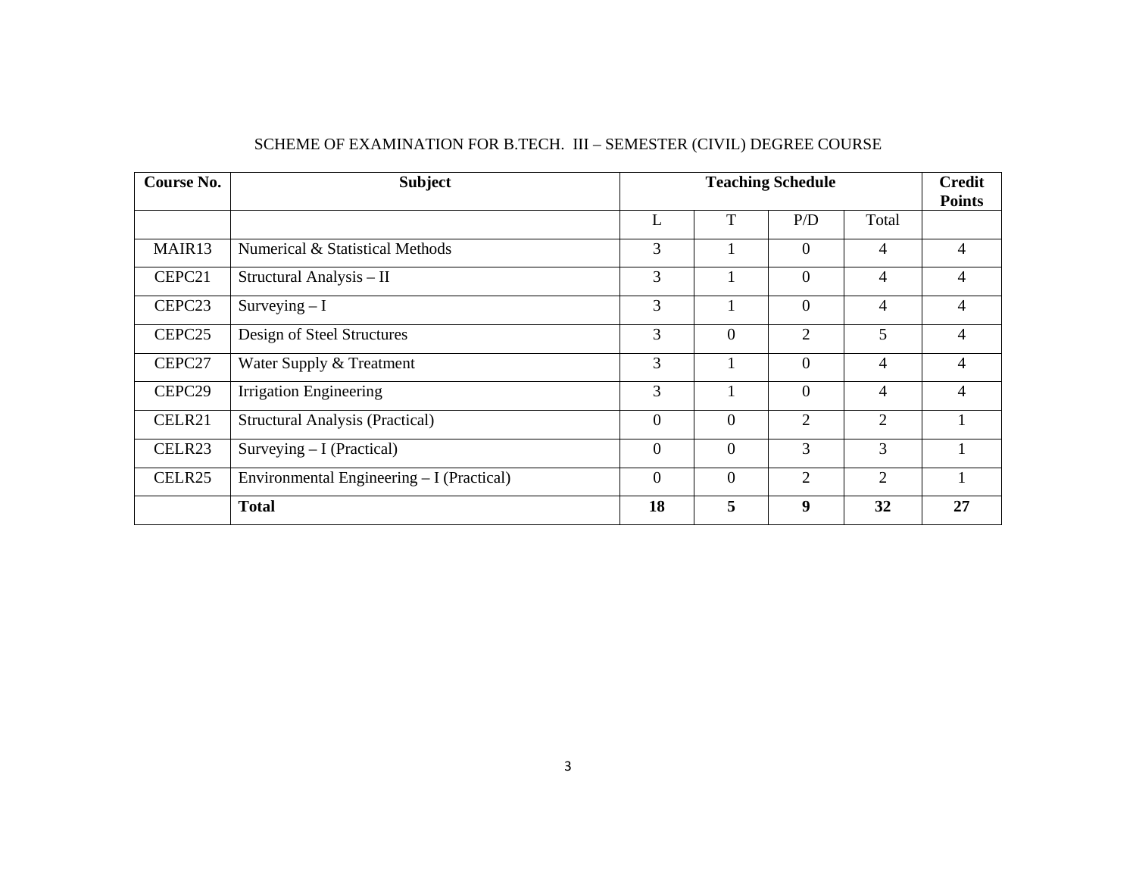| Course No.         | <b>Subject</b>                            |                  |                | <b>Teaching Schedule</b> |                | <b>Credit</b><br><b>Points</b> |  |
|--------------------|-------------------------------------------|------------------|----------------|--------------------------|----------------|--------------------------------|--|
|                    |                                           | L                | T              | P/D                      | Total          |                                |  |
| MAIR <sub>13</sub> | Numerical & Statistical Methods           | 3                |                | $\theta$                 | $\overline{4}$ | 4                              |  |
| CEPC21             | Structural Analysis - II                  | 3                | 1              | $\theta$                 | $\overline{4}$ | 4                              |  |
| CEPC <sub>23</sub> | Surveying $-I$                            | 3                |                | $\theta$                 | $\overline{4}$ |                                |  |
| CEPC <sub>25</sub> | Design of Steel Structures                | 3                | $\overline{0}$ | $\overline{2}$           | 5              |                                |  |
| CEPC27             | Water Supply & Treatment                  | 3                |                | $\theta$                 | $\overline{4}$ | 4                              |  |
| CEPC29             | <b>Irrigation Engineering</b>             | 3                |                | $\theta$                 | $\overline{4}$ | 4                              |  |
| CELR21             | <b>Structural Analysis (Practical)</b>    | $\boldsymbol{0}$ | $\overline{0}$ | 2                        | $\overline{2}$ |                                |  |
| CELR23             | Surveying $-I$ (Practical)                | $\boldsymbol{0}$ | $\overline{0}$ | 3                        | 3              |                                |  |
| CELR25             | Environmental Engineering – I (Practical) | $\boldsymbol{0}$ | $\overline{0}$ | $\overline{2}$<br>2      |                |                                |  |
|                    | <b>Total</b>                              | 18               | 5              | 9                        | 32             | 27                             |  |

## SCHEME OF EXAMINATION FOR B.TECH. III – SEMESTER (CIVIL) DEGREE COURSE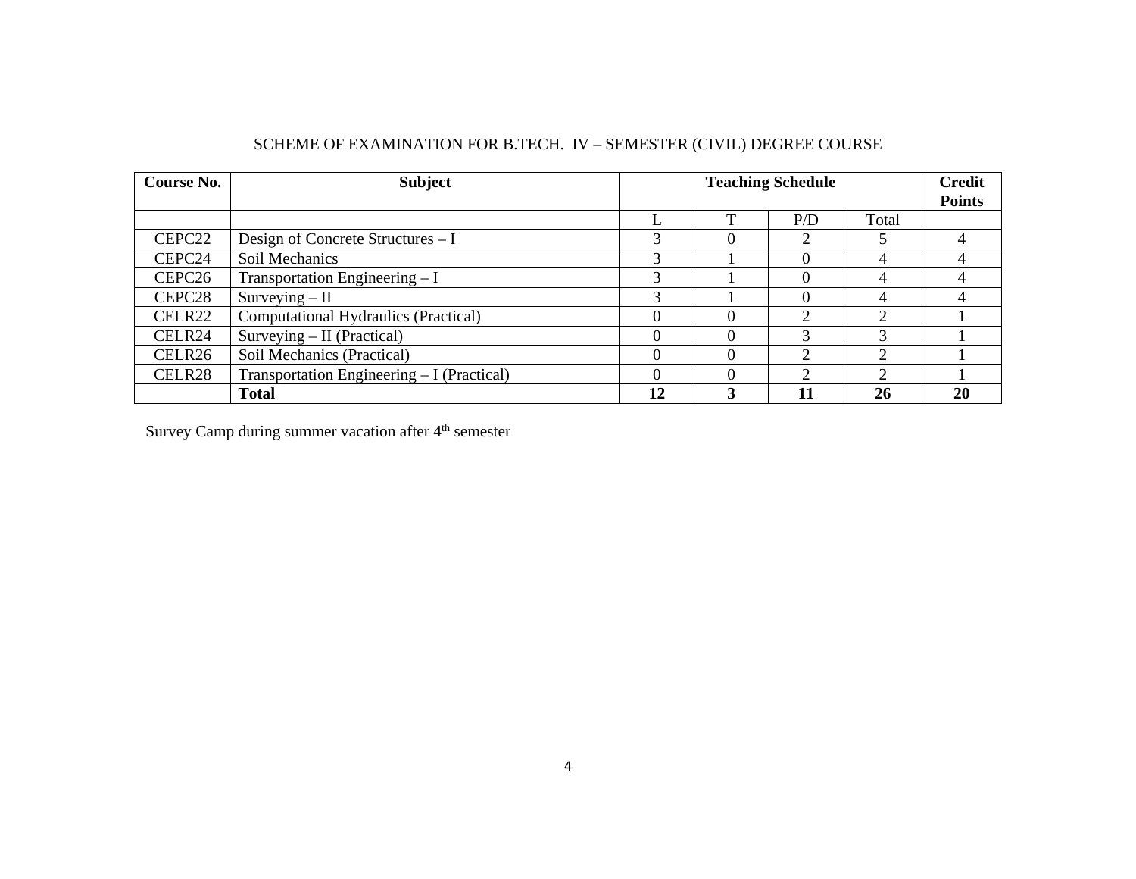| Course No.         | <b>Subject</b>                             |                                              |          | <b>Credit</b> |    |               |  |
|--------------------|--------------------------------------------|----------------------------------------------|----------|---------------|----|---------------|--|
|                    |                                            |                                              |          |               |    | <b>Points</b> |  |
|                    |                                            | P/D<br>Total                                 |          |               |    |               |  |
| CEPC <sub>22</sub> | Design of Concrete Structures – I          | 3                                            | $\Omega$ | 2             |    |               |  |
| CEPC24             | Soil Mechanics                             | 3                                            |          |               | 4  |               |  |
| CEPC <sub>26</sub> | Transportation Engineering $-I$            | 3                                            |          |               | 4  |               |  |
| CEPC28             | $Surveving - II$                           |                                              |          |               |    |               |  |
| CELR22             | Computational Hydraulics (Practical)       |                                              |          | ◠             | ◠  |               |  |
| CELR <sub>24</sub> | Surveying $-$ II (Practical)               |                                              | $\Omega$ |               | 3  |               |  |
| CELR <sub>26</sub> | Soil Mechanics (Practical)                 | $\Omega$<br>↑<br>$\mathcal{D}_{\mathcal{L}}$ |          |               |    |               |  |
| CELR28             | Transportation Engineering – I (Practical) | $\Omega$<br>◠<br>↑                           |          |               |    |               |  |
|                    | <b>Total</b>                               | 12                                           | 3        |               | 26 | 20            |  |

## SCHEME OF EXAMINATION FOR B.TECH. IV – SEMESTER (CIVIL) DEGREE COURSE

Survey Camp during summer vacation after 4<sup>th</sup> semester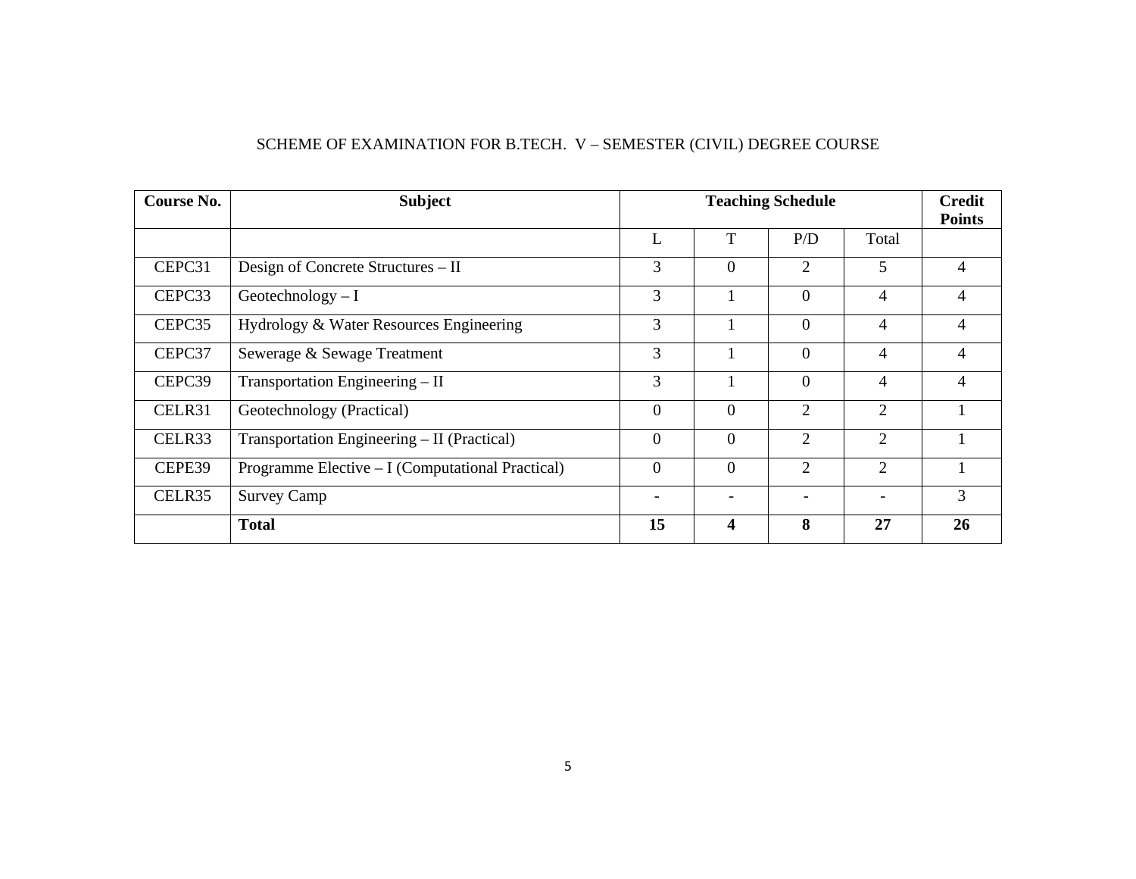## SCHEME OF EXAMINATION FOR B.TECH. V – SEMESTER (CIVIL) DEGREE COURSE

| Course No. | <b>Subject</b>                                   |                                 | <b>Teaching Schedule</b>     |                            |                |                |  |  |
|------------|--------------------------------------------------|---------------------------------|------------------------------|----------------------------|----------------|----------------|--|--|
|            |                                                  | L                               | T                            | P/D                        | Total          |                |  |  |
| CEPC31     | Design of Concrete Structures – II               | 3                               | $\theta$                     | 2                          | 5              | 4              |  |  |
| CEPC33     | Geotechnology $-I$                               | 3                               |                              | $\theta$                   | 4              |                |  |  |
| CEPC35     | Hydrology & Water Resources Engineering          | 3                               |                              | $\Omega$<br>$\overline{4}$ |                |                |  |  |
| CEPC37     | Sewerage & Sewage Treatment                      | 3<br>$\Omega$<br>$\overline{4}$ |                              |                            |                |                |  |  |
| CEPC39     | Transportation Engineering - II                  | 3                               |                              | $\Omega$                   | $\overline{4}$ | $\overline{4}$ |  |  |
| CELR31     | Geotechnology (Practical)                        | $\overline{0}$                  | $\Omega$                     | 2                          | 2              |                |  |  |
| CELR33     | Transportation Engineering – II (Practical)      | $\theta$                        | $\overline{0}$               | 2                          | 2              |                |  |  |
| CEPE39     | Programme Elective - I (Computational Practical) | $\Omega$<br>2<br>2<br>$\theta$  |                              |                            |                |                |  |  |
| CELR35     | <b>Survey Camp</b>                               | $\overline{\phantom{0}}$        | $\qquad \qquad \blacksquare$ |                            |                |                |  |  |
|            | <b>Total</b>                                     | 15                              | $\overline{\mathbf{4}}$      | 8                          | 27             | 26             |  |  |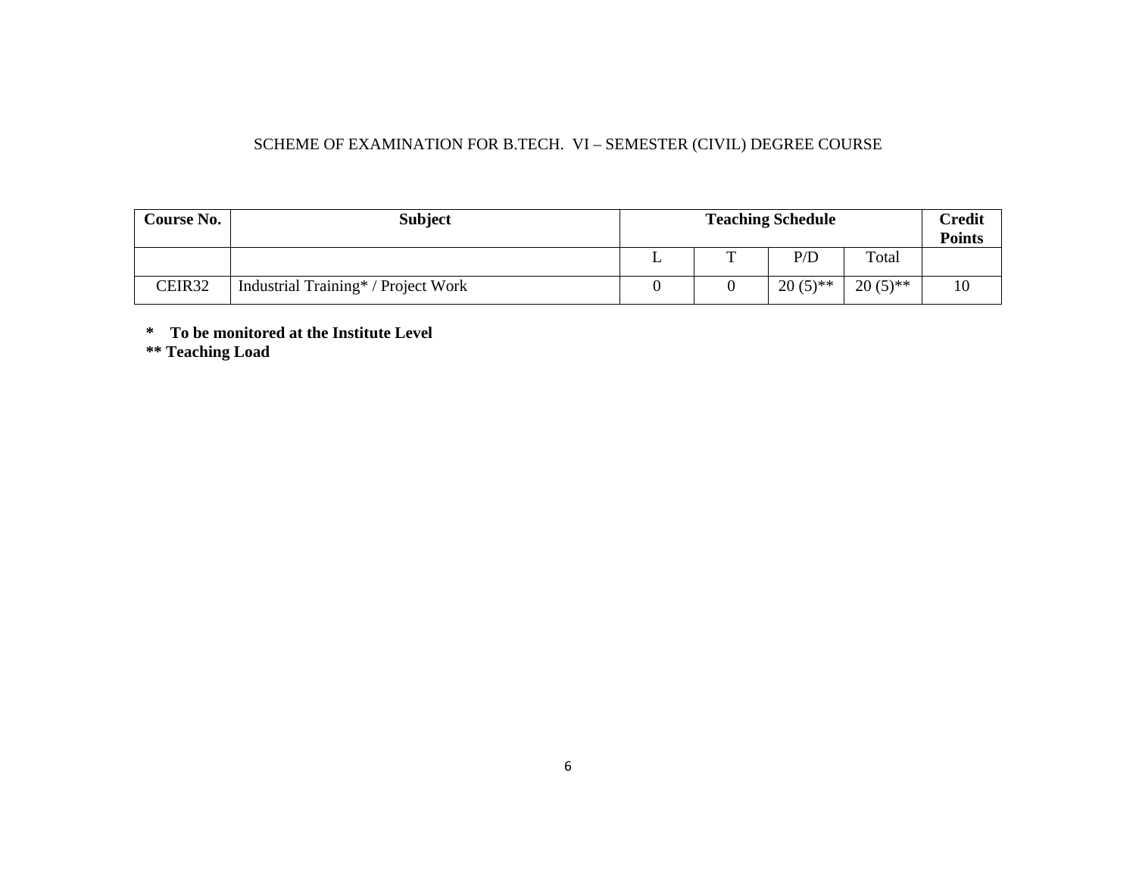## SCHEME OF EXAMINATION FOR B.TECH. VI – SEMESTER (CIVIL) DEGREE COURSE

| <b>Course No.</b> | <b>Subject</b>                      |   | <b>Teaching Schedule</b> |            | Credit<br><b>Points</b> |
|-------------------|-------------------------------------|---|--------------------------|------------|-------------------------|
|                   |                                     | m | P/D                      | Total      |                         |
| CEIR32            | Industrial Training* / Project Work |   | $20(5)$ **               | $20(5)$ ** | 10                      |

**\* To be monitored at the Institute Level** 

**\*\* Teaching Load**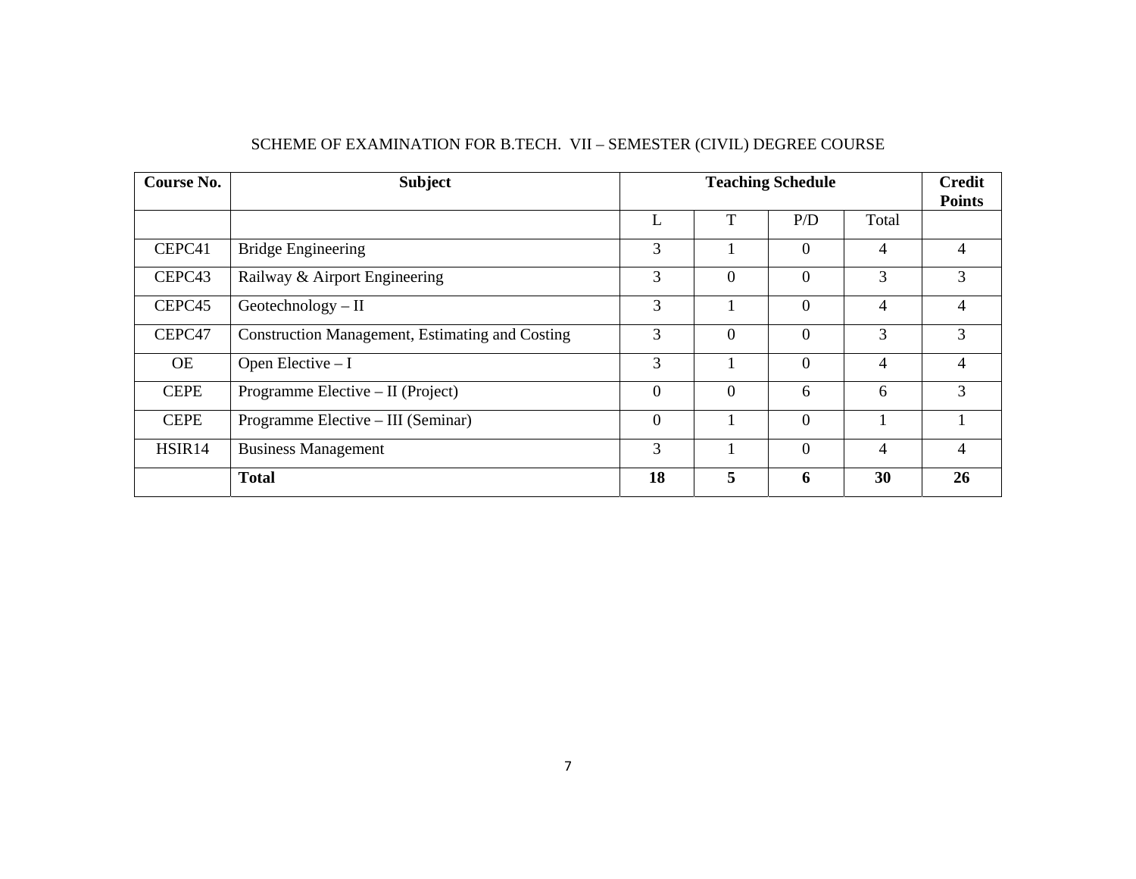| Course No.         | <b>Subject</b>                                         |                |                | <b>Teaching Schedule</b> |                | <b>Credit</b><br><b>Points</b> |
|--------------------|--------------------------------------------------------|----------------|----------------|--------------------------|----------------|--------------------------------|
|                    |                                                        | L              | T              | P/D                      | Total          |                                |
| CEPC41             | <b>Bridge Engineering</b>                              | 3              |                | $\theta$                 | 4              | 4                              |
| CEPC <sub>43</sub> | Railway & Airport Engineering                          | 3              | $\overline{0}$ | $\theta$                 | 3              | 3                              |
| CEPC45             | $Geotechnology - II$                                   | 3              |                | $\overline{0}$           | $\overline{4}$ | 4                              |
| CEPC47             | <b>Construction Management, Estimating and Costing</b> | 3              | $\overline{0}$ | $\Omega$                 | 3              | 3                              |
| <b>OE</b>          | Open Elective - I                                      | 3              |                | $\theta$                 | $\overline{4}$ | 4                              |
| <b>CEPE</b>        | Programme Elective – II (Project)                      | $\theta$       | $\overline{0}$ | 6                        | 6              | 3                              |
| <b>CEPE</b>        | Programme Elective – III (Seminar)                     | $\overline{0}$ |                | $\overline{0}$           |                |                                |
| HSIR14             | <b>Business Management</b>                             | 3              |                | $\theta$                 | 4              |                                |
|                    | <b>Total</b>                                           | 18             | 5              | 6                        | 30             | 26                             |

## SCHEME OF EXAMINATION FOR B.TECH. VII – SEMESTER (CIVIL) DEGREE COURSE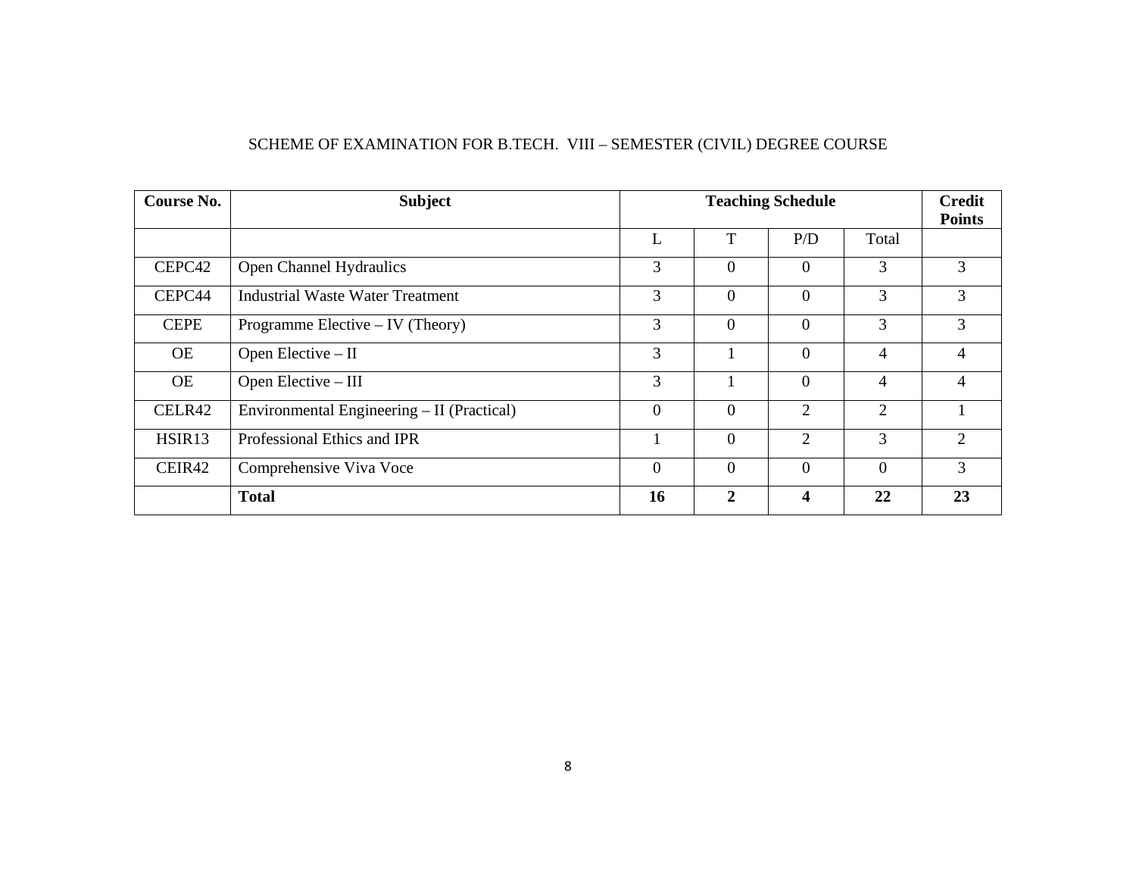|  | SCHEME OF EXAMINATION FOR B.TECH. VIII - SEMESTER (CIVIL) DEGREE COURSE |
|--|-------------------------------------------------------------------------|
|  |                                                                         |

| Course No.  | <b>Subject</b>                             |                  |                | <b>Teaching Schedule</b> |                | <b>Credit</b><br><b>Points</b> |
|-------------|--------------------------------------------|------------------|----------------|--------------------------|----------------|--------------------------------|
|             |                                            | L                | T              | P/D                      | Total          |                                |
| CEPC42      | Open Channel Hydraulics                    | 3                | $\overline{0}$ | $\theta$                 | 3              | 3                              |
| CEPC44      | Industrial Waste Water Treatment           | 3                | $\overline{0}$ | $\theta$                 | 3              | 3                              |
| <b>CEPE</b> | Programme Elective $-$ IV (Theory)         | 3                | $\overline{0}$ | $\theta$                 | 3              | 3                              |
| <b>OE</b>   | Open Elective - II                         | 3                |                | $\Omega$                 | $\overline{4}$ | 4                              |
| <b>OE</b>   | Open Elective - III                        | 3                |                | $\Omega$                 | $\overline{4}$ | 4                              |
| CELR42      | Environmental Engineering – II (Practical) | $\boldsymbol{0}$ | $\theta$       | 2                        | 2              |                                |
| HSIR13      | Professional Ethics and IPR                |                  | $\overline{0}$ | 2                        | 3              | $\overline{2}$                 |
| CEIR42      | Comprehensive Viva Voce                    | $\theta$         | $\theta$       | $\Omega$<br>$\Omega$     |                |                                |
|             | <b>Total</b>                               | 16               | $\overline{2}$ | $\overline{\mathbf{4}}$  | 22             | 23                             |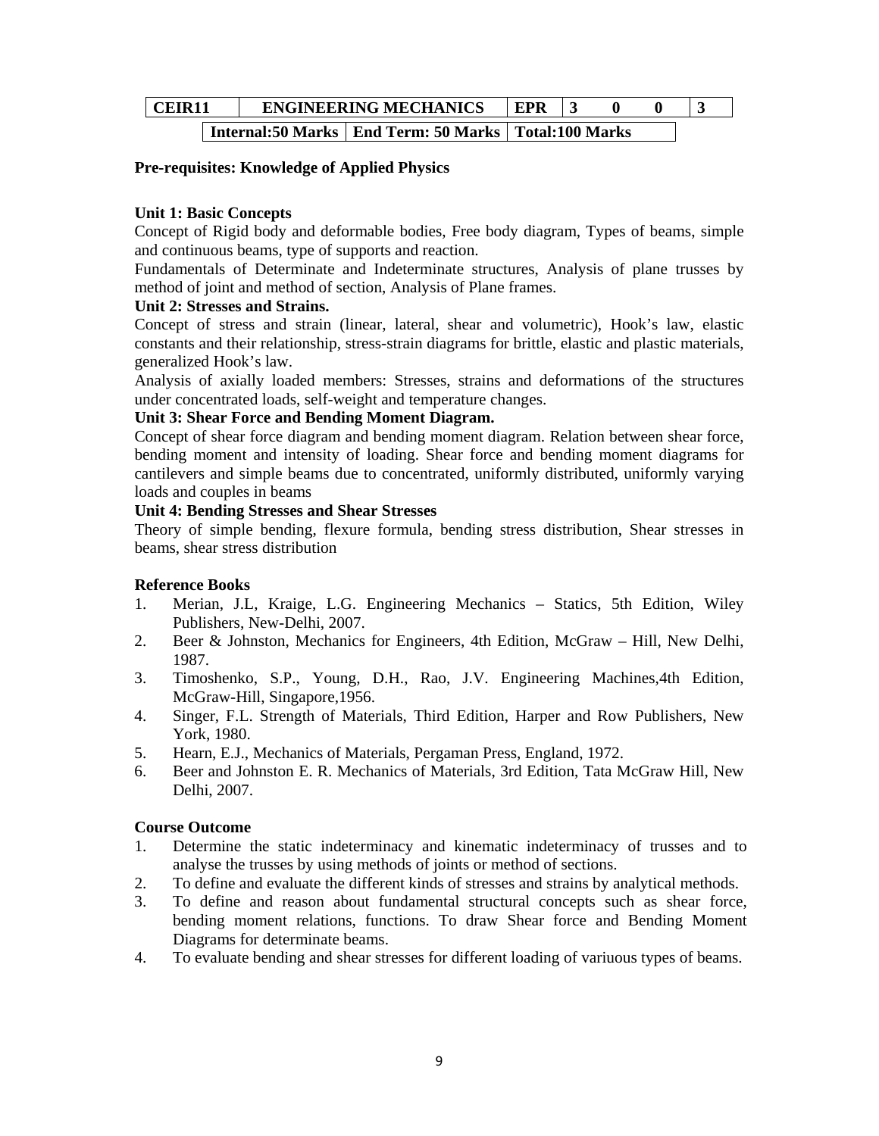| CEIR11 |  | <b>ENGINEERING MECHANICS</b>                             | <b>EPR</b> |  |  |
|--------|--|----------------------------------------------------------|------------|--|--|
|        |  | Internal:50 Marks   End Term: 50 Marks   Total:100 Marks |            |  |  |

#### **Pre-requisites: Knowledge of Applied Physics**

#### **Unit 1: Basic Concepts**

Concept of Rigid body and deformable bodies, Free body diagram, Types of beams, simple and continuous beams, type of supports and reaction.

Fundamentals of Determinate and Indeterminate structures, Analysis of plane trusses by method of joint and method of section, Analysis of Plane frames.

#### **Unit 2: Stresses and Strains.**

Concept of stress and strain (linear, lateral, shear and volumetric), Hook's law, elastic constants and their relationship, stress-strain diagrams for brittle, elastic and plastic materials, generalized Hook's law.

Analysis of axially loaded members: Stresses, strains and deformations of the structures under concentrated loads, self-weight and temperature changes.

#### **Unit 3: Shear Force and Bending Moment Diagram.**

Concept of shear force diagram and bending moment diagram. Relation between shear force, bending moment and intensity of loading. Shear force and bending moment diagrams for cantilevers and simple beams due to concentrated, uniformly distributed, uniformly varying loads and couples in beams

#### **Unit 4: Bending Stresses and Shear Stresses**

Theory of simple bending, flexure formula, bending stress distribution, Shear stresses in beams, shear stress distribution

#### **Reference Books**

- 1. Merian, J.L, Kraige, L.G. Engineering Mechanics Statics, 5th Edition, Wiley Publishers, New-Delhi, 2007.
- 2. Beer & Johnston, Mechanics for Engineers, 4th Edition, McGraw Hill, New Delhi, 1987.
- 3. Timoshenko, S.P., Young, D.H., Rao, J.V. Engineering Machines,4th Edition, McGraw-Hill, Singapore,1956.
- 4. Singer, F.L. Strength of Materials, Third Edition, Harper and Row Publishers, New York, 1980.
- 5. Hearn, E.J., Mechanics of Materials, Pergaman Press, England, 1972.
- 6. Beer and Johnston E. R. Mechanics of Materials, 3rd Edition, Tata McGraw Hill, New Delhi, 2007.

#### **Course Outcome**

- 1. Determine the static indeterminacy and kinematic indeterminacy of trusses and to analyse the trusses by using methods of joints or method of sections.
- 2. To define and evaluate the different kinds of stresses and strains by analytical methods.
- 3. To define and reason about fundamental structural concepts such as shear force, bending moment relations, functions. To draw Shear force and Bending Moment Diagrams for determinate beams.
- 4. To evaluate bending and shear stresses for different loading of variuous types of beams.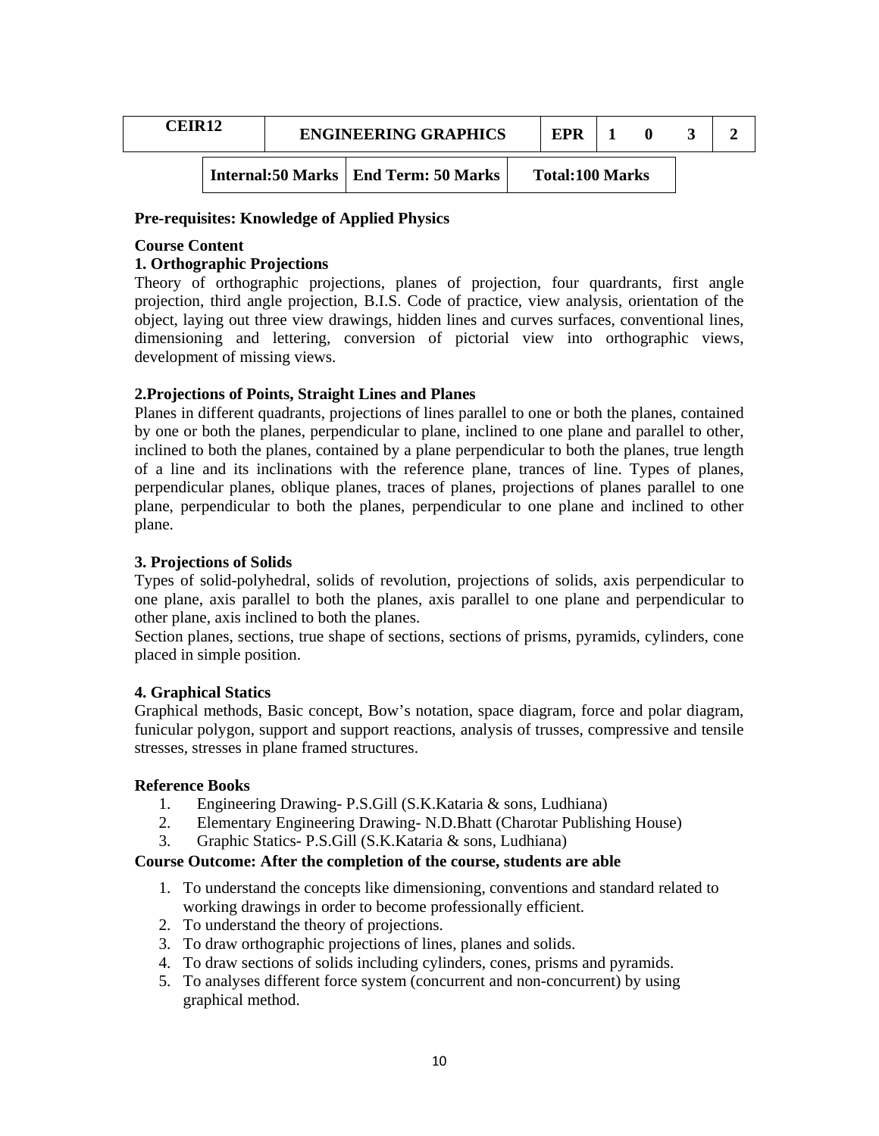| CEIR12 | <b>ENGINEERING GRAPHICS</b>             | EPR                    |  |  |
|--------|-----------------------------------------|------------------------|--|--|
|        | Internal: 50 Marks   End Term: 50 Marks | <b>Total:100 Marks</b> |  |  |

#### **Pre-requisites: Knowledge of Applied Physics**

#### **Course Content**

#### **1. Orthographic Projections**

Theory of orthographic projections, planes of projection, four quardrants, first angle projection, third angle projection, B.I.S. Code of practice, view analysis, orientation of the object, laying out three view drawings, hidden lines and curves surfaces, conventional lines, dimensioning and lettering, conversion of pictorial view into orthographic views, development of missing views.

#### **2.Projections of Points, Straight Lines and Planes**

Planes in different quadrants, projections of lines parallel to one or both the planes, contained by one or both the planes, perpendicular to plane, inclined to one plane and parallel to other, inclined to both the planes, contained by a plane perpendicular to both the planes, true length of a line and its inclinations with the reference plane, trances of line. Types of planes, perpendicular planes, oblique planes, traces of planes, projections of planes parallel to one plane, perpendicular to both the planes, perpendicular to one plane and inclined to other plane.

#### **3. Projections of Solids**

Types of solid-polyhedral, solids of revolution, projections of solids, axis perpendicular to one plane, axis parallel to both the planes, axis parallel to one plane and perpendicular to other plane, axis inclined to both the planes.

Section planes, sections, true shape of sections, sections of prisms, pyramids, cylinders, cone placed in simple position.

#### **4. Graphical Statics**

Graphical methods, Basic concept, Bow's notation, space diagram, force and polar diagram, funicular polygon, support and support reactions, analysis of trusses, compressive and tensile stresses, stresses in plane framed structures.

#### **Reference Books**

- 1. Engineering Drawing- P.S.Gill (S.K.Kataria & sons, Ludhiana)
- 2. Elementary Engineering Drawing- N.D.Bhatt (Charotar Publishing House)
- 3. Graphic Statics- P.S.Gill (S.K.Kataria & sons, Ludhiana)

#### **Course Outcome: After the completion of the course, students are able**

- 1. To understand the concepts like dimensioning, conventions and standard related to working drawings in order to become professionally efficient.
- 2. To understand the theory of projections.
- 3. To draw orthographic projections of lines, planes and solids.
- 4. To draw sections of solids including cylinders, cones, prisms and pyramids.
- 5. To analyses different force system (concurrent and non-concurrent) by using graphical method.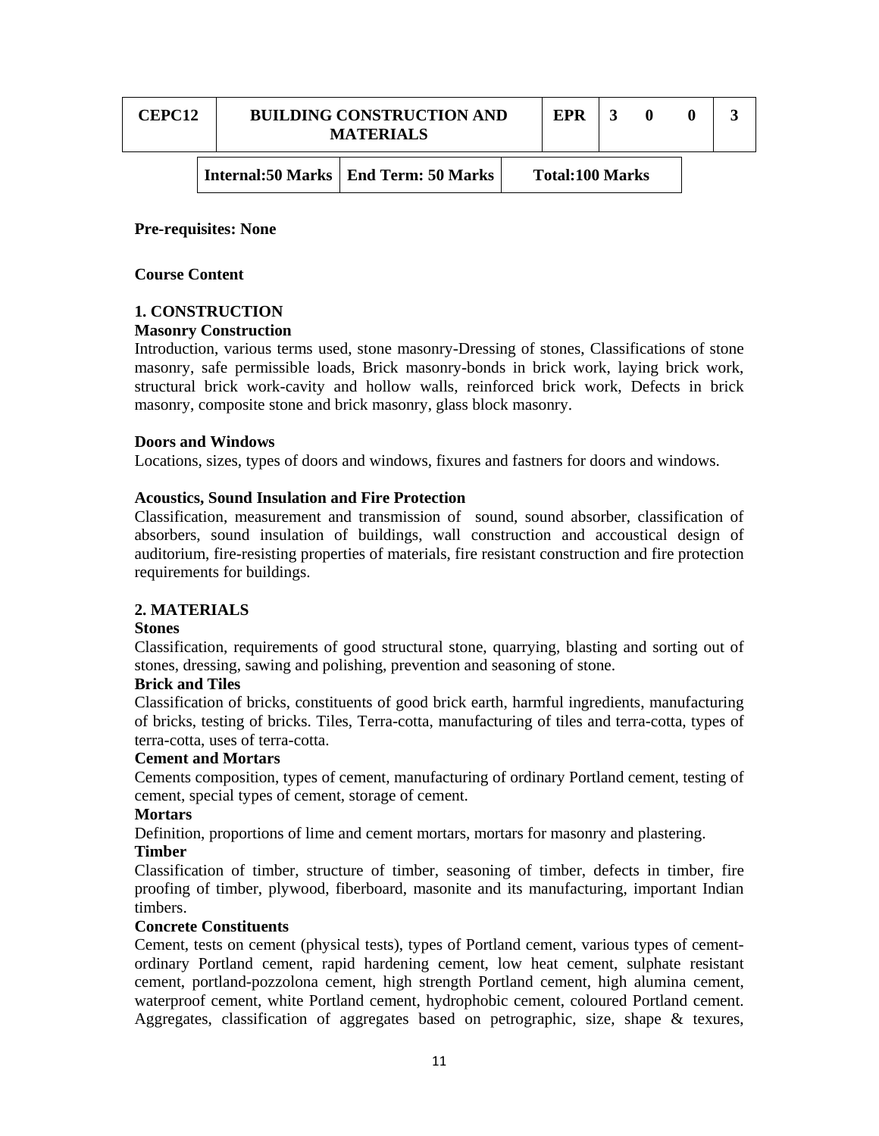| <b>CEPC12</b> |  | <b>BUILDING CONSTRUCTION AND</b><br><b>MATERIALS</b> | EPR                    |  |  |
|---------------|--|------------------------------------------------------|------------------------|--|--|
|               |  | Internal:50 Marks   End Term: 50 Marks               | <b>Total:100 Marks</b> |  |  |

#### **Pre-requisites: None**

#### **Course Content**

## **1. CONSTRUCTION**

#### **Masonry Construction**

Introduction, various terms used, stone masonry-Dressing of stones, Classifications of stone masonry, safe permissible loads, Brick masonry-bonds in brick work, laying brick work, structural brick work-cavity and hollow walls, reinforced brick work, Defects in brick masonry, composite stone and brick masonry, glass block masonry.

#### **Doors and Windows**

Locations, sizes, types of doors and windows, fixures and fastners for doors and windows.

#### **Acoustics, Sound Insulation and Fire Protection**

Classification, measurement and transmission of sound, sound absorber, classification of absorbers, sound insulation of buildings, wall construction and accoustical design of auditorium, fire-resisting properties of materials, fire resistant construction and fire protection requirements for buildings.

#### **2. MATERIALS**

#### **Stones**

Classification, requirements of good structural stone, quarrying, blasting and sorting out of stones, dressing, sawing and polishing, prevention and seasoning of stone.

#### **Brick and Tiles**

Classification of bricks, constituents of good brick earth, harmful ingredients, manufacturing of bricks, testing of bricks. Tiles, Terra-cotta, manufacturing of tiles and terra-cotta, types of terra-cotta, uses of terra-cotta.

#### **Cement and Mortars**

Cements composition, types of cement, manufacturing of ordinary Portland cement, testing of cement, special types of cement, storage of cement.

#### **Mortars**

Definition, proportions of lime and cement mortars, mortars for masonry and plastering.

#### **Timber**

Classification of timber, structure of timber, seasoning of timber, defects in timber, fire proofing of timber, plywood, fiberboard, masonite and its manufacturing, important Indian timbers.

#### **Concrete Constituents**

Cement, tests on cement (physical tests), types of Portland cement, various types of cementordinary Portland cement, rapid hardening cement, low heat cement, sulphate resistant cement, portland-pozzolona cement, high strength Portland cement, high alumina cement, waterproof cement, white Portland cement, hydrophobic cement, coloured Portland cement. Aggregates, classification of aggregates based on petrographic, size, shape  $\&$  texures,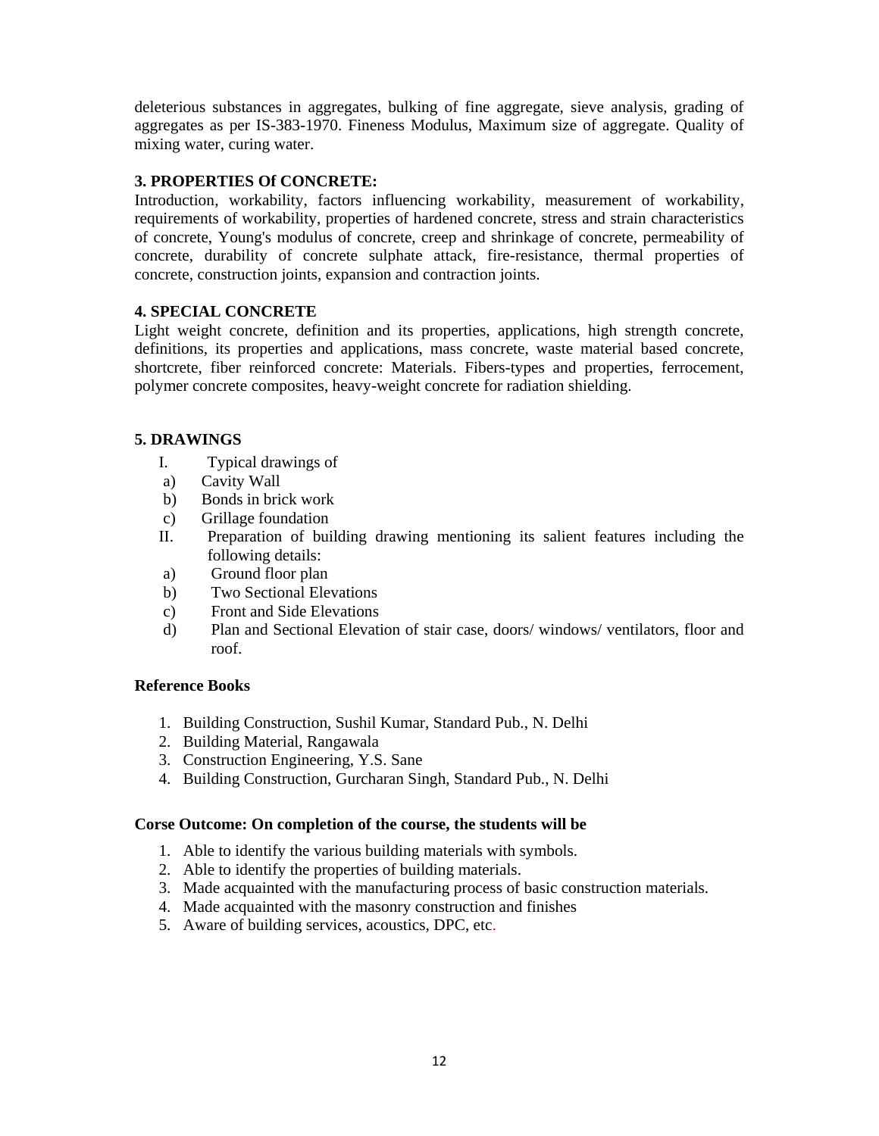deleterious substances in aggregates, bulking of fine aggregate, sieve analysis, grading of aggregates as per IS-383-1970. Fineness Modulus, Maximum size of aggregate. Quality of mixing water, curing water.

## **3. PROPERTIES Of CONCRETE:**

Introduction, workability, factors influencing workability, measurement of workability, requirements of workability, properties of hardened concrete, stress and strain characteristics of concrete, Young's modulus of concrete, creep and shrinkage of concrete, permeability of concrete, durability of concrete sulphate attack, fire-resistance, thermal properties of concrete, construction joints, expansion and contraction joints.

## **4. SPECIAL CONCRETE**

Light weight concrete, definition and its properties, applications, high strength concrete, definitions, its properties and applications, mass concrete, waste material based concrete, shortcrete, fiber reinforced concrete: Materials. Fibers-types and properties, ferrocement, polymer concrete composites, heavy-weight concrete for radiation shielding.

## **5. DRAWINGS**

- I. Typical drawings of
- a) Cavity Wall
- b) Bonds in brick work
- c) Grillage foundation
- II. Preparation of building drawing mentioning its salient features including the following details:
- a) Ground floor plan
- b) Two Sectional Elevations
- c) Front and Side Elevations
- d) Plan and Sectional Elevation of stair case, doors/ windows/ ventilators, floor and roof.

#### **Reference Books**

- 1. Building Construction, Sushil Kumar, Standard Pub., N. Delhi
- 2. Building Material, Rangawala
- 3. Construction Engineering, Y.S. Sane
- 4. Building Construction, Gurcharan Singh, Standard Pub., N. Delhi

#### **Corse Outcome: On completion of the course, the students will be**

- 1. Able to identify the various building materials with symbols.
- 2. Able to identify the properties of building materials.
- 3. Made acquainted with the manufacturing process of basic construction materials.
- 4. Made acquainted with the masonry construction and finishes
- 5. Aware of building services, acoustics, DPC, etc.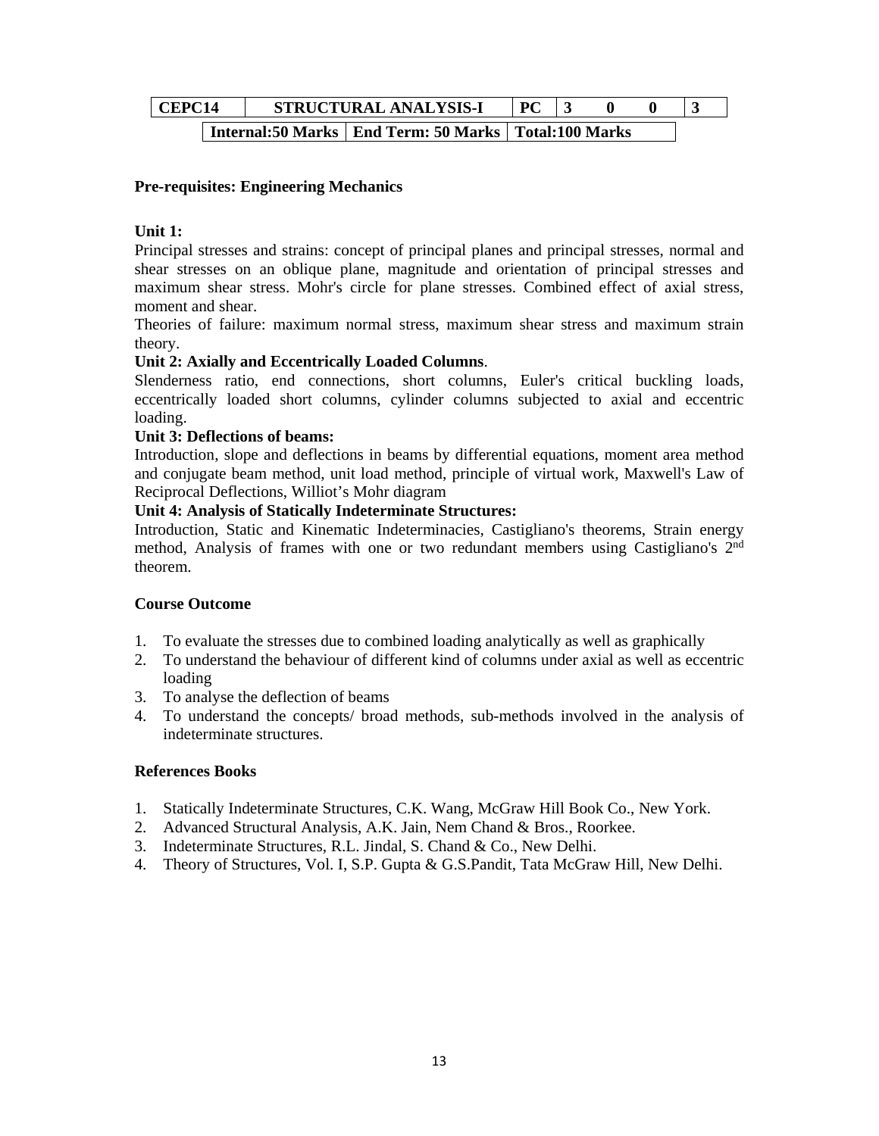| CEPC14 |  | STRUCTURAL ANALYSIS-I                                    | $\mathbf{p}$ |  |  |
|--------|--|----------------------------------------------------------|--------------|--|--|
|        |  | Internal:50 Marks   End Term: 50 Marks   Total:100 Marks |              |  |  |

## **Pre-requisites: Engineering Mechanics**

## **Unit 1:**

Principal stresses and strains: concept of principal planes and principal stresses, normal and shear stresses on an oblique plane, magnitude and orientation of principal stresses and maximum shear stress. Mohr's circle for plane stresses. Combined effect of axial stress, moment and shear.

Theories of failure: maximum normal stress, maximum shear stress and maximum strain theory.

## **Unit 2: Axially and Eccentrically Loaded Columns**.

Slenderness ratio, end connections, short columns, Euler's critical buckling loads, eccentrically loaded short columns, cylinder columns subjected to axial and eccentric loading.

## **Unit 3: Deflections of beams:**

Introduction, slope and deflections in beams by differential equations, moment area method and conjugate beam method, unit load method, principle of virtual work, Maxwell's Law of Reciprocal Deflections, Williot's Mohr diagram

## **Unit 4: Analysis of Statically Indeterminate Structures:**

Introduction, Static and Kinematic Indeterminacies, Castigliano's theorems, Strain energy method, Analysis of frames with one or two redundant members using Castigliano's 2nd theorem.

#### **Course Outcome**

- 1. To evaluate the stresses due to combined loading analytically as well as graphically
- 2. To understand the behaviour of different kind of columns under axial as well as eccentric loading
- 3. To analyse the deflection of beams
- 4. To understand the concepts/ broad methods, sub-methods involved in the analysis of indeterminate structures.

#### **References Books**

- 1. Statically Indeterminate Structures, C.K. Wang, McGraw Hill Book Co., New York.
- 2. Advanced Structural Analysis, A.K. Jain, Nem Chand & Bros., Roorkee.
- 3. Indeterminate Structures, R.L. Jindal, S. Chand & Co., New Delhi.
- 4. Theory of Structures, Vol. I, S.P. Gupta & G.S.Pandit, Tata McGraw Hill, New Delhi.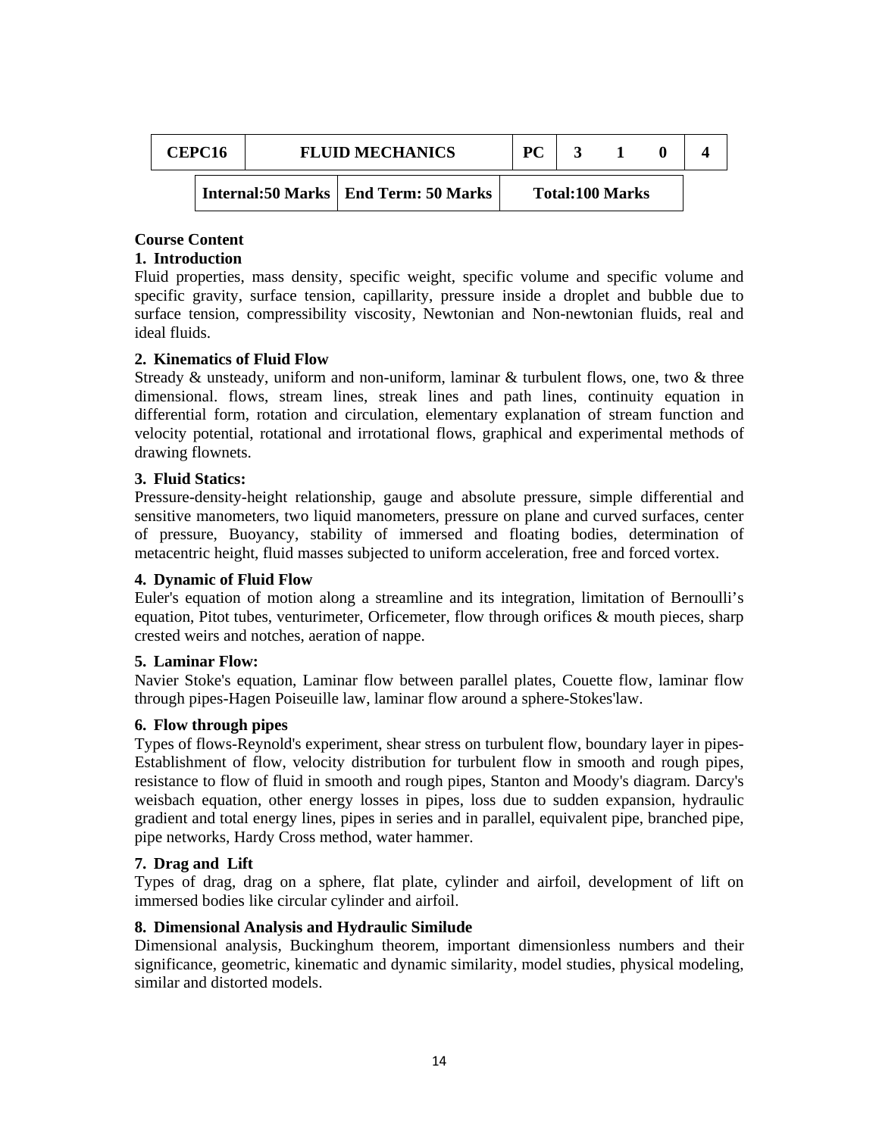| CEPC <sub>16</sub> |  | <b>FLUID MECHANICS</b>                 | <b>PC</b> |                        |  |
|--------------------|--|----------------------------------------|-----------|------------------------|--|
|                    |  | Internal:50 Marks   End Term: 50 Marks |           | <b>Total:100 Marks</b> |  |

# **Course Content**

## **1. Introduction**

Fluid properties, mass density, specific weight, specific volume and specific volume and specific gravity, surface tension, capillarity, pressure inside a droplet and bubble due to surface tension, compressibility viscosity, Newtonian and Non-newtonian fluids, real and ideal fluids.

## **2. Kinematics of Fluid Flow**

Stready  $\&$  unsteady, uniform and non-uniform, laminar  $\&$  turbulent flows, one, two  $\&$  three dimensional. flows, stream lines, streak lines and path lines, continuity equation in differential form, rotation and circulation, elementary explanation of stream function and velocity potential, rotational and irrotational flows, graphical and experimental methods of drawing flownets.

## **3. Fluid Statics:**

Pressure-density-height relationship, gauge and absolute pressure, simple differential and sensitive manometers, two liquid manometers, pressure on plane and curved surfaces, center of pressure, Buoyancy, stability of immersed and floating bodies, determination of metacentric height, fluid masses subjected to uniform acceleration, free and forced vortex.

#### **4. Dynamic of Fluid Flow**

Euler's equation of motion along a streamline and its integration, limitation of Bernoulli's equation, Pitot tubes, venturimeter, Orficemeter, flow through orifices  $\&$  mouth pieces, sharp crested weirs and notches, aeration of nappe.

#### **5. Laminar Flow:**

Navier Stoke's equation, Laminar flow between parallel plates, Couette flow, laminar flow through pipes-Hagen Poiseuille law, laminar flow around a sphere-Stokes'law.

#### **6. Flow through pipes**

Types of flows-Reynold's experiment, shear stress on turbulent flow, boundary layer in pipes-Establishment of flow, velocity distribution for turbulent flow in smooth and rough pipes, resistance to flow of fluid in smooth and rough pipes, Stanton and Moody's diagram. Darcy's weisbach equation, other energy losses in pipes, loss due to sudden expansion, hydraulic gradient and total energy lines, pipes in series and in parallel, equivalent pipe, branched pipe, pipe networks, Hardy Cross method, water hammer.

## **7. Drag and Lift**

Types of drag, drag on a sphere, flat plate, cylinder and airfoil, development of lift on immersed bodies like circular cylinder and airfoil.

## **8. Dimensional Analysis and Hydraulic Similude**

Dimensional analysis, Buckinghum theorem, important dimensionless numbers and their significance, geometric, kinematic and dynamic similarity, model studies, physical modeling, similar and distorted models.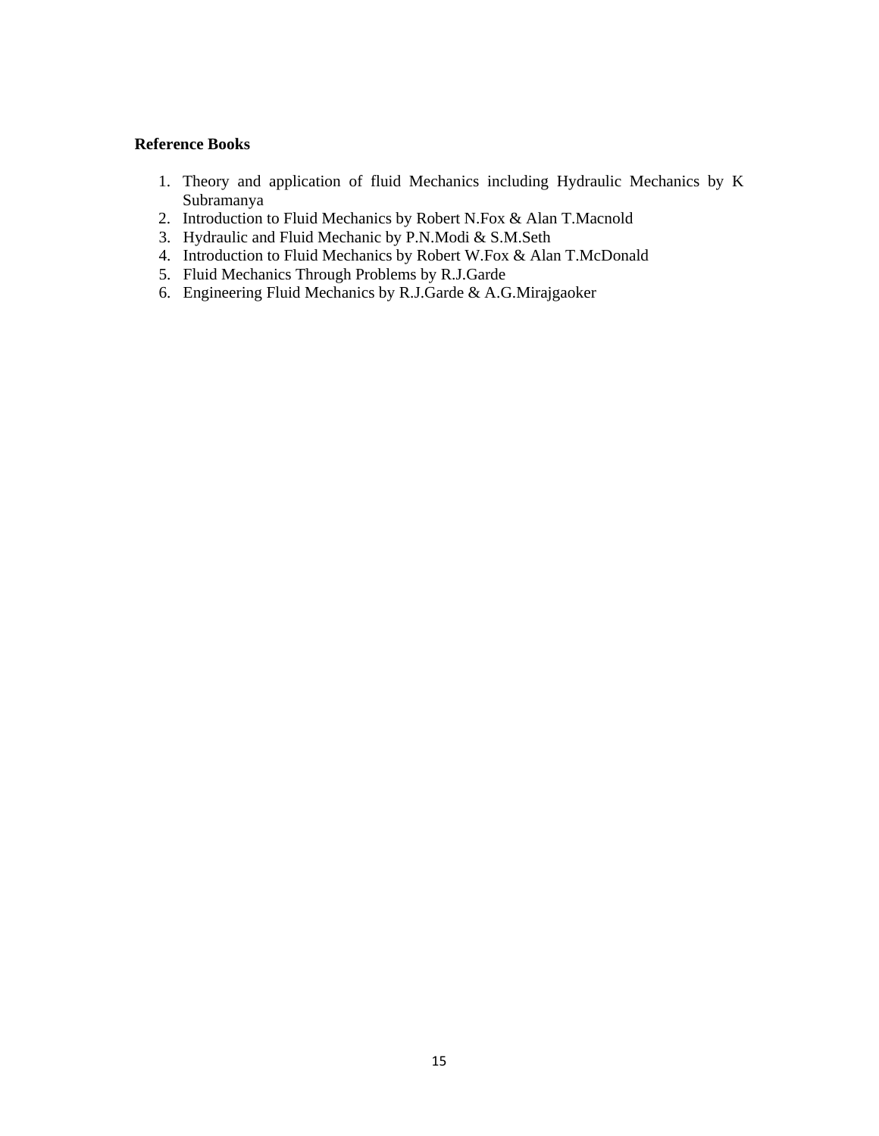#### **Reference Books**

- 1. Theory and application of fluid Mechanics including Hydraulic Mechanics by K Subramanya
- 2. Introduction to Fluid Mechanics by Robert N.Fox & Alan T.Macnold
- 3. Hydraulic and Fluid Mechanic by P.N.Modi & S.M.Seth
- 4. Introduction to Fluid Mechanics by Robert W.Fox & Alan T.McDonald
- 5. Fluid Mechanics Through Problems by R.J.Garde
- 6. Engineering Fluid Mechanics by R.J.Garde & A.G.Mirajgaoker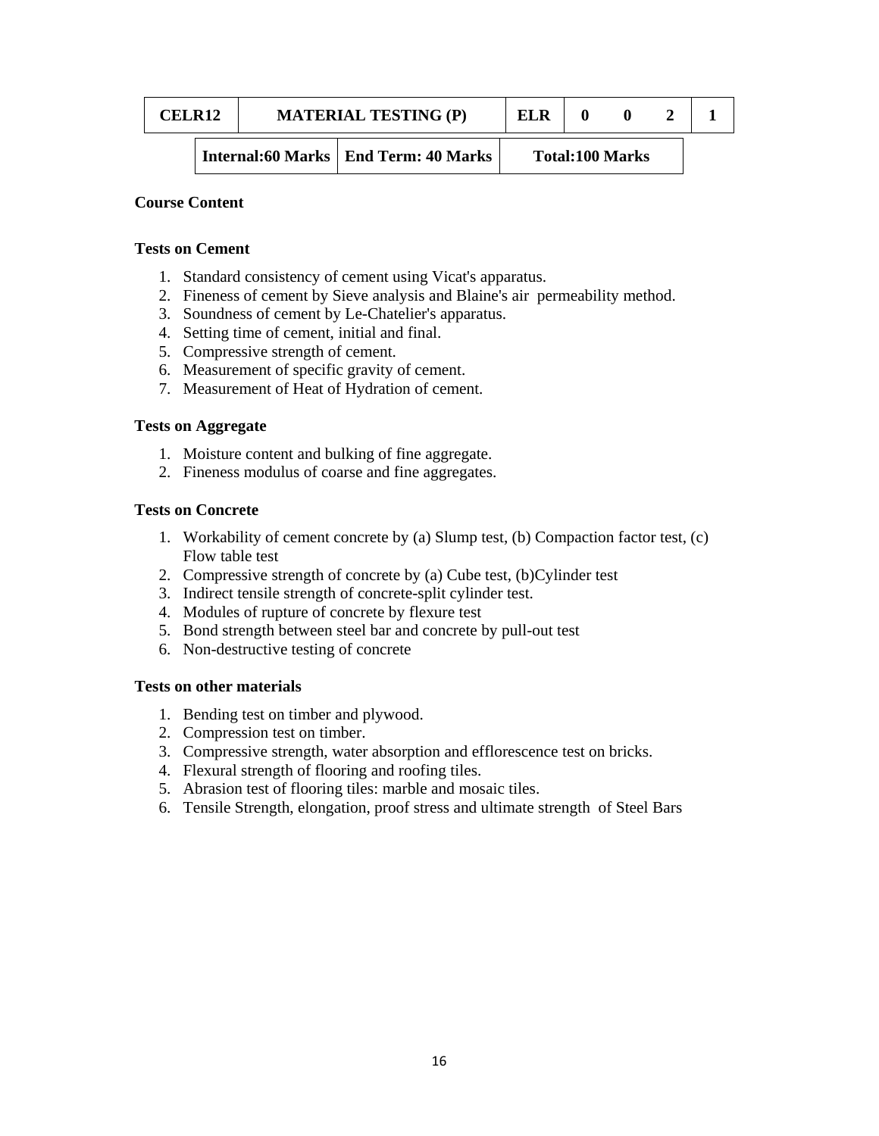| CEL R12 |  | <b>MATERIAL TESTING (P)</b>            | ELR |                        |  |
|---------|--|----------------------------------------|-----|------------------------|--|
|         |  | Internal:60 Marks   End Term: 40 Marks |     | <b>Total:100 Marks</b> |  |

### **Course Content**

#### **Tests on Cement**

- 1. Standard consistency of cement using Vicat's apparatus.
- 2. Fineness of cement by Sieve analysis and Blaine's air permeability method.
- 3. Soundness of cement by Le-Chatelier's apparatus.
- 4. Setting time of cement, initial and final.
- 5. Compressive strength of cement.
- 6. Measurement of specific gravity of cement.
- 7. Measurement of Heat of Hydration of cement.

## **Tests on Aggregate**

- 1. Moisture content and bulking of fine aggregate.
- 2. Fineness modulus of coarse and fine aggregates.

## **Tests on Concrete**

- 1. Workability of cement concrete by (a) Slump test, (b) Compaction factor test, (c) Flow table test
- 2. Compressive strength of concrete by (a) Cube test, (b)Cylinder test
- 3. Indirect tensile strength of concrete-split cylinder test.
- 4. Modules of rupture of concrete by flexure test
- 5. Bond strength between steel bar and concrete by pull-out test
- 6. Non-destructive testing of concrete

#### **Tests on other materials**

- 1. Bending test on timber and plywood.
- 2. Compression test on timber.
- 3. Compressive strength, water absorption and efflorescence test on bricks.
- 4. Flexural strength of flooring and roofing tiles.
- 5. Abrasion test of flooring tiles: marble and mosaic tiles.
- 6. Tensile Strength, elongation, proof stress and ultimate strength of Steel Bars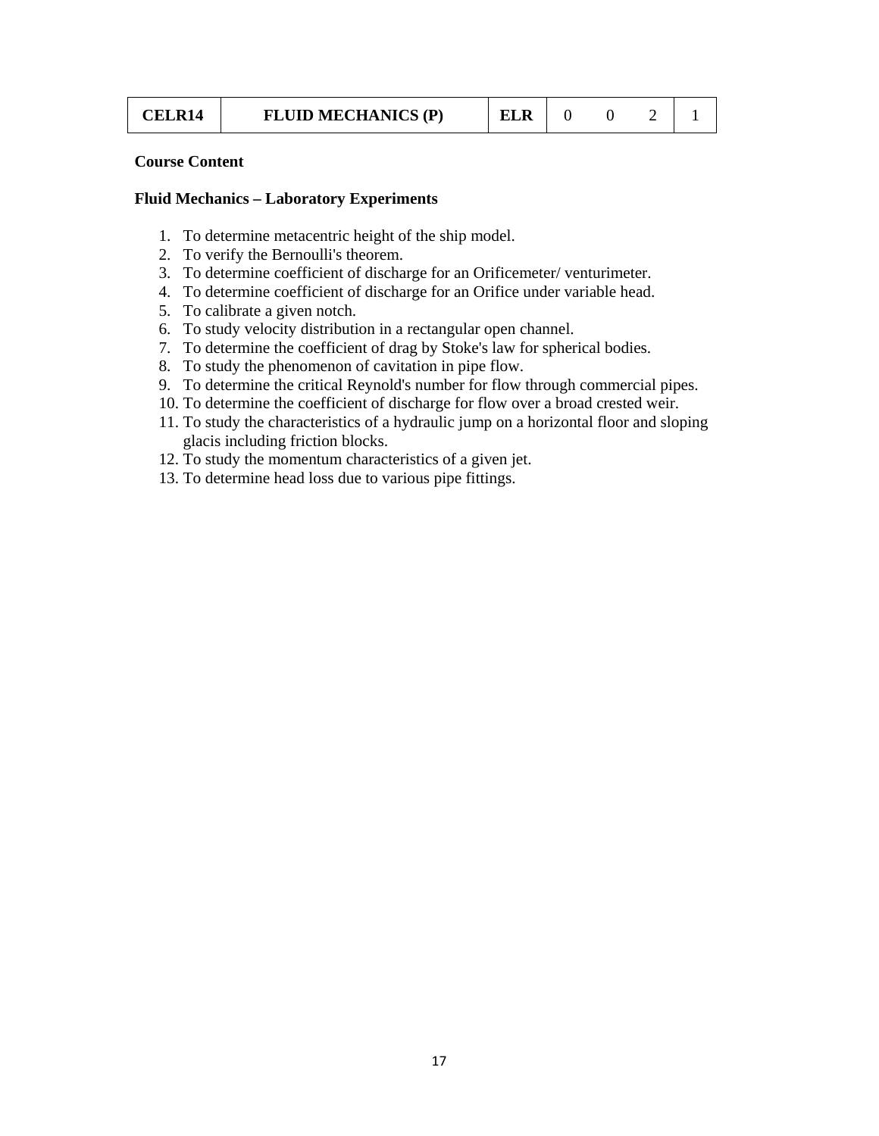| CELR14 | <b>FLUID MECHANICS (P)</b> | <b>ELR</b> |  |  |  |  |
|--------|----------------------------|------------|--|--|--|--|
|--------|----------------------------|------------|--|--|--|--|

#### **Course Content**

#### **Fluid Mechanics – Laboratory Experiments**

- 1. To determine metacentric height of the ship model.
- 2. To verify the Bernoulli's theorem.
- 3. To determine coefficient of discharge for an Orificemeter/ venturimeter.
- 4. To determine coefficient of discharge for an Orifice under variable head.
- 5. To calibrate a given notch.
- 6. To study velocity distribution in a rectangular open channel.
- 7. To determine the coefficient of drag by Stoke's law for spherical bodies.
- 8. To study the phenomenon of cavitation in pipe flow.
- 9. To determine the critical Reynold's number for flow through commercial pipes.
- 10. To determine the coefficient of discharge for flow over a broad crested weir.
- 11. To study the characteristics of a hydraulic jump on a horizontal floor and sloping glacis including friction blocks.
- 12. To study the momentum characteristics of a given jet.
- 13. To determine head loss due to various pipe fittings.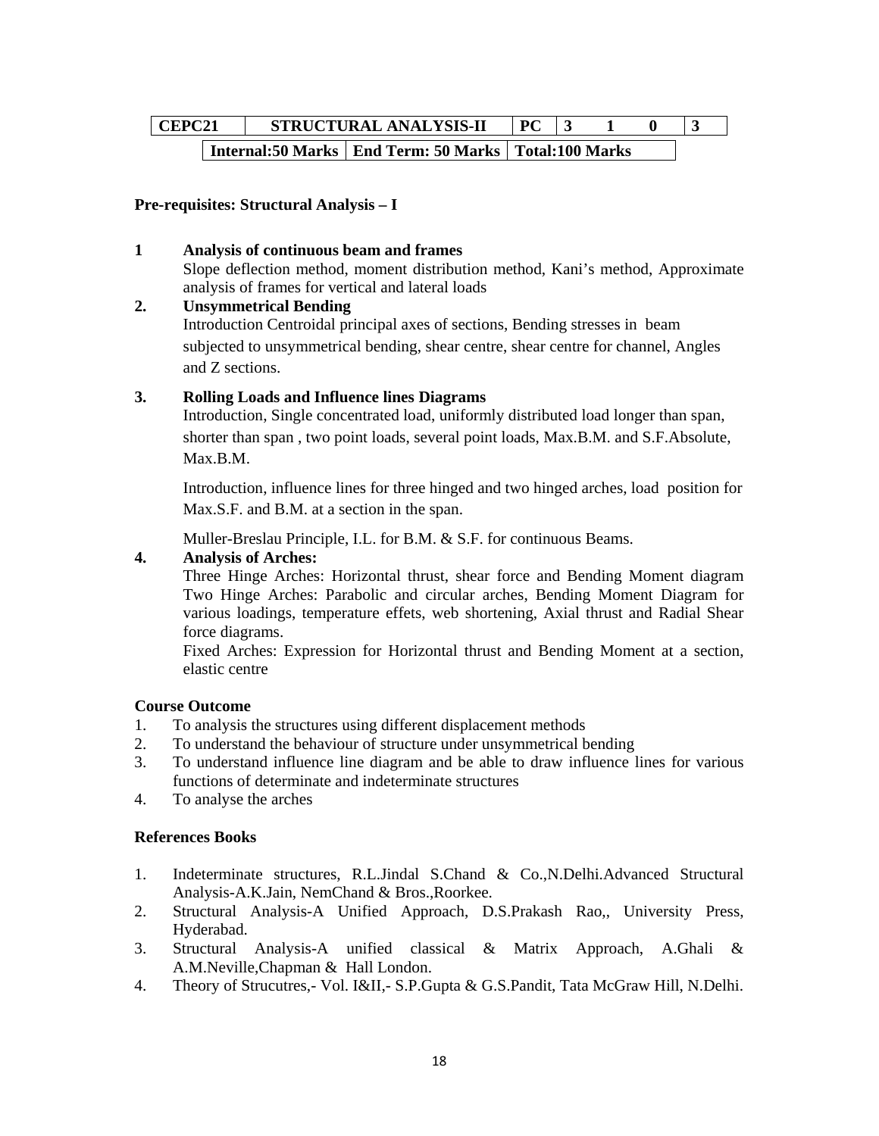# **CEPC21** STRUCTURAL ANALYSIS-II PC 3 1 0 3 **Internal:50 Marks | End Term: 50 Marks | Total:100 Marks**

## **Pre-requisites: Structural Analysis – I**

#### **1 Analysis of continuous beam and frames**

Slope deflection method, moment distribution method, Kani's method, Approximate analysis of frames for vertical and lateral loads

### **2. Unsymmetrical Bending**

Introduction Centroidal principal axes of sections, Bending stresses in beam subjected to unsymmetrical bending, shear centre, shear centre for channel, Angles and Z sections.

## **3. Rolling Loads and Influence lines Diagrams**

Introduction, Single concentrated load, uniformly distributed load longer than span, shorter than span , two point loads, several point loads, Max.B.M. and S.F.Absolute, Max.B.M.

Introduction, influence lines for three hinged and two hinged arches, load position for Max.S.F. and B.M. at a section in the span.

Muller-Breslau Principle, I.L. for B.M. & S.F. for continuous Beams.

## **4. Analysis of Arches:**

Three Hinge Arches: Horizontal thrust, shear force and Bending Moment diagram Two Hinge Arches: Parabolic and circular arches, Bending Moment Diagram for various loadings, temperature effets, web shortening, Axial thrust and Radial Shear force diagrams.

Fixed Arches: Expression for Horizontal thrust and Bending Moment at a section, elastic centre

#### **Course Outcome**

- 1. To analysis the structures using different displacement methods
- 2. To understand the behaviour of structure under unsymmetrical bending
- 3. To understand influence line diagram and be able to draw influence lines for various functions of determinate and indeterminate structures
- 4. To analyse the arches

#### **References Books**

- 1. Indeterminate structures, R.L.Jindal S.Chand & Co.,N.Delhi.Advanced Structural Analysis-A.K.Jain, NemChand & Bros.,Roorkee.
- 2. Structural Analysis-A Unified Approach, D.S.Prakash Rao,, University Press, Hyderabad.
- 3. Structural Analysis-A unified classical & Matrix Approach, A.Ghali & A.M.Neville,Chapman & Hall London.
- 4. Theory of Strucutres,- Vol. I&II,- S.P.Gupta & G.S.Pandit, Tata McGraw Hill, N.Delhi.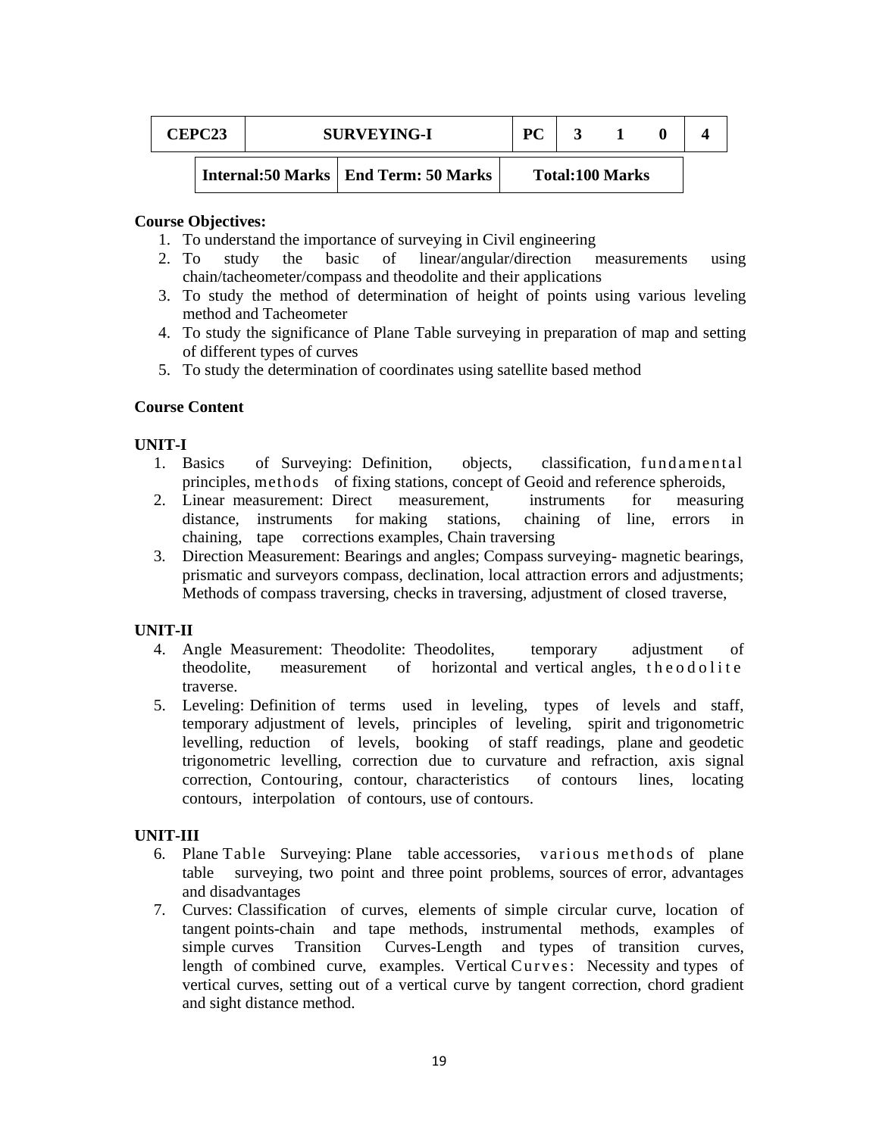| <b>CEPC23</b> | <b>SURVEYING-I</b> |                                         | PC |                        |  |
|---------------|--------------------|-----------------------------------------|----|------------------------|--|
|               |                    | Internal: 50 Marks   End Term: 50 Marks |    | <b>Total:100 Marks</b> |  |

#### **Course Objectives:**

- 1. To understand the importance of surveying in Civil engineering
- 2. To study the basic of linear/angular/direction measurements using chain/tacheometer/compass and theodolite and their applications
- 3. To study the method of determination of height of points using various leveling method and Tacheometer
- 4. To study the significance of Plane Table surveying in preparation of map and setting of different types of curves
- 5. To study the determination of coordinates using satellite based method

#### **Course Content**

#### **UNIT-I**

- 1. Basics of Surveying: Definition, objects, classification, fundamental principles, methods of fixing stations, concept of Geoid and reference spheroids,
- 2. Linear measurement: Direct measurement, instruments for measuring distance, instruments for making stations, chaining of line, errors in chaining, tape corrections examples, Chain traversing
- 3. Direction Measurement: Bearings and angles; Compass surveying- magnetic bearings, prismatic and surveyors compass, declination, local attraction errors and adjustments; Methods of compass traversing, checks in traversing, adjustment of closed traverse,

#### **UNIT-II**

- 4. Angle Measurement: Theodolite: Theodolites, temporary adjustment of theodolite, measurement of horizontal and vertical angles, theodolite traverse.
- 5. Leveling: Definition of terms used in leveling, types of levels and staff, temporary adjustment of levels, principles of leveling, spirit and trigonometric levelling, reduction of levels, booking of staff readings, plane and geodetic trigonometric levelling, correction due to curvature and refraction, axis signal correction, Contouring, contour, characteristics of contours lines, locating contours, interpolation of contours, use of contours.

#### **UNIT-III**

- 6. Plane Table Surveying: Plane table accessories, various methods of plane table surveying, two point and three point problems, sources of error, advantages and disadvantages
- 7. Curves: Classification of curves, elements of simple circular curve, location of tangent points-chain and tape methods, instrumental methods, examples of simple curves Transition Curves-Length and types of transition curves, length of combined curve, examples. Vertical Curves: Necessity and types of vertical curves, setting out of a vertical curve by tangent correction, chord gradient and sight distance method.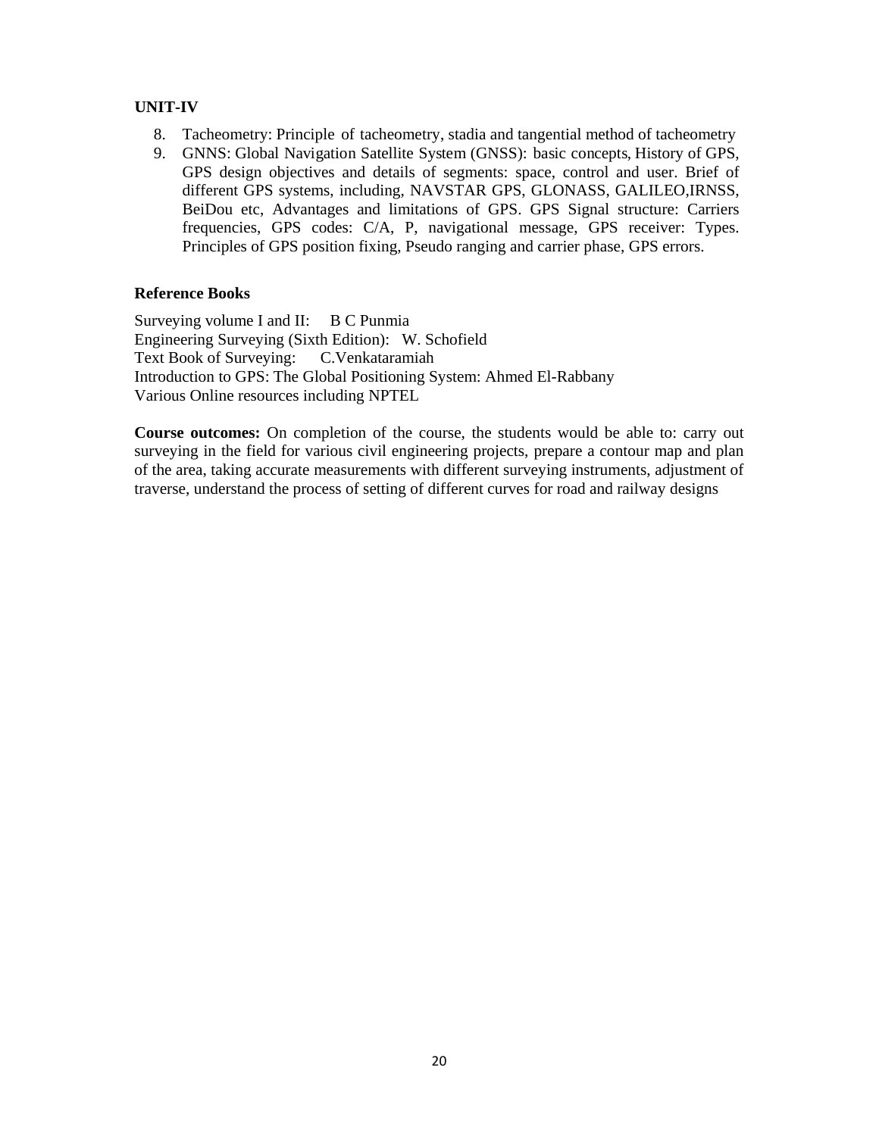## **UNIT-IV**

- 8. Tacheometry: Principle of tacheometry, stadia and tangential method of tacheometry
- 9. GNNS: Global Navigation Satellite System (GNSS): basic concepts, History of GPS, GPS design objectives and details of segments: space, control and user. Brief of different GPS systems, including, NAVSTAR GPS, GLONASS, GALILEO,IRNSS, BeiDou etc, Advantages and limitations of GPS. GPS Signal structure: Carriers frequencies, GPS codes: C/A, P, navigational message, GPS receiver: Types. Principles of GPS position fixing, Pseudo ranging and carrier phase, GPS errors.

## **Reference Books**

Surveying volume I and II: B C Punmia Engineering Surveying (Sixth Edition): W. Schofield Text Book of Surveying: C.Venkataramiah Introduction to GPS: The Global Positioning System: Ahmed El-Rabbany Various Online resources including NPTEL

**Course outcomes:** On completion of the course, the students would be able to: carry out surveying in the field for various civil engineering projects, prepare a contour map and plan of the area, taking accurate measurements with different surveying instruments, adjustment of traverse, understand the process of setting of different curves for road and railway designs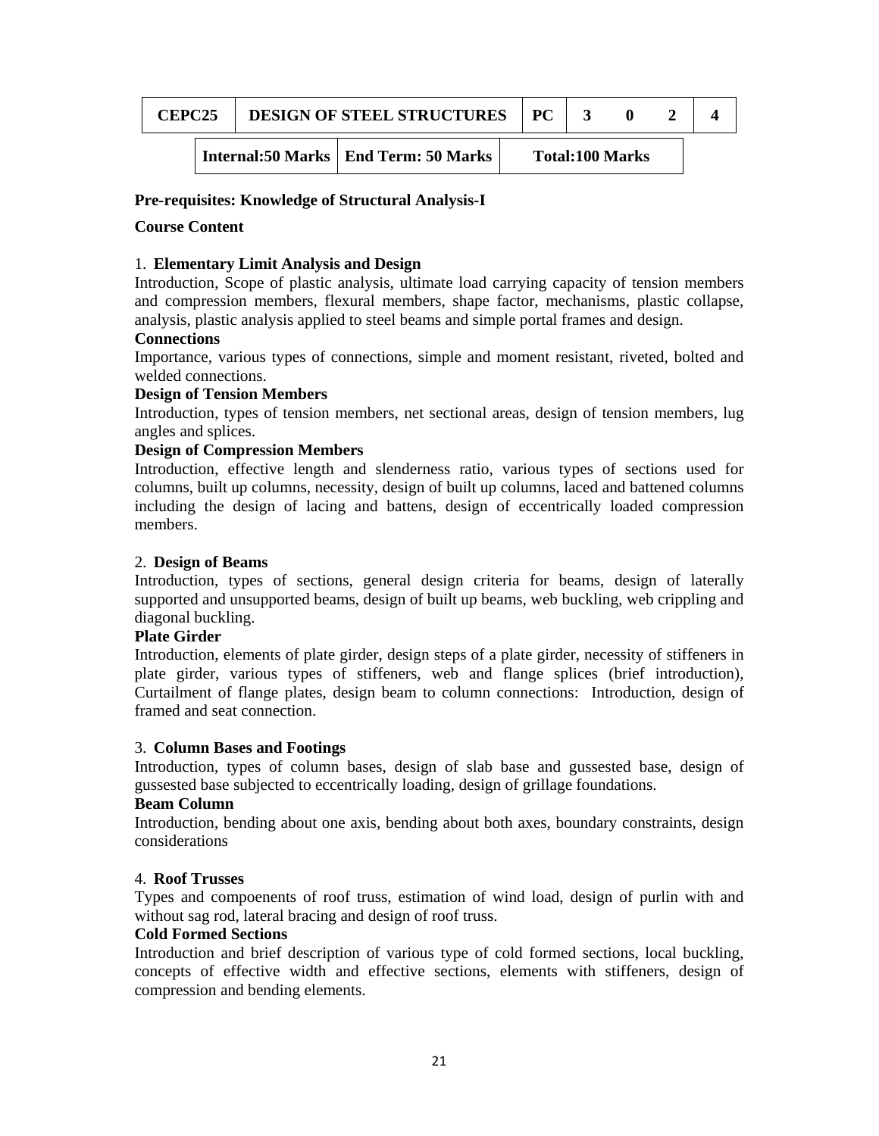| <b>CEPC25</b> |  | <b>DESIGN OF STEEL STRUCTURES</b>       | PC |                        |  |
|---------------|--|-----------------------------------------|----|------------------------|--|
|               |  | Internal: 50 Marks   End Term: 50 Marks |    | <b>Total:100 Marks</b> |  |

### **Pre-requisites: Knowledge of Structural Analysis-I**

### **Course Content**

## 1. **Elementary Limit Analysis and Design**

Introduction, Scope of plastic analysis, ultimate load carrying capacity of tension members and compression members, flexural members, shape factor, mechanisms, plastic collapse, analysis, plastic analysis applied to steel beams and simple portal frames and design.

#### **Connections**

Importance, various types of connections, simple and moment resistant, riveted, bolted and welded connections.

## **Design of Tension Members**

Introduction, types of tension members, net sectional areas, design of tension members, lug angles and splices.

## **Design of Compression Members**

Introduction, effective length and slenderness ratio, various types of sections used for columns, built up columns, necessity, design of built up columns, laced and battened columns including the design of lacing and battens, design of eccentrically loaded compression members.

### 2. **Design of Beams**

Introduction, types of sections, general design criteria for beams, design of laterally supported and unsupported beams, design of built up beams, web buckling, web crippling and diagonal buckling.

#### **Plate Girder**

Introduction, elements of plate girder, design steps of a plate girder, necessity of stiffeners in plate girder, various types of stiffeners, web and flange splices (brief introduction), Curtailment of flange plates, design beam to column connections: Introduction, design of framed and seat connection.

#### 3. **Column Bases and Footings**

Introduction, types of column bases, design of slab base and gussested base, design of gussested base subjected to eccentrically loading, design of grillage foundations.

## **Beam Column**

Introduction, bending about one axis, bending about both axes, boundary constraints, design considerations

#### 4. **Roof Trusses**

Types and compoenents of roof truss, estimation of wind load, design of purlin with and without sag rod, lateral bracing and design of roof truss.

## **Cold Formed Sections**

Introduction and brief description of various type of cold formed sections, local buckling, concepts of effective width and effective sections, elements with stiffeners, design of compression and bending elements.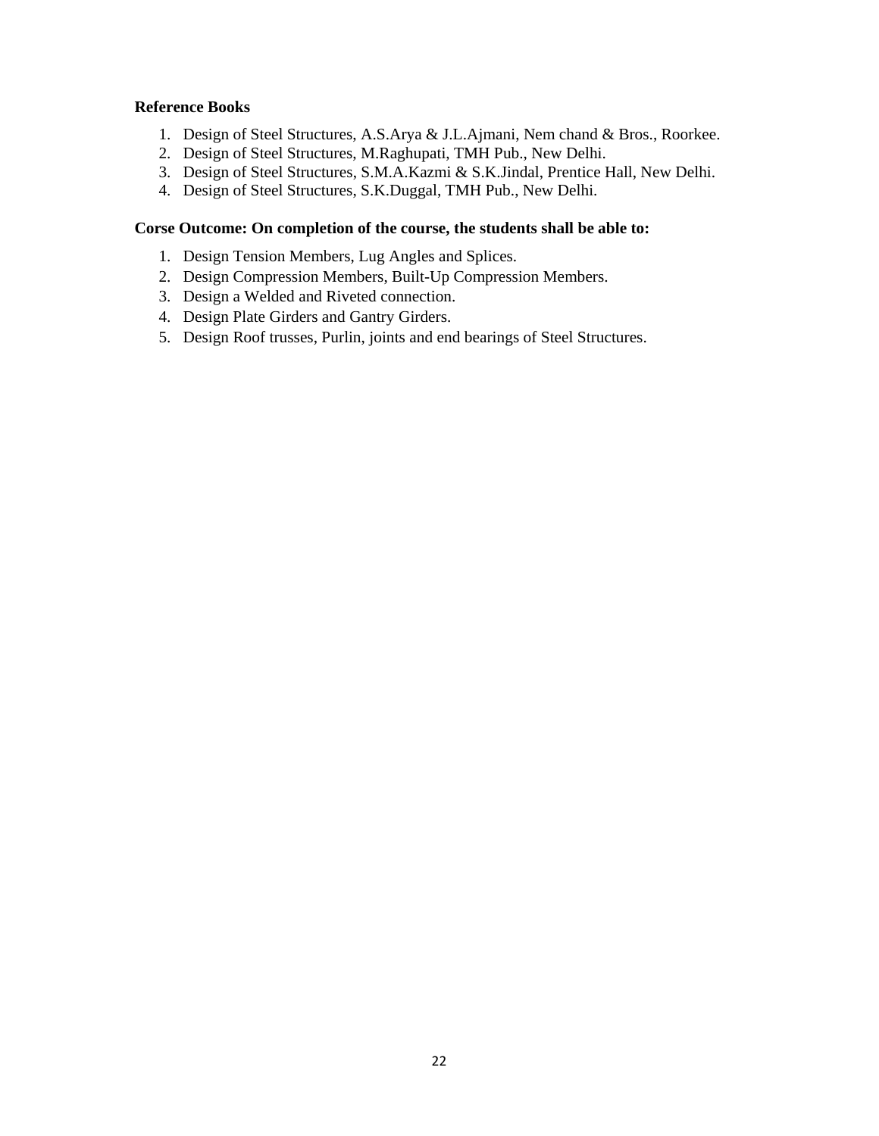## **Reference Books**

- 1. Design of Steel Structures, A.S.Arya & J.L.Ajmani, Nem chand & Bros., Roorkee.
- 2. Design of Steel Structures, M.Raghupati, TMH Pub., New Delhi.
- 3. Design of Steel Structures, S.M.A.Kazmi & S.K.Jindal, Prentice Hall, New Delhi.
- 4. Design of Steel Structures, S.K.Duggal, TMH Pub., New Delhi.

### **Corse Outcome: On completion of the course, the students shall be able to:**

- 1. Design Tension Members, Lug Angles and Splices.
- 2. Design Compression Members, Built-Up Compression Members.
- 3. Design a Welded and Riveted connection.
- 4. Design Plate Girders and Gantry Girders.
- 5. Design Roof trusses, Purlin, joints and end bearings of Steel Structures.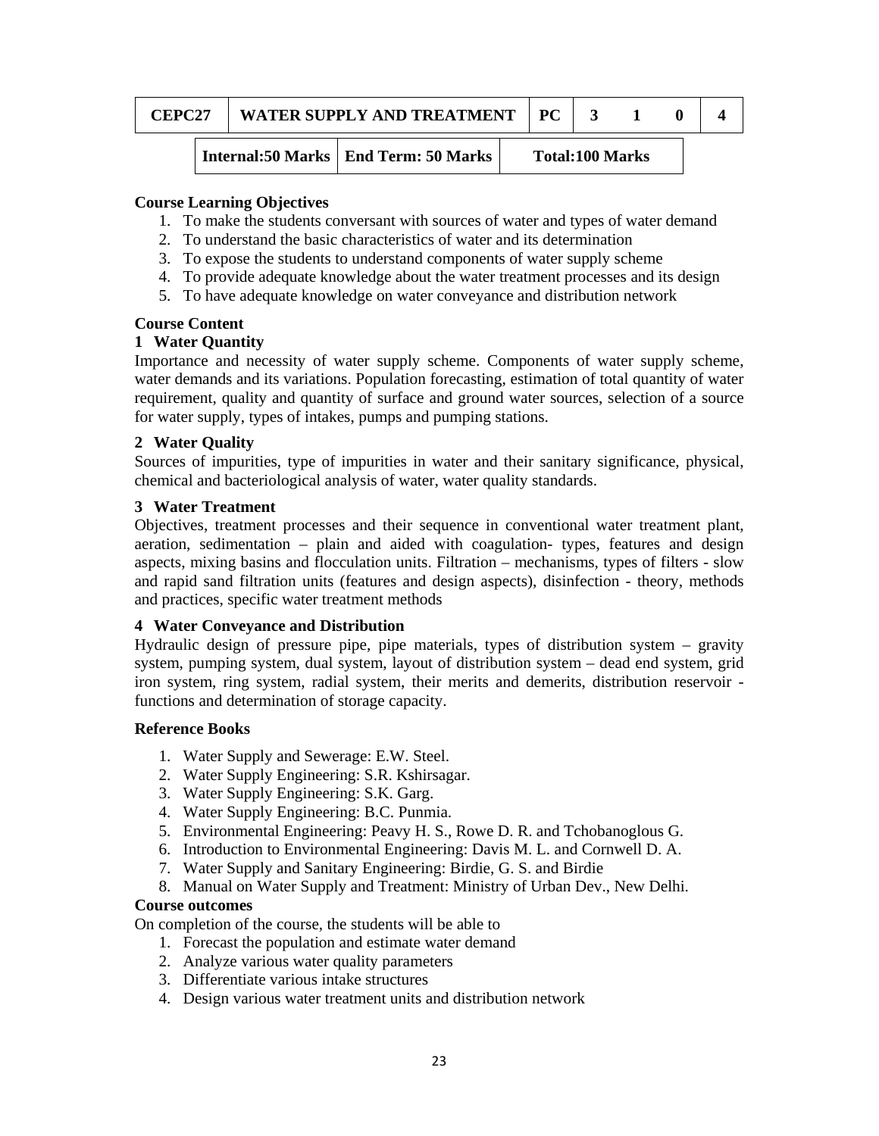| $\mathsf{L}$ <b>EPC2<sup>-</sup></b> | WATER SUPPLY AND TREATMENT | РC |  |  |
|--------------------------------------|----------------------------|----|--|--|
|                                      |                            |    |  |  |

**Internal:50 Marks | End Term: 50 Marks | Total:100 Marks** 

### **Course Learning Objectives**

- 1. To make the students conversant with sources of water and types of water demand
- 2. To understand the basic characteristics of water and its determination
- 3. To expose the students to understand components of water supply scheme
- 4. To provide adequate knowledge about the water treatment processes and its design
- 5. To have adequate knowledge on water conveyance and distribution network

#### **Course Content**

## **1 Water Quantity**

Importance and necessity of water supply scheme. Components of water supply scheme, water demands and its variations. Population forecasting, estimation of total quantity of water requirement, quality and quantity of surface and ground water sources, selection of a source for water supply, types of intakes, pumps and pumping stations.

## **2 Water Quality**

Sources of impurities, type of impurities in water and their sanitary significance, physical, chemical and bacteriological analysis of water, water quality standards.

## **3 Water Treatment**

Objectives, treatment processes and their sequence in conventional water treatment plant, aeration, sedimentation – plain and aided with coagulation- types, features and design aspects, mixing basins and flocculation units. Filtration – mechanisms, types of filters - slow and rapid sand filtration units (features and design aspects), disinfection - theory, methods and practices, specific water treatment methods

#### **4 Water Conveyance and Distribution**

Hydraulic design of pressure pipe, pipe materials, types of distribution system – gravity system, pumping system, dual system, layout of distribution system – dead end system, grid iron system, ring system, radial system, their merits and demerits, distribution reservoir functions and determination of storage capacity.

#### **Reference Books**

- 1. Water Supply and Sewerage: E.W. Steel.
- 2. Water Supply Engineering: S.R. Kshirsagar.
- 3. Water Supply Engineering: S.K. Garg.
- 4. Water Supply Engineering: B.C. Punmia.
- 5. Environmental Engineering: Peavy H. S., Rowe D. R. and Tchobanoglous G.
- 6. Introduction to Environmental Engineering: Davis M. L. and Cornwell D. A.
- 7. Water Supply and Sanitary Engineering: Birdie, G. S. and Birdie
- 8. Manual on Water Supply and Treatment: Ministry of Urban Dev., New Delhi.

#### **Course outcomes**

On completion of the course, the students will be able to

- 1. Forecast the population and estimate water demand
- 2. Analyze various water quality parameters
- 3. Differentiate various intake structures
- 4. Design various water treatment units and distribution network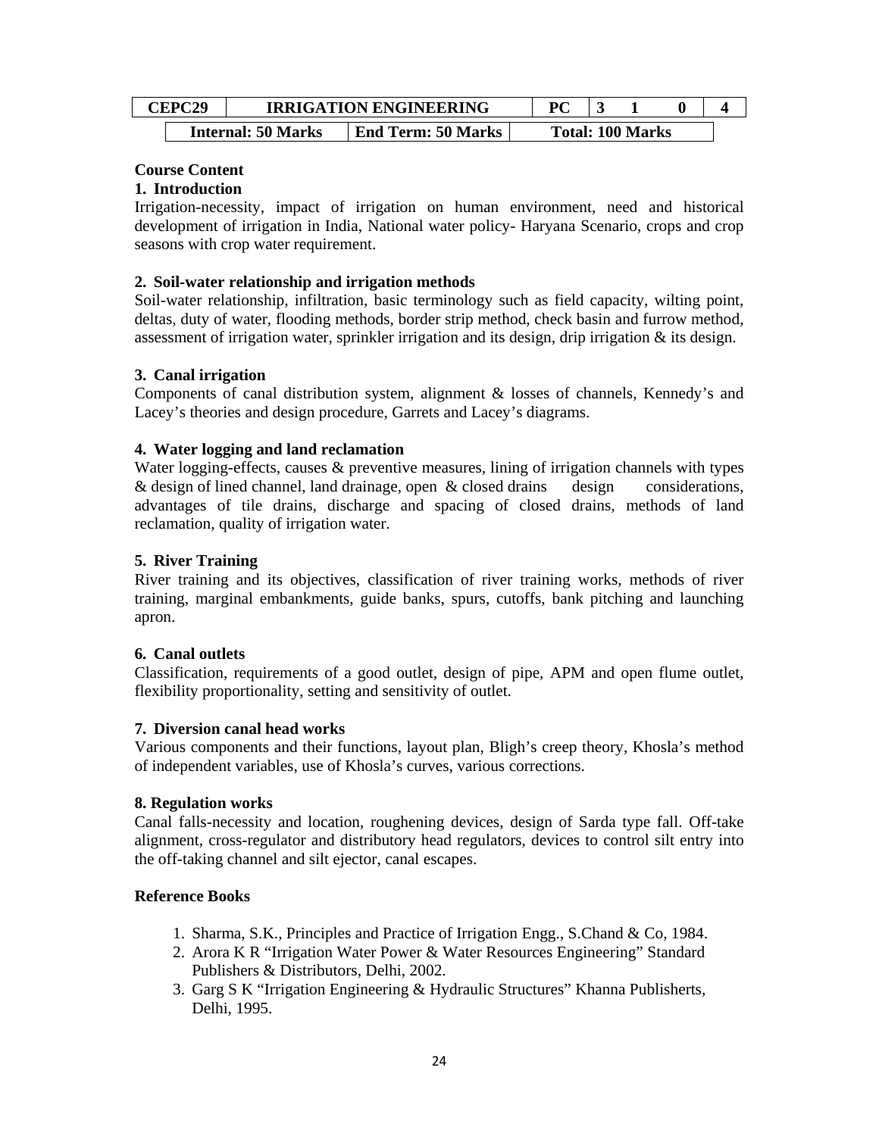| <b>CEPC29</b> |                           | <b>IRRIGATION ENGINEERING</b> | DС |                         |  |
|---------------|---------------------------|-------------------------------|----|-------------------------|--|
|               | <b>Internal: 50 Marks</b> | <b>End Term: 50 Marks</b>     |    | <b>Total: 100 Marks</b> |  |

## **Course Content**

## **1. Introduction**

Irrigation-necessity, impact of irrigation on human environment, need and historical development of irrigation in India, National water policy- Haryana Scenario, crops and crop seasons with crop water requirement.

## **2. Soil-water relationship and irrigation methods**

Soil-water relationship, infiltration, basic terminology such as field capacity, wilting point, deltas, duty of water, flooding methods, border strip method, check basin and furrow method, assessment of irrigation water, sprinkler irrigation and its design, drip irrigation & its design.

## **3. Canal irrigation**

Components of canal distribution system, alignment & losses of channels, Kennedy's and Lacey's theories and design procedure, Garrets and Lacey's diagrams.

## **4. Water logging and land reclamation**

Water logging-effects, causes & preventive measures, lining of irrigation channels with types & design of lined channel, land drainage, open & closed drains design considerations, advantages of tile drains, discharge and spacing of closed drains, methods of land reclamation, quality of irrigation water.

## **5. River Training**

River training and its objectives, classification of river training works, methods of river training, marginal embankments, guide banks, spurs, cutoffs, bank pitching and launching apron.

#### **6. Canal outlets**

Classification, requirements of a good outlet, design of pipe, APM and open flume outlet, flexibility proportionality, setting and sensitivity of outlet.

#### **7. Diversion canal head works**

Various components and their functions, layout plan, Bligh's creep theory, Khosla's method of independent variables, use of Khosla's curves, various corrections.

#### **8. Regulation works**

Canal falls-necessity and location, roughening devices, design of Sarda type fall. Off-take alignment, cross-regulator and distributory head regulators, devices to control silt entry into the off-taking channel and silt ejector, canal escapes.

## **Reference Books**

- 1. Sharma, S.K., Principles and Practice of Irrigation Engg., S.Chand & Co, 1984.
- 2. Arora K R "Irrigation Water Power & Water Resources Engineering" Standard Publishers & Distributors, Delhi, 2002.
- 3. Garg S K "Irrigation Engineering & Hydraulic Structures" Khanna Publisherts, Delhi, 1995.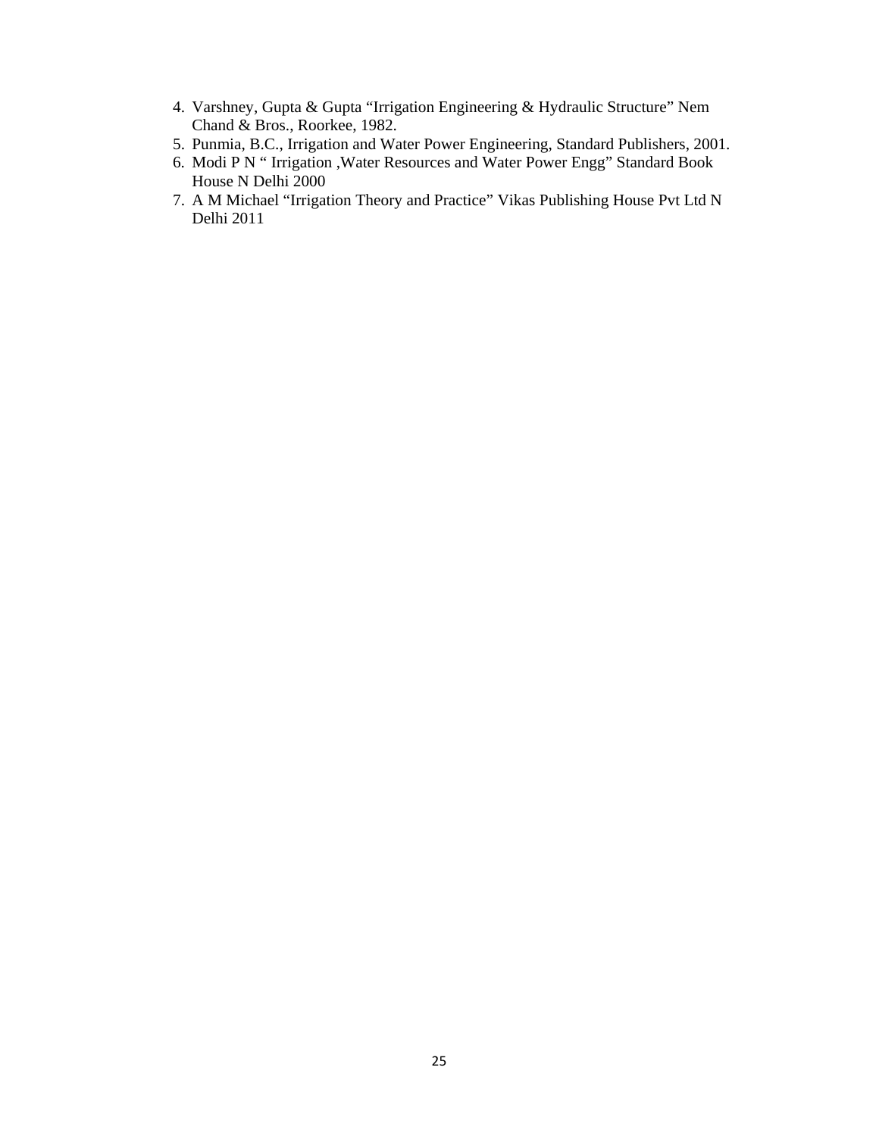- 4. Varshney, Gupta & Gupta "Irrigation Engineering & Hydraulic Structure" Nem Chand & Bros., Roorkee, 1982.
- 5. Punmia, B.C., Irrigation and Water Power Engineering, Standard Publishers, 2001.
- 6. Modi P N " Irrigation ,Water Resources and Water Power Engg" Standard Book House N Delhi 2000
- 7. A M Michael "Irrigation Theory and Practice" Vikas Publishing House Pvt Ltd N Delhi 2011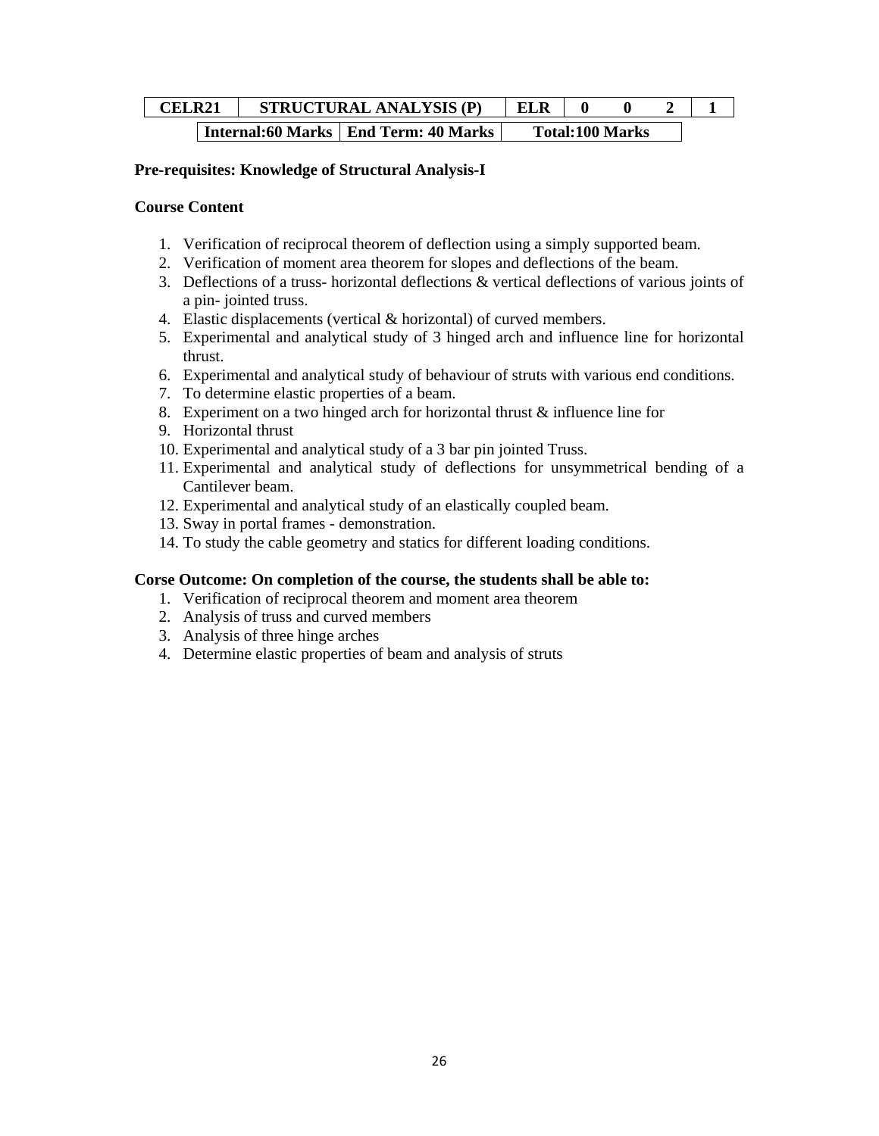| CELR21 |  | <b>STRUCTURAL ANALYSIS (P)</b>         | <b>ELR</b> |                        |  |
|--------|--|----------------------------------------|------------|------------------------|--|
|        |  | Internal:60 Marks   End Term: 40 Marks |            | <b>Total:100 Marks</b> |  |

### **Pre-requisites: Knowledge of Structural Analysis-I**

#### **Course Content**

- 1. Verification of reciprocal theorem of deflection using a simply supported beam.
- 2. Verification of moment area theorem for slopes and deflections of the beam.
- 3. Deflections of a truss- horizontal deflections & vertical deflections of various joints of a pin- jointed truss.
- 4. Elastic displacements (vertical & horizontal) of curved members.
- 5. Experimental and analytical study of 3 hinged arch and influence line for horizontal thrust.
- 6. Experimental and analytical study of behaviour of struts with various end conditions.
- 7. To determine elastic properties of a beam.
- 8. Experiment on a two hinged arch for horizontal thrust & influence line for
- 9. Horizontal thrust
- 10. Experimental and analytical study of a 3 bar pin jointed Truss.
- 11. Experimental and analytical study of deflections for unsymmetrical bending of a Cantilever beam.
- 12. Experimental and analytical study of an elastically coupled beam.
- 13. Sway in portal frames demonstration.
- 14. To study the cable geometry and statics for different loading conditions.

#### **Corse Outcome: On completion of the course, the students shall be able to:**

- 1. Verification of reciprocal theorem and moment area theorem
- 2. Analysis of truss and curved members
- 3. Analysis of three hinge arches
- 4. Determine elastic properties of beam and analysis of struts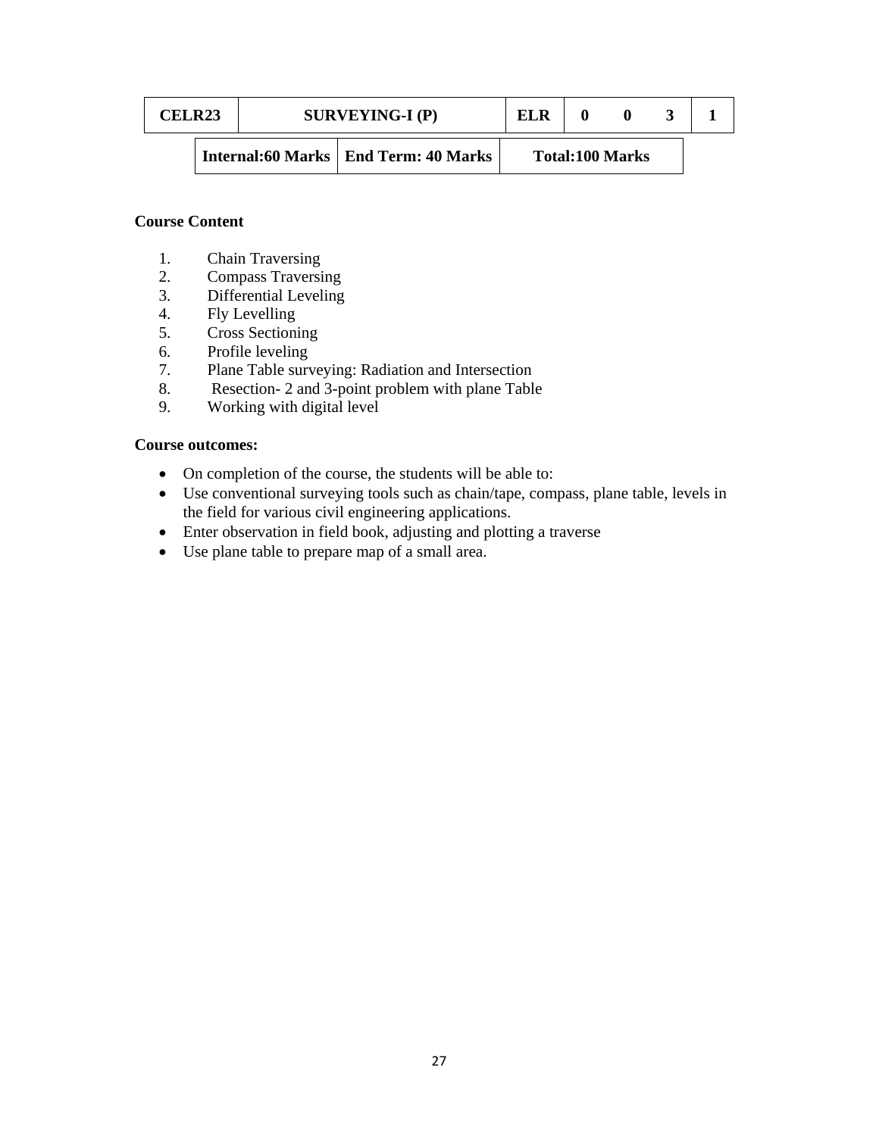| <b>CELR23</b> |  | $SURVEYING-I$ (P)                      | ELR |                        |  |
|---------------|--|----------------------------------------|-----|------------------------|--|
|               |  | Internal:60 Marks   End Term: 40 Marks |     | <b>Total:100 Marks</b> |  |

## **Course Content**

- 1. Chain Traversing
- 2. Compass Traversing
- 3. Differential Leveling
- 4. Fly Levelling
- 5. Cross Sectioning
- 6. Profile leveling
- 7. Plane Table surveying: Radiation and Intersection
- 8. Resection- 2 and 3-point problem with plane Table
- 9. Working with digital level

## **Course outcomes:**

- On completion of the course, the students will be able to:
- Use conventional surveying tools such as chain/tape, compass, plane table, levels in the field for various civil engineering applications.
- Enter observation in field book, adjusting and plotting a traverse
- Use plane table to prepare map of a small area.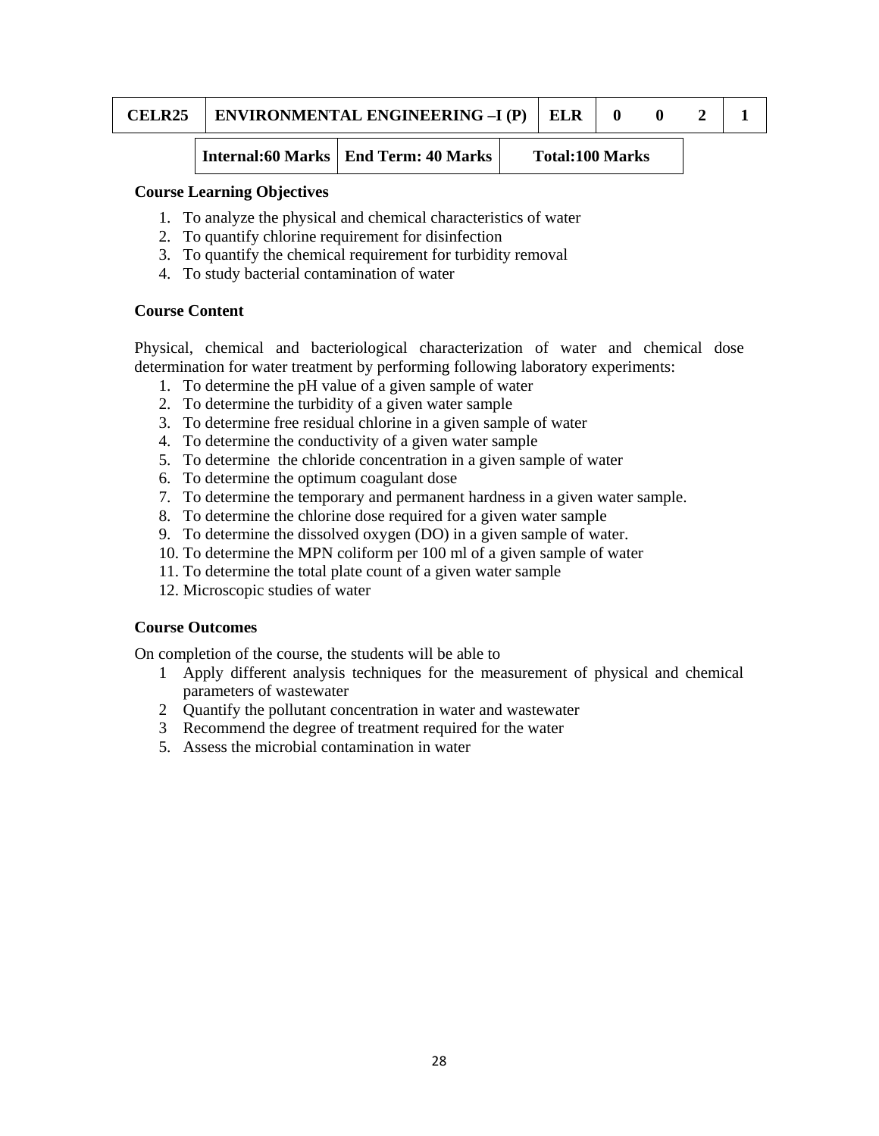|  | <b>CELR25</b> | ENVIRONMENTAL ENGINEERING -I (P) | ELR |  |  |  |  |
|--|---------------|----------------------------------|-----|--|--|--|--|
|--|---------------|----------------------------------|-----|--|--|--|--|

**Internal:60 Marks | End Term: 40 Marks | Total:100 Marks** 

#### **Course Learning Objectives**

- 1. To analyze the physical and chemical characteristics of water
- 2. To quantify chlorine requirement for disinfection
- 3. To quantify the chemical requirement for turbidity removal
- 4. To study bacterial contamination of water

#### **Course Content**

Physical, chemical and bacteriological characterization of water and chemical dose determination for water treatment by performing following laboratory experiments:

- 1. To determine the pH value of a given sample of water
- 2. To determine the turbidity of a given water sample
- 3. To determine free residual chlorine in a given sample of water
- 4. To determine the conductivity of a given water sample
- 5. To determine the chloride concentration in a given sample of water
- 6. To determine the optimum coagulant dose
- 7. To determine the temporary and permanent hardness in a given water sample.
- 8. To determine the chlorine dose required for a given water sample
- 9. To determine the dissolved oxygen (DO) in a given sample of water.
- 10. To determine the MPN coliform per 100 ml of a given sample of water
- 11. To determine the total plate count of a given water sample
- 12. Microscopic studies of water

#### **Course Outcomes**

On completion of the course, the students will be able to

- 1 Apply different analysis techniques for the measurement of physical and chemical parameters of wastewater
- 2 Quantify the pollutant concentration in water and wastewater
- 3 Recommend the degree of treatment required for the water
- 5. Assess the microbial contamination in water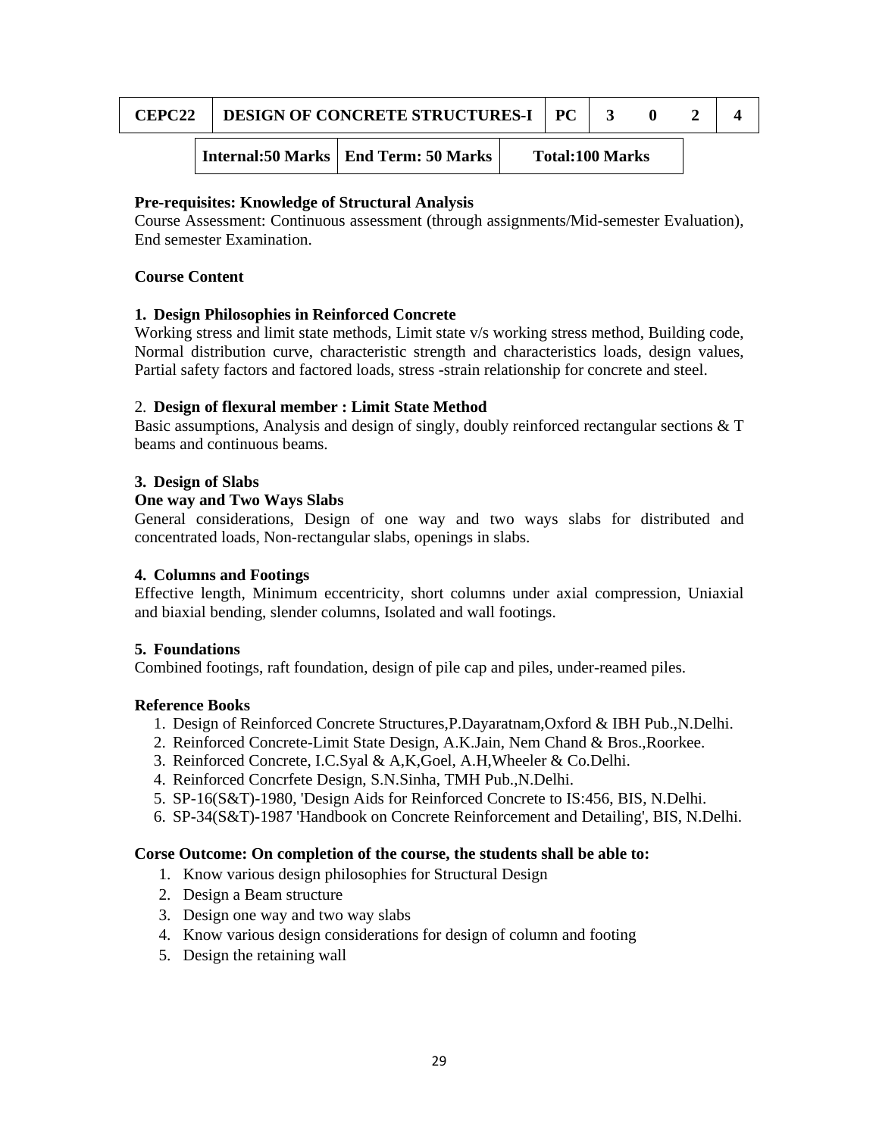| CEPC <sub>22</sub> | <b>DESIGN OF CONCRETE STRUCTURES-I PC</b> |                                        |                        |  |  |  |  |
|--------------------|-------------------------------------------|----------------------------------------|------------------------|--|--|--|--|
|                    |                                           | Internal:50 Marks   End Term: 50 Marks | <b>Total:100 Marks</b> |  |  |  |  |

### **Pre-requisites: Knowledge of Structural Analysis**

Course Assessment: Continuous assessment (through assignments/Mid-semester Evaluation), End semester Examination.

#### **Course Content**

#### **1. Design Philosophies in Reinforced Concrete**

Working stress and limit state methods, Limit state v/s working stress method, Building code, Normal distribution curve, characteristic strength and characteristics loads, design values, Partial safety factors and factored loads, stress -strain relationship for concrete and steel.

#### 2. **Design of flexural member : Limit State Method**

Basic assumptions, Analysis and design of singly, doubly reinforced rectangular sections & T beams and continuous beams.

#### **3. Design of Slabs**

#### **One way and Two Ways Slabs**

General considerations, Design of one way and two ways slabs for distributed and concentrated loads, Non-rectangular slabs, openings in slabs.

#### **4. Columns and Footings**

Effective length, Minimum eccentricity, short columns under axial compression, Uniaxial and biaxial bending, slender columns, Isolated and wall footings.

#### **5. Foundations**

Combined footings, raft foundation, design of pile cap and piles, under-reamed piles.

#### **Reference Books**

- 1. Design of Reinforced Concrete Structures,P.Dayaratnam,Oxford & IBH Pub.,N.Delhi.
- 2. Reinforced Concrete-Limit State Design, A.K.Jain, Nem Chand & Bros.,Roorkee.
- 3. Reinforced Concrete, I.C.Syal & A,K,Goel, A.H,Wheeler & Co.Delhi.
- 4. Reinforced Concrfete Design, S.N.Sinha, TMH Pub.,N.Delhi.
- 5. SP-16(S&T)-1980, 'Design Aids for Reinforced Concrete to IS:456, BIS, N.Delhi.
- 6. SP-34(S&T)-1987 'Handbook on Concrete Reinforcement and Detailing', BIS, N.Delhi.

#### **Corse Outcome: On completion of the course, the students shall be able to:**

- 1. Know various design philosophies for Structural Design
- 2. Design a Beam structure
- 3. Design one way and two way slabs
- 4. Know various design considerations for design of column and footing
- 5. Design the retaining wall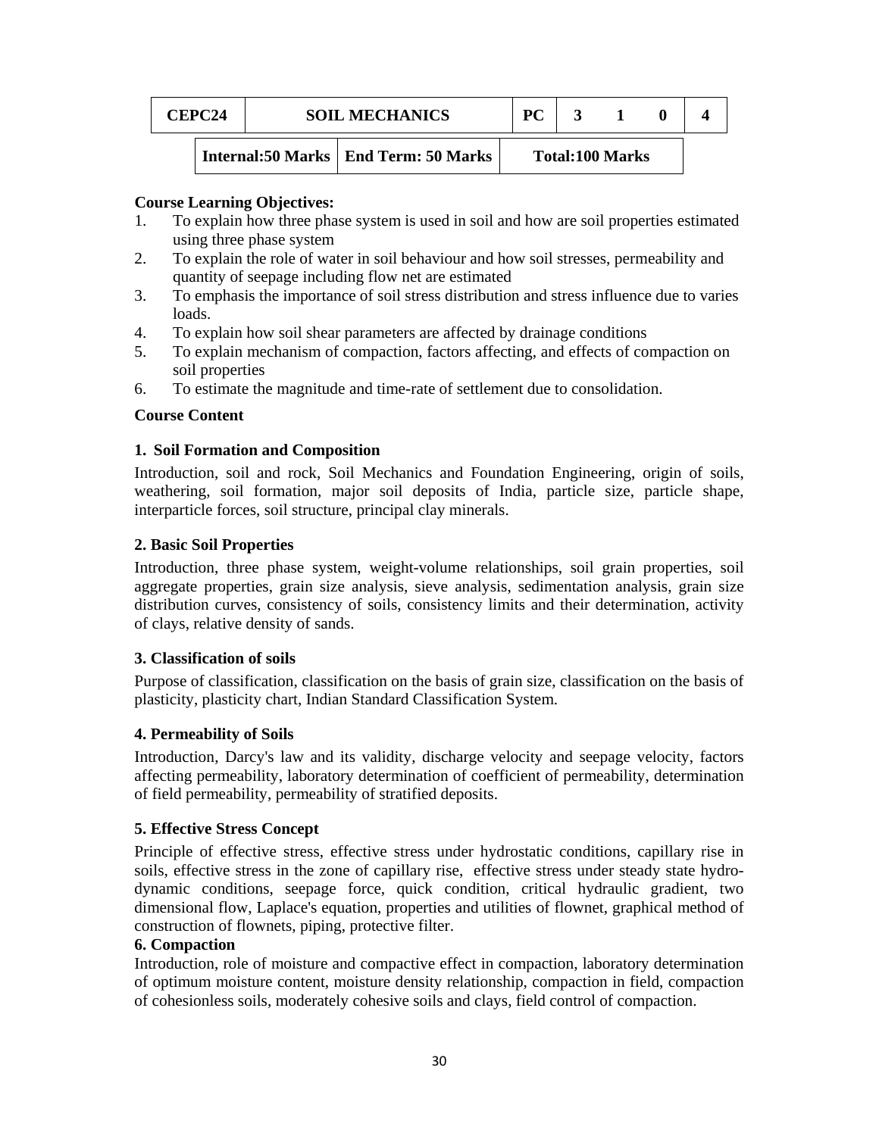| <b>CEPC24</b> | <b>SOIL MECHANICS</b> |                                        | PС |                        |  |
|---------------|-----------------------|----------------------------------------|----|------------------------|--|
|               |                       | Internal:50 Marks   End Term: 50 Marks |    | <b>Total:100 Marks</b> |  |

#### **Course Learning Objectives:**

- 1. To explain how three phase system is used in soil and how are soil properties estimated using three phase system
- 2. To explain the role of water in soil behaviour and how soil stresses, permeability and quantity of seepage including flow net are estimated
- 3. To emphasis the importance of soil stress distribution and stress influence due to varies loads.
- 4. To explain how soil shear parameters are affected by drainage conditions
- 5. To explain mechanism of compaction, factors affecting, and effects of compaction on soil properties
- 6. To estimate the magnitude and time-rate of settlement due to consolidation.

#### **Course Content**

#### **1. Soil Formation and Composition**

Introduction, soil and rock, Soil Mechanics and Foundation Engineering, origin of soils, weathering, soil formation, major soil deposits of India, particle size, particle shape, interparticle forces, soil structure, principal clay minerals.

#### **2. Basic Soil Properties**

Introduction, three phase system, weight-volume relationships, soil grain properties, soil aggregate properties, grain size analysis, sieve analysis, sedimentation analysis, grain size distribution curves, consistency of soils, consistency limits and their determination, activity of clays, relative density of sands.

#### **3. Classification of soils**

Purpose of classification, classification on the basis of grain size, classification on the basis of plasticity, plasticity chart, Indian Standard Classification System.

#### **4. Permeability of Soils**

Introduction, Darcy's law and its validity, discharge velocity and seepage velocity, factors affecting permeability, laboratory determination of coefficient of permeability, determination of field permeability, permeability of stratified deposits.

#### **5. Effective Stress Concept**

Principle of effective stress, effective stress under hydrostatic conditions, capillary rise in soils, effective stress in the zone of capillary rise, effective stress under steady state hydrodynamic conditions, seepage force, quick condition, critical hydraulic gradient, two dimensional flow, Laplace's equation, properties and utilities of flownet, graphical method of construction of flownets, piping, protective filter.

#### **6. Compaction**

Introduction, role of moisture and compactive effect in compaction, laboratory determination of optimum moisture content, moisture density relationship, compaction in field, compaction of cohesionless soils, moderately cohesive soils and clays, field control of compaction.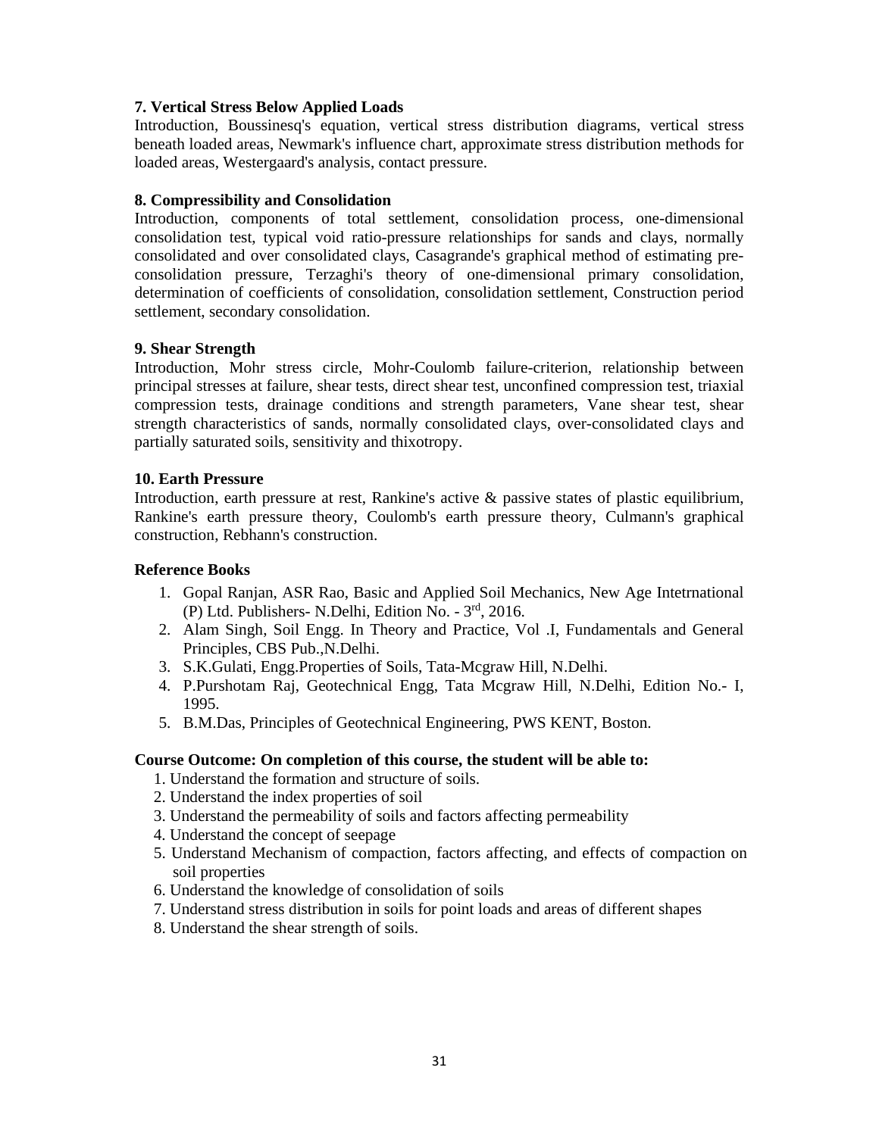## **7. Vertical Stress Below Applied Loads**

Introduction, Boussinesq's equation, vertical stress distribution diagrams, vertical stress beneath loaded areas, Newmark's influence chart, approximate stress distribution methods for loaded areas, Westergaard's analysis, contact pressure.

### **8. Compressibility and Consolidation**

Introduction, components of total settlement, consolidation process, one-dimensional consolidation test, typical void ratio-pressure relationships for sands and clays, normally consolidated and over consolidated clays, Casagrande's graphical method of estimating preconsolidation pressure, Terzaghi's theory of one-dimensional primary consolidation, determination of coefficients of consolidation, consolidation settlement, Construction period settlement, secondary consolidation.

## **9. Shear Strength**

Introduction, Mohr stress circle, Mohr-Coulomb failure-criterion, relationship between principal stresses at failure, shear tests, direct shear test, unconfined compression test, triaxial compression tests, drainage conditions and strength parameters, Vane shear test, shear strength characteristics of sands, normally consolidated clays, over-consolidated clays and partially saturated soils, sensitivity and thixotropy.

## **10. Earth Pressure**

Introduction, earth pressure at rest, Rankine's active & passive states of plastic equilibrium, Rankine's earth pressure theory, Coulomb's earth pressure theory, Culmann's graphical construction, Rebhann's construction.

#### **Reference Books**

- 1. Gopal Ranjan, ASR Rao, Basic and Applied Soil Mechanics, New Age Intetrnational (P) Ltd. Publishers- N.Delhi, Edition No. - 3rd, 2016.
- 2. Alam Singh, Soil Engg. In Theory and Practice, Vol .I, Fundamentals and General Principles, CBS Pub.,N.Delhi.
- 3. S.K.Gulati, Engg.Properties of Soils, Tata-Mcgraw Hill, N.Delhi.
- 4. P.Purshotam Raj, Geotechnical Engg, Tata Mcgraw Hill, N.Delhi, Edition No.- I, 1995.
- 5. B.M.Das, Principles of Geotechnical Engineering, PWS KENT, Boston.

#### **Course Outcome: On completion of this course, the student will be able to:**

- 1. Understand the formation and structure of soils.
- 2. Understand the index properties of soil
- 3. Understand the permeability of soils and factors affecting permeability
- 4. Understand the concept of seepage
- 5. Understand Mechanism of compaction, factors affecting, and effects of compaction on soil properties
- 6. Understand the knowledge of consolidation of soils
- 7. Understand stress distribution in soils for point loads and areas of different shapes
- 8. Understand the shear strength of soils.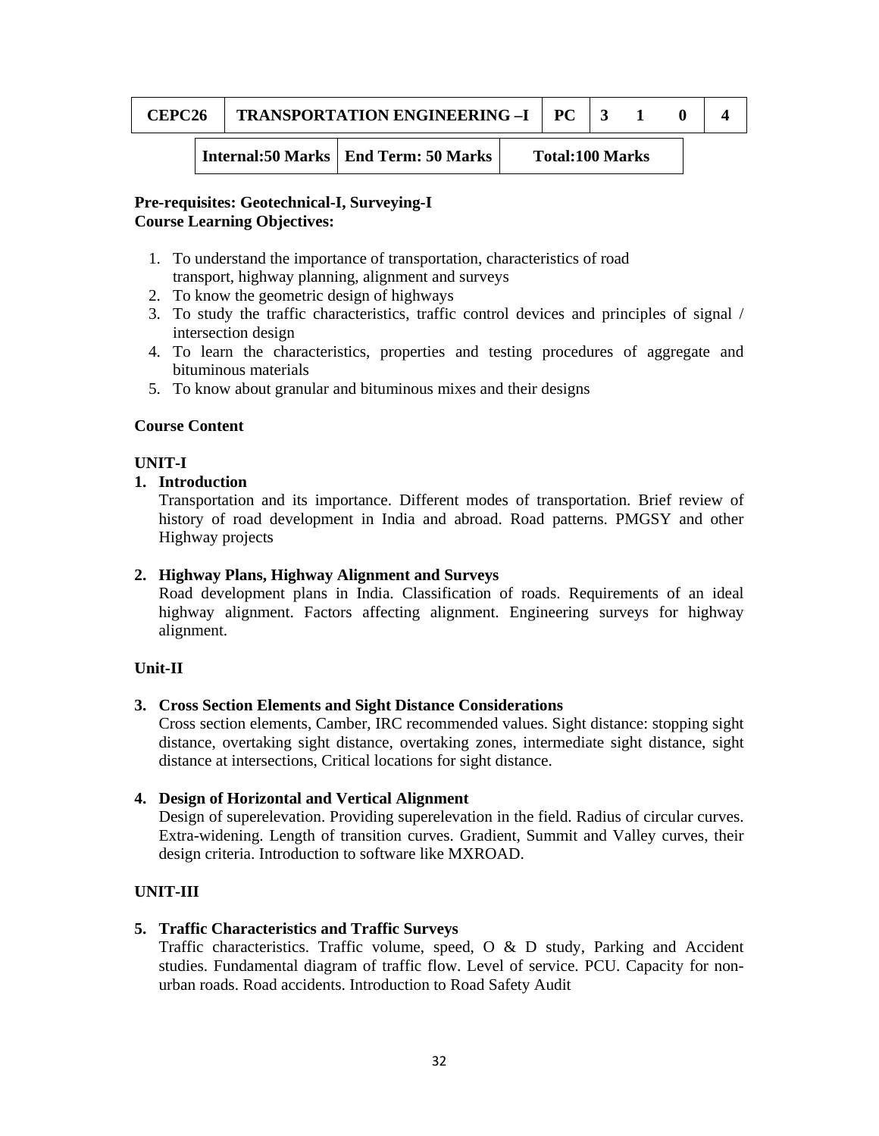| $\mathbb{C}\mathbf{EPC26}$ | <b>TRANSPORTATION ENGINEERING -I</b> |  |  |  |
|----------------------------|--------------------------------------|--|--|--|
|                            |                                      |  |  |  |

**Internal:50 Marks | End Term: 50 Marks | Total:100 Marks** 

## **Pre-requisites: Geotechnical-I, Surveying-I Course Learning Objectives:**

- 1. To understand the importance of transportation, characteristics of road transport, highway planning, alignment and surveys
- 2. To know the geometric design of highways
- 3. To study the traffic characteristics, traffic control devices and principles of signal / intersection design
- 4. To learn the characteristics, properties and testing procedures of aggregate and bituminous materials
- 5. To know about granular and bituminous mixes and their designs

## **Course Content**

## **UNIT-I**

## **1. Introduction**

Transportation and its importance. Different modes of transportation. Brief review of history of road development in India and abroad. Road patterns. PMGSY and other Highway projects

## **2. Highway Plans, Highway Alignment and Surveys**

Road development plans in India. Classification of roads. Requirements of an ideal highway alignment. Factors affecting alignment. Engineering surveys for highway alignment.

## **Unit-II**

## **3. Cross Section Elements and Sight Distance Considerations**

Cross section elements, Camber, IRC recommended values. Sight distance: stopping sight distance, overtaking sight distance, overtaking zones, intermediate sight distance, sight distance at intersections, Critical locations for sight distance.

## **4. Design of Horizontal and Vertical Alignment**

Design of superelevation. Providing superelevation in the field. Radius of circular curves. Extra-widening. Length of transition curves. Gradient, Summit and Valley curves, their design criteria. Introduction to software like MXROAD.

## **UNIT-III**

## **5. Traffic Characteristics and Traffic Surveys**

Traffic characteristics. Traffic volume, speed, O & D study, Parking and Accident studies. Fundamental diagram of traffic flow. Level of service. PCU. Capacity for nonurban roads. Road accidents. Introduction to Road Safety Audit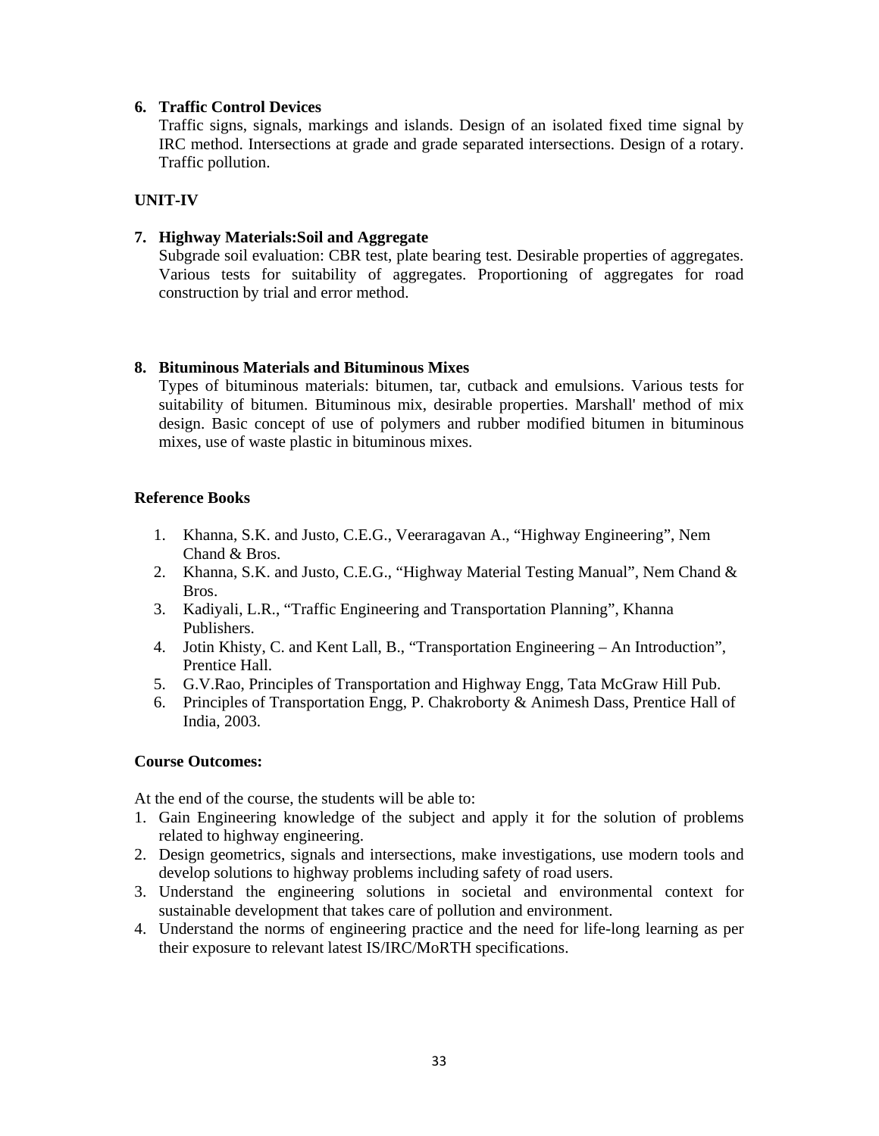### **6. Traffic Control Devices**

Traffic signs, signals, markings and islands. Design of an isolated fixed time signal by IRC method. Intersections at grade and grade separated intersections. Design of a rotary. Traffic pollution.

## **UNIT-IV**

### **7. Highway Materials:Soil and Aggregate**

Subgrade soil evaluation: CBR test, plate bearing test. Desirable properties of aggregates. Various tests for suitability of aggregates. Proportioning of aggregates for road construction by trial and error method.

## **8. Bituminous Materials and Bituminous Mixes**

Types of bituminous materials: bitumen, tar, cutback and emulsions. Various tests for suitability of bitumen. Bituminous mix, desirable properties. Marshall' method of mix design. Basic concept of use of polymers and rubber modified bitumen in bituminous mixes, use of waste plastic in bituminous mixes.

## **Reference Books**

- 1. Khanna, S.K. and Justo, C.E.G., Veeraragavan A., "Highway Engineering", Nem Chand & Bros.
- 2. Khanna, S.K. and Justo, C.E.G., "Highway Material Testing Manual", Nem Chand & Bros.
- 3. Kadiyali, L.R., "Traffic Engineering and Transportation Planning", Khanna Publishers.
- 4. Jotin Khisty, C. and Kent Lall, B., "Transportation Engineering An Introduction", Prentice Hall.
- 5. G.V.Rao, Principles of Transportation and Highway Engg, Tata McGraw Hill Pub.
- 6. Principles of Transportation Engg, P. Chakroborty & Animesh Dass, Prentice Hall of India, 2003.

#### **Course Outcomes:**

At the end of the course, the students will be able to:

- 1. Gain Engineering knowledge of the subject and apply it for the solution of problems related to highway engineering.
- 2. Design geometrics, signals and intersections, make investigations, use modern tools and develop solutions to highway problems including safety of road users.
- 3. Understand the engineering solutions in societal and environmental context for sustainable development that takes care of pollution and environment.
- 4. Understand the norms of engineering practice and the need for life-long learning as per their exposure to relevant latest IS/IRC/MoRTH specifications.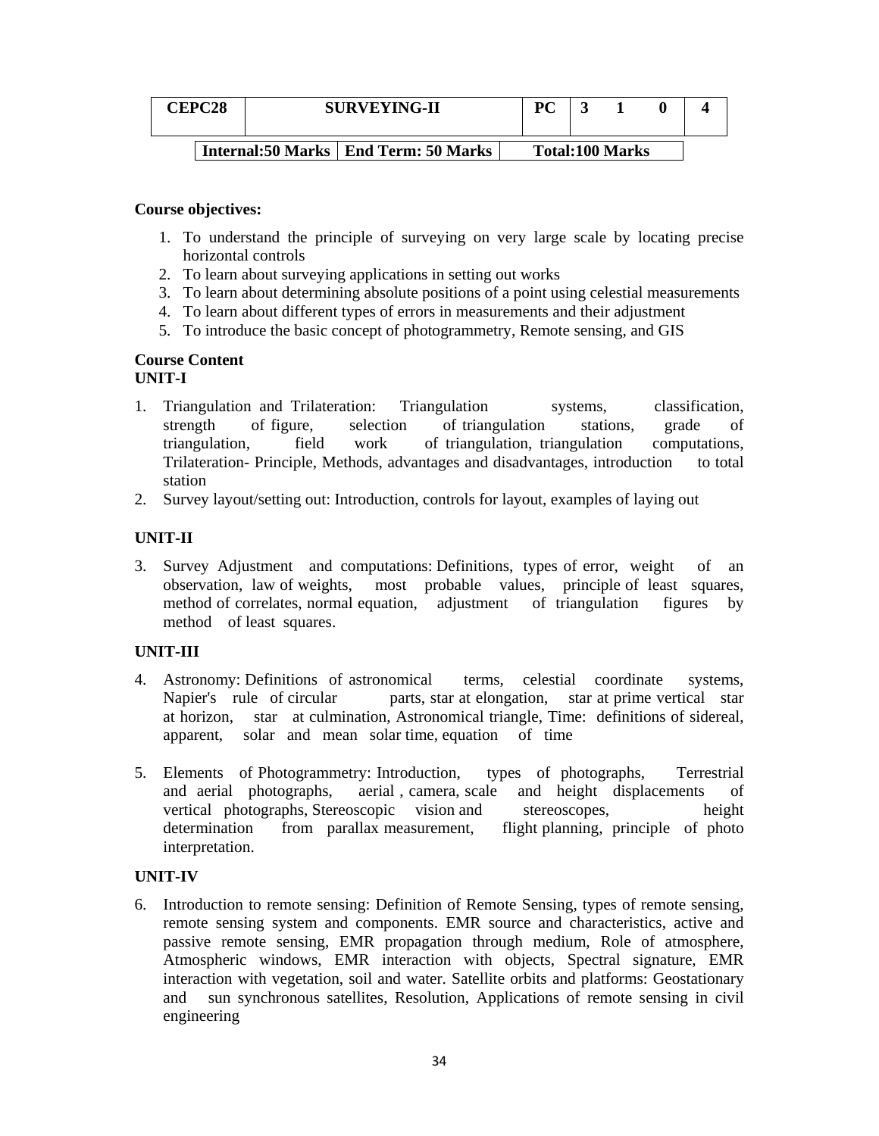| <b>CEPC28</b> | <b>SURVEYING-II</b> |                                        | PC                     |  |  |
|---------------|---------------------|----------------------------------------|------------------------|--|--|
|               |                     | Internal:50 Marks   End Term: 50 Marks | <b>Total:100 Marks</b> |  |  |

#### **Course objectives:**

- 1. To understand the principle of surveying on very large scale by locating precise horizontal controls
- 2. To learn about surveying applications in setting out works
- 3. To learn about determining absolute positions of a point using celestial measurements
- 4. To learn about different types of errors in measurements and their adjustment
- 5. To introduce the basic concept of photogrammetry, Remote sensing, and GIS

#### **Course Content UNIT-I**

- 
- 1. Triangulation and Trilateration: Triangulation systems, classification, strength of figure, selection of triangulation stations, grade of triangulation, field work of triangulation, triangulation computations, Trilateration- Principle, Methods, advantages and disadvantages, introduction to total station
- 2. Survey layout/setting out: Introduction, controls for layout, examples of laying out

## **UNIT-II**

3. Survey Adjustment and computations: Definitions, types of error, weight of an observation, law of weights, most probable values, principle of least squares, method of correlates, normal equation, adjustment of triangulation figures by method of least squares.

## **UNIT-III**

- 4. Astronomy: Definitions of astronomical terms, celestial coordinate systems, Napier's rule of circular parts, star at elongation, star at prime vertical star at horizon, star at culmination, Astronomical triangle, Time: definitions of sidereal, apparent, solar and mean solar time, equation of time
- 5. Elements of Photogrammetry: Introduction, types of photographs, Terrestrial and aerial photographs, aerial , camera, scale and height displacements of vertical photographs, Stereoscopic vision and stereoscopes, height determination from parallax measurement, flight planning, principle of photo interpretation.

#### **UNIT-IV**

6. Introduction to remote sensing: Definition of Remote Sensing, types of remote sensing, remote sensing system and components. EMR source and characteristics, active and passive remote sensing, EMR propagation through medium, Role of atmosphere, Atmospheric windows, EMR interaction with objects, Spectral signature, EMR interaction with vegetation, soil and water. Satellite orbits and platforms: Geostationary and sun synchronous satellites, Resolution, Applications of remote sensing in civil engineering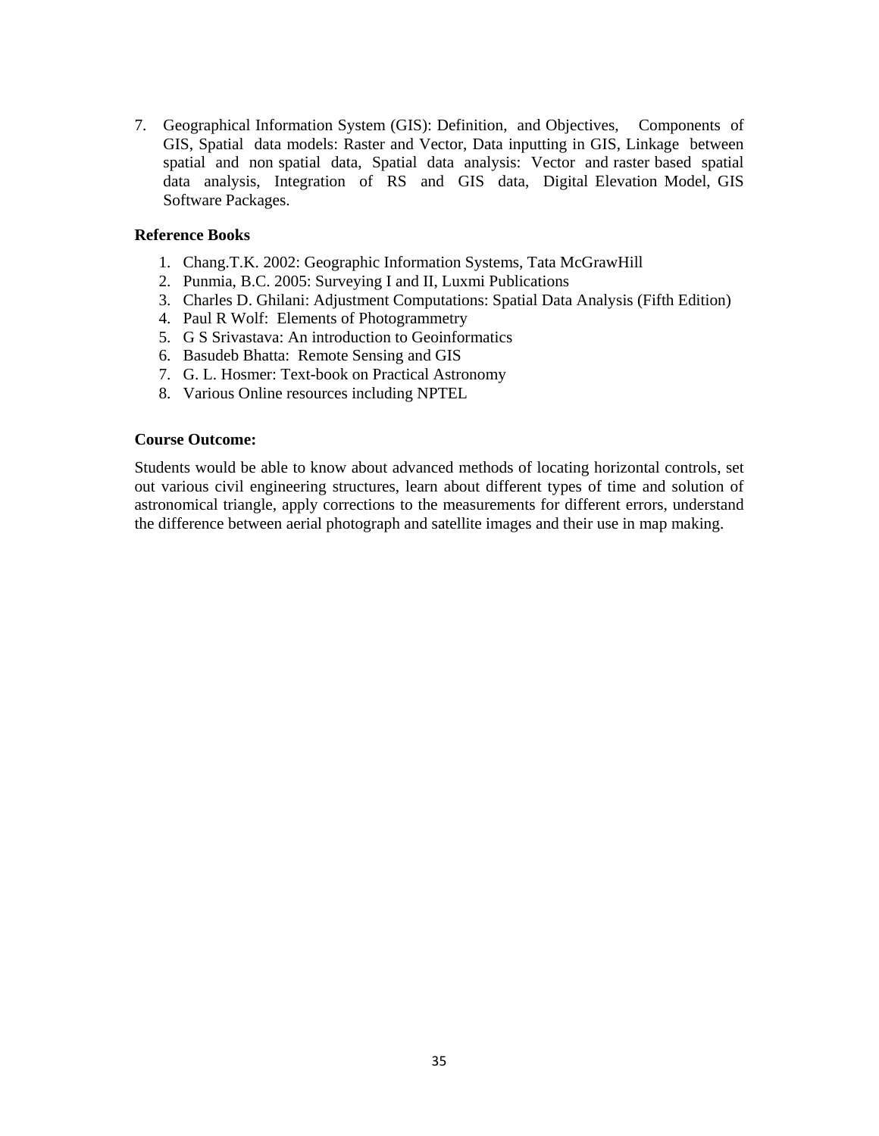7. Geographical Information System (GIS): Definition, and Objectives, Components of GIS, Spatial data models: Raster and Vector, Data inputting in GIS, Linkage between spatial and non spatial data, Spatial data analysis: Vector and raster based spatial data analysis, Integration of RS and GIS data, Digital Elevation Model, GIS Software Packages.

#### **Reference Books**

- 1. Chang.T.K. 2002: Geographic Information Systems, Tata McGrawHill
- 2. Punmia, B.C. 2005: Surveying I and II, Luxmi Publications
- 3. Charles D. Ghilani: Adjustment Computations: Spatial Data Analysis (Fifth Edition)
- 4. Paul R Wolf: Elements of Photogrammetry
- 5. G S Srivastava: An introduction to Geoinformatics
- 6. Basudeb Bhatta: Remote Sensing and GIS
- 7. G. L. Hosmer: Text-book on Practical Astronomy
- 8. Various Online resources including NPTEL

#### **Course Outcome:**

Students would be able to know about advanced methods of locating horizontal controls, set out various civil engineering structures, learn about different types of time and solution of astronomical triangle, apply corrections to the measurements for different errors, understand the difference between aerial photograph and satellite images and their use in map making.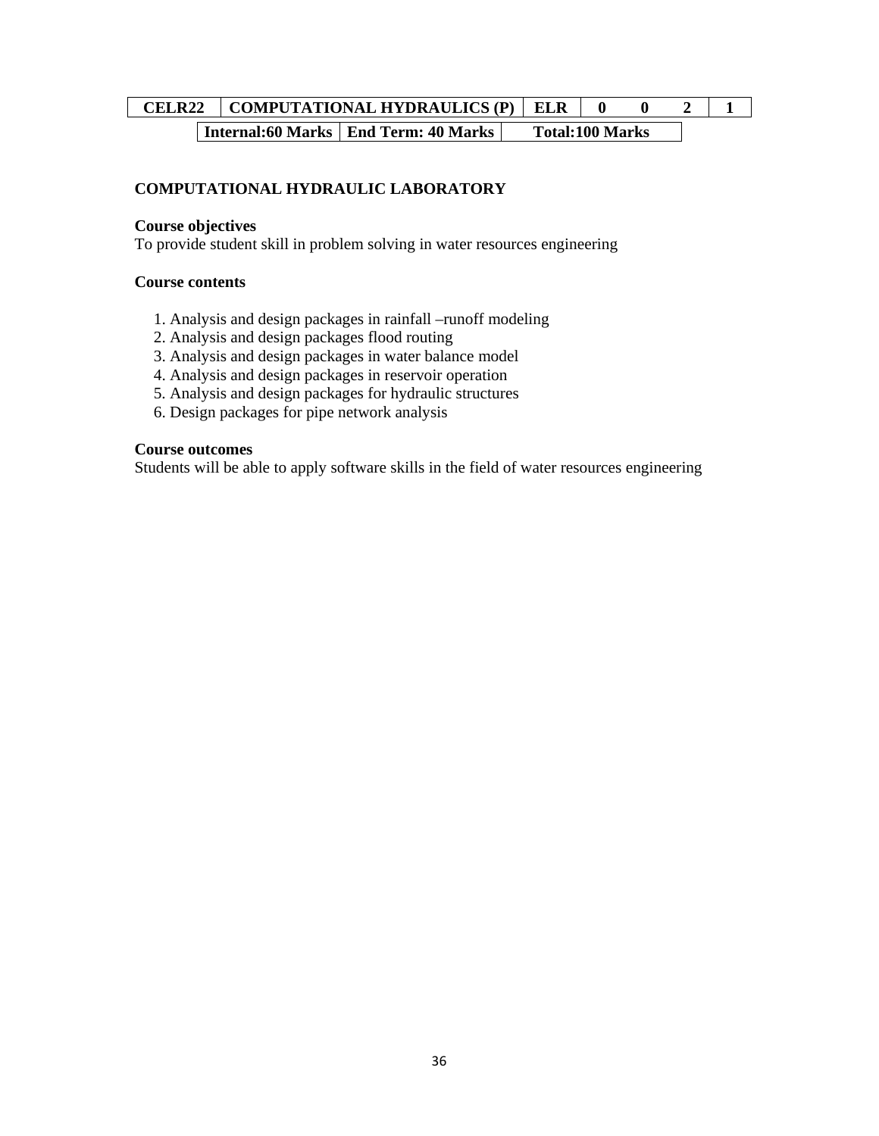# **CELR22** COMPUTATIONAL HYDRAULICS (P) ELR  $\begin{bmatrix} 0 & 0 & 2 \end{bmatrix}$  1 **Internal:60 Marks | End Term: 40 Marks | Total:100 Marks**

## **COMPUTATIONAL HYDRAULIC LABORATORY**

#### **Course objectives**

To provide student skill in problem solving in water resources engineering

#### **Course contents**

- 1. Analysis and design packages in rainfall –runoff modeling
- 2. Analysis and design packages flood routing
- 3. Analysis and design packages in water balance model
- 4. Analysis and design packages in reservoir operation
- 5. Analysis and design packages for hydraulic structures
- 6. Design packages for pipe network analysis

#### **Course outcomes**

Students will be able to apply software skills in the field of water resources engineering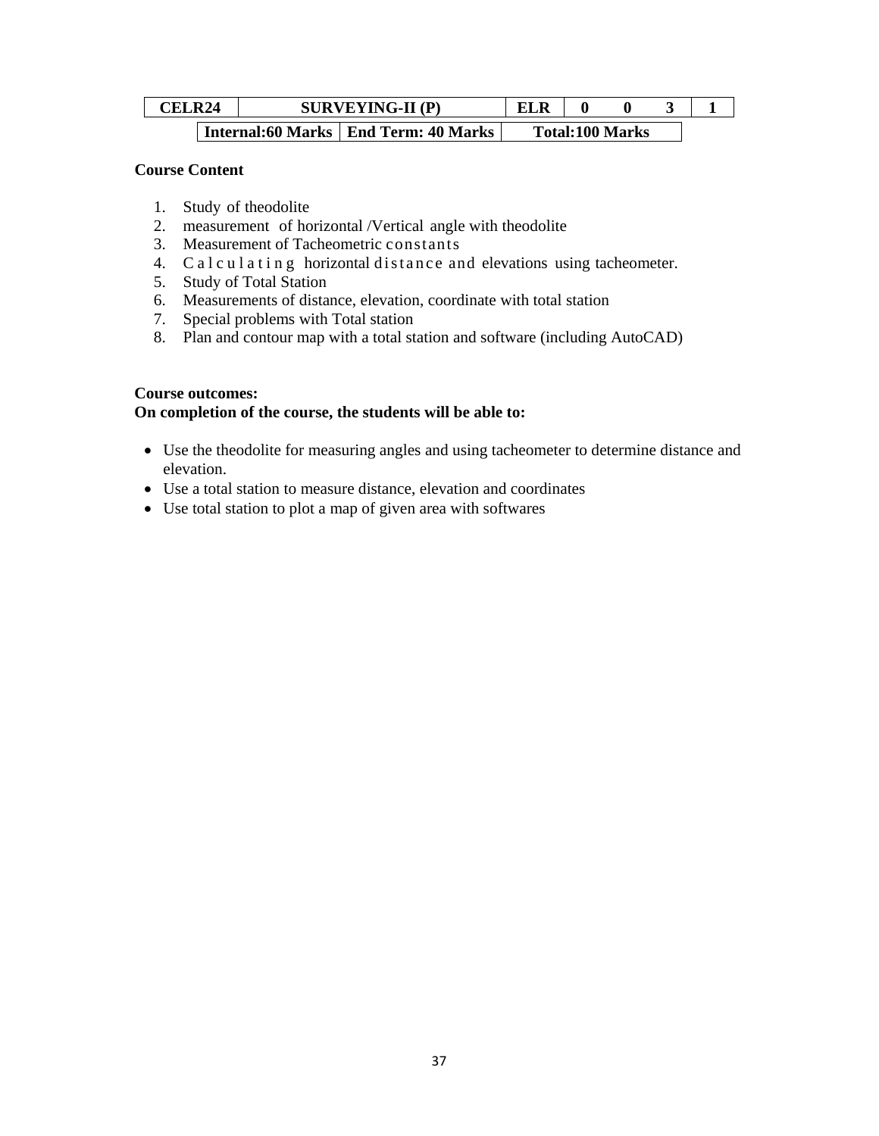| <b>CELR24</b> |  |  | <b>SURVEYING-II (P)</b>                | <b>ELR</b> |                        |  |
|---------------|--|--|----------------------------------------|------------|------------------------|--|
|               |  |  | Internal:60 Marks   End Term: 40 Marks |            | <b>Total:100 Marks</b> |  |

#### **Course Content**

- 1. Study of theodolite
- 2. measurement of horizontal /Vertical angle with theodolite
- 3. Measurement of Tacheometric constants
- 4. Calculating horizontal distance and elevations using tacheometer.
- 5. Study of Total Station
- 6. Measurements of distance, elevation, coordinate with total station
- 7. Special problems with Total station
- 8. Plan and contour map with a total station and software (including AutoCAD)

## **Course outcomes:**

## **On completion of the course, the students will be able to:**

- Use the theodolite for measuring angles and using tacheometer to determine distance and elevation.
- Use a total station to measure distance, elevation and coordinates
- Use total station to plot a map of given area with softwares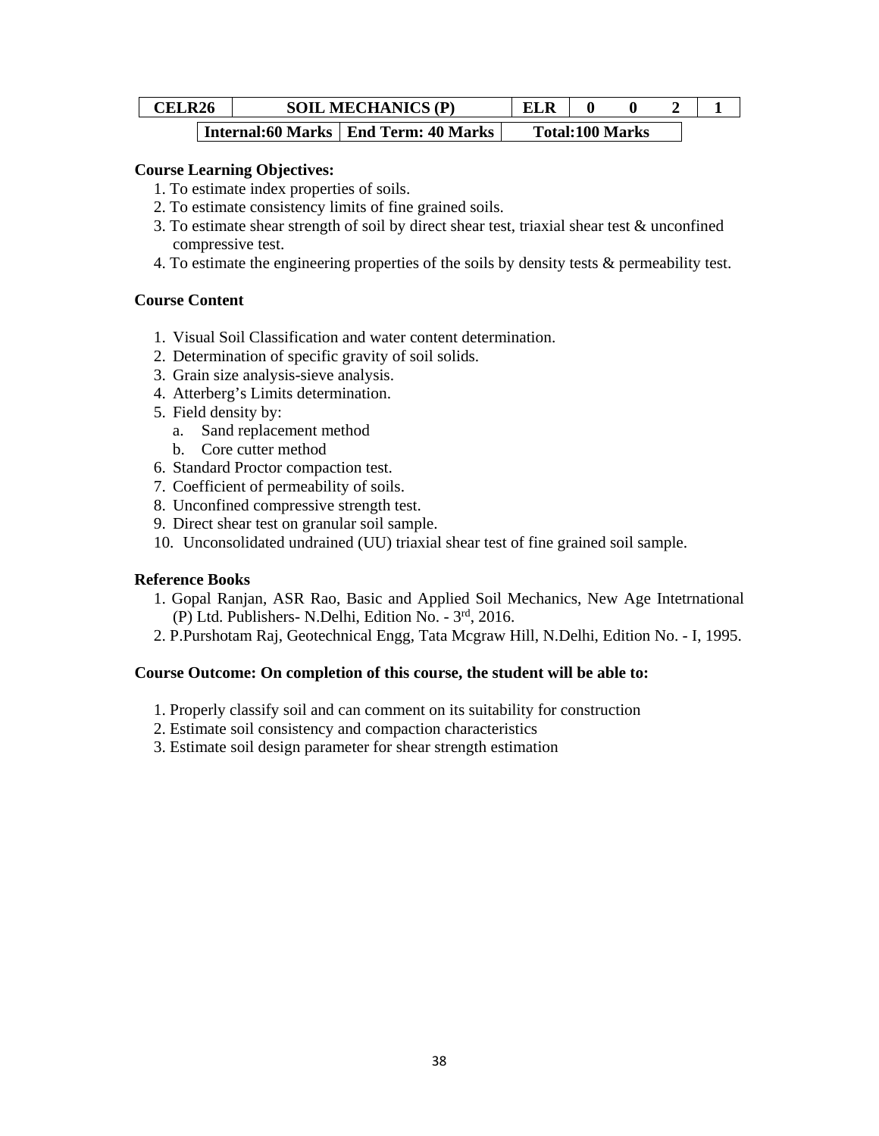| <b>CELR26</b> |  | <b>SOIL MECHANICS (P)</b>              | <b>ELR</b> |                        |  |  |
|---------------|--|----------------------------------------|------------|------------------------|--|--|
|               |  | Internal:60 Marks   End Term: 40 Marks |            | <b>Total:100 Marks</b> |  |  |

#### **Course Learning Objectives:**

- 1. To estimate index properties of soils.
- 2. To estimate consistency limits of fine grained soils.
- 3. To estimate shear strength of soil by direct shear test, triaxial shear test & unconfined compressive test.
- 4. To estimate the engineering properties of the soils by density tests & permeability test.

#### **Course Content**

- 1. Visual Soil Classification and water content determination.
- 2. Determination of specific gravity of soil solids.
- 3. Grain size analysis-sieve analysis.
- 4. Atterberg's Limits determination.
- 5. Field density by:
	- a. Sand replacement method
	- b. Core cutter method
- 6. Standard Proctor compaction test.
- 7. Coefficient of permeability of soils.
- 8. Unconfined compressive strength test.
- 9. Direct shear test on granular soil sample.
- 10. Unconsolidated undrained (UU) triaxial shear test of fine grained soil sample.

#### **Reference Books**

- 1. Gopal Ranjan, ASR Rao, Basic and Applied Soil Mechanics, New Age Intetrnational (P) Ltd. Publishers- N.Delhi, Edition No. - 3rd, 2016.
- 2. P.Purshotam Raj, Geotechnical Engg, Tata Mcgraw Hill, N.Delhi, Edition No. I, 1995.

#### **Course Outcome: On completion of this course, the student will be able to:**

- 1. Properly classify soil and can comment on its suitability for construction
- 2. Estimate soil consistency and compaction characteristics
- 3. Estimate soil design parameter for shear strength estimation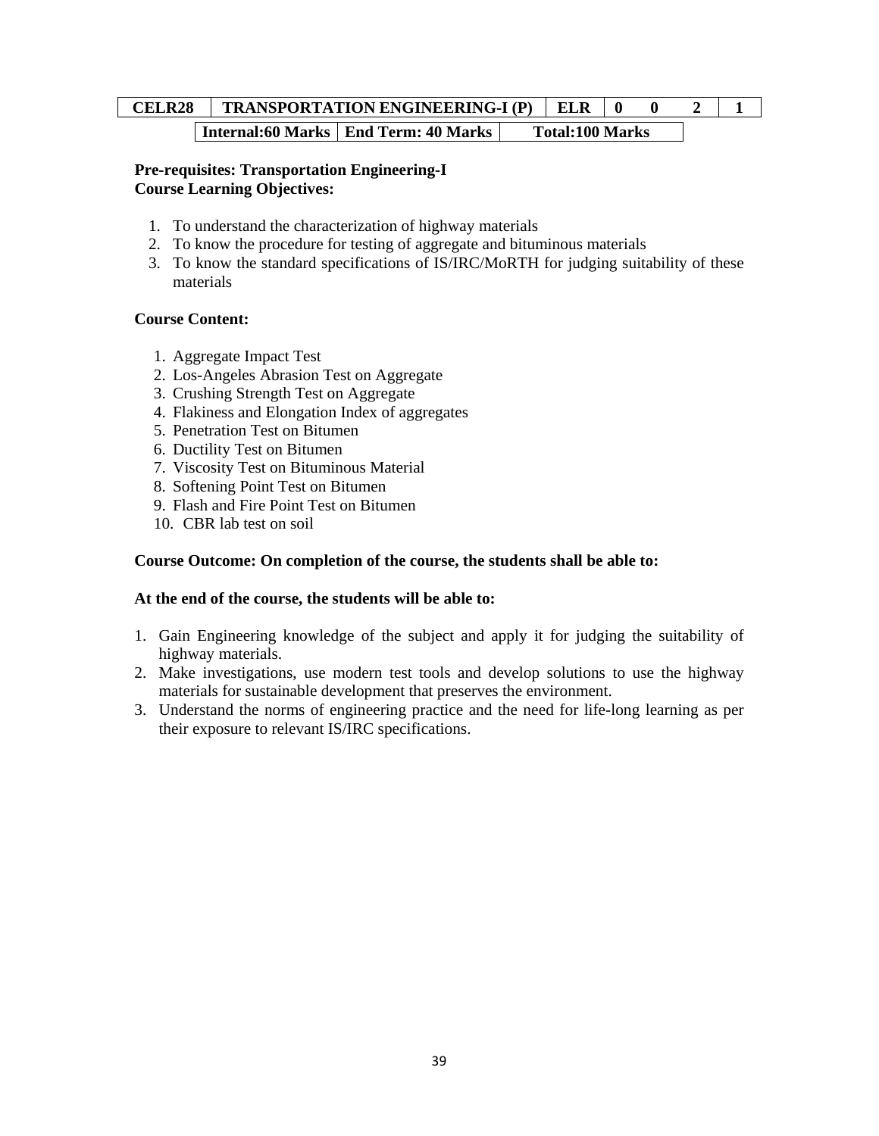# **CELR28 | TRANSPORTATION ENGINEERING-I (P) | ELR | 0 0 2 | 1 Internal:60 Marks | End Term: 40 Marks | Total:100 Marks**

## **Pre-requisites: Transportation Engineering-I Course Learning Objectives:**

- 1. To understand the characterization of highway materials
- 2. To know the procedure for testing of aggregate and bituminous materials
- 3. To know the standard specifications of IS/IRC/MoRTH for judging suitability of these materials

## **Course Content:**

- 1. Aggregate Impact Test
- 2. Los-Angeles Abrasion Test on Aggregate
- 3. Crushing Strength Test on Aggregate
- 4. Flakiness and Elongation Index of aggregates
- 5. Penetration Test on Bitumen
- 6. Ductility Test on Bitumen
- 7. Viscosity Test on Bituminous Material
- 8. Softening Point Test on Bitumen
- 9. Flash and Fire Point Test on Bitumen
- 10. CBR lab test on soil

## **Course Outcome: On completion of the course, the students shall be able to:**

#### **At the end of the course, the students will be able to:**

- 1. Gain Engineering knowledge of the subject and apply it for judging the suitability of highway materials.
- 2. Make investigations, use modern test tools and develop solutions to use the highway materials for sustainable development that preserves the environment.
- 3. Understand the norms of engineering practice and the need for life-long learning as per their exposure to relevant IS/IRC specifications.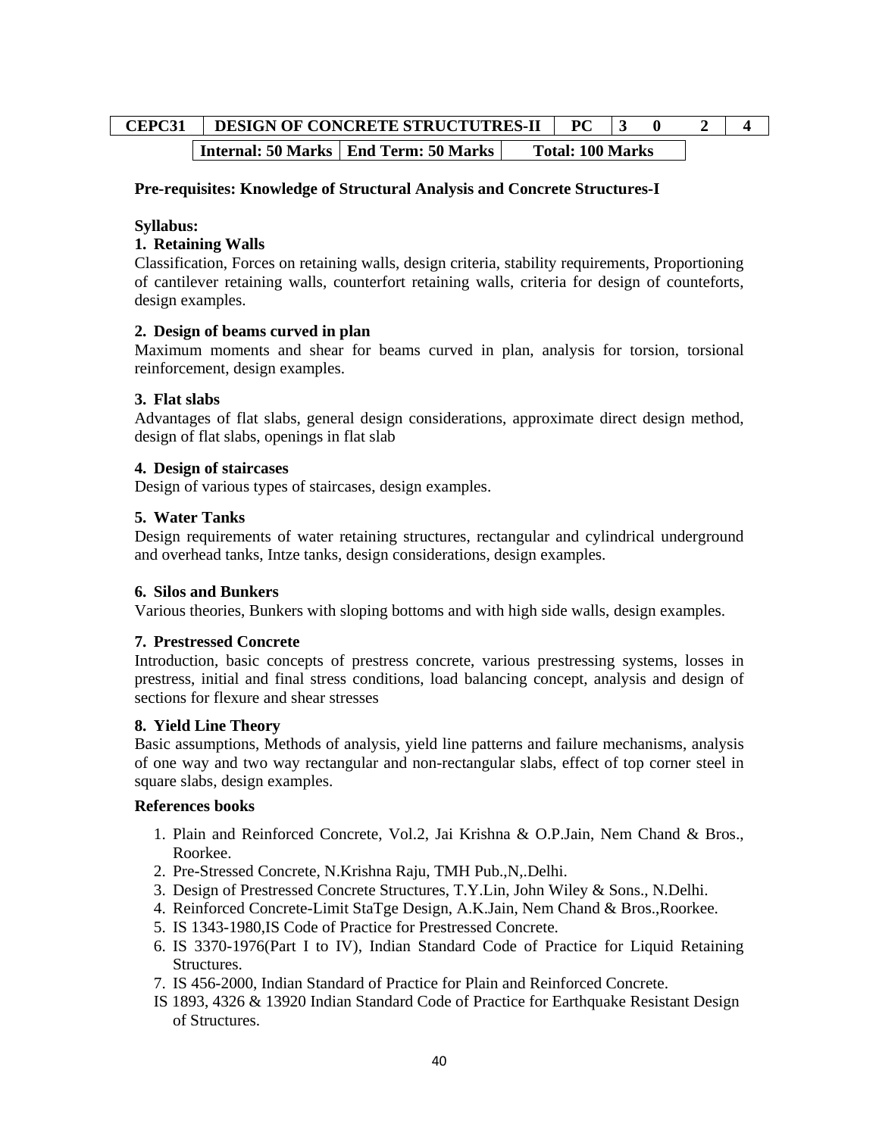# **CEPC31 DESIGN OF CONCRETE STRUCTUTRES-II PC 3 0 2 4 Internal: 50 Marks | End Term: 50 Marks | Total: 100 Marks**

## **Pre-requisites: Knowledge of Structural Analysis and Concrete Structures-I**

#### **Syllabus:**

## **1. Retaining Walls**

Classification, Forces on retaining walls, design criteria, stability requirements, Proportioning of cantilever retaining walls, counterfort retaining walls, criteria for design of counteforts, design examples.

## **2. Design of beams curved in plan**

Maximum moments and shear for beams curved in plan, analysis for torsion, torsional reinforcement, design examples.

## **3. Flat slabs**

Advantages of flat slabs, general design considerations, approximate direct design method, design of flat slabs, openings in flat slab

#### **4. Design of staircases**

Design of various types of staircases, design examples.

#### **5. Water Tanks**

Design requirements of water retaining structures, rectangular and cylindrical underground and overhead tanks, Intze tanks, design considerations, design examples.

#### **6. Silos and Bunkers**

Various theories, Bunkers with sloping bottoms and with high side walls, design examples.

#### **7. Prestressed Concrete**

Introduction, basic concepts of prestress concrete, various prestressing systems, losses in prestress, initial and final stress conditions, load balancing concept, analysis and design of sections for flexure and shear stresses

#### **8. Yield Line Theory**

Basic assumptions, Methods of analysis, yield line patterns and failure mechanisms, analysis of one way and two way rectangular and non-rectangular slabs, effect of top corner steel in square slabs, design examples.

#### **References books**

- 1. Plain and Reinforced Concrete, Vol.2, Jai Krishna & O.P.Jain, Nem Chand & Bros., Roorkee.
- 2. Pre-Stressed Concrete, N.Krishna Raju, TMH Pub.,N,.Delhi.
- 3. Design of Prestressed Concrete Structures, T.Y.Lin, John Wiley & Sons., N.Delhi.
- 4. Reinforced Concrete-Limit StaTge Design, A.K.Jain, Nem Chand & Bros.,Roorkee.
- 5. IS 1343-1980,IS Code of Practice for Prestressed Concrete.
- 6. IS 3370-1976(Part I to IV), Indian Standard Code of Practice for Liquid Retaining Structures.
- 7. IS 456-2000, Indian Standard of Practice for Plain and Reinforced Concrete.
- IS 1893, 4326 & 13920 Indian Standard Code of Practice for Earthquake Resistant Design of Structures.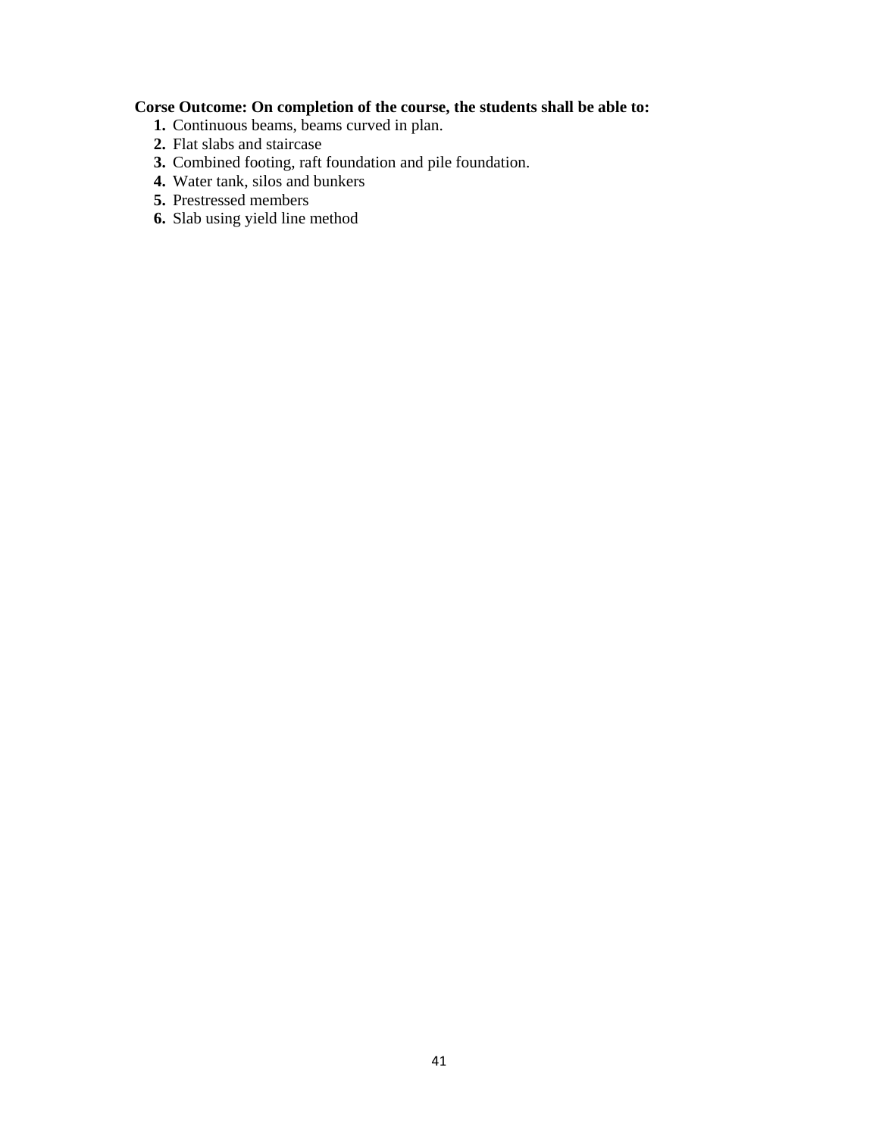## **Corse Outcome: On completion of the course, the students shall be able to:**

- **1.** Continuous beams, beams curved in plan.
- **2.** Flat slabs and staircase
- **3.** Combined footing, raft foundation and pile foundation.
- **4.** Water tank, silos and bunkers
- **5.** Prestressed members
- **6.** Slab using yield line method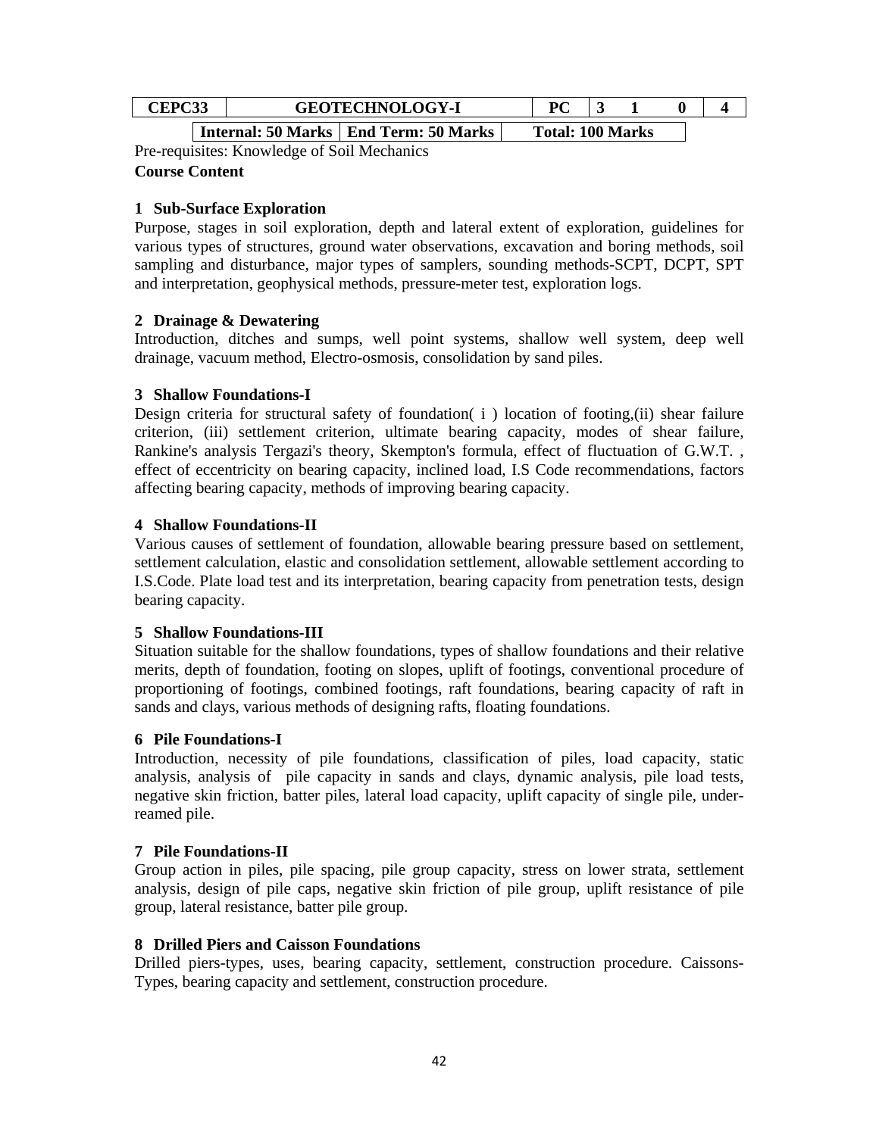| ۔ تلات | <b>GEOTECHNOLOGY-I</b> |                                                                     |  | $\mathbf{D}\boldsymbol{\cap}$ |                   |  |
|--------|------------------------|---------------------------------------------------------------------|--|-------------------------------|-------------------|--|
|        |                        | Let $\sim$ 1. $\epsilon$ 0 Meets I Eq. 1 Terms $\epsilon$ 0 Meets I |  |                               | T.L.L. 100 M.L.L. |  |

| Internal: 50 Marks | End Term: 50 Marks | Total: 100 Marks

Pre-requisites: Knowledge of Soil Mechanics **Course Content** 

## **1 Sub-Surface Exploration**

Purpose, stages in soil exploration, depth and lateral extent of exploration, guidelines for various types of structures, ground water observations, excavation and boring methods, soil sampling and disturbance, major types of samplers, sounding methods-SCPT, DCPT, SPT and interpretation, geophysical methods, pressure-meter test, exploration logs.

## **2 Drainage & Dewatering**

Introduction, ditches and sumps, well point systems, shallow well system, deep well drainage, vacuum method, Electro-osmosis, consolidation by sand piles.

## **3 Shallow Foundations-I**

Design criteria for structural safety of foundation( i ) location of footing,(ii) shear failure criterion, (iii) settlement criterion, ultimate bearing capacity, modes of shear failure, Rankine's analysis Tergazi's theory, Skempton's formula, effect of fluctuation of G.W.T. , effect of eccentricity on bearing capacity, inclined load, I.S Code recommendations, factors affecting bearing capacity, methods of improving bearing capacity.

## **4 Shallow Foundations-II**

Various causes of settlement of foundation, allowable bearing pressure based on settlement, settlement calculation, elastic and consolidation settlement, allowable settlement according to I.S.Code. Plate load test and its interpretation, bearing capacity from penetration tests, design bearing capacity.

#### **5 Shallow Foundations-III**

Situation suitable for the shallow foundations, types of shallow foundations and their relative merits, depth of foundation, footing on slopes, uplift of footings, conventional procedure of proportioning of footings, combined footings, raft foundations, bearing capacity of raft in sands and clays, various methods of designing rafts, floating foundations.

#### **6 Pile Foundations-I**

Introduction, necessity of pile foundations, classification of piles, load capacity, static analysis, analysis of pile capacity in sands and clays, dynamic analysis, pile load tests, negative skin friction, batter piles, lateral load capacity, uplift capacity of single pile, underreamed pile.

#### **7 Pile Foundations-II**

Group action in piles, pile spacing, pile group capacity, stress on lower strata, settlement analysis, design of pile caps, negative skin friction of pile group, uplift resistance of pile group, lateral resistance, batter pile group.

#### **8 Drilled Piers and Caisson Foundations**

Drilled piers-types, uses, bearing capacity, settlement, construction procedure. Caissons-Types, bearing capacity and settlement, construction procedure.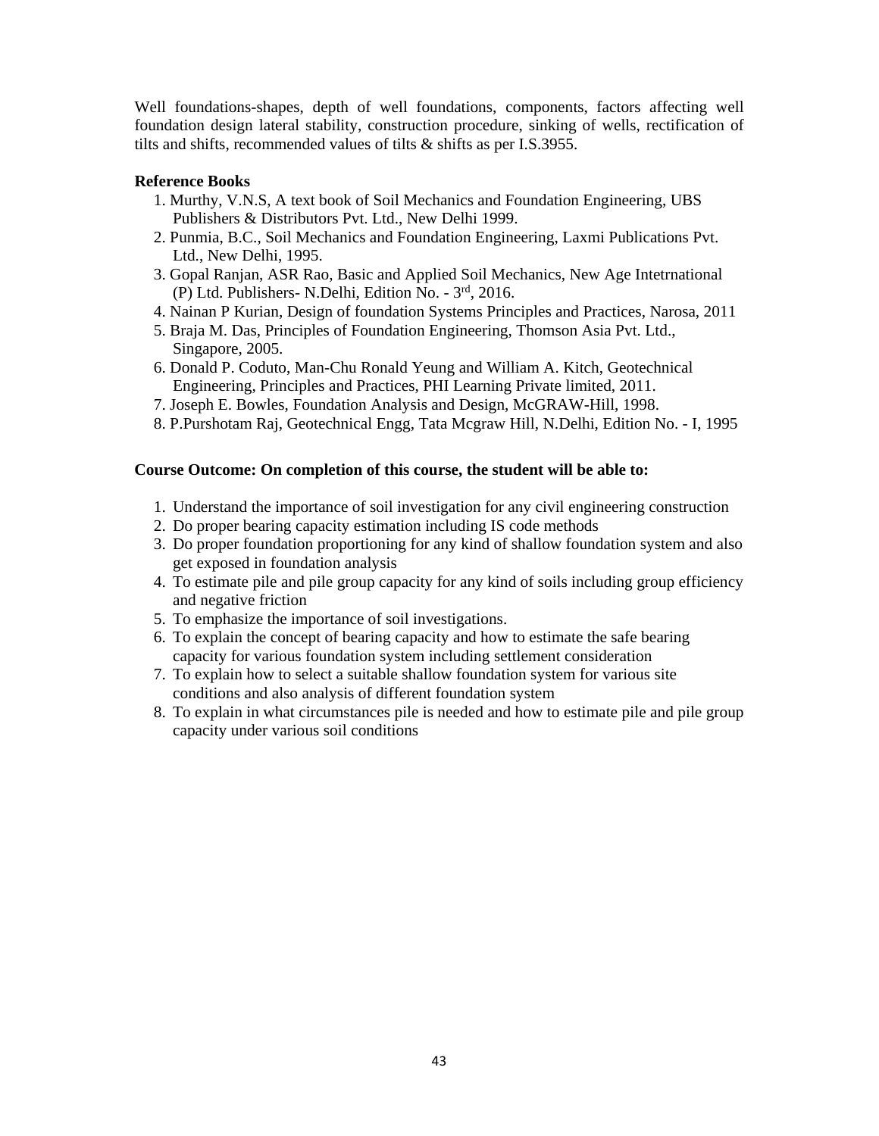Well foundations-shapes, depth of well foundations, components, factors affecting well foundation design lateral stability, construction procedure, sinking of wells, rectification of tilts and shifts, recommended values of tilts & shifts as per I.S.3955.

## **Reference Books**

- 1. Murthy, V.N.S, A text book of Soil Mechanics and Foundation Engineering, UBS Publishers & Distributors Pvt. Ltd., New Delhi 1999.
- 2. Punmia, B.C., Soil Mechanics and Foundation Engineering, Laxmi Publications Pvt. Ltd., New Delhi, 1995.
- 3. Gopal Ranjan, ASR Rao, Basic and Applied Soil Mechanics, New Age Intetrnational (P) Ltd. Publishers- N.Delhi, Edition No. - 3rd, 2016.
- 4. Nainan P Kurian, Design of foundation Systems Principles and Practices, Narosa, 2011
- 5. Braja M. Das, Principles of Foundation Engineering, Thomson Asia Pvt. Ltd., Singapore, 2005.
- 6. Donald P. Coduto, Man-Chu Ronald Yeung and William A. Kitch, Geotechnical Engineering, Principles and Practices, PHI Learning Private limited, 2011.
- 7. Joseph E. Bowles, Foundation Analysis and Design, McGRAW-Hill, 1998.
- 8. P.Purshotam Raj, Geotechnical Engg, Tata Mcgraw Hill, N.Delhi, Edition No. I, 1995

#### **Course Outcome: On completion of this course, the student will be able to:**

- 1. Understand the importance of soil investigation for any civil engineering construction
- 2. Do proper bearing capacity estimation including IS code methods
- 3. Do proper foundation proportioning for any kind of shallow foundation system and also get exposed in foundation analysis
- 4. To estimate pile and pile group capacity for any kind of soils including group efficiency and negative friction
- 5. To emphasize the importance of soil investigations.
- 6. To explain the concept of bearing capacity and how to estimate the safe bearing capacity for various foundation system including settlement consideration
- 7. To explain how to select a suitable shallow foundation system for various site conditions and also analysis of different foundation system
- 8. To explain in what circumstances pile is needed and how to estimate pile and pile group capacity under various soil conditions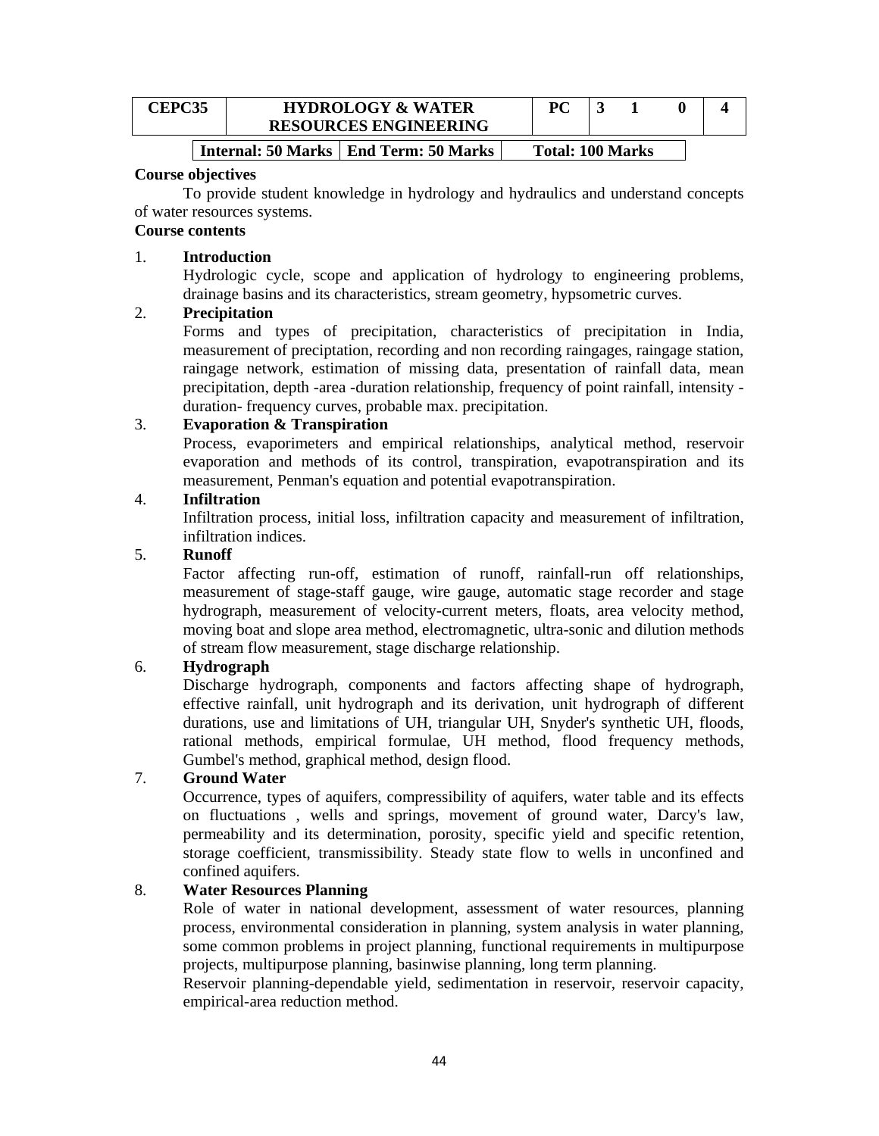| TPC35 | <b>HYDROLOGY &amp; WATER</b> | DC |   |  |  |
|-------|------------------------------|----|---|--|--|
|       | <b>RESOURCES ENGINEERING</b> |    |   |  |  |
|       | _ _ _ _                      |    | . |  |  |

## | Internal: 50 Marks | End Term: 50 Marks | Total: 100 Marks

#### **Course objectives**

To provide student knowledge in hydrology and hydraulics and understand concepts of water resources systems.

## **Course contents**

## 1. **Introduction**

Hydrologic cycle, scope and application of hydrology to engineering problems, drainage basins and its characteristics, stream geometry, hypsometric curves.

#### 2. **Precipitation**

Forms and types of precipitation, characteristics of precipitation in India, measurement of preciptation, recording and non recording raingages, raingage station, raingage network, estimation of missing data, presentation of rainfall data, mean precipitation, depth -area -duration relationship, frequency of point rainfall, intensity duration- frequency curves, probable max. precipitation.

## 3. **Evaporation & Transpiration**

Process, evaporimeters and empirical relationships, analytical method, reservoir evaporation and methods of its control, transpiration, evapotranspiration and its measurement, Penman's equation and potential evapotranspiration.

## 4. **Infiltration**

Infiltration process, initial loss, infiltration capacity and measurement of infiltration, infiltration indices.

## 5. **Runoff**

Factor affecting run-off, estimation of runoff, rainfall-run off relationships, measurement of stage-staff gauge, wire gauge, automatic stage recorder and stage hydrograph, measurement of velocity-current meters, floats, area velocity method, moving boat and slope area method, electromagnetic, ultra-sonic and dilution methods of stream flow measurement, stage discharge relationship.

## 6. **Hydrograph**

Discharge hydrograph, components and factors affecting shape of hydrograph, effective rainfall, unit hydrograph and its derivation, unit hydrograph of different durations, use and limitations of UH, triangular UH, Snyder's synthetic UH, floods, rational methods, empirical formulae, UH method, flood frequency methods, Gumbel's method, graphical method, design flood.

## 7. **Ground Water**

Occurrence, types of aquifers, compressibility of aquifers, water table and its effects on fluctuations , wells and springs, movement of ground water, Darcy's law, permeability and its determination, porosity, specific yield and specific retention, storage coefficient, transmissibility. Steady state flow to wells in unconfined and confined aquifers.

## 8. **Water Resources Planning**

Role of water in national development, assessment of water resources, planning process, environmental consideration in planning, system analysis in water planning, some common problems in project planning, functional requirements in multipurpose projects, multipurpose planning, basinwise planning, long term planning.

Reservoir planning-dependable yield, sedimentation in reservoir, reservoir capacity, empirical-area reduction method.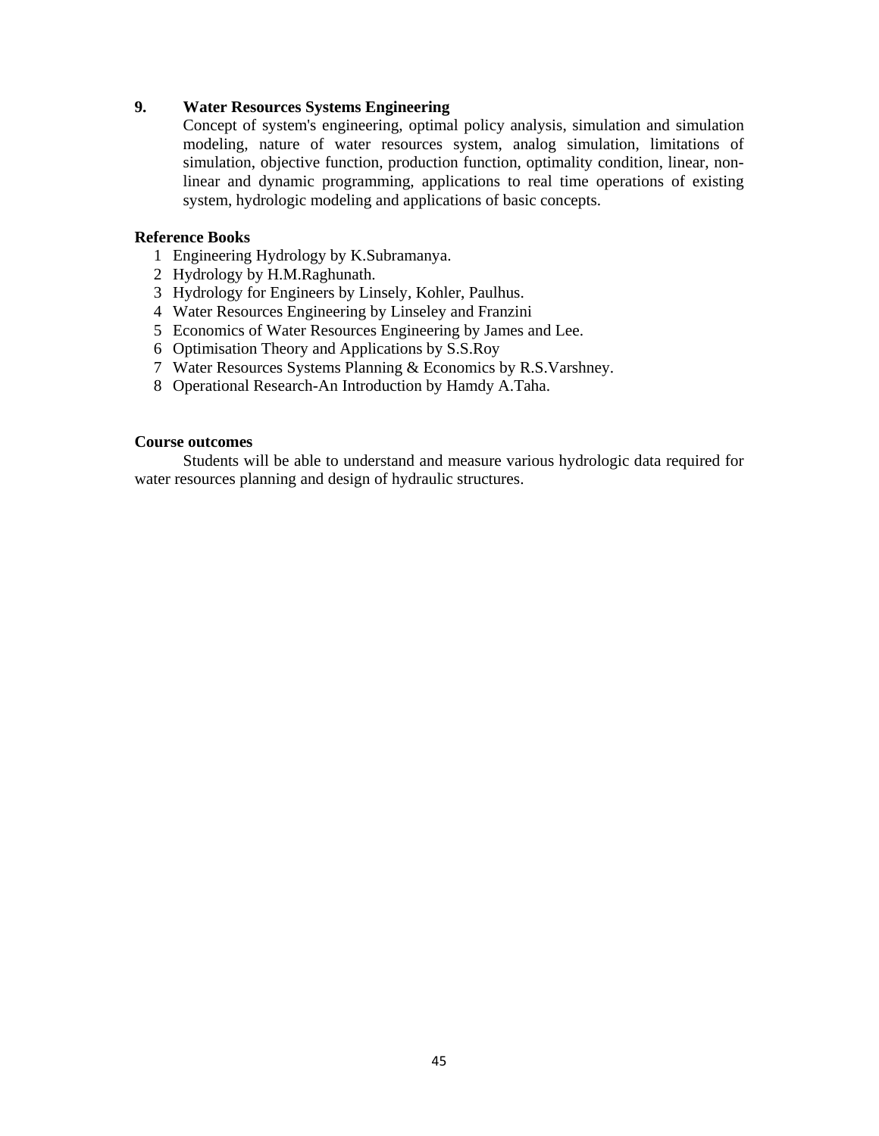## **9. Water Resources Systems Engineering**

Concept of system's engineering, optimal policy analysis, simulation and simulation modeling, nature of water resources system, analog simulation, limitations of simulation, objective function, production function, optimality condition, linear, nonlinear and dynamic programming, applications to real time operations of existing system, hydrologic modeling and applications of basic concepts.

#### **Reference Books**

- 1 Engineering Hydrology by K.Subramanya.
- 2 Hydrology by H.M.Raghunath.
- 3 Hydrology for Engineers by Linsely, Kohler, Paulhus.
- 4 Water Resources Engineering by Linseley and Franzini
- 5 Economics of Water Resources Engineering by James and Lee.
- 6 Optimisation Theory and Applications by S.S.Roy
- 7 Water Resources Systems Planning & Economics by R.S.Varshney.
- 8 Operational Research-An Introduction by Hamdy A.Taha.

#### **Course outcomes**

Students will be able to understand and measure various hydrologic data required for water resources planning and design of hydraulic structures.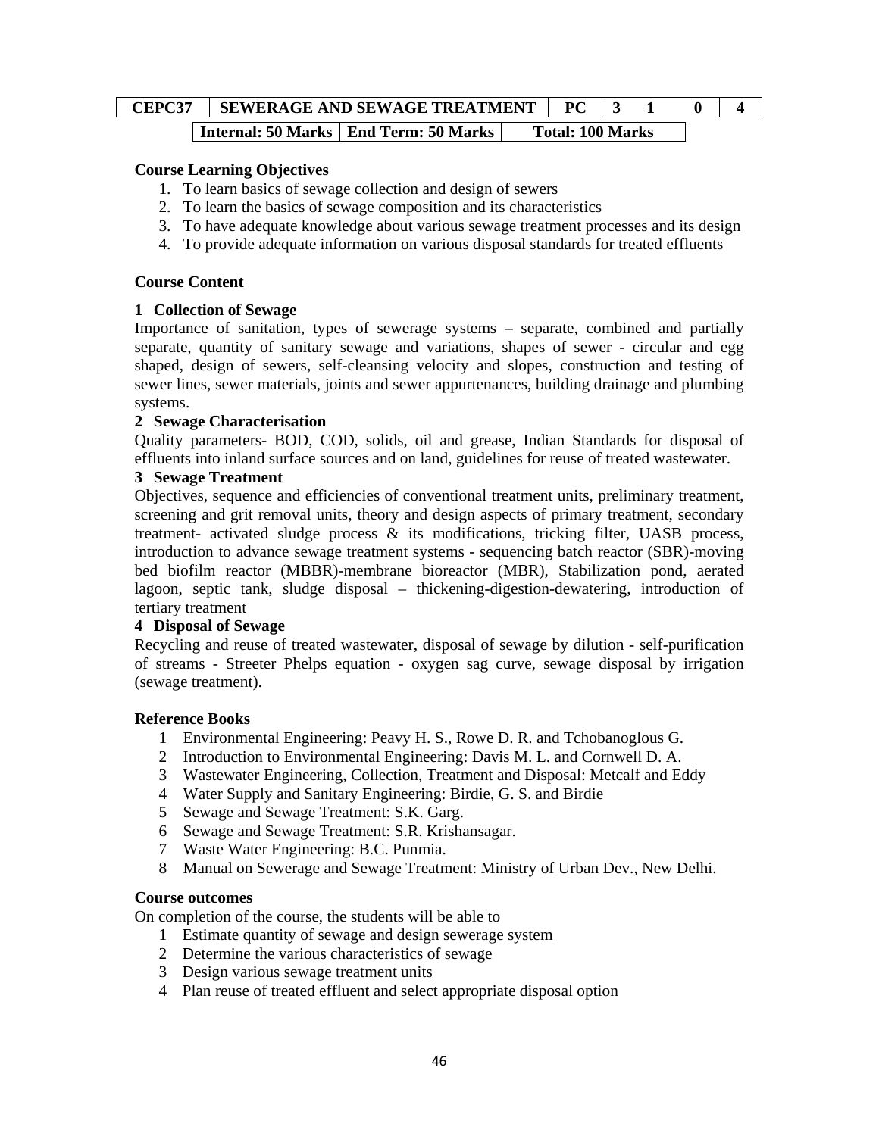# **CEPC37** SEWERAGE AND SEWAGE TREATMENT | PC | 3 1 0 | 4 **Internal: 50 Marks | End Term: 50 Marks | Total: 100 Marks**

## **Course Learning Objectives**

- 1. To learn basics of sewage collection and design of sewers
- 2. To learn the basics of sewage composition and its characteristics
- 3. To have adequate knowledge about various sewage treatment processes and its design
- 4. To provide adequate information on various disposal standards for treated effluents

#### **Course Content**

#### **1 Collection of Sewage**

Importance of sanitation, types of sewerage systems – separate, combined and partially separate, quantity of sanitary sewage and variations, shapes of sewer - circular and egg shaped, design of sewers, self-cleansing velocity and slopes, construction and testing of sewer lines, sewer materials, joints and sewer appurtenances, building drainage and plumbing systems.

#### **2 Sewage Characterisation**

Quality parameters- BOD, COD, solids, oil and grease, Indian Standards for disposal of effluents into inland surface sources and on land, guidelines for reuse of treated wastewater.

#### **3 Sewage Treatment**

Objectives, sequence and efficiencies of conventional treatment units, preliminary treatment, screening and grit removal units, theory and design aspects of primary treatment, secondary treatment- activated sludge process & its modifications, tricking filter, UASB process, introduction to advance sewage treatment systems - sequencing batch reactor (SBR)-moving bed biofilm reactor (MBBR)-membrane bioreactor (MBR), Stabilization pond, aerated lagoon, septic tank, sludge disposal – thickening-digestion-dewatering, introduction of tertiary treatment

#### **4 Disposal of Sewage**

Recycling and reuse of treated wastewater, disposal of sewage by dilution - self-purification of streams - Streeter Phelps equation - oxygen sag curve, sewage disposal by irrigation (sewage treatment).

#### **Reference Books**

- 1 Environmental Engineering: Peavy H. S., Rowe D. R. and Tchobanoglous G.
- 2 Introduction to Environmental Engineering: Davis M. L. and Cornwell D. A.
- 3 Wastewater Engineering, Collection, Treatment and Disposal: Metcalf and Eddy
- 4 Water Supply and Sanitary Engineering: Birdie, G. S. and Birdie
- 5 Sewage and Sewage Treatment: S.K. Garg.
- 6 Sewage and Sewage Treatment: S.R. Krishansagar.
- 7 Waste Water Engineering: B.C. Punmia.
- 8 Manual on Sewerage and Sewage Treatment: Ministry of Urban Dev., New Delhi.

## **Course outcomes**

On completion of the course, the students will be able to

- 1 Estimate quantity of sewage and design sewerage system
- 2 Determine the various characteristics of sewage
- 3 Design various sewage treatment units
- 4 Plan reuse of treated effluent and select appropriate disposal option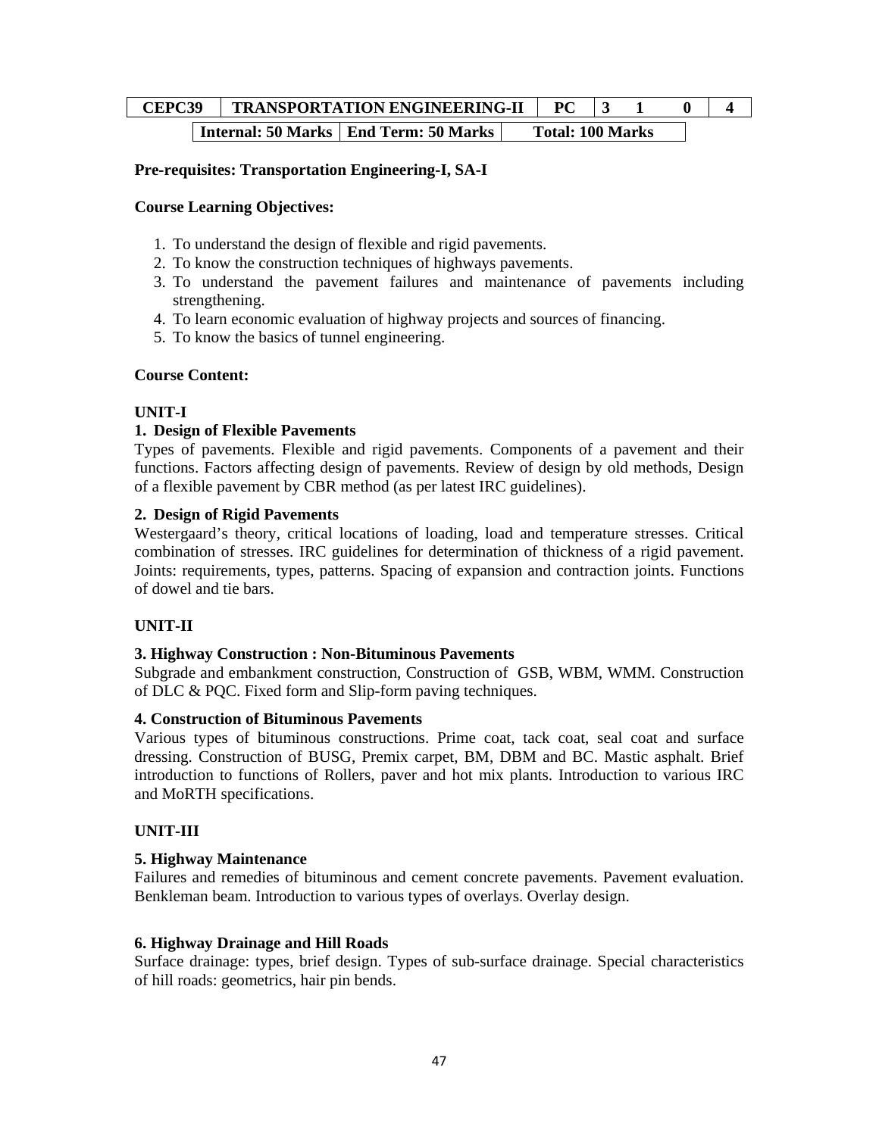# **CEPC39 TRANSPORTATION ENGINEERING-II PC 3 1 0 4 Internal: 50 Marks | End Term: 50 Marks | Total: 100 Marks**

## **Pre-requisites: Transportation Engineering-I, SA-I**

#### **Course Learning Objectives:**

- 1. To understand the design of flexible and rigid pavements.
- 2. To know the construction techniques of highways pavements.
- 3. To understand the pavement failures and maintenance of pavements including strengthening.
- 4. To learn economic evaluation of highway projects and sources of financing.
- 5. To know the basics of tunnel engineering.

#### **Course Content:**

#### **UNIT-I**

## **1. Design of Flexible Pavements**

Types of pavements. Flexible and rigid pavements. Components of a pavement and their functions. Factors affecting design of pavements. Review of design by old methods, Design of a flexible pavement by CBR method (as per latest IRC guidelines).

#### **2. Design of Rigid Pavements**

Westergaard's theory, critical locations of loading, load and temperature stresses. Critical combination of stresses. IRC guidelines for determination of thickness of a rigid pavement. Joints: requirements, types, patterns. Spacing of expansion and contraction joints. Functions of dowel and tie bars.

## **UNIT-II**

#### **3. Highway Construction : Non-Bituminous Pavements**

Subgrade and embankment construction, Construction of GSB, WBM, WMM. Construction of DLC & PQC. Fixed form and Slip-form paving techniques.

#### **4. Construction of Bituminous Pavements**

Various types of bituminous constructions. Prime coat, tack coat, seal coat and surface dressing. Construction of BUSG, Premix carpet, BM, DBM and BC. Mastic asphalt. Brief introduction to functions of Rollers, paver and hot mix plants. Introduction to various IRC and MoRTH specifications.

#### **UNIT-III**

#### **5. Highway Maintenance**

Failures and remedies of bituminous and cement concrete pavements. Pavement evaluation. Benkleman beam. Introduction to various types of overlays. Overlay design.

#### **6. Highway Drainage and Hill Roads**

Surface drainage: types, brief design. Types of sub-surface drainage. Special characteristics of hill roads: geometrics, hair pin bends.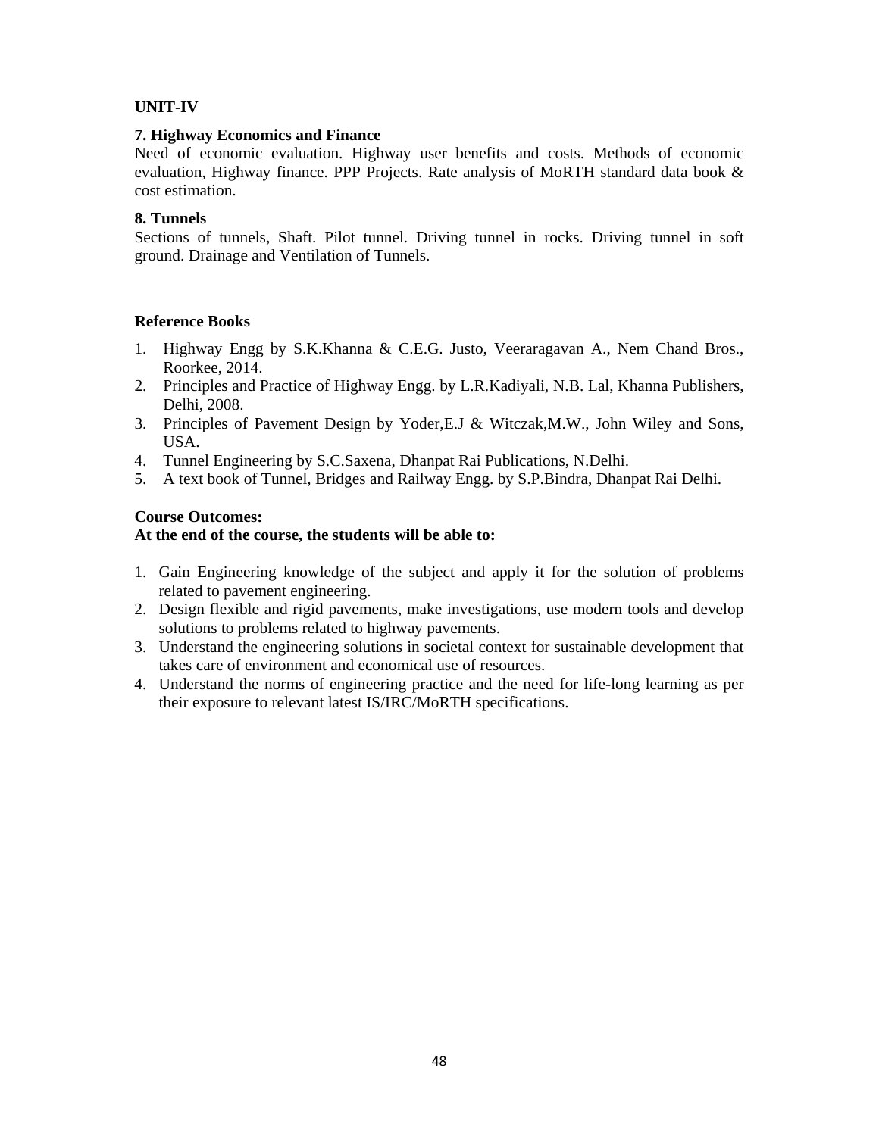## **UNIT-IV**

## **7. Highway Economics and Finance**

Need of economic evaluation. Highway user benefits and costs. Methods of economic evaluation, Highway finance. PPP Projects. Rate analysis of MoRTH standard data book & cost estimation.

## **8. Tunnels**

Sections of tunnels, Shaft. Pilot tunnel. Driving tunnel in rocks. Driving tunnel in soft ground. Drainage and Ventilation of Tunnels.

## **Reference Books**

- 1. Highway Engg by S.K.Khanna & C.E.G. Justo, Veeraragavan A., Nem Chand Bros., Roorkee, 2014.
- 2. Principles and Practice of Highway Engg. by L.R.Kadiyali, N.B. Lal, Khanna Publishers, Delhi, 2008.
- 3. Principles of Pavement Design by Yoder,E.J & Witczak,M.W., John Wiley and Sons, USA.
- 4. Tunnel Engineering by S.C.Saxena, Dhanpat Rai Publications, N.Delhi.
- 5. A text book of Tunnel, Bridges and Railway Engg. by S.P.Bindra, Dhanpat Rai Delhi.

## **Course Outcomes:**

#### **At the end of the course, the students will be able to:**

- 1. Gain Engineering knowledge of the subject and apply it for the solution of problems related to pavement engineering.
- 2. Design flexible and rigid pavements, make investigations, use modern tools and develop solutions to problems related to highway pavements.
- 3. Understand the engineering solutions in societal context for sustainable development that takes care of environment and economical use of resources.
- 4. Understand the norms of engineering practice and the need for life-long learning as per their exposure to relevant latest IS/IRC/MoRTH specifications.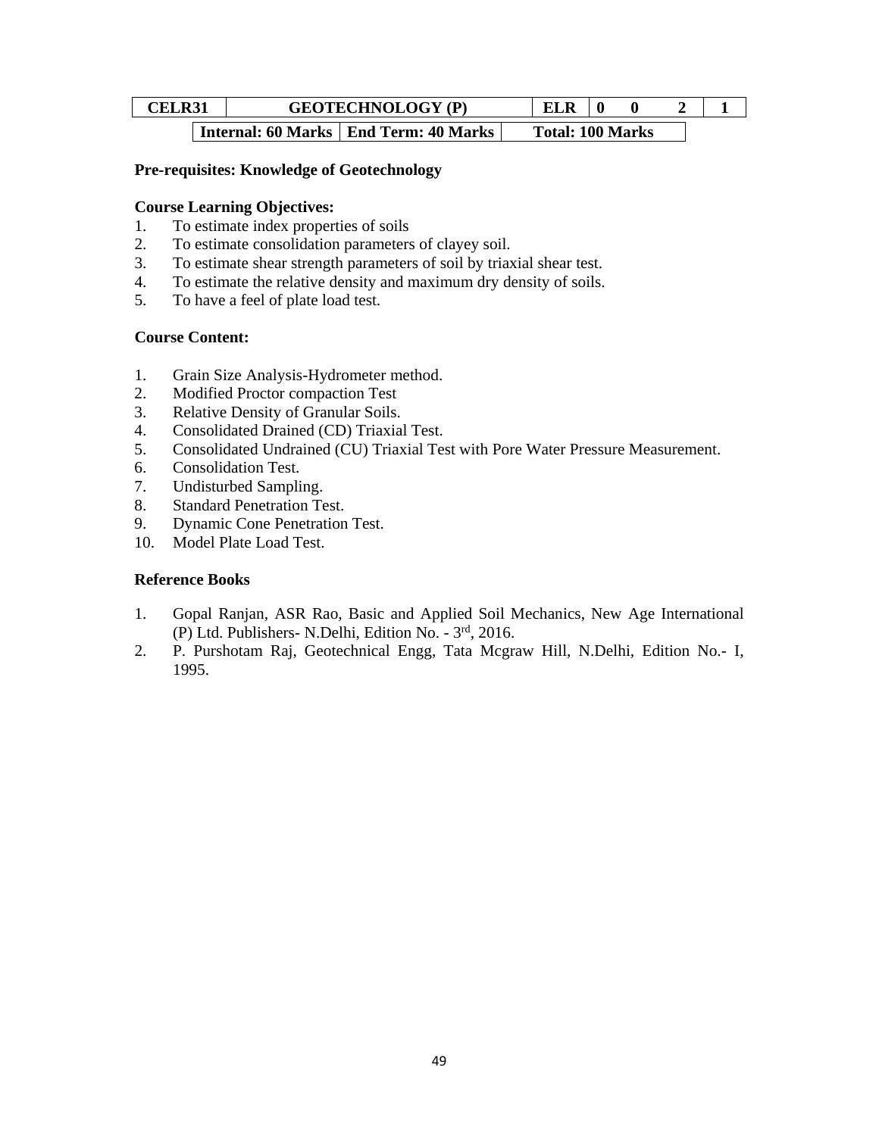|                       | GEOTECHNOLOGY (<br>(P)<br>-- |                      |  | LLIN                     |     |  |                      |  |  |        |          |  |  |
|-----------------------|------------------------------|----------------------|--|--------------------------|-----|--|----------------------|--|--|--------|----------|--|--|
| $\tilde{\phantom{a}}$ |                              | $\sim$ $\sim$ $\sim$ |  | $\overline{\phantom{a}}$ | - - |  | $\sim$ $\sim$ $\sim$ |  |  | $\sim$ | $\cdots$ |  |  |

| Internal: 60 Marks | End Term: 40 Marks | Total: 100 Marks

## **Pre-requisites: Knowledge of Geotechnology**

## **Course Learning Objectives:**

- 1. To estimate index properties of soils
- 2. To estimate consolidation parameters of clayey soil.
- 3. To estimate shear strength parameters of soil by triaxial shear test.
- 4. To estimate the relative density and maximum dry density of soils.
- 5. To have a feel of plate load test.

## **Course Content:**

- 1. Grain Size Analysis-Hydrometer method.
- 2. Modified Proctor compaction Test
- 3. Relative Density of Granular Soils.
- 4. Consolidated Drained (CD) Triaxial Test.
- 5. Consolidated Undrained (CU) Triaxial Test with Pore Water Pressure Measurement.
- 6. Consolidation Test.
- 7. Undisturbed Sampling.
- 8. Standard Penetration Test.
- 9. Dynamic Cone Penetration Test.
- 10. Model Plate Load Test.

## **Reference Books**

- 1. Gopal Ranjan, ASR Rao, Basic and Applied Soil Mechanics, New Age International (P) Ltd. Publishers- N.Delhi, Edition No. - 3rd, 2016.
- 2. P. Purshotam Raj, Geotechnical Engg, Tata Mcgraw Hill, N.Delhi, Edition No.- I, 1995.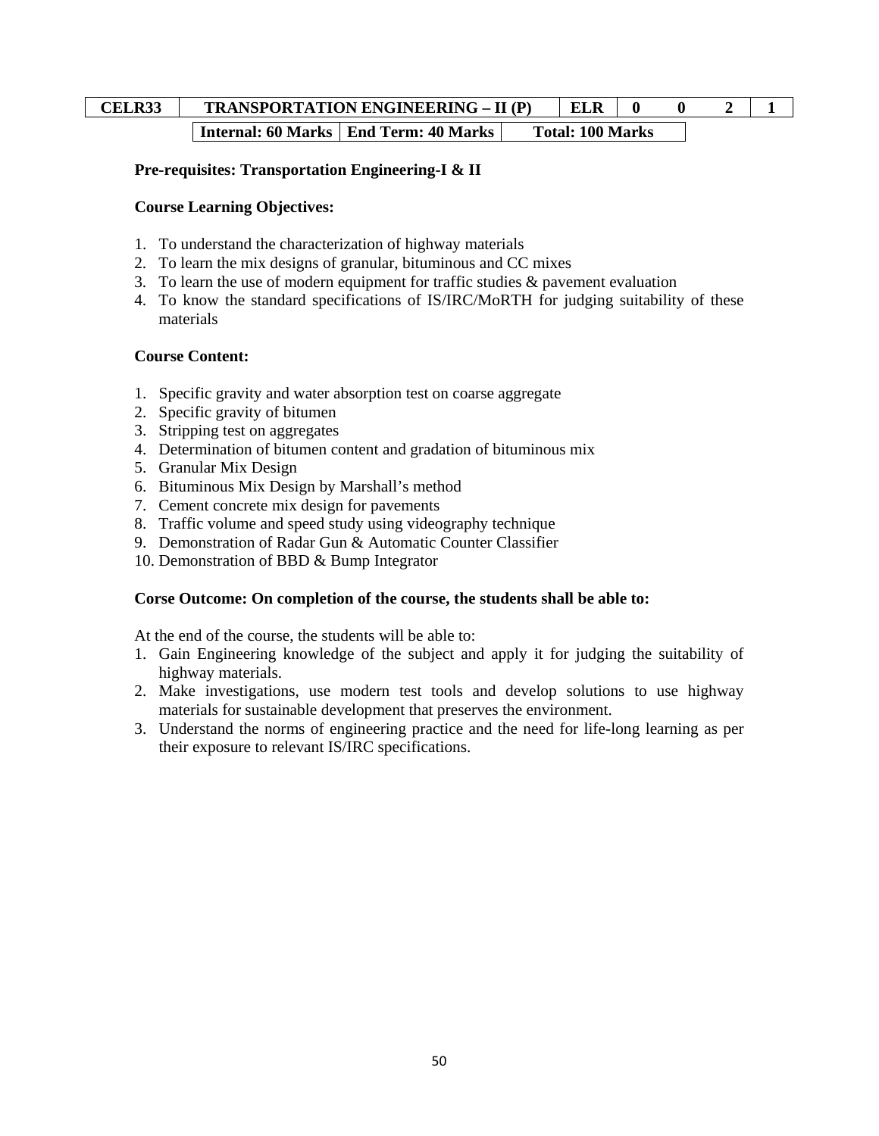# **CELR33** TRANSPORTATION ENGINEERING – II (P) ELR  $\begin{bmatrix} 0 & 0 & 2 \end{bmatrix}$  1 **Internal: 60 Marks | End Term: 40 Marks | Total: 100 Marks**

## **Pre-requisites: Transportation Engineering-I & II**

#### **Course Learning Objectives:**

- 1. To understand the characterization of highway materials
- 2. To learn the mix designs of granular, bituminous and CC mixes
- 3. To learn the use of modern equipment for traffic studies & pavement evaluation
- 4. To know the standard specifications of IS/IRC/MoRTH for judging suitability of these materials

#### **Course Content:**

- 1. Specific gravity and water absorption test on coarse aggregate
- 2. Specific gravity of bitumen
- 3. Stripping test on aggregates
- 4. Determination of bitumen content and gradation of bituminous mix
- 5. Granular Mix Design
- 6. Bituminous Mix Design by Marshall's method
- 7. Cement concrete mix design for pavements
- 8. Traffic volume and speed study using videography technique
- 9. Demonstration of Radar Gun & Automatic Counter Classifier
- 10. Demonstration of BBD & Bump Integrator

#### **Corse Outcome: On completion of the course, the students shall be able to:**

At the end of the course, the students will be able to:

- 1. Gain Engineering knowledge of the subject and apply it for judging the suitability of highway materials.
- 2. Make investigations, use modern test tools and develop solutions to use highway materials for sustainable development that preserves the environment.
- 3. Understand the norms of engineering practice and the need for life-long learning as per their exposure to relevant IS/IRC specifications.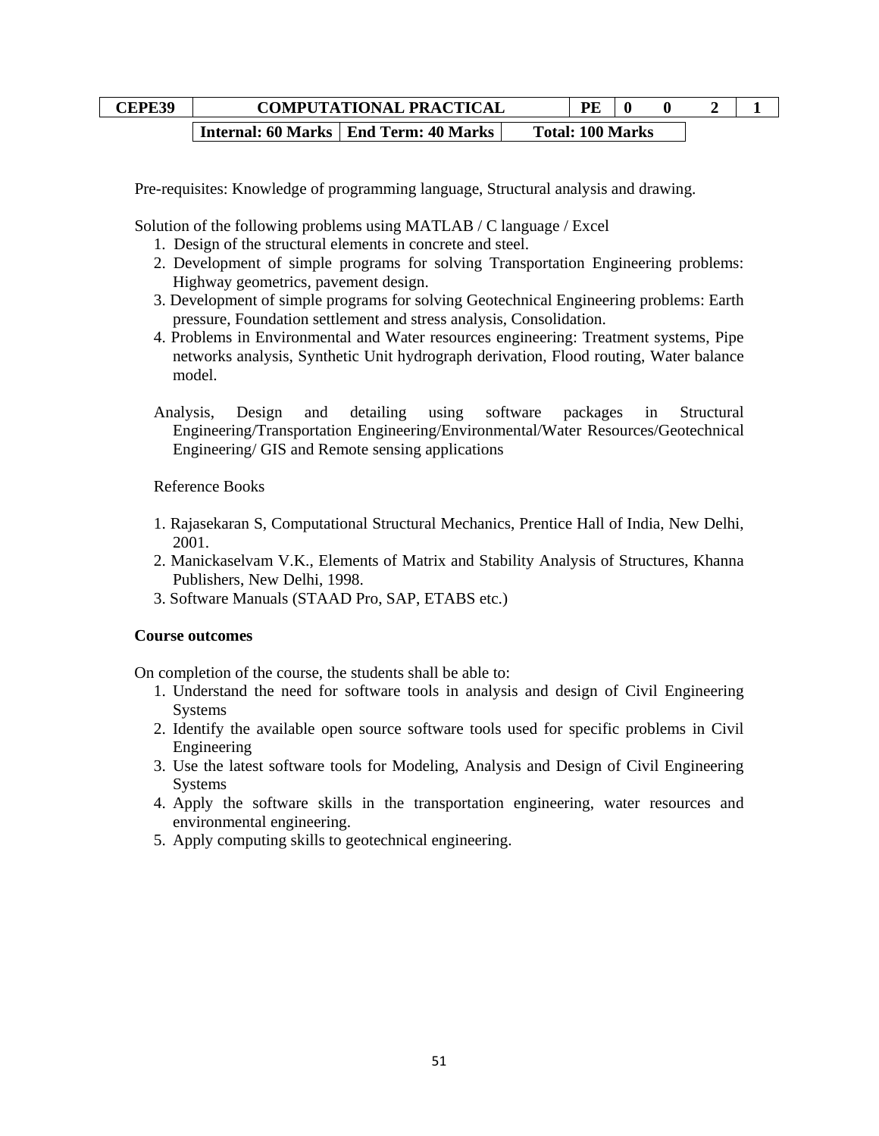# **CEPE39** COMPUTATIONAL PRACTICAL PE 0 0 2 1 **Internal: 60 Marks | End Term: 40 Marks | Total: 100 Marks**

Pre-requisites: Knowledge of programming language, Structural analysis and drawing.

Solution of the following problems using MATLAB / C language / Excel

- 1. Design of the structural elements in concrete and steel.
- 2. Development of simple programs for solving Transportation Engineering problems: Highway geometrics, pavement design.
- 3. Development of simple programs for solving Geotechnical Engineering problems: Earth pressure, Foundation settlement and stress analysis, Consolidation.
- 4. Problems in Environmental and Water resources engineering: Treatment systems, Pipe networks analysis, Synthetic Unit hydrograph derivation, Flood routing, Water balance model.
- Analysis, Design and detailing using software packages in Structural Engineering/Transportation Engineering/Environmental/Water Resources/Geotechnical Engineering/ GIS and Remote sensing applications

Reference Books

- 1. Rajasekaran S, Computational Structural Mechanics, Prentice Hall of India, New Delhi, 2001.
- 2. Manickaselvam V.K., Elements of Matrix and Stability Analysis of Structures, Khanna Publishers, New Delhi, 1998.
- 3. Software Manuals (STAAD Pro, SAP, ETABS etc.)

#### **Course outcomes**

On completion of the course, the students shall be able to:

- 1. Understand the need for software tools in analysis and design of Civil Engineering Systems
- 2. Identify the available open source software tools used for specific problems in Civil Engineering
- 3. Use the latest software tools for Modeling, Analysis and Design of Civil Engineering Systems
- 4. Apply the software skills in the transportation engineering, water resources and environmental engineering.
- 5. Apply computing skills to geotechnical engineering.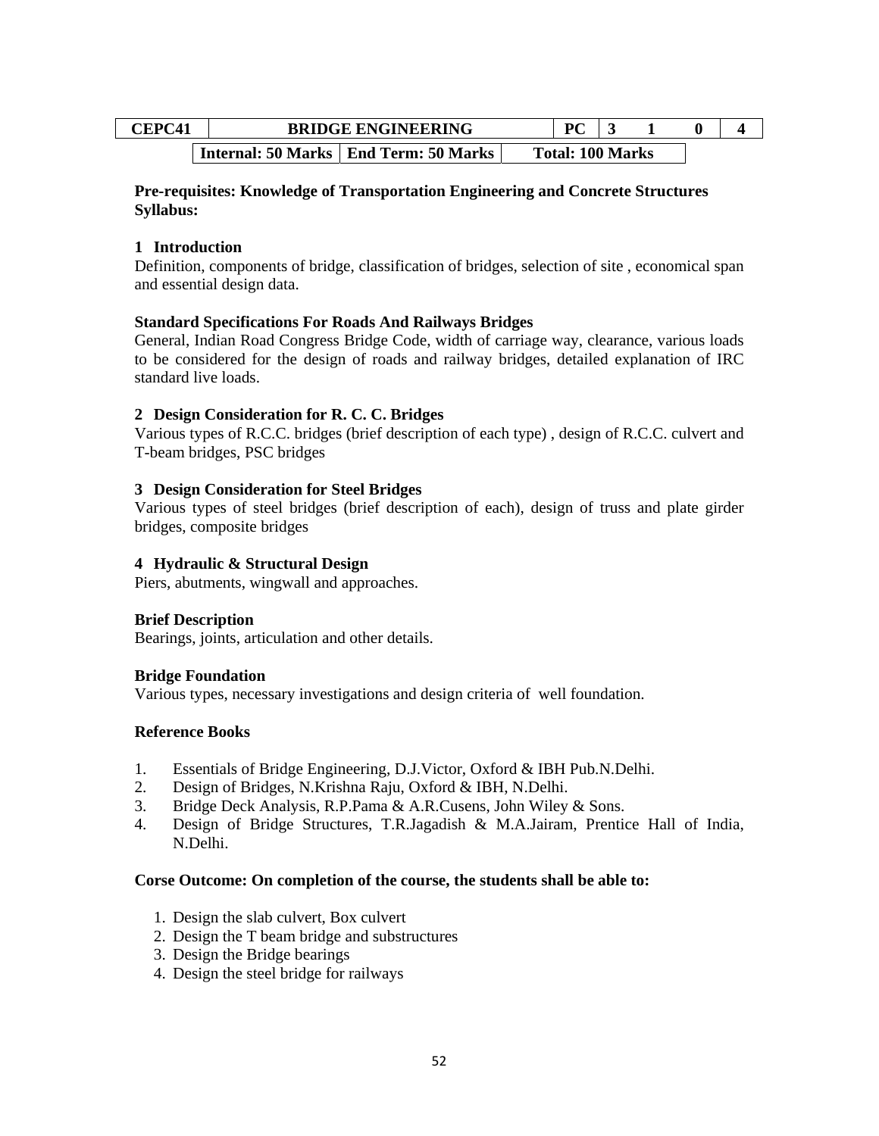| <b>CEPC41</b> | <b>BRIDGE ENGINEERING</b>               | $\mathbf{p}$            |  |  |  |
|---------------|-----------------------------------------|-------------------------|--|--|--|
|               | Internal: 50 Marks   End Term: 50 Marks | <b>Total: 100 Marks</b> |  |  |  |

#### **Pre-requisites: Knowledge of Transportation Engineering and Concrete Structures Syllabus:**

## **1 Introduction**

Definition, components of bridge, classification of bridges, selection of site , economical span and essential design data.

#### **Standard Specifications For Roads And Railways Bridges**

General, Indian Road Congress Bridge Code, width of carriage way, clearance, various loads to be considered for the design of roads and railway bridges, detailed explanation of IRC standard live loads.

## **2 Design Consideration for R. C. C. Bridges**

Various types of R.C.C. bridges (brief description of each type) , design of R.C.C. culvert and T-beam bridges, PSC bridges

## **3 Design Consideration for Steel Bridges**

Various types of steel bridges (brief description of each), design of truss and plate girder bridges, composite bridges

#### **4 Hydraulic & Structural Design**

Piers, abutments, wingwall and approaches.

#### **Brief Description**

Bearings, joints, articulation and other details.

#### **Bridge Foundation**

Various types, necessary investigations and design criteria of well foundation.

#### **Reference Books**

- 1. Essentials of Bridge Engineering, D.J.Victor, Oxford & IBH Pub.N.Delhi.
- 2. Design of Bridges, N.Krishna Raju, Oxford & IBH, N.Delhi.
- 3. Bridge Deck Analysis, R.P.Pama & A.R.Cusens, John Wiley & Sons.
- 4. Design of Bridge Structures, T.R.Jagadish & M.A.Jairam, Prentice Hall of India, N.Delhi.

#### **Corse Outcome: On completion of the course, the students shall be able to:**

- 1. Design the slab culvert, Box culvert
- 2. Design the T beam bridge and substructures
- 3. Design the Bridge bearings
- 4. Design the steel bridge for railways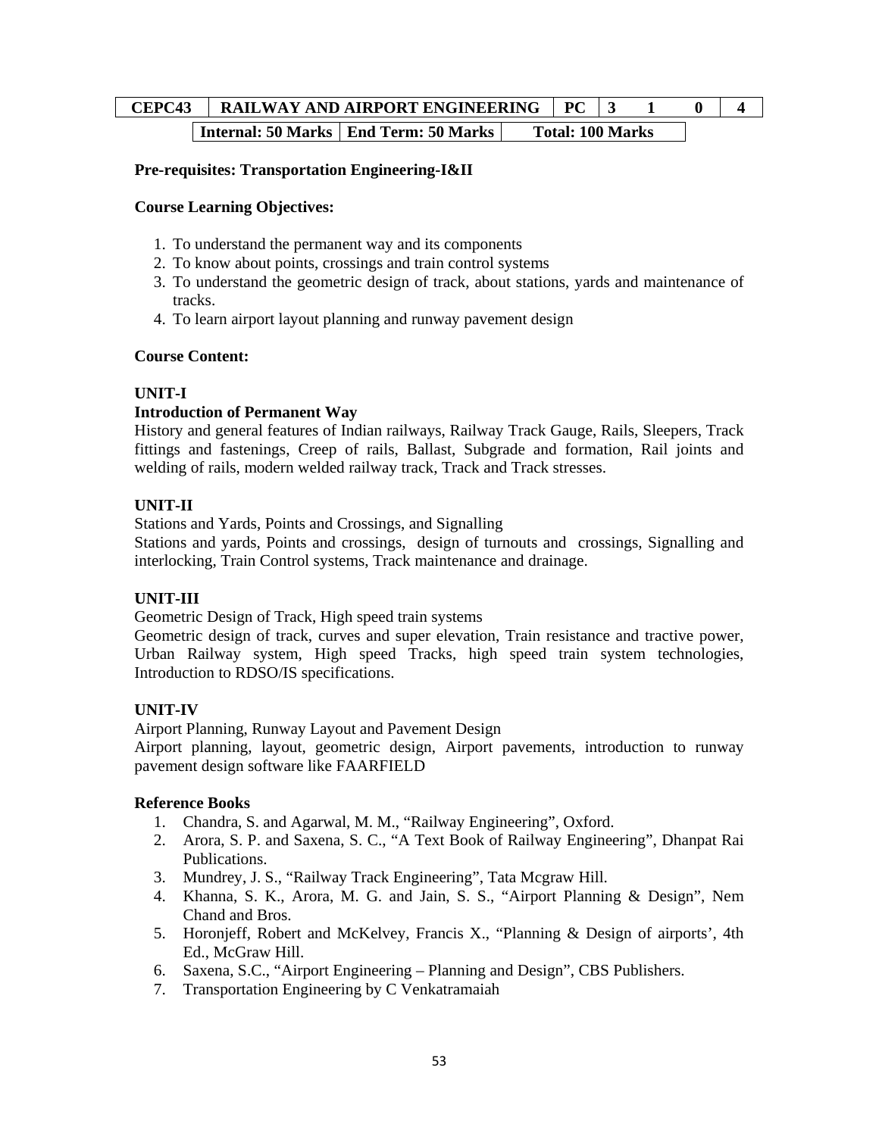# **CEPC43** RAILWAY AND AIRPORT ENGINEERING PC 3 1 0 4 **Internal: 50 Marks | End Term: 50 Marks | Total: 100 Marks**

## **Pre-requisites: Transportation Engineering-I&II**

#### **Course Learning Objectives:**

- 1. To understand the permanent way and its components
- 2. To know about points, crossings and train control systems
- 3. To understand the geometric design of track, about stations, yards and maintenance of tracks.
- 4. To learn airport layout planning and runway pavement design

#### **Course Content:**

## **UNIT-I**

## **Introduction of Permanent Way**

History and general features of Indian railways, Railway Track Gauge, Rails, Sleepers, Track fittings and fastenings, Creep of rails, Ballast, Subgrade and formation, Rail joints and welding of rails, modern welded railway track, Track and Track stresses.

## **UNIT-II**

Stations and Yards, Points and Crossings, and Signalling

Stations and yards, Points and crossings, design of turnouts and crossings, Signalling and interlocking, Train Control systems, Track maintenance and drainage.

#### **UNIT-III**

Geometric Design of Track, High speed train systems

Geometric design of track, curves and super elevation, Train resistance and tractive power, Urban Railway system, High speed Tracks, high speed train system technologies, Introduction to RDSO/IS specifications.

## **UNIT-IV**

Airport Planning, Runway Layout and Pavement Design

Airport planning, layout, geometric design, Airport pavements, introduction to runway pavement design software like FAARFIELD

## **Reference Books**

- 1. Chandra, S. and Agarwal, M. M., "Railway Engineering", Oxford.
- 2. Arora, S. P. and Saxena, S. C., "A Text Book of Railway Engineering", Dhanpat Rai Publications.
- 3. Mundrey, J. S., "Railway Track Engineering", Tata Mcgraw Hill.
- 4. Khanna, S. K., Arora, M. G. and Jain, S. S., "Airport Planning & Design", Nem Chand and Bros.
- 5. Horonjeff, Robert and McKelvey, Francis X., "Planning & Design of airports', 4th Ed., McGraw Hill.
- 6. Saxena, S.C., "Airport Engineering Planning and Design", CBS Publishers.
- 7. Transportation Engineering by C Venkatramaiah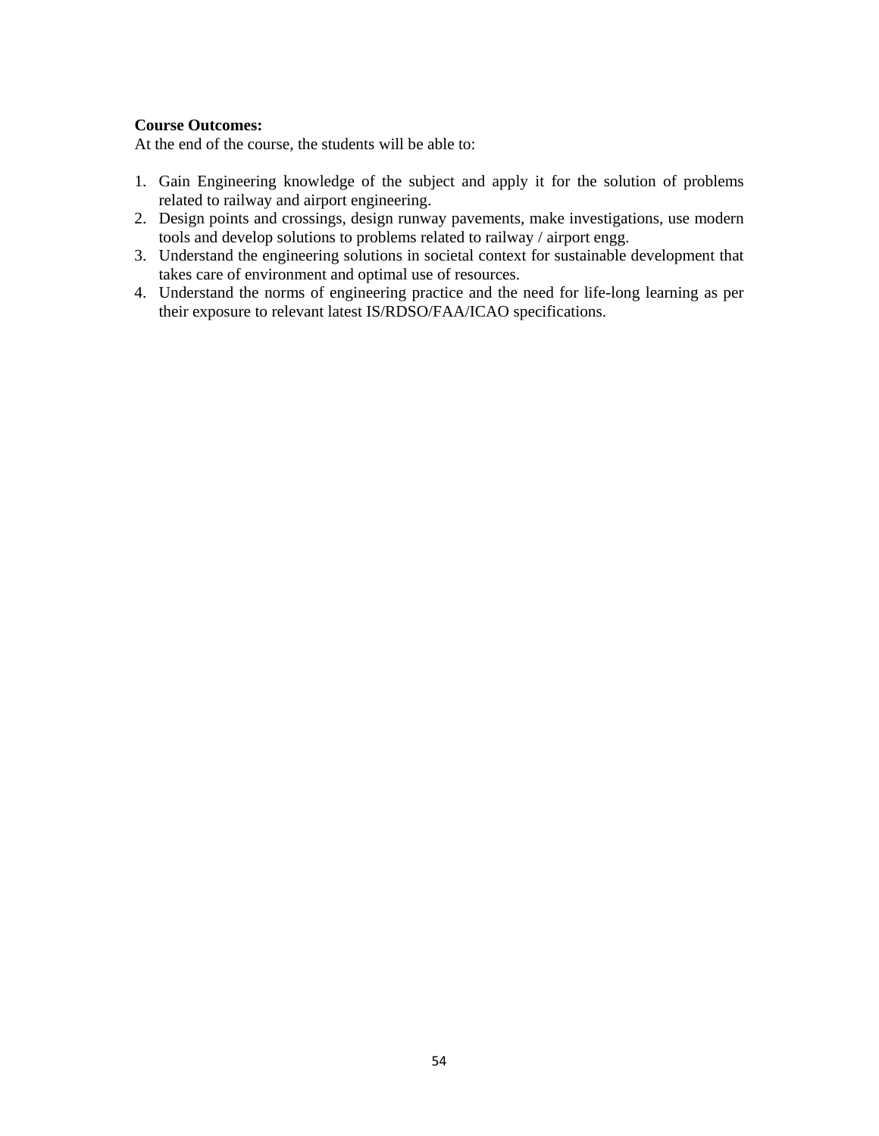#### **Course Outcomes:**

At the end of the course, the students will be able to:

- 1. Gain Engineering knowledge of the subject and apply it for the solution of problems related to railway and airport engineering.
- 2. Design points and crossings, design runway pavements, make investigations, use modern tools and develop solutions to problems related to railway / airport engg.
- 3. Understand the engineering solutions in societal context for sustainable development that takes care of environment and optimal use of resources.
- 4. Understand the norms of engineering practice and the need for life-long learning as per their exposure to relevant latest IS/RDSO/FAA/ICAO specifications.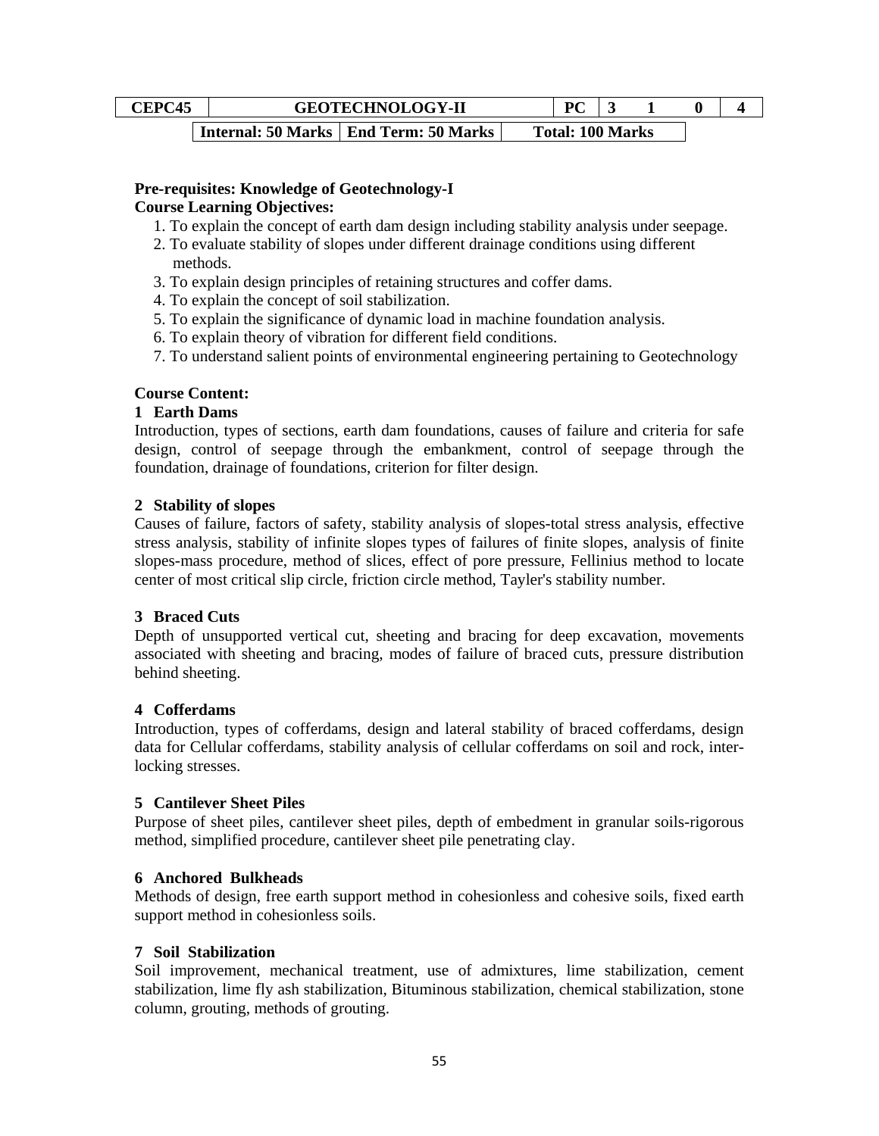| ~EPC45 | <b>GEOTECHNOLOGY-II</b>                          |                         |  |  |  |
|--------|--------------------------------------------------|-------------------------|--|--|--|
|        | <b>Internal: 50 Marks   End Term: 50 Marks  </b> | <b>Total: 100 Marks</b> |  |  |  |

#### **Pre-requisites: Knowledge of Geotechnology-I Course Learning Objectives:**

- 1. To explain the concept of earth dam design including stability analysis under seepage.
- 2. To evaluate stability of slopes under different drainage conditions using different methods.
- 3. To explain design principles of retaining structures and coffer dams.
- 4. To explain the concept of soil stabilization.
- 5. To explain the significance of dynamic load in machine foundation analysis.
- 6. To explain theory of vibration for different field conditions.
- 7. To understand salient points of environmental engineering pertaining to Geotechnology

#### **Course Content:**

## **1 Earth Dams**

Introduction, types of sections, earth dam foundations, causes of failure and criteria for safe design, control of seepage through the embankment, control of seepage through the foundation, drainage of foundations, criterion for filter design.

#### **2 Stability of slopes**

Causes of failure, factors of safety, stability analysis of slopes-total stress analysis, effective stress analysis, stability of infinite slopes types of failures of finite slopes, analysis of finite slopes-mass procedure, method of slices, effect of pore pressure, Fellinius method to locate center of most critical slip circle, friction circle method, Tayler's stability number.

#### **3 Braced Cuts**

Depth of unsupported vertical cut, sheeting and bracing for deep excavation, movements associated with sheeting and bracing, modes of failure of braced cuts, pressure distribution behind sheeting.

#### **4 Cofferdams**

Introduction, types of cofferdams, design and lateral stability of braced cofferdams, design data for Cellular cofferdams, stability analysis of cellular cofferdams on soil and rock, interlocking stresses.

#### **5 Cantilever Sheet Piles**

Purpose of sheet piles, cantilever sheet piles, depth of embedment in granular soils-rigorous method, simplified procedure, cantilever sheet pile penetrating clay.

#### **6 Anchored Bulkheads**

Methods of design, free earth support method in cohesionless and cohesive soils, fixed earth support method in cohesionless soils.

#### **7 Soil Stabilization**

Soil improvement, mechanical treatment, use of admixtures, lime stabilization, cement stabilization, lime fly ash stabilization, Bituminous stabilization, chemical stabilization, stone column, grouting, methods of grouting.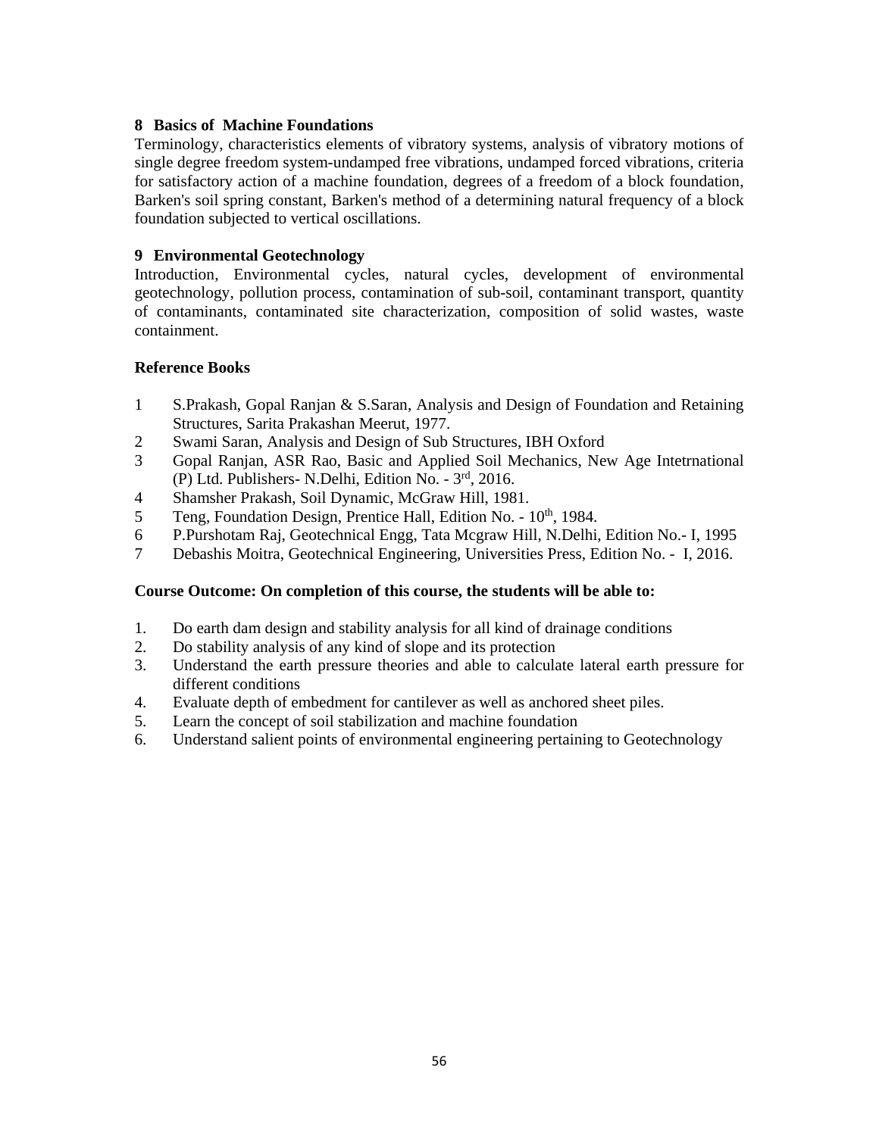#### **8 Basics of Machine Foundations**

Terminology, characteristics elements of vibratory systems, analysis of vibratory motions of single degree freedom system-undamped free vibrations, undamped forced vibrations, criteria for satisfactory action of a machine foundation, degrees of a freedom of a block foundation, Barken's soil spring constant, Barken's method of a determining natural frequency of a block foundation subjected to vertical oscillations.

## **9 Environmental Geotechnology**

Introduction, Environmental cycles, natural cycles, development of environmental geotechnology, pollution process, contamination of sub-soil, contaminant transport, quantity of contaminants, contaminated site characterization, composition of solid wastes, waste containment.

## **Reference Books**

- 1 S.Prakash, Gopal Ranjan & S.Saran, Analysis and Design of Foundation and Retaining Structures, Sarita Prakashan Meerut, 1977.
- 2 Swami Saran, Analysis and Design of Sub Structures, IBH Oxford
- 3 Gopal Ranjan, ASR Rao, Basic and Applied Soil Mechanics, New Age Intetrnational (P) Ltd. Publishers- N.Delhi, Edition No. - 3rd, 2016.
- 4 Shamsher Prakash, Soil Dynamic, McGraw Hill, 1981.
- 5 Teng, Foundation Design, Prentice Hall, Edition No.  $10<sup>th</sup>$ , 1984.
- 6 P.Purshotam Raj, Geotechnical Engg, Tata Mcgraw Hill, N.Delhi, Edition No.- I, 1995
- 7 Debashis Moitra, Geotechnical Engineering, Universities Press, Edition No. I, 2016.

#### **Course Outcome: On completion of this course, the students will be able to:**

- 1. Do earth dam design and stability analysis for all kind of drainage conditions
- 2. Do stability analysis of any kind of slope and its protection
- 3. Understand the earth pressure theories and able to calculate lateral earth pressure for different conditions
- 4. Evaluate depth of embedment for cantilever as well as anchored sheet piles.
- 5. Learn the concept of soil stabilization and machine foundation
- 6. Understand salient points of environmental engineering pertaining to Geotechnology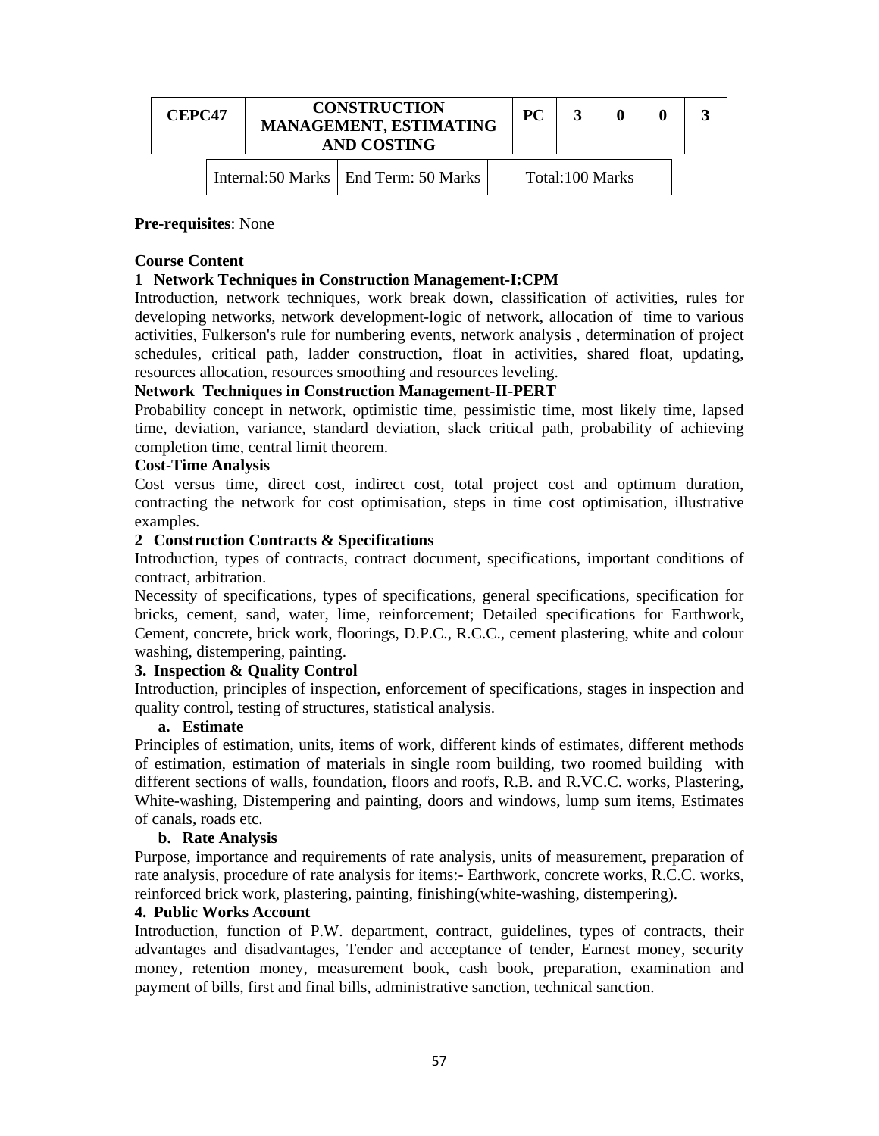| <b>CEPC47</b> |  | <b>CONSTRUCTION</b><br><b>MANAGEMENT, ESTIMATING</b><br><b>AND COSTING</b> | <b>PC</b> |                 |  |  |  |
|---------------|--|----------------------------------------------------------------------------|-----------|-----------------|--|--|--|
|               |  | Internal:50 Marks   End Term: 50 Marks                                     |           | Total:100 Marks |  |  |  |

#### **Pre-requisites**: None

#### **Course Content**

#### **1 Network Techniques in Construction Management-I:CPM**

Introduction, network techniques, work break down, classification of activities, rules for developing networks, network development-logic of network, allocation of time to various activities, Fulkerson's rule for numbering events, network analysis , determination of project schedules, critical path, ladder construction, float in activities, shared float, updating, resources allocation, resources smoothing and resources leveling.

#### **Network Techniques in Construction Management-II-PERT**

Probability concept in network, optimistic time, pessimistic time, most likely time, lapsed time, deviation, variance, standard deviation, slack critical path, probability of achieving completion time, central limit theorem.

#### **Cost-Time Analysis**

Cost versus time, direct cost, indirect cost, total project cost and optimum duration, contracting the network for cost optimisation, steps in time cost optimisation, illustrative examples.

#### **2 Construction Contracts & Specifications**

Introduction, types of contracts, contract document, specifications, important conditions of contract, arbitration.

Necessity of specifications, types of specifications, general specifications, specification for bricks, cement, sand, water, lime, reinforcement; Detailed specifications for Earthwork, Cement, concrete, brick work, floorings, D.P.C., R.C.C., cement plastering, white and colour washing, distempering, painting.

#### **3. Inspection & Quality Control**

Introduction, principles of inspection, enforcement of specifications, stages in inspection and quality control, testing of structures, statistical analysis.

#### **a. Estimate**

Principles of estimation, units, items of work, different kinds of estimates, different methods of estimation, estimation of materials in single room building, two roomed building with different sections of walls, foundation, floors and roofs, R.B. and R.VC.C. works, Plastering, White-washing, Distempering and painting, doors and windows, lump sum items, Estimates of canals, roads etc.

#### **b. Rate Analysis**

Purpose, importance and requirements of rate analysis, units of measurement, preparation of rate analysis, procedure of rate analysis for items:- Earthwork, concrete works, R.C.C. works, reinforced brick work, plastering, painting, finishing(white-washing, distempering).

#### **4. Public Works Account**

Introduction, function of P.W. department, contract, guidelines, types of contracts, their advantages and disadvantages, Tender and acceptance of tender, Earnest money, security money, retention money, measurement book, cash book, preparation, examination and payment of bills, first and final bills, administrative sanction, technical sanction.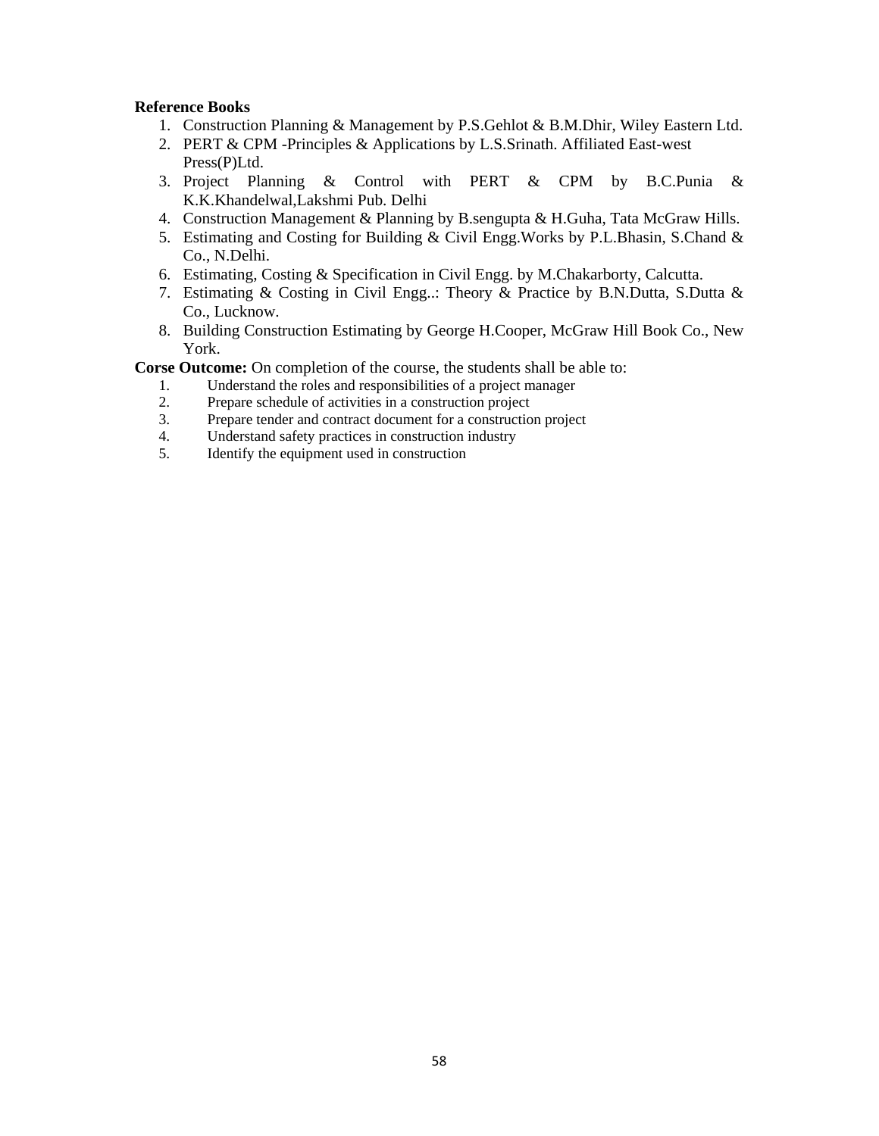### **Reference Books**

- 1. Construction Planning & Management by P.S.Gehlot & B.M.Dhir, Wiley Eastern Ltd.
- 2. PERT & CPM -Principles & Applications by L.S.Srinath. Affiliated East-west Press(P)Ltd.
- 3. Project Planning & Control with PERT & CPM by B.C.Punia & K.K.Khandelwal,Lakshmi Pub. Delhi
- 4. Construction Management & Planning by B.sengupta & H.Guha, Tata McGraw Hills.
- 5. Estimating and Costing for Building & Civil Engg.Works by P.L.Bhasin, S.Chand & Co., N.Delhi.
- 6. Estimating, Costing & Specification in Civil Engg. by M.Chakarborty, Calcutta.
- 7. Estimating & Costing in Civil Engg..: Theory & Practice by B.N.Dutta, S.Dutta & Co., Lucknow.
- 8. Building Construction Estimating by George H.Cooper, McGraw Hill Book Co., New York.

**Corse Outcome:** On completion of the course, the students shall be able to:

- 1. Understand the roles and responsibilities of a project manager
- 2. Prepare schedule of activities in a construction project<br>3. Prepare tender and contract document for a construction
- 3. Prepare tender and contract document for a construction project
- 4. Understand safety practices in construction industry<br>5. Identify the equipment used in construction
- 5. Identify the equipment used in construction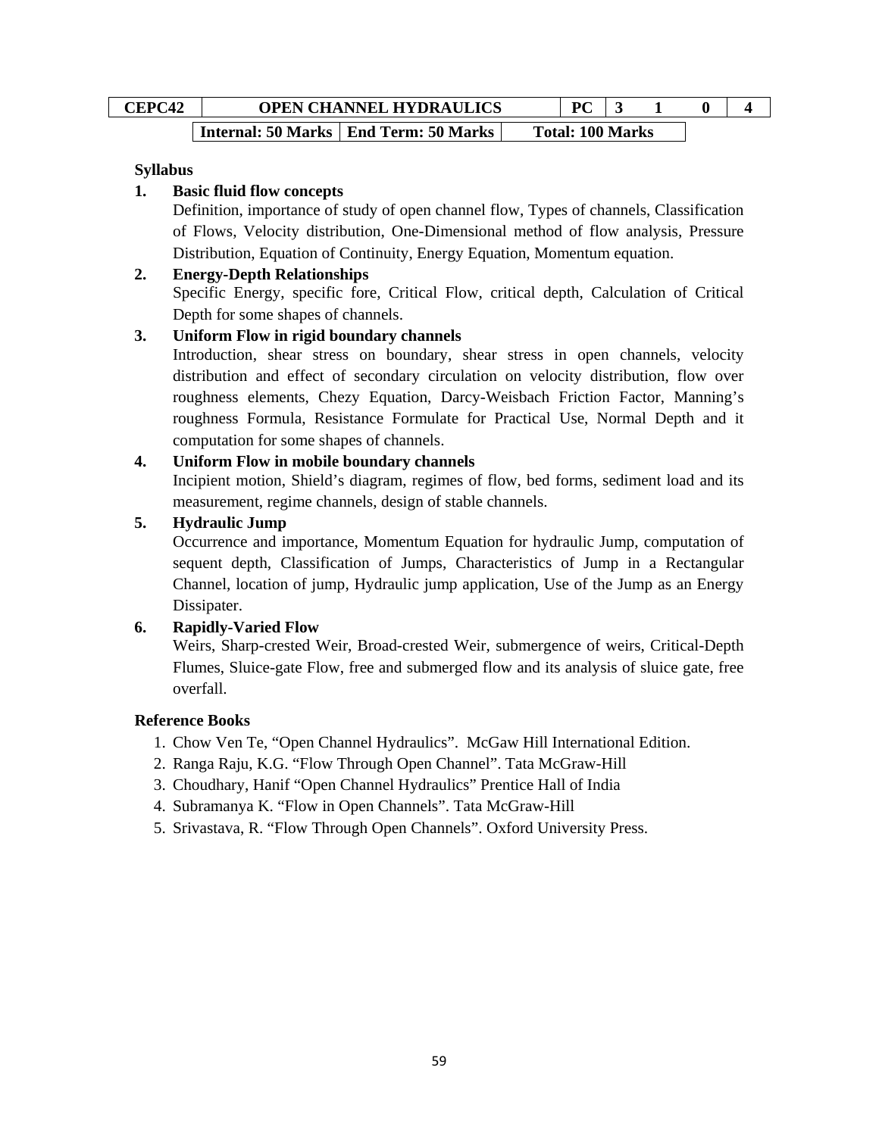| <b>CEPC42</b> | <b>OPEN CHANNEL HYDRAULICS</b>          | $\mathbf{p} \mathbf{C}$ |  |  |
|---------------|-----------------------------------------|-------------------------|--|--|
|               | Internal: 50 Marks   End Term: 50 Marks | <b>Total: 100 Marks</b> |  |  |

## **Syllabus**

## **1. Basic fluid flow concepts**

Definition, importance of study of open channel flow, Types of channels, Classification of Flows, Velocity distribution, One-Dimensional method of flow analysis, Pressure Distribution, Equation of Continuity, Energy Equation, Momentum equation.

## **2. Energy-Depth Relationships**

Specific Energy, specific fore, Critical Flow, critical depth, Calculation of Critical Depth for some shapes of channels.

## **3. Uniform Flow in rigid boundary channels**

Introduction, shear stress on boundary, shear stress in open channels, velocity distribution and effect of secondary circulation on velocity distribution, flow over roughness elements, Chezy Equation, Darcy-Weisbach Friction Factor, Manning's roughness Formula, Resistance Formulate for Practical Use, Normal Depth and it computation for some shapes of channels.

## **4. Uniform Flow in mobile boundary channels**

Incipient motion, Shield's diagram, regimes of flow, bed forms, sediment load and its measurement, regime channels, design of stable channels.

## **5. Hydraulic Jump**

Occurrence and importance, Momentum Equation for hydraulic Jump, computation of sequent depth, Classification of Jumps, Characteristics of Jump in a Rectangular Channel, location of jump, Hydraulic jump application, Use of the Jump as an Energy Dissipater.

## **6. Rapidly-Varied Flow**

Weirs, Sharp-crested Weir, Broad-crested Weir, submergence of weirs, Critical-Depth Flumes, Sluice-gate Flow, free and submerged flow and its analysis of sluice gate, free overfall.

## **Reference Books**

- 1. Chow Ven Te, "Open Channel Hydraulics". McGaw Hill International Edition.
- 2. Ranga Raju, K.G. "Flow Through Open Channel". Tata McGraw-Hill
- 3. Choudhary, Hanif "Open Channel Hydraulics" Prentice Hall of India
- 4. Subramanya K. "Flow in Open Channels". Tata McGraw-Hill
- 5. Srivastava, R. "Flow Through Open Channels". Oxford University Press.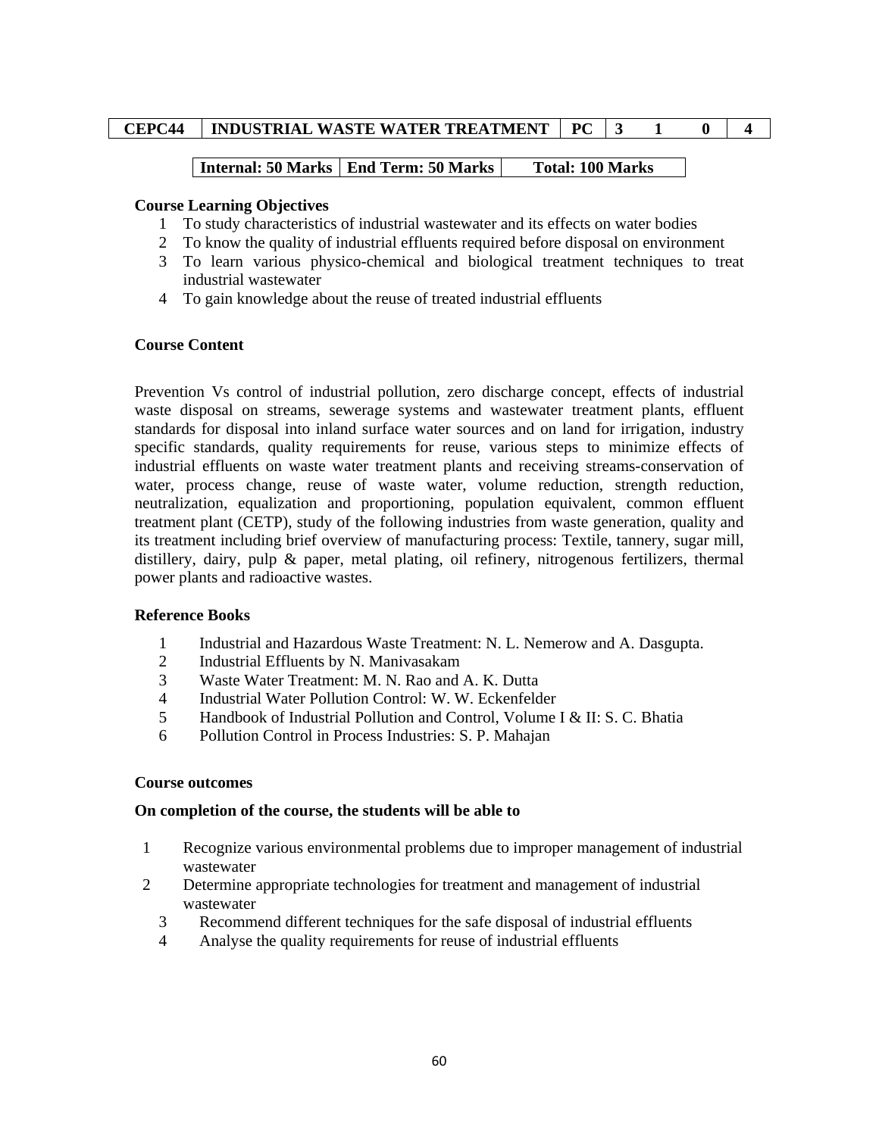## **Internal: 50 Marks | End Term: 50 Marks | Total: 100 Marks**

#### **Course Learning Objectives**

- 1 To study characteristics of industrial wastewater and its effects on water bodies
- 2 To know the quality of industrial effluents required before disposal on environment
- 3 To learn various physico-chemical and biological treatment techniques to treat industrial wastewater
- 4 To gain knowledge about the reuse of treated industrial effluents

#### **Course Content**

Prevention Vs control of industrial pollution, zero discharge concept, effects of industrial waste disposal on streams, sewerage systems and wastewater treatment plants, effluent standards for disposal into inland surface water sources and on land for irrigation, industry specific standards, quality requirements for reuse, various steps to minimize effects of industrial effluents on waste water treatment plants and receiving streams-conservation of water, process change, reuse of waste water, volume reduction, strength reduction, neutralization, equalization and proportioning, population equivalent, common effluent treatment plant (CETP), study of the following industries from waste generation, quality and its treatment including brief overview of manufacturing process: Textile, tannery, sugar mill, distillery, dairy, pulp & paper, metal plating, oil refinery, nitrogenous fertilizers, thermal power plants and radioactive wastes.

## **Reference Books**

- 1 Industrial and Hazardous Waste Treatment: N. L. Nemerow and A. Dasgupta.
- 2 Industrial Effluents by N. Manivasakam
- 3 Waste Water Treatment: M. N. Rao and A. K. Dutta
- 4 Industrial Water Pollution Control: W. W. Eckenfelder
- 5 Handbook of Industrial Pollution and Control, Volume I & II: S. C. Bhatia
- 6 Pollution Control in Process Industries: S. P. Mahajan

#### **Course outcomes**

#### **On completion of the course, the students will be able to**

- 1 Recognize various environmental problems due to improper management of industrial wastewater
- 2 Determine appropriate technologies for treatment and management of industrial wastewater
	- 3 Recommend different techniques for the safe disposal of industrial effluents
	- 4 Analyse the quality requirements for reuse of industrial effluents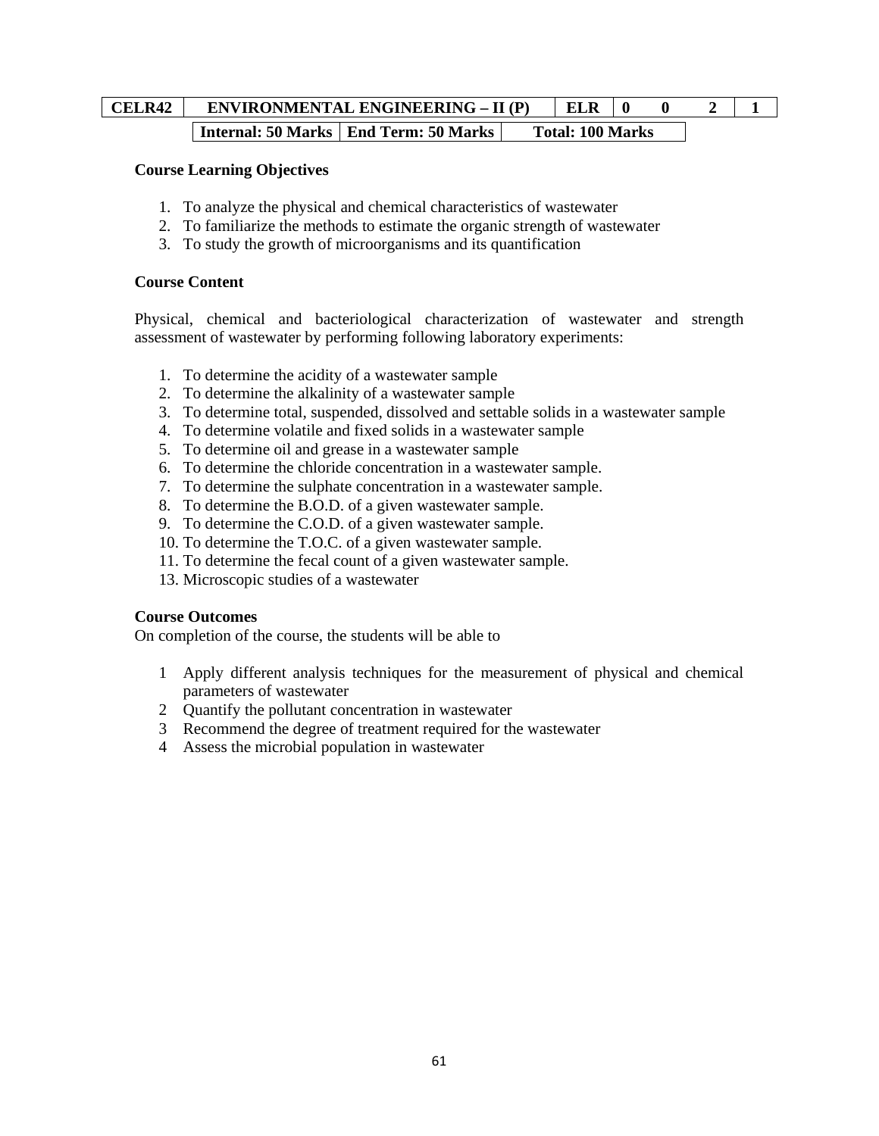# **CELR42** ENVIRONMENTAL ENGINEERING – II (P) ELR 0 0 2 1 **Internal: 50 Marks | End Term: 50 Marks | Total: 100 Marks**

#### **Course Learning Objectives**

- 1. To analyze the physical and chemical characteristics of wastewater
- 2. To familiarize the methods to estimate the organic strength of wastewater
- 3. To study the growth of microorganisms and its quantification

#### **Course Content**

Physical, chemical and bacteriological characterization of wastewater and strength assessment of wastewater by performing following laboratory experiments:

- 1. To determine the acidity of a wastewater sample
- 2. To determine the alkalinity of a wastewater sample
- 3. To determine total, suspended, dissolved and settable solids in a wastewater sample
- 4. To determine volatile and fixed solids in a wastewater sample
- 5. To determine oil and grease in a wastewater sample
- 6. To determine the chloride concentration in a wastewater sample.
- 7. To determine the sulphate concentration in a wastewater sample.
- 8. To determine the B.O.D. of a given wastewater sample.
- 9. To determine the C.O.D. of a given wastewater sample.
- 10. To determine the T.O.C. of a given wastewater sample.
- 11. To determine the fecal count of a given wastewater sample.
- 13. Microscopic studies of a wastewater

## **Course Outcomes**

On completion of the course, the students will be able to

- 1 Apply different analysis techniques for the measurement of physical and chemical parameters of wastewater
- 2 Quantify the pollutant concentration in wastewater
- 3 Recommend the degree of treatment required for the wastewater
- 4 Assess the microbial population in wastewater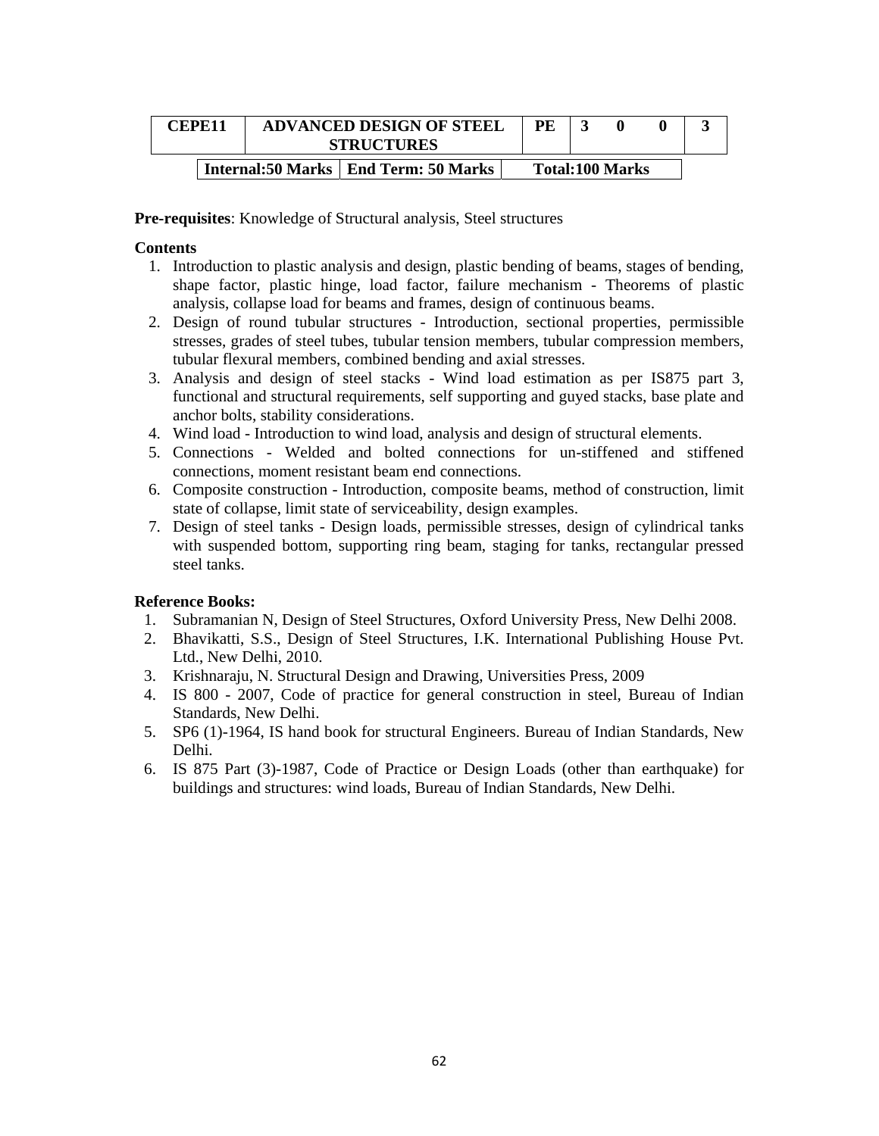| CEPE11 | <b>ADVANCED DESIGN OF STEEL</b><br><b>STRUCTURES</b> |  |  |                        |  |
|--------|------------------------------------------------------|--|--|------------------------|--|
|        | Internal:50 Marks   End Term: 50 Marks               |  |  | <b>Total:100 Marks</b> |  |

**Pre-requisites**: Knowledge of Structural analysis, Steel structures

#### **Contents**

- 1. Introduction to plastic analysis and design, plastic bending of beams, stages of bending, shape factor, plastic hinge, load factor, failure mechanism - Theorems of plastic analysis, collapse load for beams and frames, design of continuous beams.
- 2. Design of round tubular structures Introduction, sectional properties, permissible stresses, grades of steel tubes, tubular tension members, tubular compression members, tubular flexural members, combined bending and axial stresses.
- 3. Analysis and design of steel stacks Wind load estimation as per IS875 part 3, functional and structural requirements, self supporting and guyed stacks, base plate and anchor bolts, stability considerations.
- 4. Wind load Introduction to wind load, analysis and design of structural elements.
- 5. Connections Welded and bolted connections for un-stiffened and stiffened connections, moment resistant beam end connections.
- 6. Composite construction Introduction, composite beams, method of construction, limit state of collapse, limit state of serviceability, design examples.
- 7. Design of steel tanks Design loads, permissible stresses, design of cylindrical tanks with suspended bottom, supporting ring beam, staging for tanks, rectangular pressed steel tanks.

#### **Reference Books:**

- 1. Subramanian N, Design of Steel Structures, Oxford University Press, New Delhi 2008.
- 2. Bhavikatti, S.S., Design of Steel Structures, I.K. International Publishing House Pvt. Ltd., New Delhi, 2010.
- 3. Krishnaraju, N. Structural Design and Drawing, Universities Press, 2009
- 4. IS 800 2007, Code of practice for general construction in steel, Bureau of Indian Standards, New Delhi.
- 5. SP6 (1)-1964, IS hand book for structural Engineers. Bureau of Indian Standards, New Delhi.
- 6. IS 875 Part (3)-1987, Code of Practice or Design Loads (other than earthquake) for buildings and structures: wind loads, Bureau of Indian Standards, New Delhi.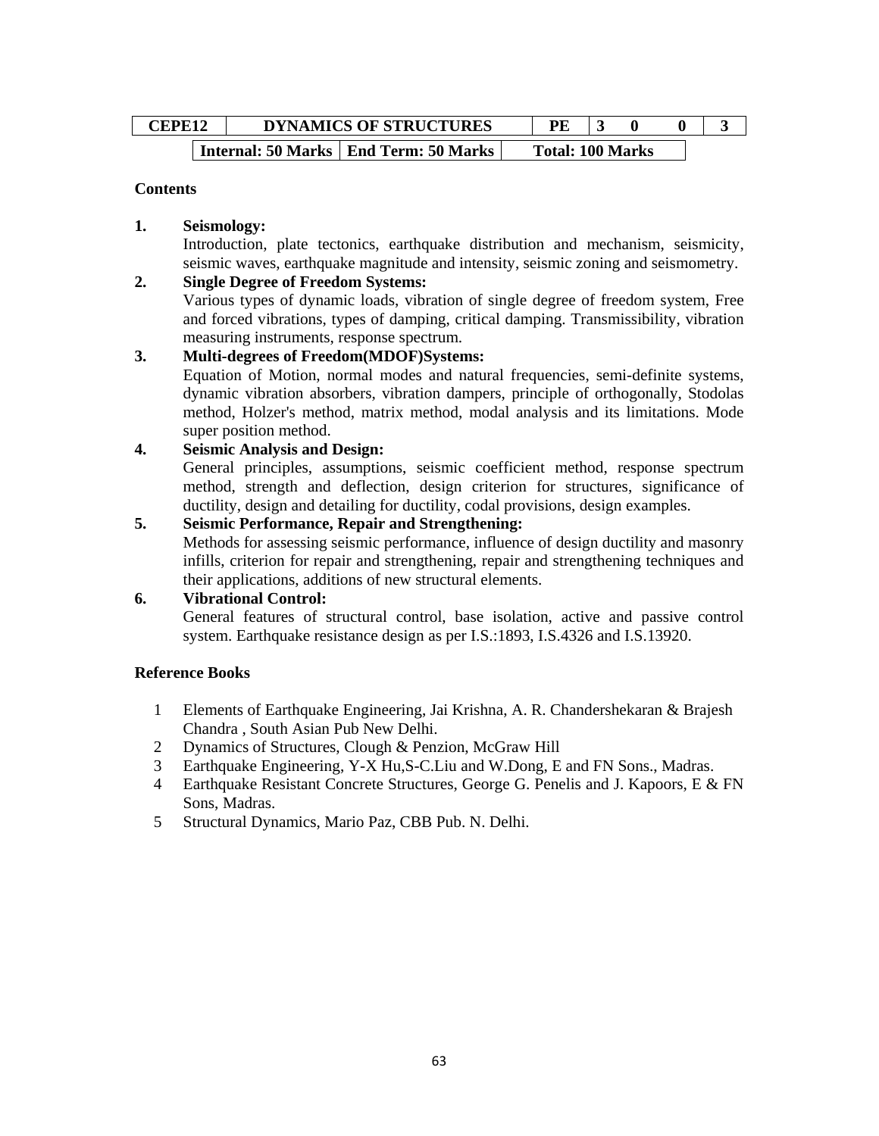| <b>CEPE12</b> | <b>DYNAMICS OF STRUCTURES</b> |                                         |  |                         |  |  |
|---------------|-------------------------------|-----------------------------------------|--|-------------------------|--|--|
|               |                               | Internal: 50 Marks   End Term: 50 Marks |  | <b>Total: 100 Marks</b> |  |  |

#### **Contents**

## **1. Seismology:**

Introduction, plate tectonics, earthquake distribution and mechanism, seismicity, seismic waves, earthquake magnitude and intensity, seismic zoning and seismometry.

## **2. Single Degree of Freedom Systems:**

Various types of dynamic loads, vibration of single degree of freedom system, Free and forced vibrations, types of damping, critical damping. Transmissibility, vibration measuring instruments, response spectrum.

## **3. Multi-degrees of Freedom(MDOF)Systems:**

Equation of Motion, normal modes and natural frequencies, semi-definite systems, dynamic vibration absorbers, vibration dampers, principle of orthogonally, Stodolas method, Holzer's method, matrix method, modal analysis and its limitations. Mode super position method.

## **4. Seismic Analysis and Design:**

General principles, assumptions, seismic coefficient method, response spectrum method, strength and deflection, design criterion for structures, significance of ductility, design and detailing for ductility, codal provisions, design examples.

## **5. Seismic Performance, Repair and Strengthening:**

Methods for assessing seismic performance, influence of design ductility and masonry infills, criterion for repair and strengthening, repair and strengthening techniques and their applications, additions of new structural elements.

#### **6. Vibrational Control:**

General features of structural control, base isolation, active and passive control system. Earthquake resistance design as per I.S.:1893, I.S.4326 and I.S.13920.

#### **Reference Books**

- 1 Elements of Earthquake Engineering, Jai Krishna, A. R. Chandershekaran & Brajesh Chandra , South Asian Pub New Delhi.
- 2 Dynamics of Structures, Clough & Penzion, McGraw Hill
- 3 Earthquake Engineering, Y-X Hu,S-C.Liu and W.Dong, E and FN Sons., Madras.
- 4 Earthquake Resistant Concrete Structures, George G. Penelis and J. Kapoors, E & FN Sons, Madras.
- 5 Structural Dynamics, Mario Paz, CBB Pub. N. Delhi.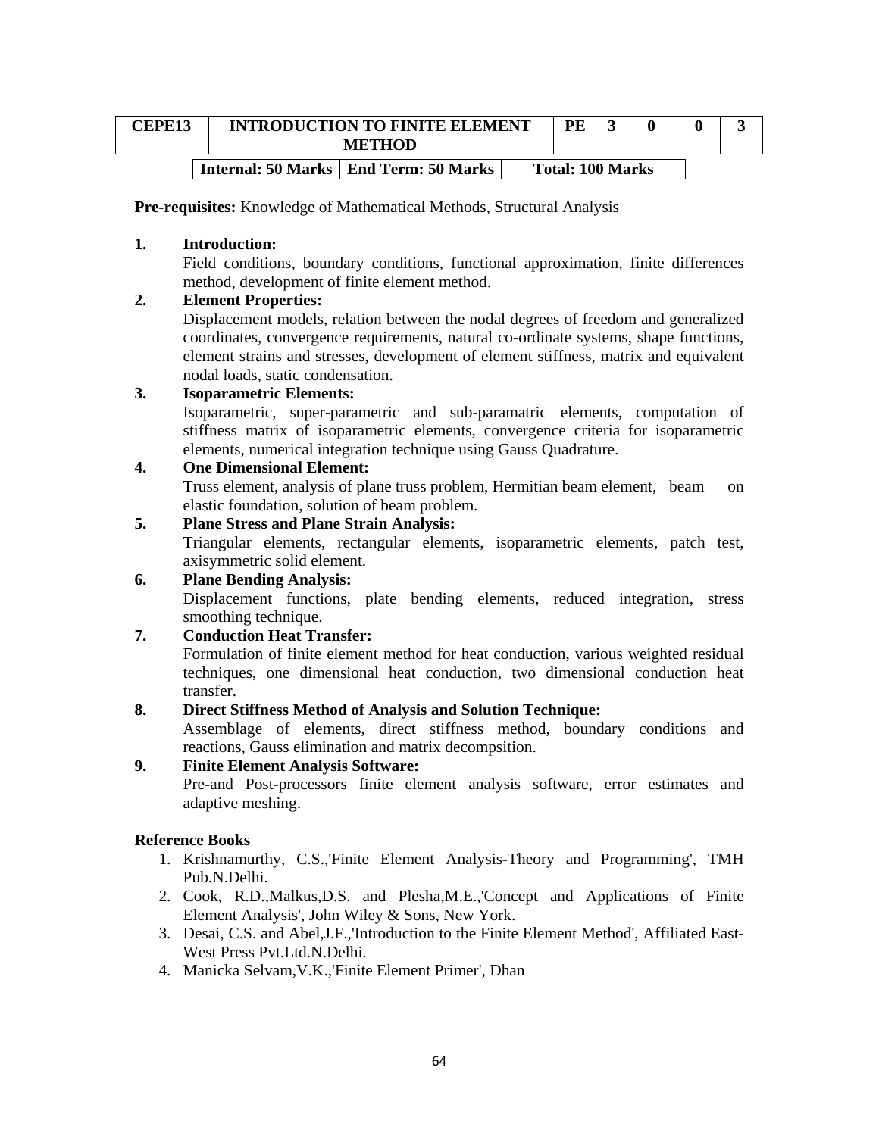| <b>CEPE13</b> | <b>INTRODUCTION TO FINITE ELEMENT</b><br><b>METHOD</b> | PE                      |  |  |
|---------------|--------------------------------------------------------|-------------------------|--|--|
|               | Internal: 50 Marks   End Term: 50 Marks                | <b>Total: 100 Marks</b> |  |  |

**Pre-requisites:** Knowledge of Mathematical Methods, Structural Analysis

## **1. Introduction:**

Field conditions, boundary conditions, functional approximation, finite differences method, development of finite element method.

## **2. Element Properties:**

Displacement models, relation between the nodal degrees of freedom and generalized coordinates, convergence requirements, natural co-ordinate systems, shape functions, element strains and stresses, development of element stiffness, matrix and equivalent nodal loads, static condensation.

## **3. Isoparametric Elements:**

Isoparametric, super-parametric and sub-paramatric elements, computation of stiffness matrix of isoparametric elements, convergence criteria for isoparametric elements, numerical integration technique using Gauss Quadrature.

## **4. One Dimensional Element:**

Truss element, analysis of plane truss problem, Hermitian beam element, beam on elastic foundation, solution of beam problem.

## **5. Plane Stress and Plane Strain Analysis:**

Triangular elements, rectangular elements, isoparametric elements, patch test, axisymmetric solid element.

## **6. Plane Bending Analysis:**

Displacement functions, plate bending elements, reduced integration, stress smoothing technique.

## **7. Conduction Heat Transfer:**

Formulation of finite element method for heat conduction, various weighted residual techniques, one dimensional heat conduction, two dimensional conduction heat transfer.

## **8. Direct Stiffness Method of Analysis and Solution Technique:**

Assemblage of elements, direct stiffness method, boundary conditions and reactions, Gauss elimination and matrix decompsition.

# **9. Finite Element Analysis Software:**

Pre-and Post-processors finite element analysis software, error estimates and adaptive meshing.

## **Reference Books**

- 1. Krishnamurthy, C.S.,'Finite Element Analysis-Theory and Programming', TMH Pub.N.Delhi.
- 2. Cook, R.D.,Malkus,D.S. and Plesha,M.E.,'Concept and Applications of Finite Element Analysis', John Wiley & Sons, New York.
- 3. Desai, C.S. and Abel,J.F.,'Introduction to the Finite Element Method', Affiliated East-West Press Pvt.Ltd.N.Delhi.
- 4. Manicka Selvam,V.K.,'Finite Element Primer', Dhan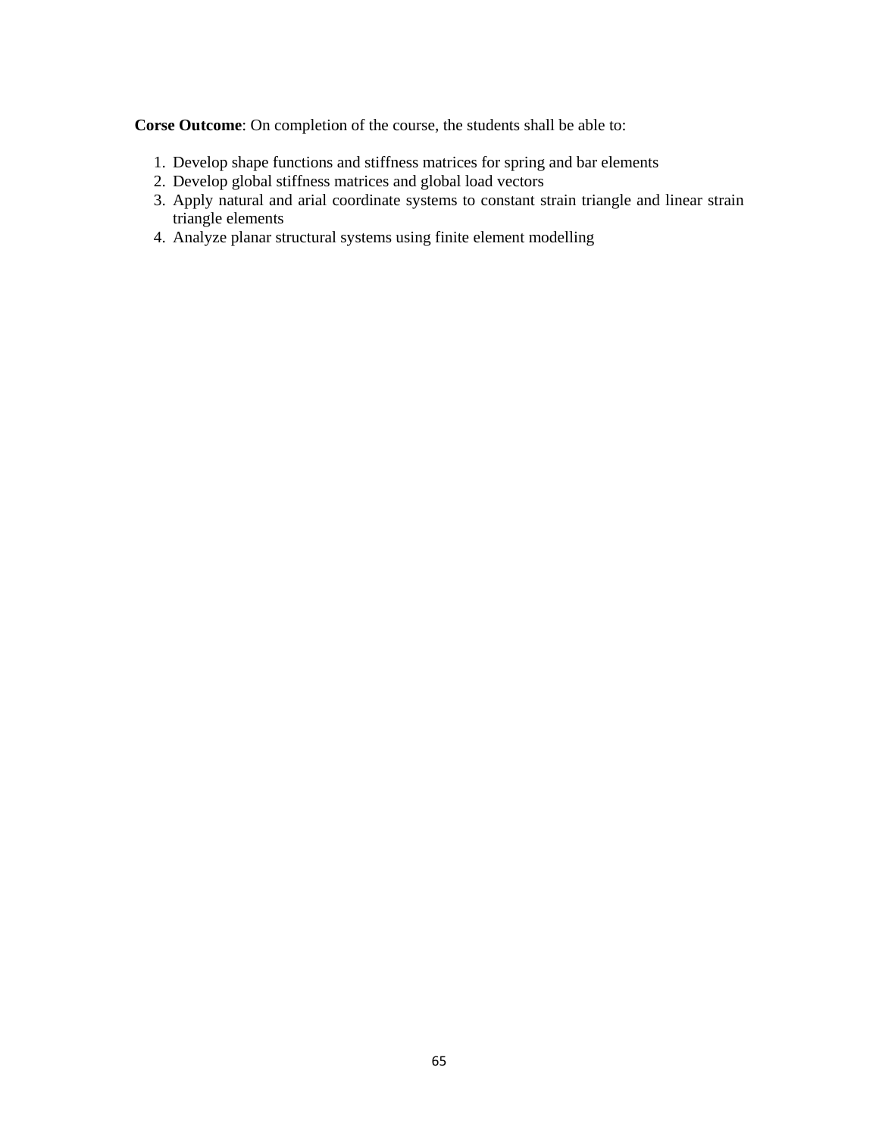**Corse Outcome**: On completion of the course, the students shall be able to:

- 1. Develop shape functions and stiffness matrices for spring and bar elements
- 2. Develop global stiffness matrices and global load vectors
- 3. Apply natural and arial coordinate systems to constant strain triangle and linear strain triangle elements
- 4. Analyze planar structural systems using finite element modelling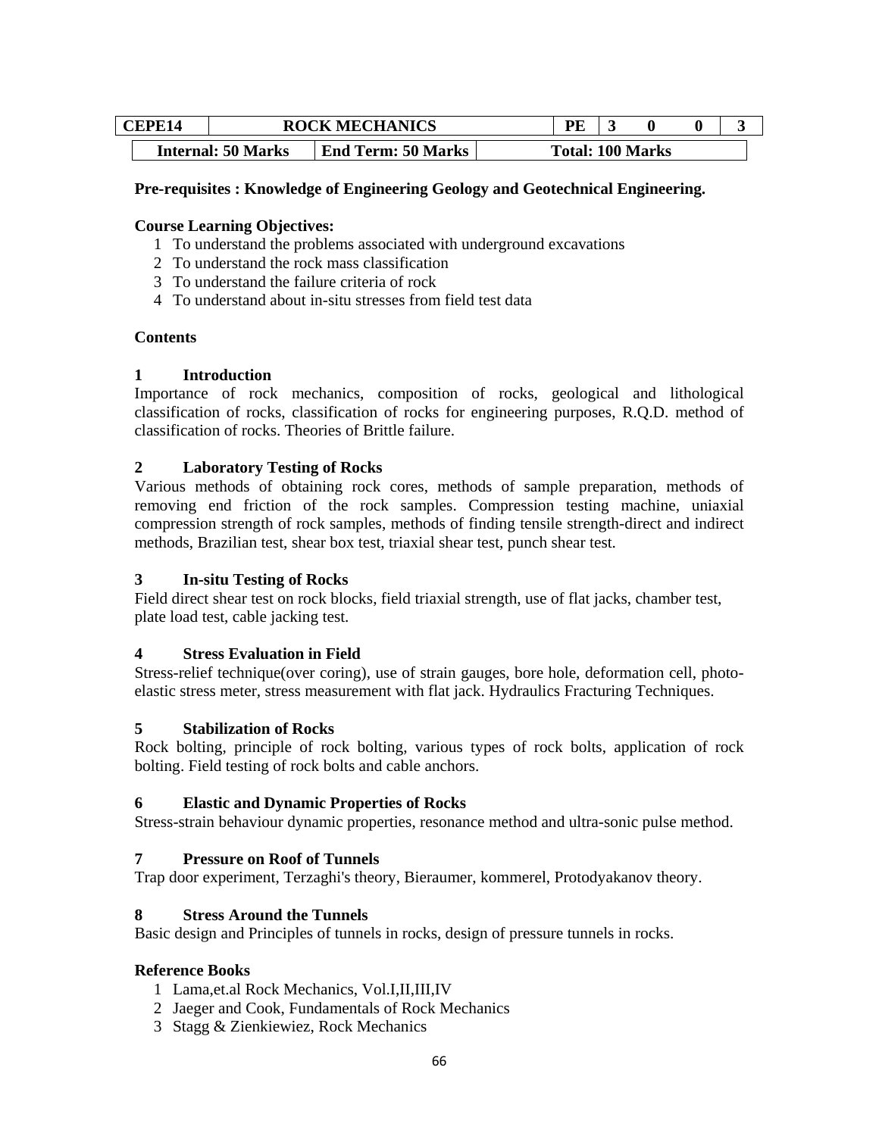| CEPE14 |  |                           | <b>ROCK MECHANICS</b>     | PE |                         |  |  |
|--------|--|---------------------------|---------------------------|----|-------------------------|--|--|
|        |  | <b>Internal: 50 Marks</b> | <b>End Term: 50 Marks</b> |    | <b>Total: 100 Marks</b> |  |  |

## **Pre-requisites : Knowledge of Engineering Geology and Geotechnical Engineering.**

## **Course Learning Objectives:**

- 1 To understand the problems associated with underground excavations
- 2 To understand the rock mass classification
- 3 To understand the failure criteria of rock
- 4 To understand about in-situ stresses from field test data

#### **Contents**

#### **1 Introduction**

Importance of rock mechanics, composition of rocks, geological and lithological classification of rocks, classification of rocks for engineering purposes, R.Q.D. method of classification of rocks. Theories of Brittle failure.

#### **2 Laboratory Testing of Rocks**

Various methods of obtaining rock cores, methods of sample preparation, methods of removing end friction of the rock samples. Compression testing machine, uniaxial compression strength of rock samples, methods of finding tensile strength-direct and indirect methods, Brazilian test, shear box test, triaxial shear test, punch shear test.

#### **3 In-situ Testing of Rocks**

Field direct shear test on rock blocks, field triaxial strength, use of flat jacks, chamber test, plate load test, cable jacking test.

#### **4 Stress Evaluation in Field**

Stress-relief technique(over coring), use of strain gauges, bore hole, deformation cell, photoelastic stress meter, stress measurement with flat jack. Hydraulics Fracturing Techniques.

#### **5 Stabilization of Rocks**

Rock bolting, principle of rock bolting, various types of rock bolts, application of rock bolting. Field testing of rock bolts and cable anchors.

#### **6 Elastic and Dynamic Properties of Rocks**

Stress-strain behaviour dynamic properties, resonance method and ultra-sonic pulse method.

#### **7 Pressure on Roof of Tunnels**

Trap door experiment, Terzaghi's theory, Bieraumer, kommerel, Protodyakanov theory.

#### **8 Stress Around the Tunnels**

Basic design and Principles of tunnels in rocks, design of pressure tunnels in rocks.

#### **Reference Books**

- 1 Lama,et.al Rock Mechanics, Vol.I,II,III,IV
- 2 Jaeger and Cook, Fundamentals of Rock Mechanics
- 3 Stagg & Zienkiewiez, Rock Mechanics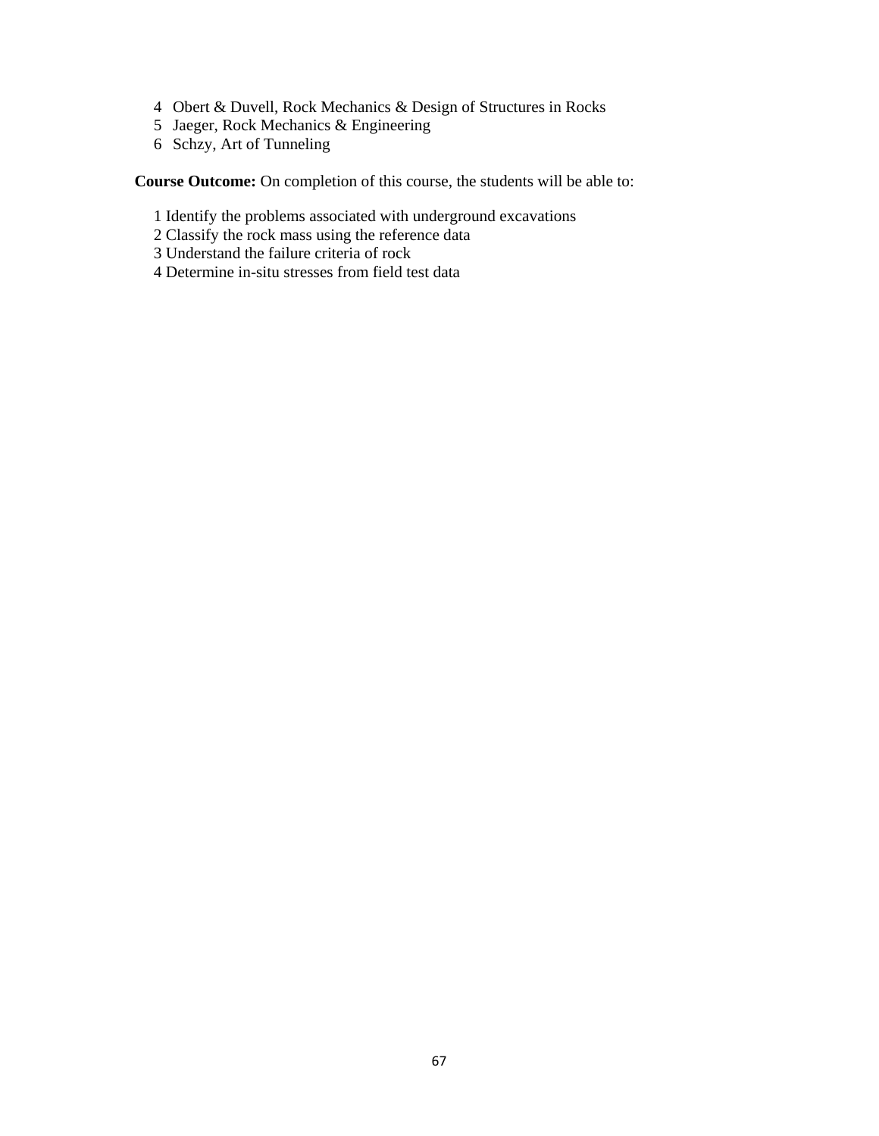- 4 Obert & Duvell, Rock Mechanics & Design of Structures in Rocks
- 5 Jaeger, Rock Mechanics & Engineering
- 6 Schzy, Art of Tunneling

**Course Outcome:** On completion of this course, the students will be able to:

- 1 Identify the problems associated with underground excavations
- 2 Classify the rock mass using the reference data
- 3 Understand the failure criteria of rock
- 4 Determine in-situ stresses from field test data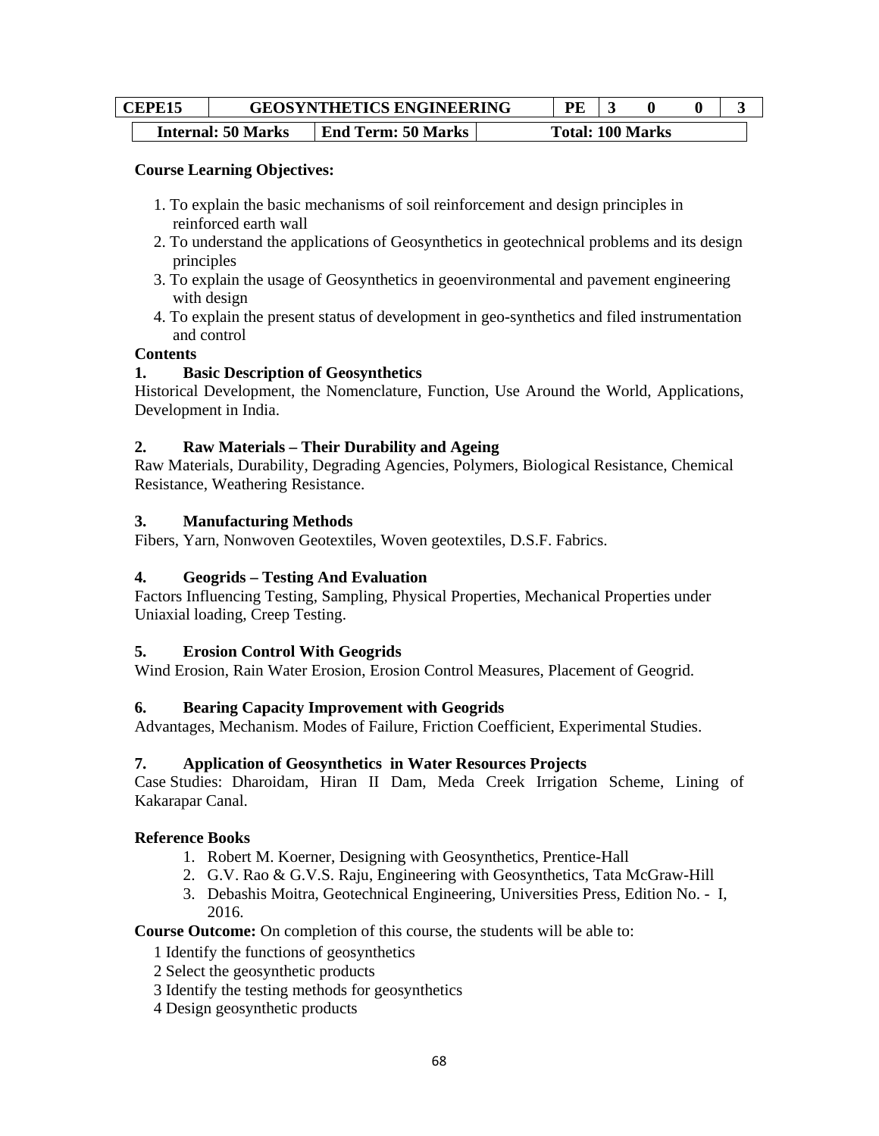| <b>GEOSYNTHETICS ENGINEERING</b><br>CEPE <sub>15</sub> |  |                           | PF.                       |  |                         |  |  |
|--------------------------------------------------------|--|---------------------------|---------------------------|--|-------------------------|--|--|
|                                                        |  | <b>Internal: 50 Marks</b> | <b>End Term: 50 Marks</b> |  | <b>Total: 100 Marks</b> |  |  |

## **Course Learning Objectives:**

- 1. To explain the basic mechanisms of soil reinforcement and design principles in reinforced earth wall
- 2. To understand the applications of Geosynthetics in geotechnical problems and its design principles
- 3. To explain the usage of Geosynthetics in geoenvironmental and pavement engineering with design
- 4. To explain the present status of development in geo-synthetics and filed instrumentation and control

## **Contents**

## **1. Basic Description of Geosynthetics**

Historical Development, the Nomenclature, Function, Use Around the World, Applications, Development in India.

## **2. Raw Materials – Their Durability and Ageing**

Raw Materials, Durability, Degrading Agencies, Polymers, Biological Resistance, Chemical Resistance, Weathering Resistance.

#### **3. Manufacturing Methods**

Fibers, Yarn, Nonwoven Geotextiles, Woven geotextiles, D.S.F. Fabrics.

## **4. Geogrids – Testing And Evaluation**

Factors Influencing Testing, Sampling, Physical Properties, Mechanical Properties under Uniaxial loading, Creep Testing.

## **5. Erosion Control With Geogrids**

Wind Erosion, Rain Water Erosion, Erosion Control Measures, Placement of Geogrid.

## **6. Bearing Capacity Improvement with Geogrids**

Advantages, Mechanism. Modes of Failure, Friction Coefficient, Experimental Studies.

## **7. Application of Geosynthetics in Water Resources Projects**

Case Studies: Dharoidam, Hiran II Dam, Meda Creek Irrigation Scheme, Lining of Kakarapar Canal.

#### **Reference Books**

- 1. Robert M. Koerner, Designing with Geosynthetics, Prentice-Hall
- 2. G.V. Rao & G.V.S. Raju, Engineering with Geosynthetics, Tata McGraw-Hill
- 3. Debashis Moitra, Geotechnical Engineering, Universities Press, Edition No. I, 2016.

**Course Outcome:** On completion of this course, the students will be able to:

- 1 Identify the functions of geosynthetics
- 2 Select the geosynthetic products
- 3 Identify the testing methods for geosynthetics
- 4 Design geosynthetic products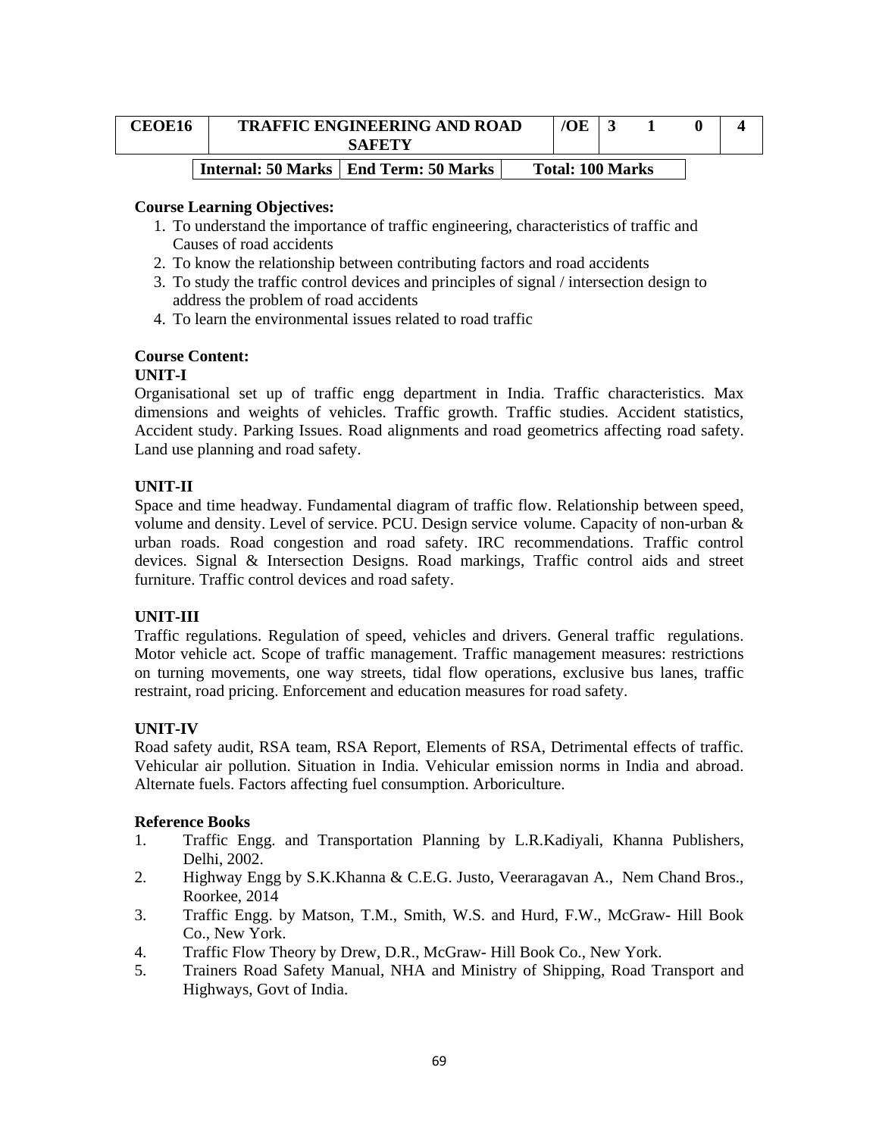| <b>CEOE16</b> | <b>TRAFFIC ENGINEERING AND ROAD</b><br><b>SAFETY</b> | /OE                     |  |  |
|---------------|------------------------------------------------------|-------------------------|--|--|
|               | Internal: 50 Marks   End Term: 50 Marks              | <b>Total: 100 Marks</b> |  |  |

#### **Course Learning Objectives:**

- 1. To understand the importance of traffic engineering, characteristics of traffic and Causes of road accidents
- 2. To know the relationship between contributing factors and road accidents
- 3. To study the traffic control devices and principles of signal / intersection design to address the problem of road accidents
- 4. To learn the environmental issues related to road traffic

## **Course Content:**

## **UNIT-I**

Organisational set up of traffic engg department in India. Traffic characteristics. Max dimensions and weights of vehicles. Traffic growth. Traffic studies. Accident statistics, Accident study. Parking Issues. Road alignments and road geometrics affecting road safety. Land use planning and road safety.

## **UNIT-II**

Space and time headway. Fundamental diagram of traffic flow. Relationship between speed, volume and density. Level of service. PCU. Design service volume. Capacity of non-urban & urban roads. Road congestion and road safety. IRC recommendations. Traffic control devices. Signal & Intersection Designs. Road markings, Traffic control aids and street furniture. Traffic control devices and road safety.

#### **UNIT-III**

Traffic regulations. Regulation of speed, vehicles and drivers. General traffic regulations. Motor vehicle act. Scope of traffic management. Traffic management measures: restrictions on turning movements, one way streets, tidal flow operations, exclusive bus lanes, traffic restraint, road pricing. Enforcement and education measures for road safety.

## **UNIT-IV**

Road safety audit, RSA team, RSA Report, Elements of RSA, Detrimental effects of traffic. Vehicular air pollution. Situation in India. Vehicular emission norms in India and abroad. Alternate fuels. Factors affecting fuel consumption. Arboriculture.

#### **Reference Books**

- 1. Traffic Engg. and Transportation Planning by L.R.Kadiyali, Khanna Publishers, Delhi, 2002.
- 2. Highway Engg by S.K.Khanna & C.E.G. Justo, Veeraragavan A., Nem Chand Bros., Roorkee, 2014
- 3. Traffic Engg. by Matson, T.M., Smith, W.S. and Hurd, F.W., McGraw- Hill Book Co., New York.
- 4. Traffic Flow Theory by Drew, D.R., McGraw- Hill Book Co., New York.
- 5. Trainers Road Safety Manual, NHA and Ministry of Shipping, Road Transport and Highways, Govt of India.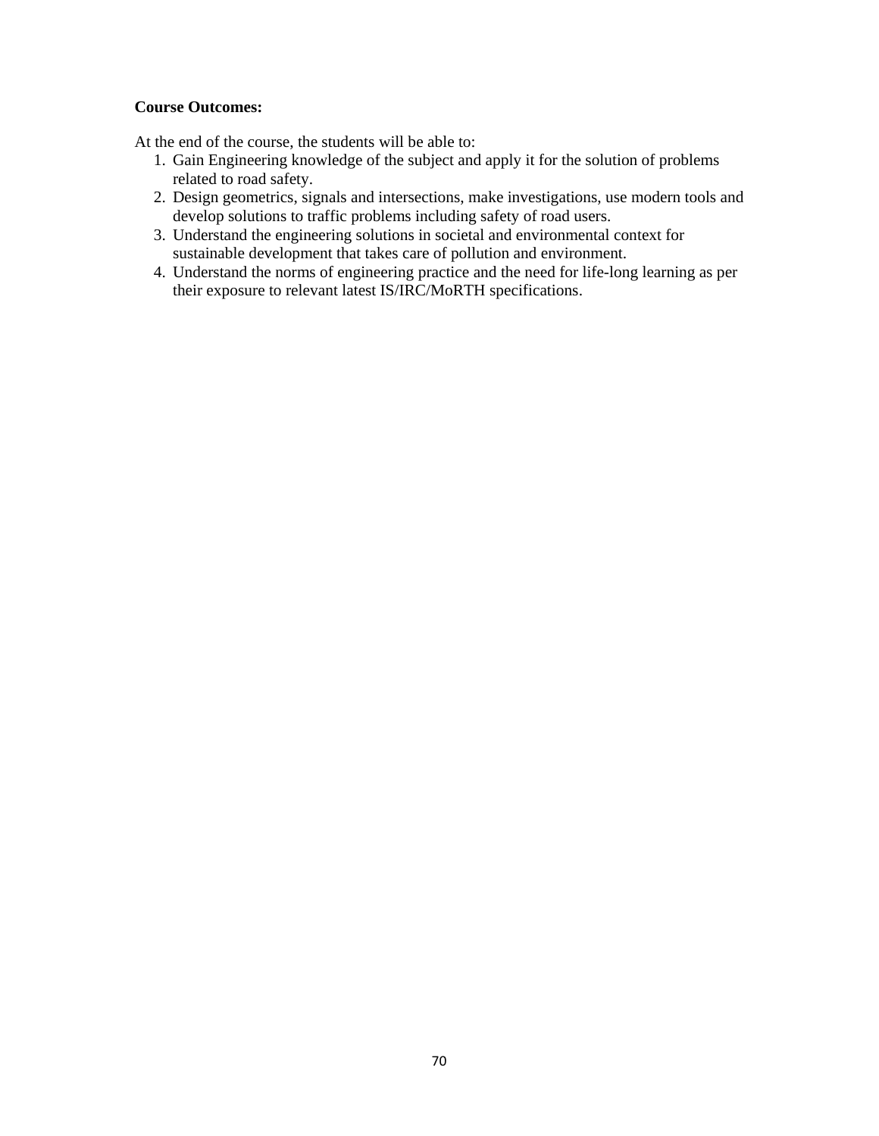## **Course Outcomes:**

At the end of the course, the students will be able to:

- 1. Gain Engineering knowledge of the subject and apply it for the solution of problems related to road safety.
- 2. Design geometrics, signals and intersections, make investigations, use modern tools and develop solutions to traffic problems including safety of road users.
- 3. Understand the engineering solutions in societal and environmental context for sustainable development that takes care of pollution and environment.
- 4. Understand the norms of engineering practice and the need for life-long learning as per their exposure to relevant latest IS/IRC/MoRTH specifications.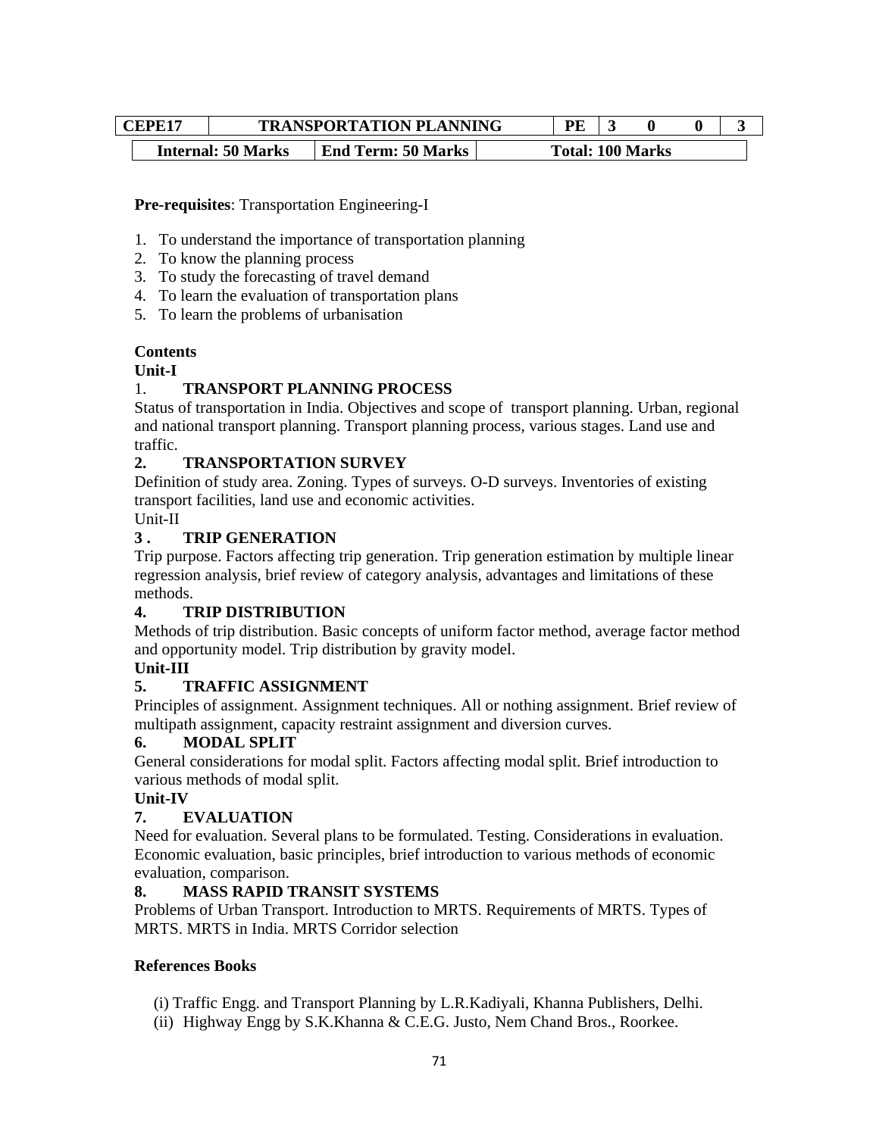| CEPE17 |  |                           | <b>TRANSPORTATION PLANNING</b> |  | PE. |                         |  |  |
|--------|--|---------------------------|--------------------------------|--|-----|-------------------------|--|--|
|        |  | <b>Internal: 50 Marks</b> | <b>End Term: 50 Marks</b>      |  |     | <b>Total: 100 Marks</b> |  |  |

## **Pre-requisites**: Transportation Engineering-I

- 1. To understand the importance of transportation planning
- 2. To know the planning process
- 3. To study the forecasting of travel demand
- 4. To learn the evaluation of transportation plans
- 5. To learn the problems of urbanisation

## **Contents**

#### **Unit-I**

## 1. **TRANSPORT PLANNING PROCESS**

Status of transportation in India. Objectives and scope of transport planning. Urban, regional and national transport planning. Transport planning process, various stages. Land use and traffic.

## **2. TRANSPORTATION SURVEY**

Definition of study area. Zoning. Types of surveys. O-D surveys. Inventories of existing transport facilities, land use and economic activities.

Unit-II

## **3 . TRIP GENERATION**

Trip purpose. Factors affecting trip generation. Trip generation estimation by multiple linear regression analysis, brief review of category analysis, advantages and limitations of these methods.

#### **4. TRIP DISTRIBUTION**

Methods of trip distribution. Basic concepts of uniform factor method, average factor method and opportunity model. Trip distribution by gravity model.

## **Unit-III**

## **5. TRAFFIC ASSIGNMENT**

Principles of assignment. Assignment techniques. All or nothing assignment. Brief review of multipath assignment, capacity restraint assignment and diversion curves.

## **6. MODAL SPLIT**

General considerations for modal split. Factors affecting modal split. Brief introduction to various methods of modal split.

## **Unit-IV**

## **7. EVALUATION**

Need for evaluation. Several plans to be formulated. Testing. Considerations in evaluation. Economic evaluation, basic principles, brief introduction to various methods of economic evaluation, comparison.

#### **8. MASS RAPID TRANSIT SYSTEMS**

Problems of Urban Transport. Introduction to MRTS. Requirements of MRTS. Types of MRTS. MRTS in India. MRTS Corridor selection.

#### **References Books**

- (i) Traffic Engg. and Transport Planning by L.R.Kadiyali, Khanna Publishers, Delhi.
- (ii) Highway Engg by S.K.Khanna & C.E.G. Justo, Nem Chand Bros., Roorkee.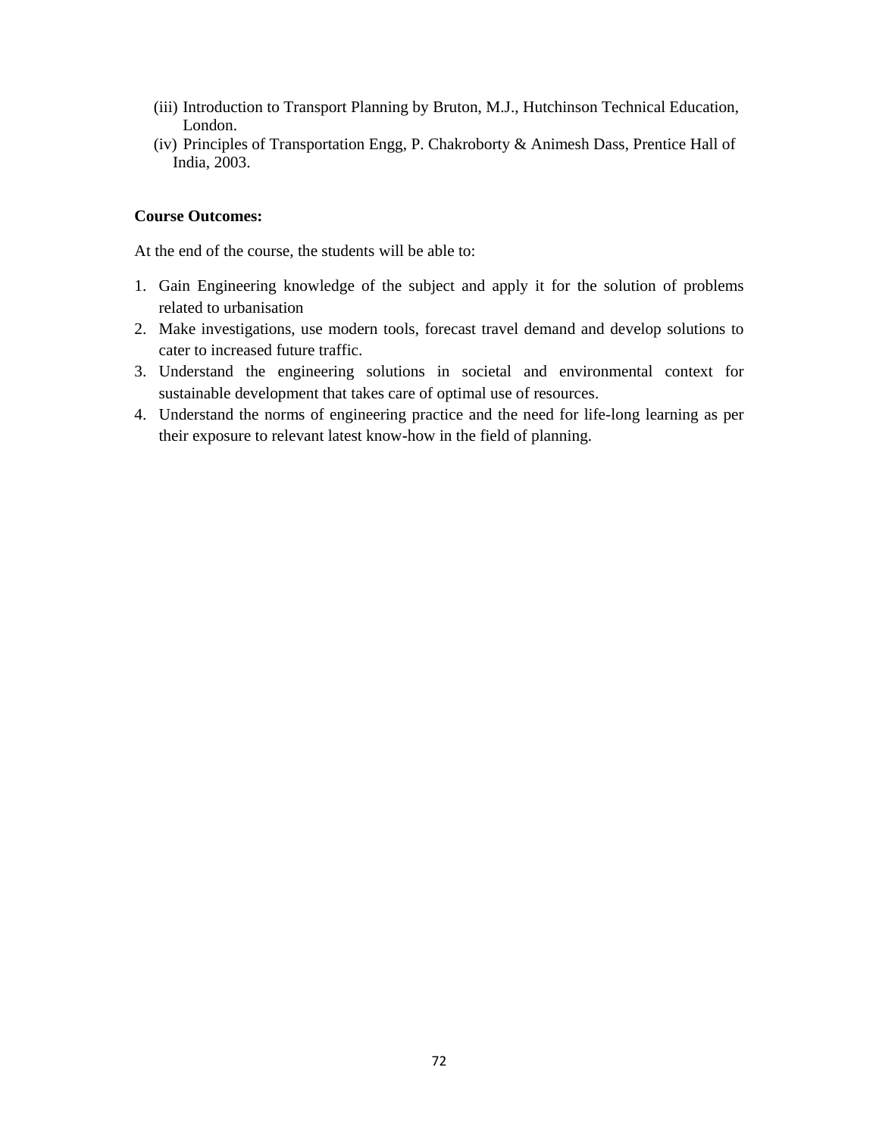- (iii) Introduction to Transport Planning by Bruton, M.J., Hutchinson Technical Education, London.
- (iv) Principles of Transportation Engg, P. Chakroborty & Animesh Dass, Prentice Hall of India, 2003.

## **Course Outcomes:**

At the end of the course, the students will be able to:

- 1. Gain Engineering knowledge of the subject and apply it for the solution of problems related to urbanisation
- 2. Make investigations, use modern tools, forecast travel demand and develop solutions to cater to increased future traffic.
- 3. Understand the engineering solutions in societal and environmental context for sustainable development that takes care of optimal use of resources.
- 4. Understand the norms of engineering practice and the need for life-long learning as per their exposure to relevant latest know-how in the field of planning.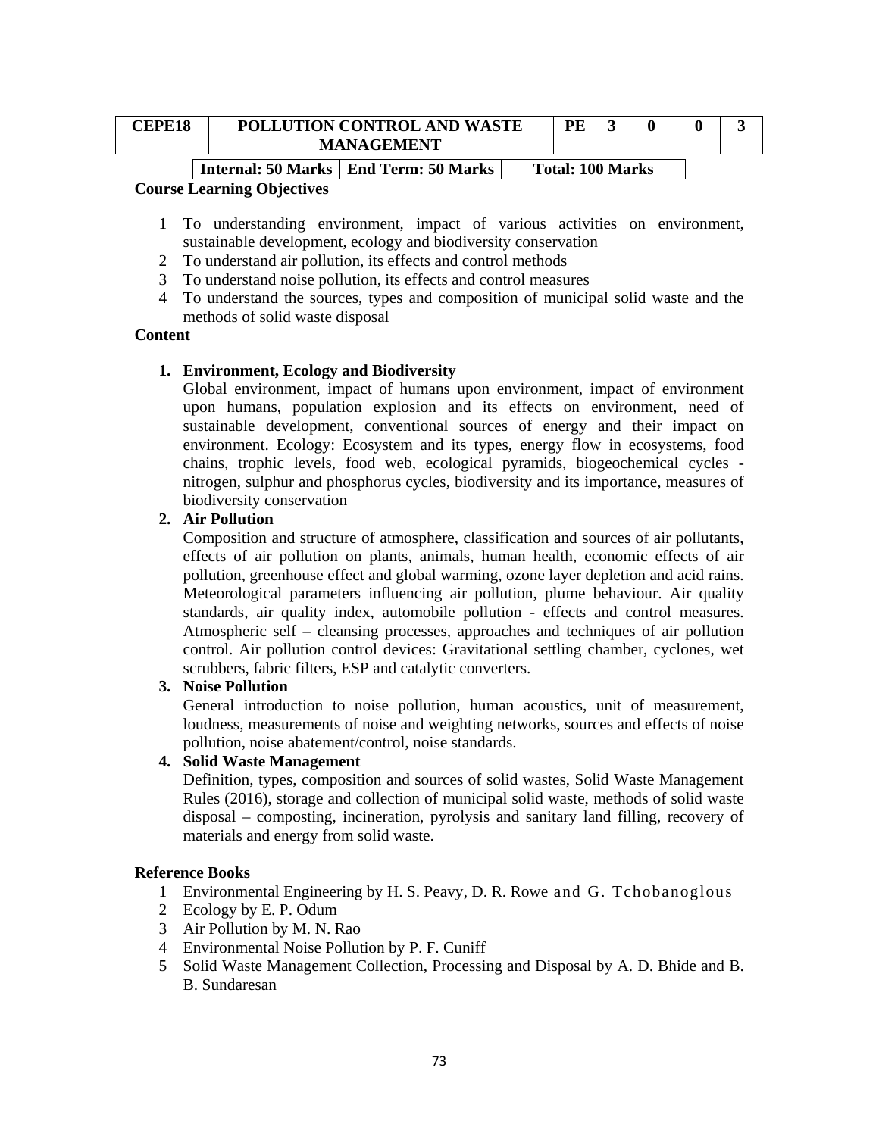| <b>CEPE18</b> | POLLUTION CONTROL AND WASTE<br><b>MANAGEMENT</b> |  |                         |  |  |
|---------------|--------------------------------------------------|--|-------------------------|--|--|
|               | Internal: 50 Marks   End Term: 50 Marks          |  | <b>Total: 100 Marks</b> |  |  |

- 1 To understanding environment, impact of various activities on environment, sustainable development, ecology and biodiversity conservation
- 2 To understand air pollution, its effects and control methods
- 3 To understand noise pollution, its effects and control measures
- 4 To understand the sources, types and composition of municipal solid waste and the methods of solid waste disposal

#### **Content**

### **1. Environment, Ecology and Biodiversity**

Global environment, impact of humans upon environment, impact of environment upon humans, population explosion and its effects on environment, need of sustainable development, conventional sources of energy and their impact on environment. Ecology: Ecosystem and its types, energy flow in ecosystems, food chains, trophic levels, food web, ecological pyramids, biogeochemical cycles nitrogen, sulphur and phosphorus cycles, biodiversity and its importance, measures of biodiversity conservation

#### **2. Air Pollution**

Composition and structure of atmosphere, classification and sources of air pollutants, effects of air pollution on plants, animals, human health, economic effects of air pollution, greenhouse effect and global warming, ozone layer depletion and acid rains. Meteorological parameters influencing air pollution, plume behaviour. Air quality standards, air quality index, automobile pollution - effects and control measures. Atmospheric self – cleansing processes, approaches and techniques of air pollution control. Air pollution control devices: Gravitational settling chamber, cyclones, wet scrubbers, fabric filters, ESP and catalytic converters.

### **3. Noise Pollution**

General introduction to noise pollution, human acoustics, unit of measurement, loudness, measurements of noise and weighting networks, sources and effects of noise pollution, noise abatement/control, noise standards.

### **4. Solid Waste Management**

Definition, types, composition and sources of solid wastes, Solid Waste Management Rules (2016), storage and collection of municipal solid waste, methods of solid waste disposal – composting, incineration, pyrolysis and sanitary land filling, recovery of materials and energy from solid waste.

- 1 Environmental Engineering by H. S. Peavy, D. R. Rowe and G. Tchobanoglous
- 2 Ecology by E. P. Odum
- 3 Air Pollution by M. N. Rao
- 4 Environmental Noise Pollution by P. F. Cuniff
- 5 Solid Waste Management Collection, Processing and Disposal by A. D. Bhide and B. B. Sundaresan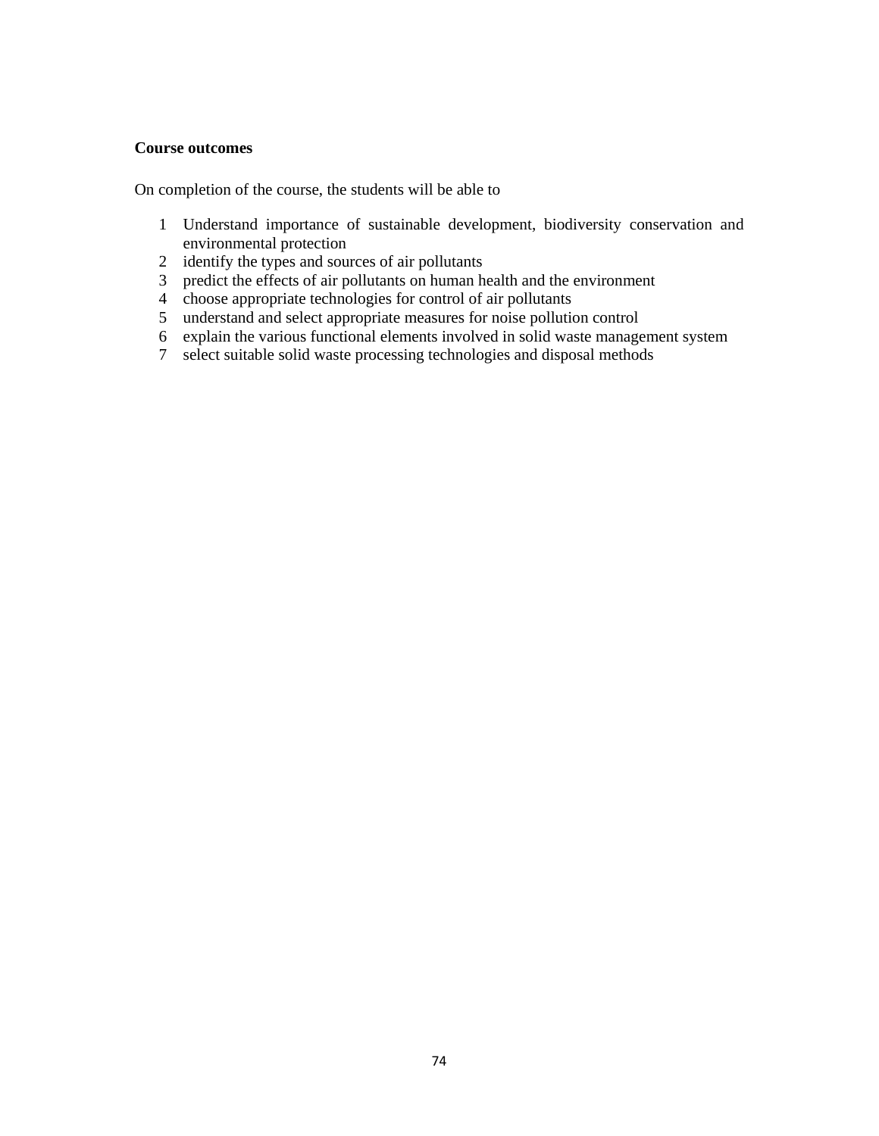#### **Course outcomes**

- Understand importance of sustainable development, biodiversity conservation and environmental protection
- identify the types and sources of air pollutants
- predict the effects of air pollutants on human health and the environment
- choose appropriate technologies for control of air pollutants
- understand and select appropriate measures for noise pollution control
- explain the various functional elements involved in solid waste management system
- select suitable solid waste processing technologies and disposal methods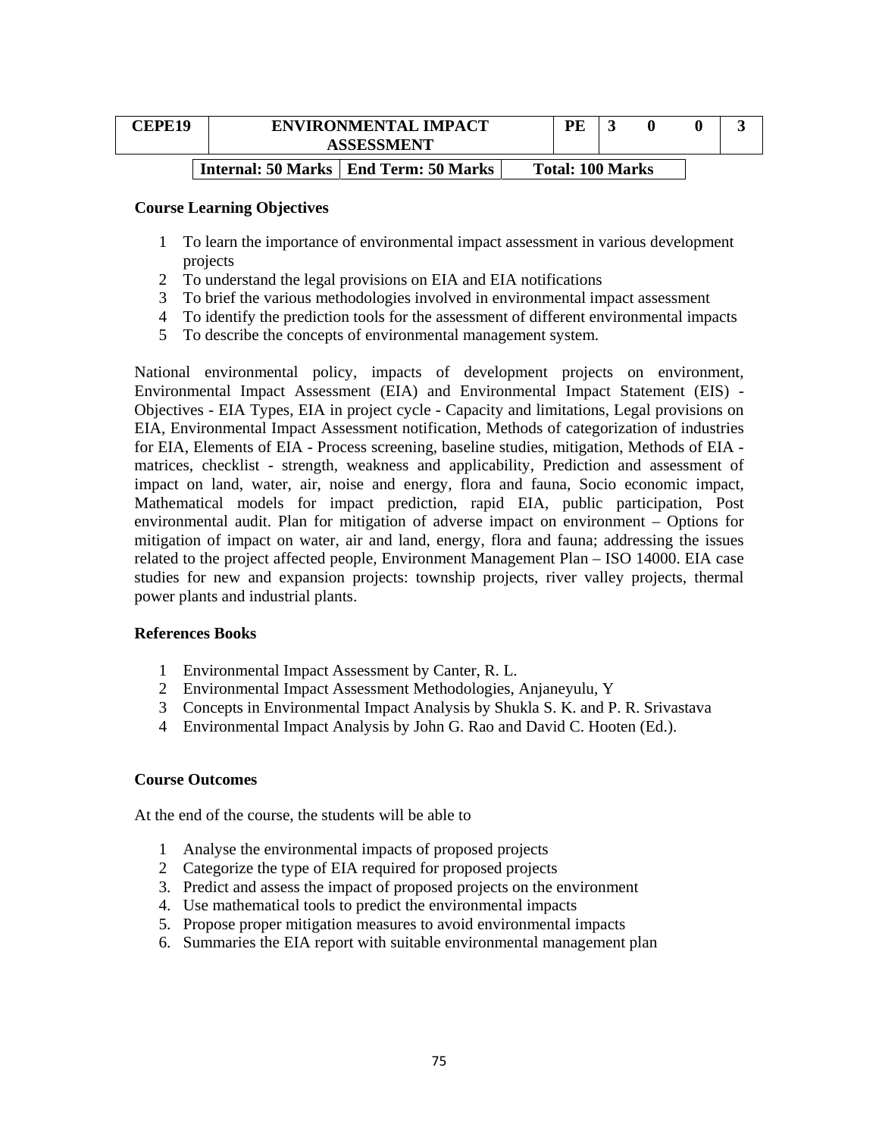| <b>CEPE19</b> | <b>ENVIRONMENTAL IMPACT</b><br><b>ASSESSMENT</b> | <b>PE</b>               |  |  |
|---------------|--------------------------------------------------|-------------------------|--|--|
|               | Internal: 50 Marks   End Term: 50 Marks          | <b>Total: 100 Marks</b> |  |  |

- 1 To learn the importance of environmental impact assessment in various development projects
- 2 To understand the legal provisions on EIA and EIA notifications
- 3 To brief the various methodologies involved in environmental impact assessment
- 4 To identify the prediction tools for the assessment of different environmental impacts
- 5 To describe the concepts of environmental management system.

National environmental policy, impacts of development projects on environment, Environmental Impact Assessment (EIA) and Environmental Impact Statement (EIS) - Objectives - EIA Types, EIA in project cycle - Capacity and limitations, Legal provisions on EIA, Environmental Impact Assessment notification, Methods of categorization of industries for EIA, Elements of EIA - Process screening, baseline studies, mitigation, Methods of EIA matrices, checklist - strength, weakness and applicability, Prediction and assessment of impact on land, water, air, noise and energy, flora and fauna, Socio economic impact, Mathematical models for impact prediction, rapid EIA, public participation, Post environmental audit. Plan for mitigation of adverse impact on environment – Options for mitigation of impact on water, air and land, energy, flora and fauna; addressing the issues related to the project affected people, Environment Management Plan – ISO 14000. EIA case studies for new and expansion projects: township projects, river valley projects, thermal power plants and industrial plants.

### **References Books**

- 1 Environmental Impact Assessment by Canter, R. L.
- 2 Environmental Impact Assessment Methodologies, Anjaneyulu, Y
- 3 Concepts in Environmental Impact Analysis by Shukla S. K. and P. R. Srivastava
- 4 Environmental Impact Analysis by John G. Rao and David C. Hooten (Ed.).

### **Course Outcomes**

At the end of the course, the students will be able to

- 1 Analyse the environmental impacts of proposed projects
- 2 Categorize the type of EIA required for proposed projects
- 3. Predict and assess the impact of proposed projects on the environment
- 4. Use mathematical tools to predict the environmental impacts
- 5. Propose proper mitigation measures to avoid environmental impacts
- 6. Summaries the EIA report with suitable environmental management plan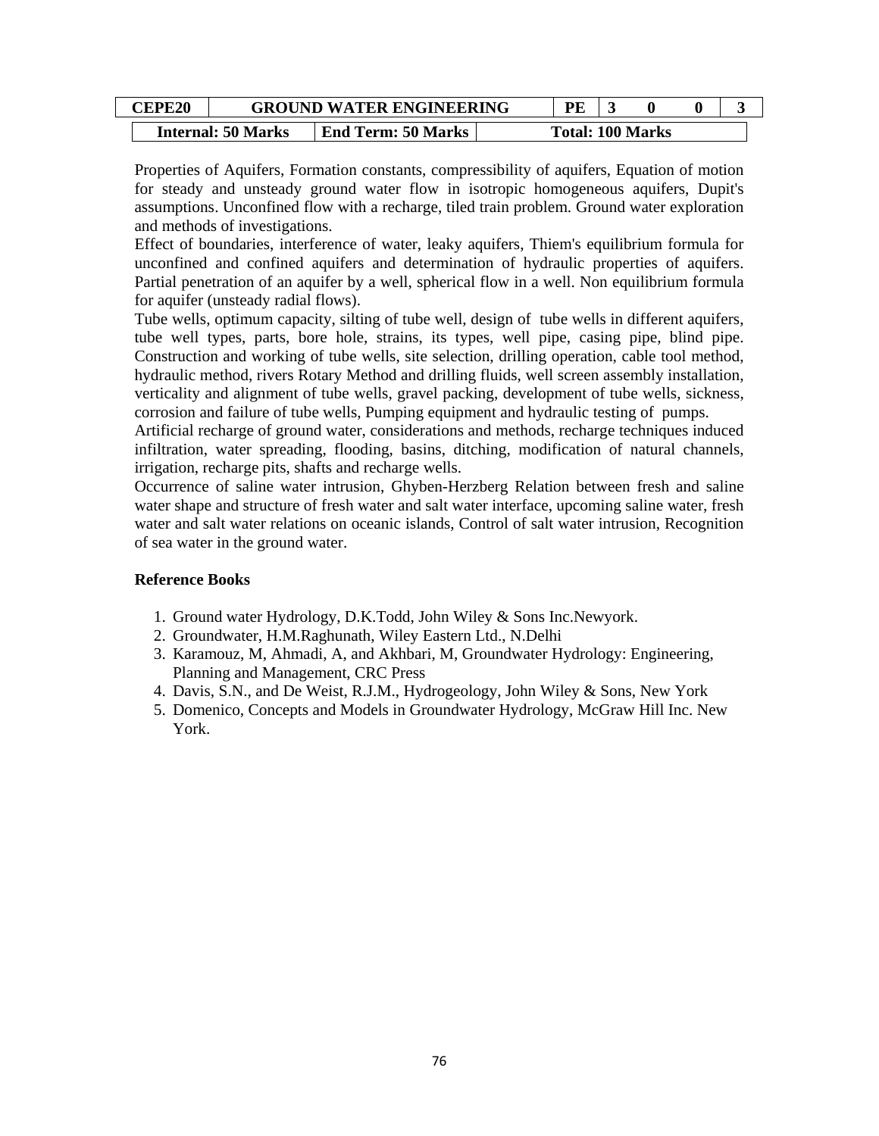| <b>EPE20</b> | <b>GROUND WATER ENGINEERING</b> |                           |  | DF |                         |  |  |
|--------------|---------------------------------|---------------------------|--|----|-------------------------|--|--|
|              | <b>Internal: 50 Marks</b>       | <b>End Term: 50 Marks</b> |  |    | <b>Total: 100 Marks</b> |  |  |

Properties of Aquifers, Formation constants, compressibility of aquifers, Equation of motion for steady and unsteady ground water flow in isotropic homogeneous aquifers, Dupit's assumptions. Unconfined flow with a recharge, tiled train problem. Ground water exploration and methods of investigations.

Effect of boundaries, interference of water, leaky aquifers, Thiem's equilibrium formula for unconfined and confined aquifers and determination of hydraulic properties of aquifers. Partial penetration of an aquifer by a well, spherical flow in a well. Non equilibrium formula for aquifer (unsteady radial flows).

Tube wells, optimum capacity, silting of tube well, design of tube wells in different aquifers, tube well types, parts, bore hole, strains, its types, well pipe, casing pipe, blind pipe. Construction and working of tube wells, site selection, drilling operation, cable tool method, hydraulic method, rivers Rotary Method and drilling fluids, well screen assembly installation, verticality and alignment of tube wells, gravel packing, development of tube wells, sickness, corrosion and failure of tube wells, Pumping equipment and hydraulic testing of pumps.

Artificial recharge of ground water, considerations and methods, recharge techniques induced infiltration, water spreading, flooding, basins, ditching, modification of natural channels, irrigation, recharge pits, shafts and recharge wells.

Occurrence of saline water intrusion, Ghyben-Herzberg Relation between fresh and saline water shape and structure of fresh water and salt water interface, upcoming saline water, fresh water and salt water relations on oceanic islands, Control of salt water intrusion, Recognition of sea water in the ground water.

- 1. Ground water Hydrology, D.K.Todd, John Wiley & Sons Inc.Newyork.
- 2. Groundwater, H.M.Raghunath, Wiley Eastern Ltd., N.Delhi
- 3. Karamouz, M, Ahmadi, A, and Akhbari, M, Groundwater Hydrology: Engineering, Planning and Management, CRC Press
- 4. Davis, S.N., and De Weist, R.J.M., Hydrogeology, John Wiley & Sons, New York
- 5. Domenico, Concepts and Models in Groundwater Hydrology, McGraw Hill Inc. New York.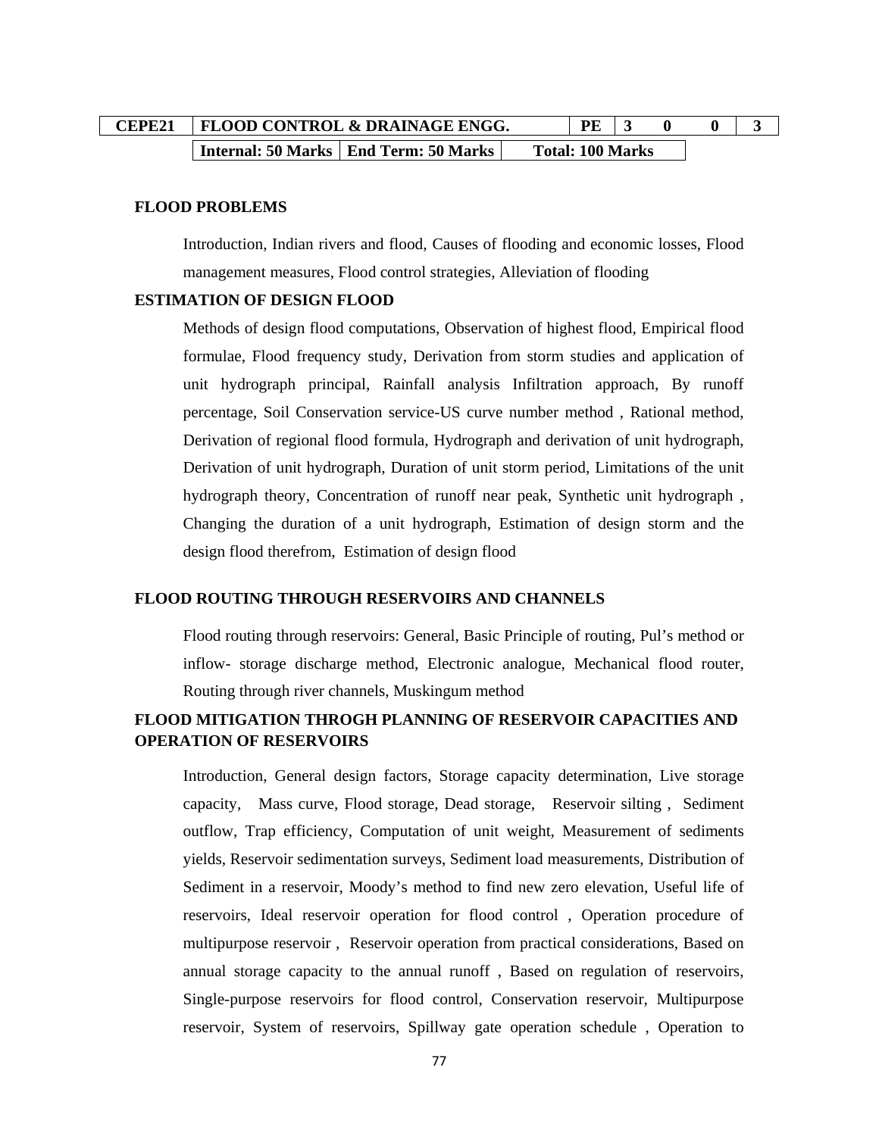| CEPE21   FLOOD CONTROL & DRAINAGE ENGG. |                                                  |  | PE 1                    |  |  |
|-----------------------------------------|--------------------------------------------------|--|-------------------------|--|--|
|                                         | <b>Internal: 50 Marks   End Term: 50 Marks  </b> |  | <b>Total: 100 Marks</b> |  |  |

#### **FLOOD PROBLEMS**

Introduction, Indian rivers and flood, Causes of flooding and economic losses, Flood management measures, Flood control strategies, Alleviation of flooding

#### **ESTIMATION OF DESIGN FLOOD**

Methods of design flood computations, Observation of highest flood, Empirical flood formulae, Flood frequency study, Derivation from storm studies and application of unit hydrograph principal, Rainfall analysis Infiltration approach, By runoff percentage, Soil Conservation service-US curve number method , Rational method, Derivation of regional flood formula, Hydrograph and derivation of unit hydrograph, Derivation of unit hydrograph, Duration of unit storm period, Limitations of the unit hydrograph theory, Concentration of runoff near peak, Synthetic unit hydrograph , Changing the duration of a unit hydrograph, Estimation of design storm and the design flood therefrom, Estimation of design flood

#### **FLOOD ROUTING THROUGH RESERVOIRS AND CHANNELS**

Flood routing through reservoirs: General, Basic Principle of routing, Pul's method or inflow- storage discharge method, Electronic analogue, Mechanical flood router, Routing through river channels, Muskingum method

# **FLOOD MITIGATION THROGH PLANNING OF RESERVOIR CAPACITIES AND OPERATION OF RESERVOIRS**

Introduction, General design factors, Storage capacity determination, Live storage capacity, Mass curve, Flood storage, Dead storage, Reservoir silting , Sediment outflow, Trap efficiency, Computation of unit weight, Measurement of sediments yields, Reservoir sedimentation surveys, Sediment load measurements, Distribution of Sediment in a reservoir, Moody's method to find new zero elevation, Useful life of reservoirs, Ideal reservoir operation for flood control , Operation procedure of multipurpose reservoir , Reservoir operation from practical considerations, Based on annual storage capacity to the annual runoff , Based on regulation of reservoirs, Single-purpose reservoirs for flood control, Conservation reservoir, Multipurpose reservoir, System of reservoirs, Spillway gate operation schedule , Operation to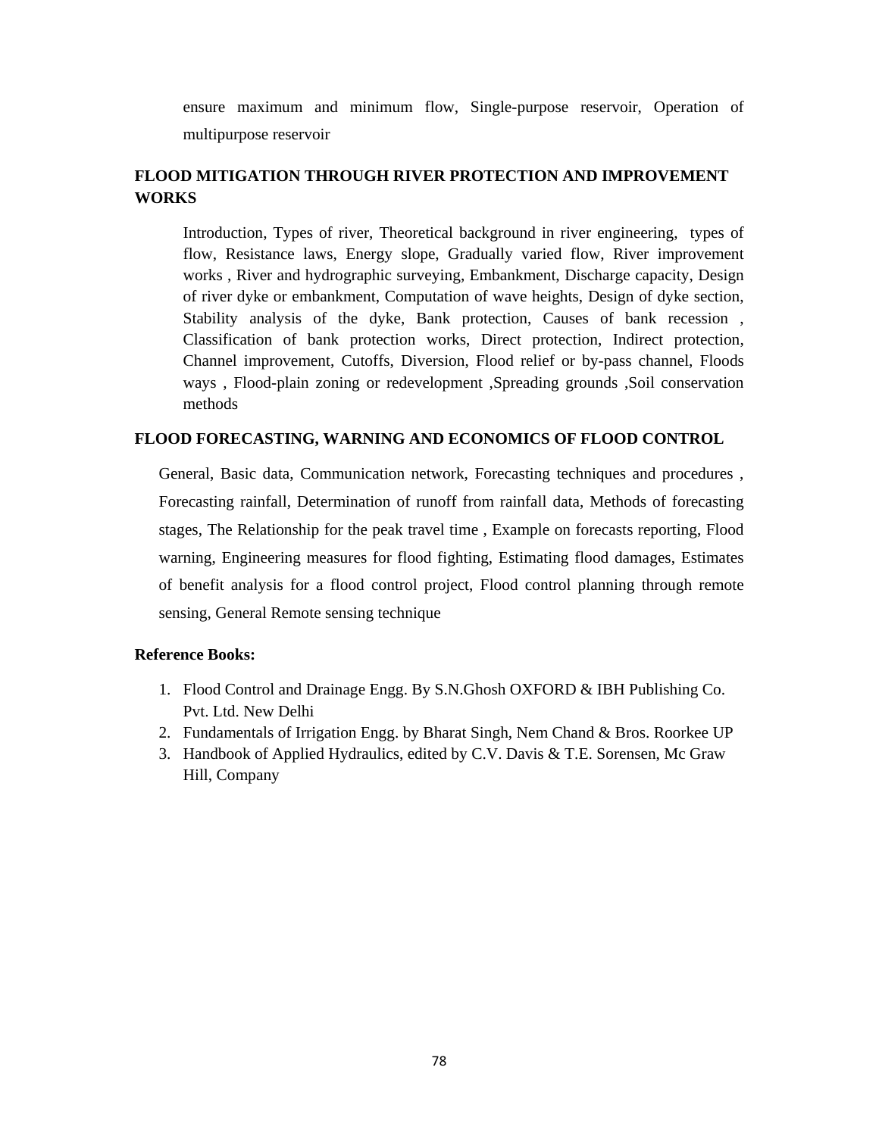ensure maximum and minimum flow, Single-purpose reservoir, Operation of multipurpose reservoir

# **FLOOD MITIGATION THROUGH RIVER PROTECTION AND IMPROVEMENT WORKS**

Introduction, Types of river, Theoretical background in river engineering, types of flow, Resistance laws, Energy slope, Gradually varied flow, River improvement works , River and hydrographic surveying, Embankment, Discharge capacity, Design of river dyke or embankment, Computation of wave heights, Design of dyke section, Stability analysis of the dyke, Bank protection, Causes of bank recession , Classification of bank protection works, Direct protection, Indirect protection, Channel improvement, Cutoffs, Diversion, Flood relief or by-pass channel, Floods ways , Flood-plain zoning or redevelopment ,Spreading grounds ,Soil conservation methods

### **FLOOD FORECASTING, WARNING AND ECONOMICS OF FLOOD CONTROL**

General, Basic data, Communication network, Forecasting techniques and procedures , Forecasting rainfall, Determination of runoff from rainfall data, Methods of forecasting stages, The Relationship for the peak travel time , Example on forecasts reporting, Flood warning, Engineering measures for flood fighting, Estimating flood damages, Estimates of benefit analysis for a flood control project, Flood control planning through remote sensing, General Remote sensing technique

- 1. Flood Control and Drainage Engg. By S.N.Ghosh OXFORD & IBH Publishing Co. Pvt. Ltd. New Delhi
- 2. Fundamentals of Irrigation Engg. by Bharat Singh, Nem Chand & Bros. Roorkee UP
- 3. Handbook of Applied Hydraulics, edited by C.V. Davis & T.E. Sorensen, Mc Graw Hill, Company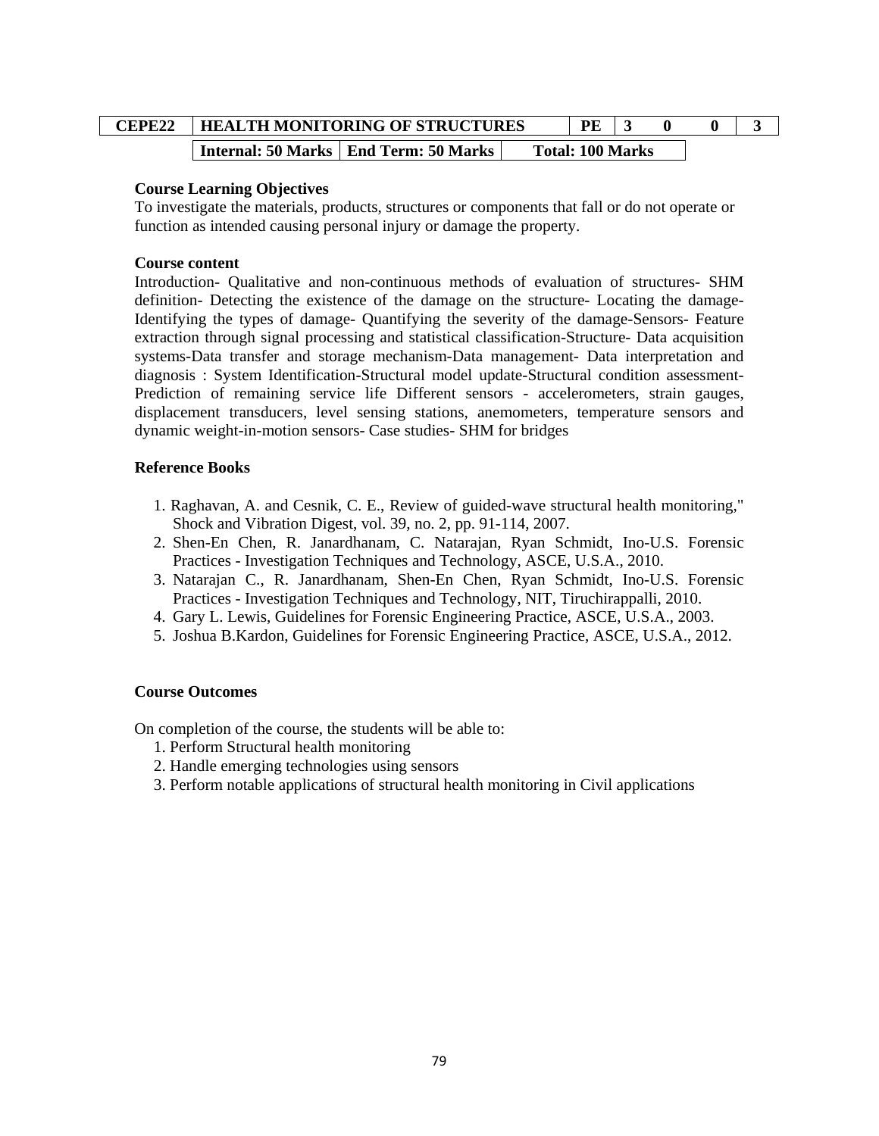| CEPE22 | <b>HEALTH MONITORING OF STRUCTURES</b> |                                         |  | PF                      |  |  |
|--------|----------------------------------------|-----------------------------------------|--|-------------------------|--|--|
|        |                                        | Internal: 50 Marks   End Term: 50 Marks |  | <b>Total: 100 Marks</b> |  |  |

To investigate the materials, products, structures or components that fall or do not operate or function as intended causing personal injury or damage the property.

### **Course content**

Introduction- Qualitative and non-continuous methods of evaluation of structures- SHM definition- Detecting the existence of the damage on the structure- Locating the damage-Identifying the types of damage- Quantifying the severity of the damage-Sensors- Feature extraction through signal processing and statistical classification-Structure- Data acquisition systems-Data transfer and storage mechanism-Data management- Data interpretation and diagnosis : System Identification-Structural model update-Structural condition assessment-Prediction of remaining service life Different sensors - accelerometers, strain gauges, displacement transducers, level sensing stations, anemometers, temperature sensors and dynamic weight-in-motion sensors- Case studies- SHM for bridges

## **Reference Books**

- 1. Raghavan, A. and Cesnik, C. E., Review of guided-wave structural health monitoring," Shock and Vibration Digest, vol. 39, no. 2, pp. 91-114, 2007.
- 2. Shen-En Chen, R. Janardhanam, C. Natarajan, Ryan Schmidt, Ino-U.S. Forensic Practices - Investigation Techniques and Technology, ASCE, U.S.A., 2010.
- 3. Natarajan C., R. Janardhanam, Shen-En Chen, Ryan Schmidt, Ino-U.S. Forensic Practices - Investigation Techniques and Technology, NIT, Tiruchirappalli, 2010.
- 4. Gary L. Lewis, Guidelines for Forensic Engineering Practice, ASCE, U.S.A., 2003.
- 5. Joshua B.Kardon, Guidelines for Forensic Engineering Practice, ASCE, U.S.A., 2012.

### **Course Outcomes**

- 1. Perform Structural health monitoring
- 2. Handle emerging technologies using sensors
- 3. Perform notable applications of structural health monitoring in Civil applications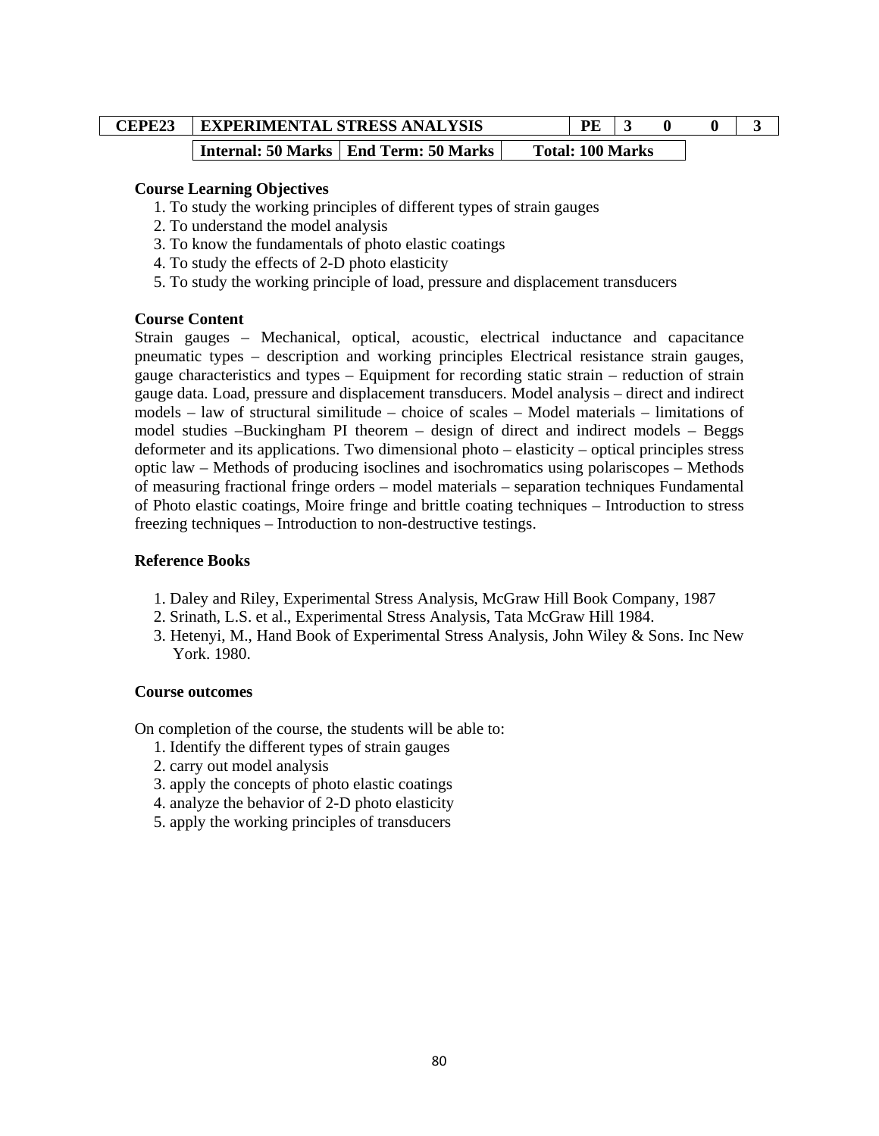| CEPE23 | <b>EXPERIMENTAL STRESS ANALYSIS</b>     | <b>PE</b>               |  |  |
|--------|-----------------------------------------|-------------------------|--|--|
|        | Internal: 50 Marks   End Term: 50 Marks | <b>Total: 100 Marks</b> |  |  |

- 1. To study the working principles of different types of strain gauges
- 2. To understand the model analysis
- 3. To know the fundamentals of photo elastic coatings
- 4. To study the effects of 2-D photo elasticity
- 5. To study the working principle of load, pressure and displacement transducers

#### **Course Content**

Strain gauges – Mechanical, optical, acoustic, electrical inductance and capacitance pneumatic types – description and working principles Electrical resistance strain gauges, gauge characteristics and types – Equipment for recording static strain – reduction of strain gauge data. Load, pressure and displacement transducers. Model analysis – direct and indirect models – law of structural similitude – choice of scales – Model materials – limitations of model studies –Buckingham PI theorem – design of direct and indirect models – Beggs deformeter and its applications. Two dimensional photo – elasticity – optical principles stress optic law – Methods of producing isoclines and isochromatics using polariscopes – Methods of measuring fractional fringe orders – model materials – separation techniques Fundamental of Photo elastic coatings, Moire fringe and brittle coating techniques – Introduction to stress freezing techniques – Introduction to non-destructive testings.

#### **Reference Books**

- 1. Daley and Riley, Experimental Stress Analysis, McGraw Hill Book Company, 1987
- 2. Srinath, L.S. et al., Experimental Stress Analysis, Tata McGraw Hill 1984.
- 3. Hetenyi, M., Hand Book of Experimental Stress Analysis, John Wiley & Sons. Inc New York. 1980.

#### **Course outcomes**

- 1. Identify the different types of strain gauges
- 2. carry out model analysis
- 3. apply the concepts of photo elastic coatings
- 4. analyze the behavior of 2-D photo elasticity
- 5. apply the working principles of transducers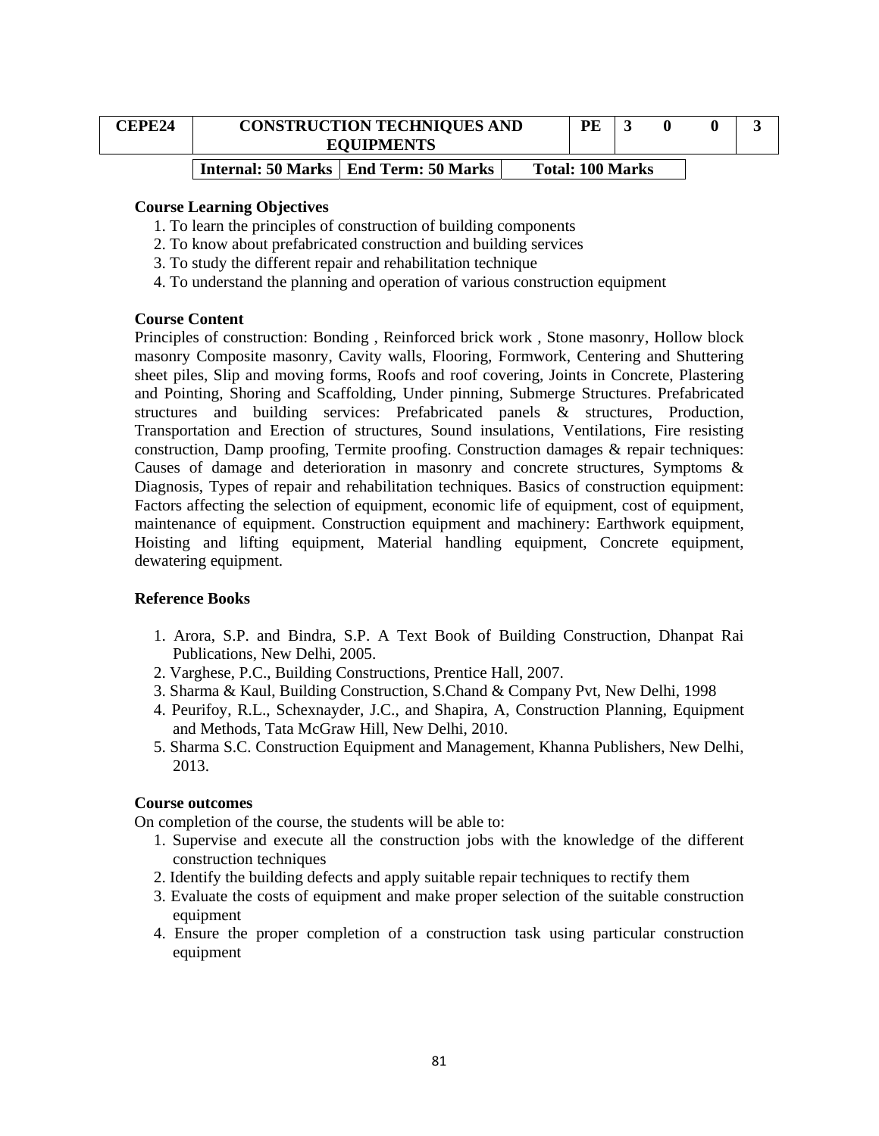| <b>CEPE24</b> | <b>CONSTRUCTION TECHNIQUES AND</b><br><b>EQUIPMENTS</b> | PE                      | 0 |  |
|---------------|---------------------------------------------------------|-------------------------|---|--|
|               | <b>Internal: 50 Marks   End Term: 50 Marks</b>          | <b>Total: 100 Marks</b> |   |  |

- 1. To learn the principles of construction of building components
- 2. To know about prefabricated construction and building services
- 3. To study the different repair and rehabilitation technique
- 4. To understand the planning and operation of various construction equipment

#### **Course Content**

Principles of construction: Bonding , Reinforced brick work , Stone masonry, Hollow block masonry Composite masonry, Cavity walls, Flooring, Formwork, Centering and Shuttering sheet piles, Slip and moving forms, Roofs and roof covering, Joints in Concrete, Plastering and Pointing, Shoring and Scaffolding, Under pinning, Submerge Structures. Prefabricated structures and building services: Prefabricated panels & structures, Production, Transportation and Erection of structures, Sound insulations, Ventilations, Fire resisting construction, Damp proofing, Termite proofing. Construction damages  $\&$  repair techniques: Causes of damage and deterioration in masonry and concrete structures, Symptoms & Diagnosis, Types of repair and rehabilitation techniques. Basics of construction equipment: Factors affecting the selection of equipment, economic life of equipment, cost of equipment, maintenance of equipment. Construction equipment and machinery: Earthwork equipment, Hoisting and lifting equipment, Material handling equipment, Concrete equipment, dewatering equipment.

#### **Reference Books**

- 1. Arora, S.P. and Bindra, S.P. A Text Book of Building Construction, Dhanpat Rai Publications, New Delhi, 2005.
- 2. Varghese, P.C., Building Constructions, Prentice Hall, 2007.
- 3. Sharma & Kaul, Building Construction, S.Chand & Company Pvt, New Delhi, 1998
- 4. Peurifoy, R.L., Schexnayder, J.C., and Shapira, A, Construction Planning, Equipment and Methods, Tata McGraw Hill, New Delhi, 2010.
- 5. Sharma S.C. Construction Equipment and Management, Khanna Publishers, New Delhi, 2013.

### **Course outcomes**

- 1. Supervise and execute all the construction jobs with the knowledge of the different construction techniques
- 2. Identify the building defects and apply suitable repair techniques to rectify them
- 3. Evaluate the costs of equipment and make proper selection of the suitable construction equipment
- 4. Ensure the proper completion of a construction task using particular construction equipment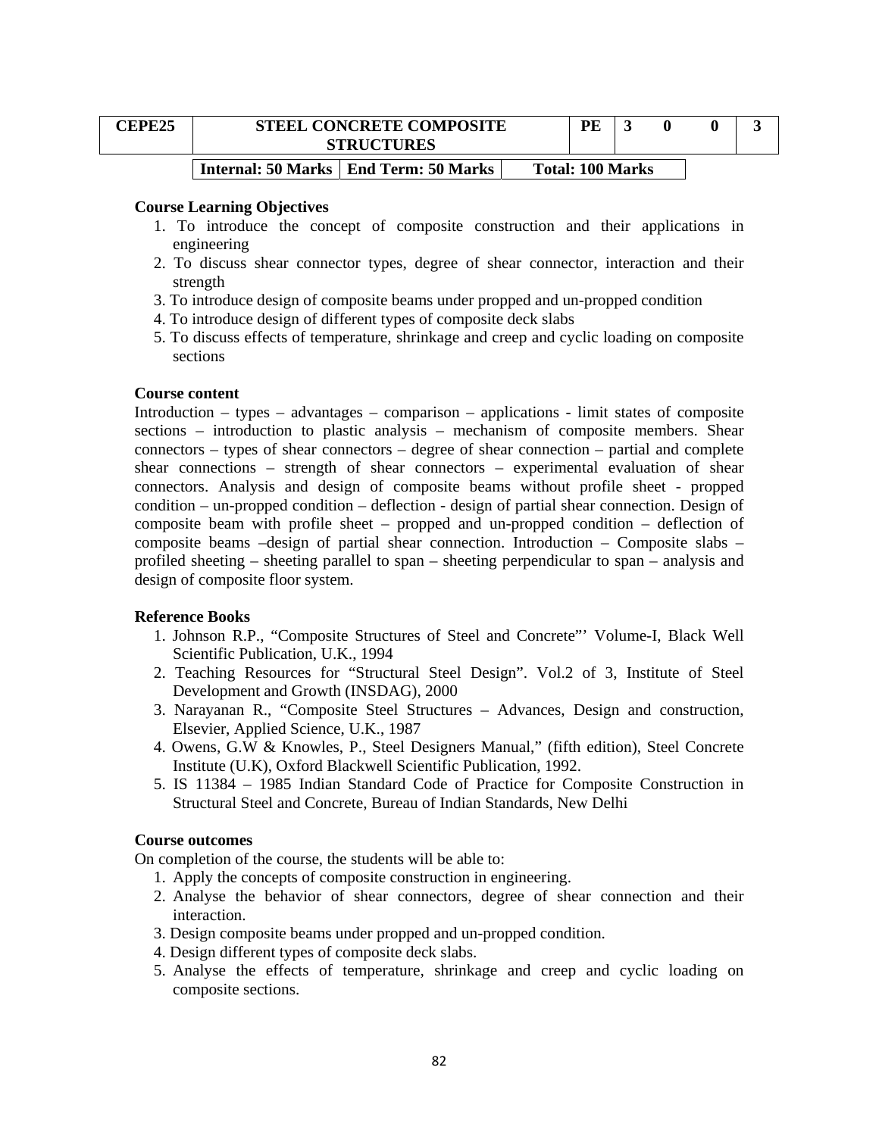| <b>CEPE25</b> | <b>STEEL CONCRETE COMPOSITE</b><br><b>STRUCTURES</b> | PE                      |  |  |
|---------------|------------------------------------------------------|-------------------------|--|--|
|               | Internal: 50 Marks   End Term: 50 Marks              | <b>Total: 100 Marks</b> |  |  |

- 1. To introduce the concept of composite construction and their applications in engineering
- 2. To discuss shear connector types, degree of shear connector, interaction and their strength
- 3. To introduce design of composite beams under propped and un-propped condition
- 4. To introduce design of different types of composite deck slabs
- 5. To discuss effects of temperature, shrinkage and creep and cyclic loading on composite sections

#### **Course content**

Introduction – types – advantages – comparison – applications - limit states of composite sections – introduction to plastic analysis – mechanism of composite members. Shear connectors – types of shear connectors – degree of shear connection – partial and complete shear connections – strength of shear connectors – experimental evaluation of shear connectors. Analysis and design of composite beams without profile sheet - propped condition – un-propped condition – deflection - design of partial shear connection. Design of composite beam with profile sheet – propped and un-propped condition – deflection of composite beams –design of partial shear connection. Introduction – Composite slabs – profiled sheeting – sheeting parallel to span – sheeting perpendicular to span – analysis and design of composite floor system.

### **Reference Books**

- 1. Johnson R.P., "Composite Structures of Steel and Concrete"' Volume-I, Black Well Scientific Publication, U.K., 1994
- 2. Teaching Resources for "Structural Steel Design". Vol.2 of 3, Institute of Steel Development and Growth (INSDAG), 2000
- 3. Narayanan R., "Composite Steel Structures Advances, Design and construction, Elsevier, Applied Science, U.K., 1987
- 4. Owens, G.W & Knowles, P., Steel Designers Manual," (fifth edition), Steel Concrete Institute (U.K), Oxford Blackwell Scientific Publication, 1992.
- 5. IS 11384 1985 Indian Standard Code of Practice for Composite Construction in Structural Steel and Concrete, Bureau of Indian Standards, New Delhi

#### **Course outcomes**

- 1. Apply the concepts of composite construction in engineering.
- 2. Analyse the behavior of shear connectors, degree of shear connection and their interaction.
- 3. Design composite beams under propped and un-propped condition.
- 4. Design different types of composite deck slabs.
- 5. Analyse the effects of temperature, shrinkage and creep and cyclic loading on composite sections.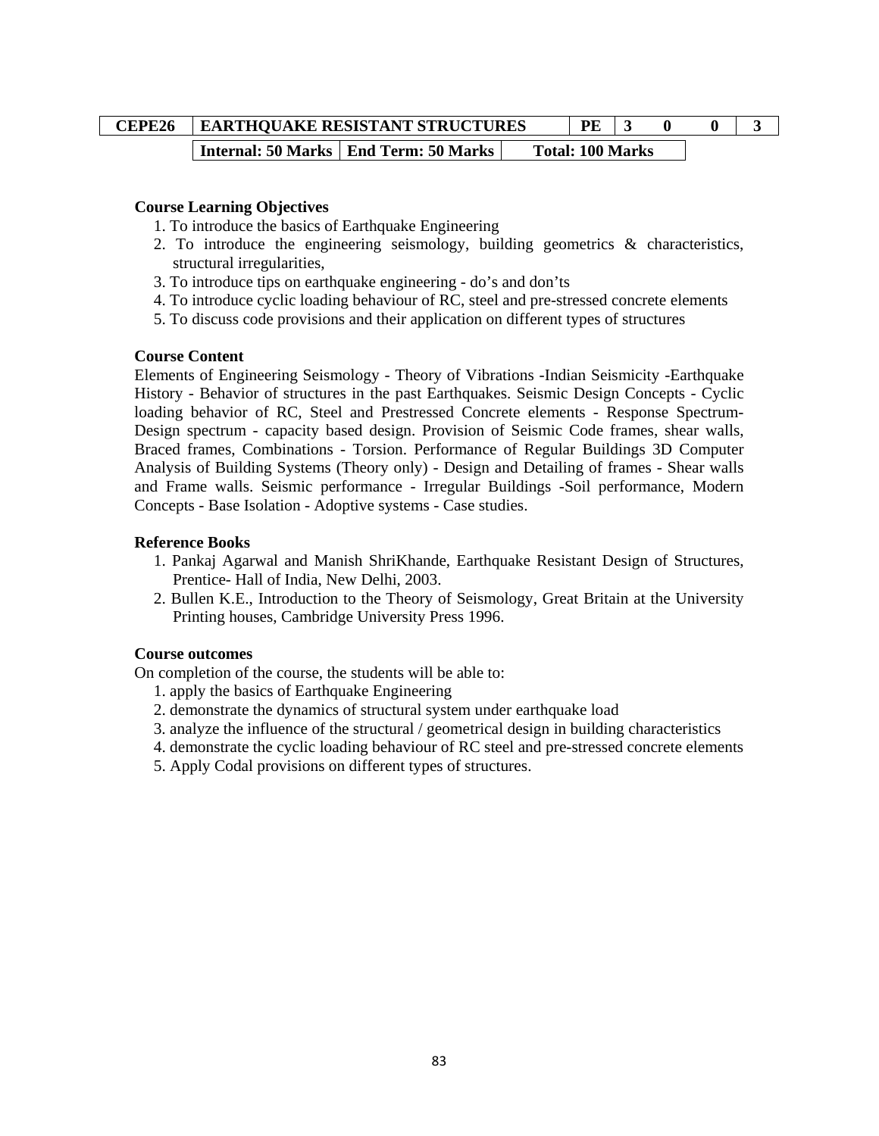| CEPE26 | <b>EARTHQUAKE RESISTANT STRUCTURES</b> |                                         |  | PE                      |  |  |
|--------|----------------------------------------|-----------------------------------------|--|-------------------------|--|--|
|        |                                        | Internal: 50 Marks   End Term: 50 Marks |  | <b>Total: 100 Marks</b> |  |  |

- 1. To introduce the basics of Earthquake Engineering
- 2. To introduce the engineering seismology, building geometrics & characteristics, structural irregularities,
- 3. To introduce tips on earthquake engineering do's and don'ts
- 4. To introduce cyclic loading behaviour of RC, steel and pre-stressed concrete elements
- 5. To discuss code provisions and their application on different types of structures

### **Course Content**

Elements of Engineering Seismology - Theory of Vibrations -Indian Seismicity -Earthquake History - Behavior of structures in the past Earthquakes. Seismic Design Concepts - Cyclic loading behavior of RC, Steel and Prestressed Concrete elements - Response Spectrum-Design spectrum - capacity based design. Provision of Seismic Code frames, shear walls, Braced frames, Combinations - Torsion. Performance of Regular Buildings 3D Computer Analysis of Building Systems (Theory only) - Design and Detailing of frames - Shear walls and Frame walls. Seismic performance - Irregular Buildings -Soil performance, Modern Concepts - Base Isolation - Adoptive systems - Case studies.

### **Reference Books**

- 1. Pankaj Agarwal and Manish ShriKhande, Earthquake Resistant Design of Structures, Prentice- Hall of India, New Delhi, 2003.
- 2. Bullen K.E., Introduction to the Theory of Seismology, Great Britain at the University Printing houses, Cambridge University Press 1996.

### **Course outcomes**

- 1. apply the basics of Earthquake Engineering
- 2. demonstrate the dynamics of structural system under earthquake load
- 3. analyze the influence of the structural / geometrical design in building characteristics
- 4. demonstrate the cyclic loading behaviour of RC steel and pre-stressed concrete elements
- 5. Apply Codal provisions on different types of structures.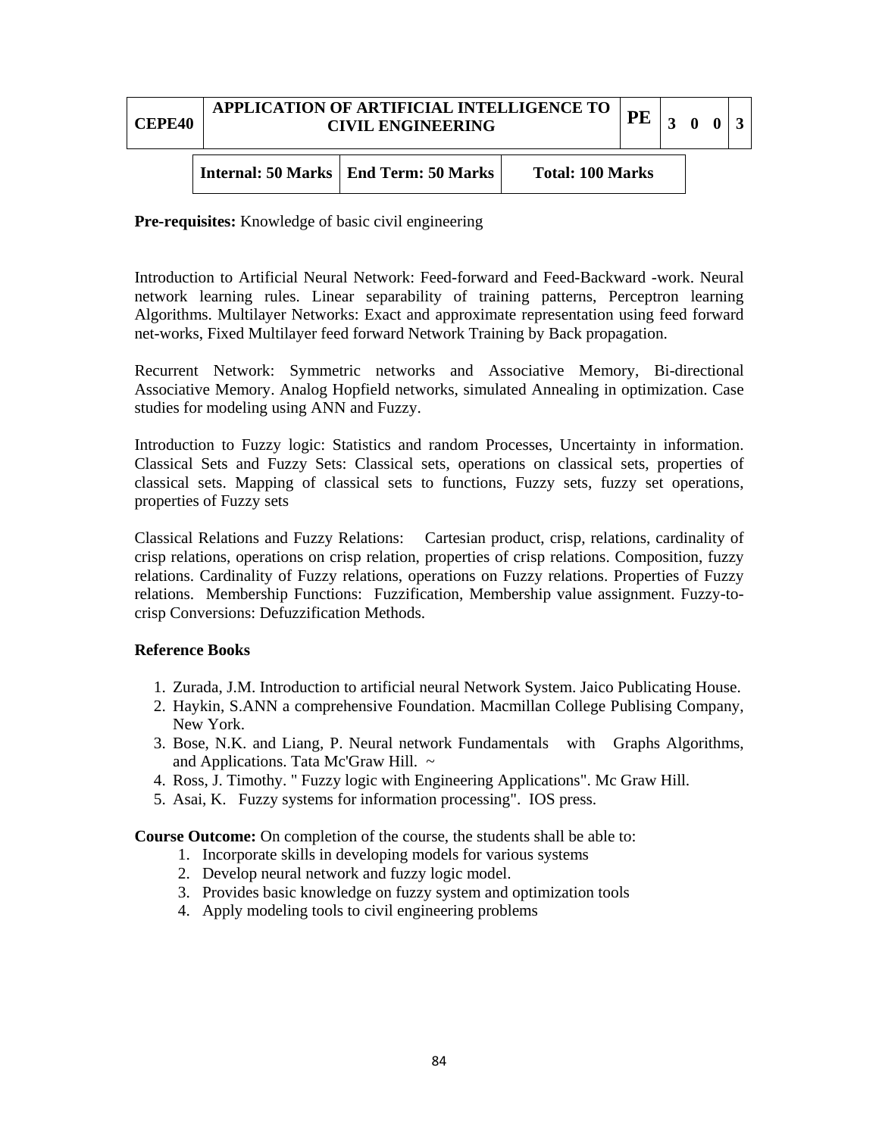| <b>CEPE40</b> | <b>APPLICATION OF ARTIFICIAL INTELLIGENCE TO  </b><br><b>CIVIL ENGINEERING</b> |                         | <b>PE</b> | 3 0 0 |  |  |
|---------------|--------------------------------------------------------------------------------|-------------------------|-----------|-------|--|--|
|               | <b>Internal: 50 Marks   End Term: 50 Marks</b>                                 | <b>Total: 100 Marks</b> |           |       |  |  |

**Pre-requisites:** Knowledge of basic civil engineering

Introduction to Artificial Neural Network: Feed-forward and Feed-Backward -work. Neural network learning rules. Linear separability of training patterns, Perceptron learning Algorithms. Multilayer Networks: Exact and approximate representation using feed forward net-works, Fixed Multilayer feed forward Network Training by Back propagation.

Recurrent Network: Symmetric networks and Associative Memory, Bi-directional Associative Memory. Analog Hopfield networks, simulated Annealing in optimization. Case studies for modeling using ANN and Fuzzy.

Introduction to Fuzzy logic: Statistics and random Processes, Uncertainty in information. Classical Sets and Fuzzy Sets: Classical sets, operations on classical sets, properties of classical sets. Mapping of classical sets to functions, Fuzzy sets, fuzzy set operations, properties of Fuzzy sets

Classical Relations and Fuzzy Relations: Cartesian product, crisp, relations, cardinality of crisp relations, operations on crisp relation, properties of crisp relations. Composition, fuzzy relations. Cardinality of Fuzzy relations, operations on Fuzzy relations. Properties of Fuzzy relations. Membership Functions: Fuzzification, Membership value assignment. Fuzzy-tocrisp Conversions: Defuzzification Methods.

### **Reference Books**

- 1. Zurada, J.M. Introduction to artificial neural Network System. Jaico Publicating House.
- 2. Haykin, S.ANN a comprehensive Foundation. Macmillan College Publising Company, New York.
- 3. Bose, N.K. and Liang, P. Neural network Fundamentals with Graphs Algorithms, and Applications. Tata Mc'Graw Hill. ~
- 4. Ross, J. Timothy. " Fuzzy logic with Engineering Applications". Mc Graw Hill.
- 5. Asai, K. Fuzzy systems for information processing". IOS press.

**Course Outcome:** On completion of the course, the students shall be able to:

- 1. Incorporate skills in developing models for various systems
- 2. Develop neural network and fuzzy logic model.
- 3. Provides basic knowledge on fuzzy system and optimization tools
- 4. Apply modeling tools to civil engineering problems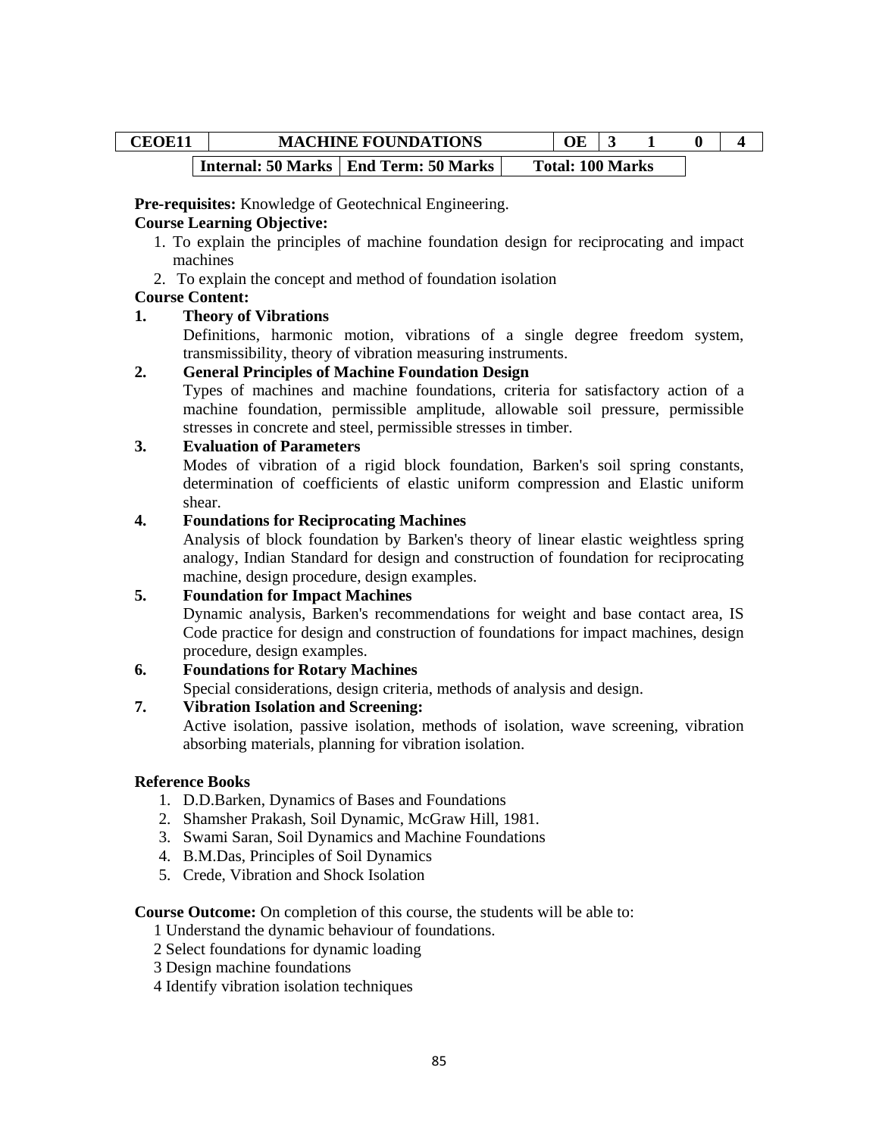# CEOE11 MACHINE FOUNDATIONS OE 3 1 0 4 **Internal: 50 Marks | End Term: 50 Marks | Total: 100 Marks**

**Pre-requisites:** Knowledge of Geotechnical Engineering.

### **Course Learning Objective:**

- 1. To explain the principles of machine foundation design for reciprocating and impact machines
- 2. To explain the concept and method of foundation isolation

## **Course Content:**

## **1. Theory of Vibrations**

Definitions, harmonic motion, vibrations of a single degree freedom system, transmissibility, theory of vibration measuring instruments.

### **2. General Principles of Machine Foundation Design**

Types of machines and machine foundations, criteria for satisfactory action of a machine foundation, permissible amplitude, allowable soil pressure, permissible stresses in concrete and steel, permissible stresses in timber.

## **3. Evaluation of Parameters**

Modes of vibration of a rigid block foundation, Barken's soil spring constants, determination of coefficients of elastic uniform compression and Elastic uniform shear.

## **4. Foundations for Reciprocating Machines**

Analysis of block foundation by Barken's theory of linear elastic weightless spring analogy, Indian Standard for design and construction of foundation for reciprocating machine, design procedure, design examples.

# **5. Foundation for Impact Machines**

Dynamic analysis, Barken's recommendations for weight and base contact area, IS Code practice for design and construction of foundations for impact machines, design procedure, design examples.

# **6. Foundations for Rotary Machines**

Special considerations, design criteria, methods of analysis and design.

# **7. Vibration Isolation and Screening:**

Active isolation, passive isolation, methods of isolation, wave screening, vibration absorbing materials, planning for vibration isolation.

### **Reference Books**

- 1. D.D.Barken, Dynamics of Bases and Foundations
- 2. Shamsher Prakash, Soil Dynamic, McGraw Hill, 1981.
- 3. Swami Saran, Soil Dynamics and Machine Foundations
- 4. B.M.Das, Principles of Soil Dynamics
- 5. Crede, Vibration and Shock Isolation

### **Course Outcome:** On completion of this course, the students will be able to:

1 Understand the dynamic behaviour of foundations.

- 2 Select foundations for dynamic loading
- 3 Design machine foundations

4 Identify vibration isolation techniques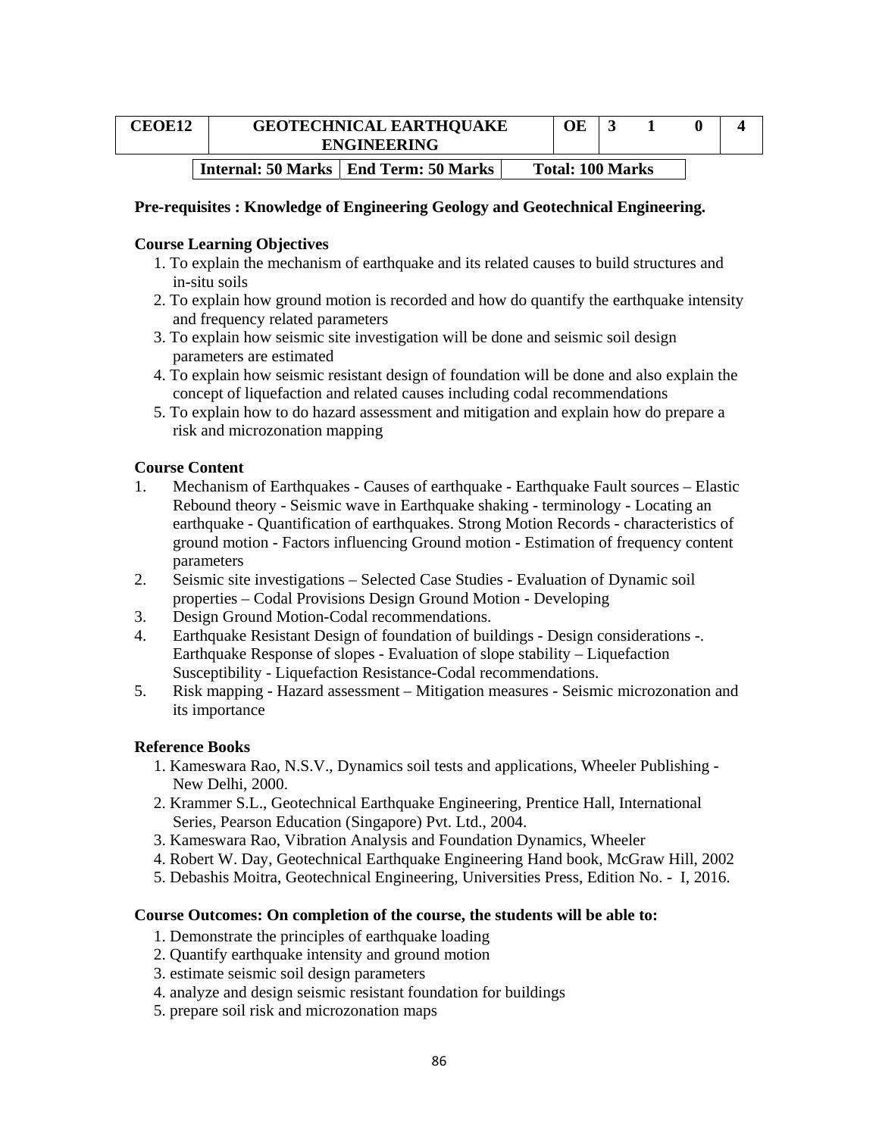| <b>CEOE12</b> | <b>GEOTECHNICAL EARTHQUAKE</b><br><b>ENGINEERING</b> |  |                         |  |  |
|---------------|------------------------------------------------------|--|-------------------------|--|--|
|               | Internal: 50 Marks   End Term: 50 Marks              |  | <b>Total: 100 Marks</b> |  |  |

#### **Pre-requisites : Knowledge of Engineering Geology and Geotechnical Engineering.**

#### **Course Learning Objectives**

- 1. To explain the mechanism of earthquake and its related causes to build structures and in-situ soils
- 2. To explain how ground motion is recorded and how do quantify the earthquake intensity and frequency related parameters
- 3. To explain how seismic site investigation will be done and seismic soil design parameters are estimated
- 4. To explain how seismic resistant design of foundation will be done and also explain the concept of liquefaction and related causes including codal recommendations
- 5. To explain how to do hazard assessment and mitigation and explain how do prepare a risk and microzonation mapping

#### **Course Content**

- 1. Mechanism of Earthquakes Causes of earthquake Earthquake Fault sources Elastic Rebound theory - Seismic wave in Earthquake shaking - terminology - Locating an earthquake - Quantification of earthquakes. Strong Motion Records - characteristics of ground motion - Factors influencing Ground motion - Estimation of frequency content parameters
- 2. Seismic site investigations Selected Case Studies Evaluation of Dynamic soil properties – Codal Provisions Design Ground Motion - Developing
- 3. Design Ground Motion-Codal recommendations.
- 4. Earthquake Resistant Design of foundation of buildings Design considerations -. Earthquake Response of slopes - Evaluation of slope stability – Liquefaction Susceptibility - Liquefaction Resistance-Codal recommendations.
- 5. Risk mapping Hazard assessment Mitigation measures Seismic microzonation and its importance

#### **Reference Books**

- 1. Kameswara Rao, N.S.V., Dynamics soil tests and applications, Wheeler Publishing New Delhi, 2000.
- 2. Krammer S.L., Geotechnical Earthquake Engineering, Prentice Hall, International Series, Pearson Education (Singapore) Pvt. Ltd., 2004.
- 3. Kameswara Rao, Vibration Analysis and Foundation Dynamics, Wheeler
- 4. Robert W. Day, Geotechnical Earthquake Engineering Hand book, McGraw Hill, 2002
- 5. Debashis Moitra, Geotechnical Engineering, Universities Press, Edition No. I, 2016.

#### **Course Outcomes: On completion of the course, the students will be able to:**

- 1. Demonstrate the principles of earthquake loading
- 2. Quantify earthquake intensity and ground motion
- 3. estimate seismic soil design parameters
- 4. analyze and design seismic resistant foundation for buildings
- 5. prepare soil risk and microzonation maps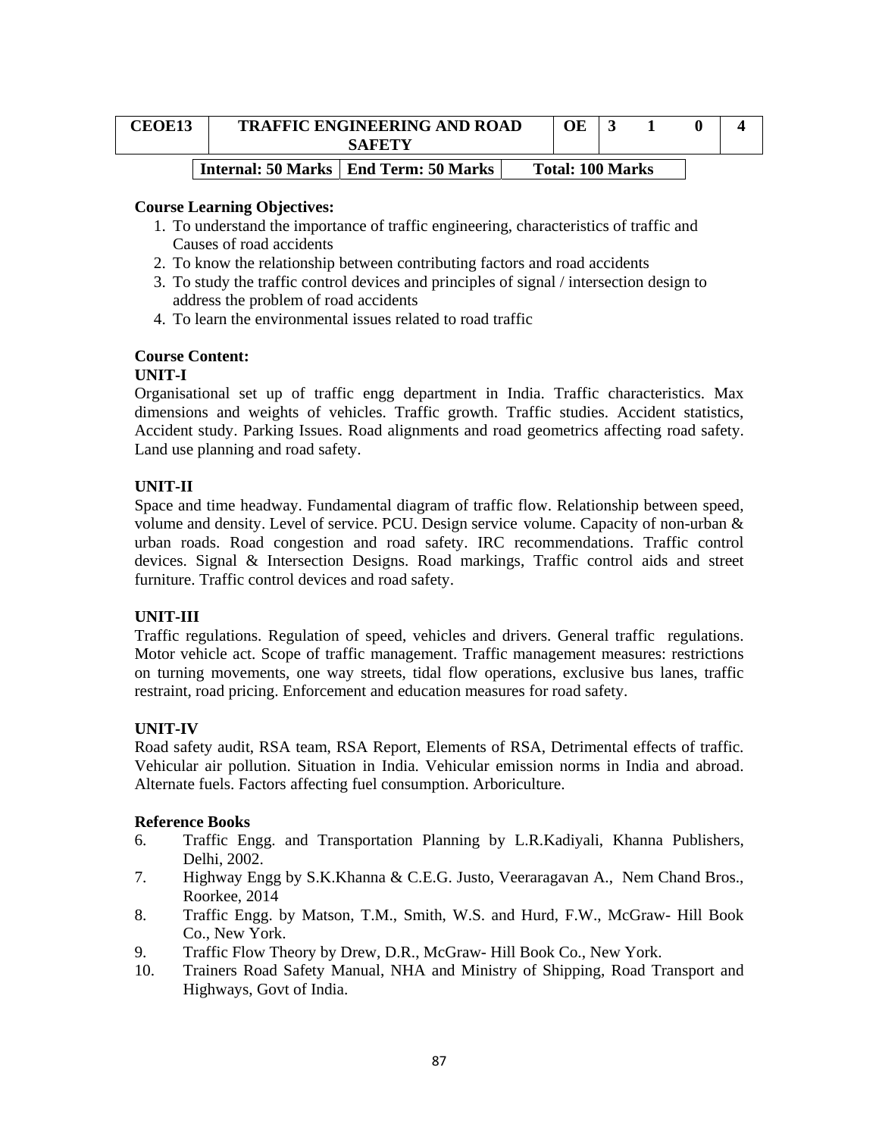| <b>CEOE13</b> | <b>TRAFFIC ENGINEERING AND ROAD</b><br>SAFETY | OE                      |  |  |
|---------------|-----------------------------------------------|-------------------------|--|--|
|               | Internal: 50 Marks   End Term: 50 Marks       | <b>Total: 100 Marks</b> |  |  |

- 1. To understand the importance of traffic engineering, characteristics of traffic and Causes of road accidents
- 2. To know the relationship between contributing factors and road accidents
- 3. To study the traffic control devices and principles of signal / intersection design to address the problem of road accidents
- 4. To learn the environmental issues related to road traffic

## **Course Content:**

## **UNIT-I**

Organisational set up of traffic engg department in India. Traffic characteristics. Max dimensions and weights of vehicles. Traffic growth. Traffic studies. Accident statistics, Accident study. Parking Issues. Road alignments and road geometrics affecting road safety. Land use planning and road safety.

## **UNIT-II**

Space and time headway. Fundamental diagram of traffic flow. Relationship between speed, volume and density. Level of service. PCU. Design service volume. Capacity of non-urban & urban roads. Road congestion and road safety. IRC recommendations. Traffic control devices. Signal & Intersection Designs. Road markings, Traffic control aids and street furniture. Traffic control devices and road safety.

### **UNIT-III**

Traffic regulations. Regulation of speed, vehicles and drivers. General traffic regulations. Motor vehicle act. Scope of traffic management. Traffic management measures: restrictions on turning movements, one way streets, tidal flow operations, exclusive bus lanes, traffic restraint, road pricing. Enforcement and education measures for road safety.

### **UNIT-IV**

Road safety audit, RSA team, RSA Report, Elements of RSA, Detrimental effects of traffic. Vehicular air pollution. Situation in India. Vehicular emission norms in India and abroad. Alternate fuels. Factors affecting fuel consumption. Arboriculture.

- 6. Traffic Engg. and Transportation Planning by L.R.Kadiyali, Khanna Publishers, Delhi, 2002.
- 7. Highway Engg by S.K.Khanna & C.E.G. Justo, Veeraragavan A., Nem Chand Bros., Roorkee, 2014
- 8. Traffic Engg. by Matson, T.M., Smith, W.S. and Hurd, F.W., McGraw- Hill Book Co., New York.
- 9. Traffic Flow Theory by Drew, D.R., McGraw- Hill Book Co., New York.
- 10. Trainers Road Safety Manual, NHA and Ministry of Shipping, Road Transport and Highways, Govt of India.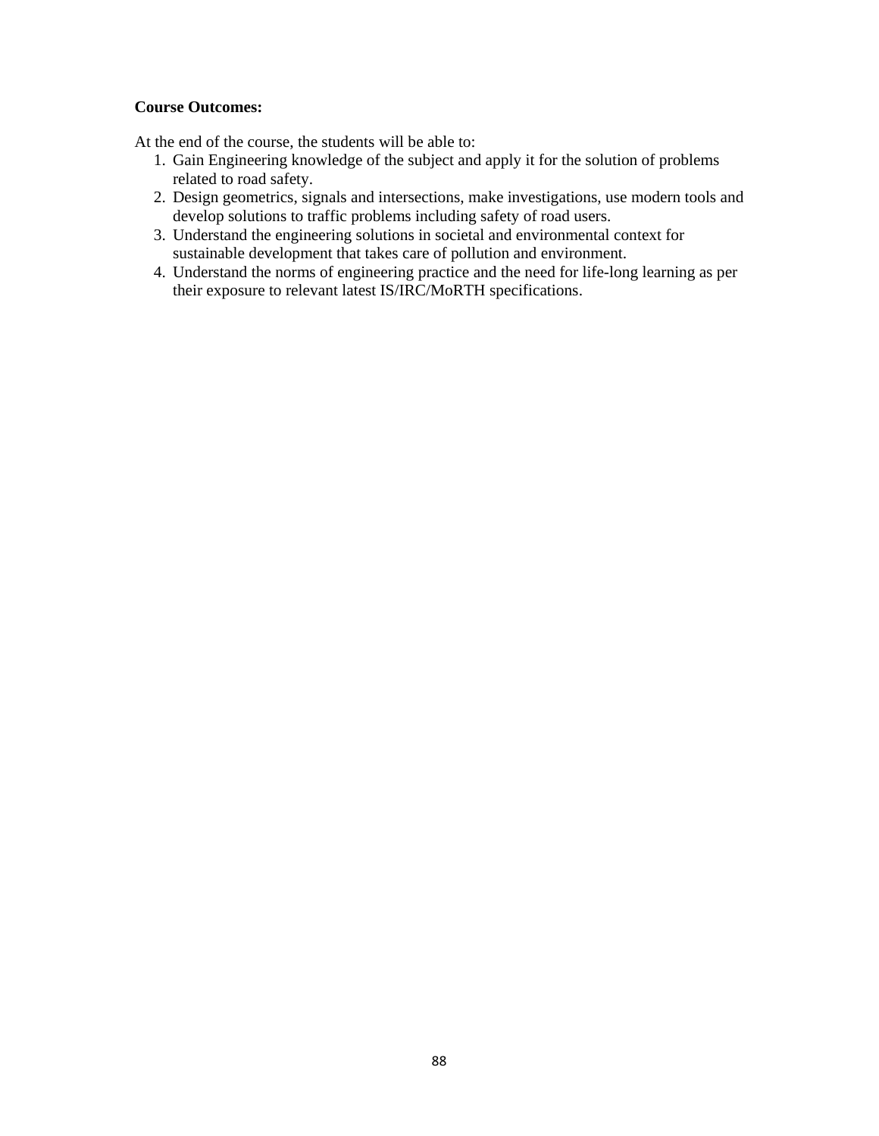## **Course Outcomes:**

At the end of the course, the students will be able to:

- 1. Gain Engineering knowledge of the subject and apply it for the solution of problems related to road safety.
- 2. Design geometrics, signals and intersections, make investigations, use modern tools and develop solutions to traffic problems including safety of road users.
- 3. Understand the engineering solutions in societal and environmental context for sustainable development that takes care of pollution and environment.
- 4. Understand the norms of engineering practice and the need for life-long learning as per their exposure to relevant latest IS/IRC/MoRTH specifications.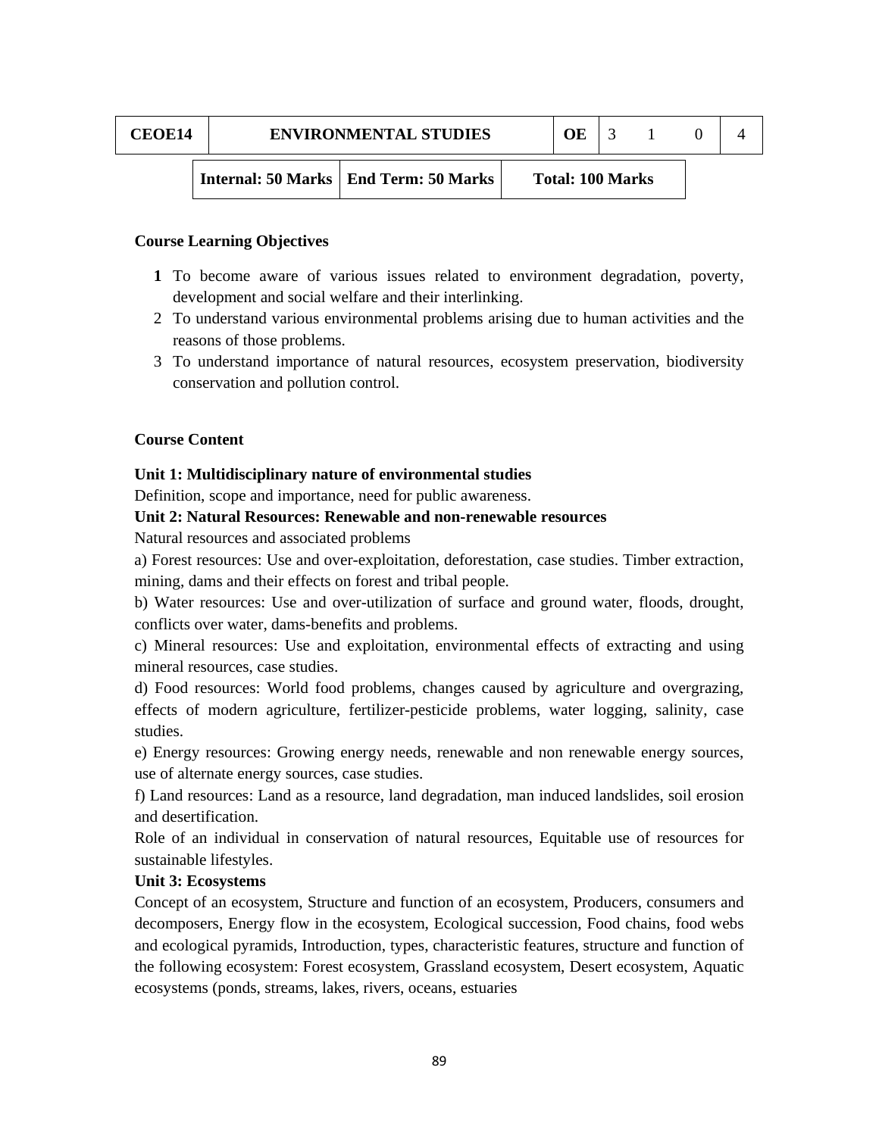| <b>CEOE14</b> | <b>ENVIRONMENTAL STUDIES</b> |                                         | OE                      |  |  |
|---------------|------------------------------|-----------------------------------------|-------------------------|--|--|
|               |                              | Internal: 50 Marks   End Term: 50 Marks | <b>Total: 100 Marks</b> |  |  |

- **1** To become aware of various issues related to environment degradation, poverty, development and social welfare and their interlinking.
- 2 To understand various environmental problems arising due to human activities and the reasons of those problems.
- 3 To understand importance of natural resources, ecosystem preservation, biodiversity conservation and pollution control.

### **Course Content**

#### **Unit 1: Multidisciplinary nature of environmental studies**

Definition, scope and importance, need for public awareness.

### **Unit 2: Natural Resources: Renewable and non-renewable resources**

Natural resources and associated problems

a) Forest resources: Use and over-exploitation, deforestation, case studies. Timber extraction, mining, dams and their effects on forest and tribal people.

b) Water resources: Use and over-utilization of surface and ground water, floods, drought, conflicts over water, dams-benefits and problems.

c) Mineral resources: Use and exploitation, environmental effects of extracting and using mineral resources, case studies.

d) Food resources: World food problems, changes caused by agriculture and overgrazing, effects of modern agriculture, fertilizer-pesticide problems, water logging, salinity, case studies.

e) Energy resources: Growing energy needs, renewable and non renewable energy sources, use of alternate energy sources, case studies.

f) Land resources: Land as a resource, land degradation, man induced landslides, soil erosion and desertification.

Role of an individual in conservation of natural resources, Equitable use of resources for sustainable lifestyles.

#### **Unit 3: Ecosystems**

Concept of an ecosystem, Structure and function of an ecosystem, Producers, consumers and decomposers, Energy flow in the ecosystem, Ecological succession, Food chains, food webs and ecological pyramids, Introduction, types, characteristic features, structure and function of the following ecosystem: Forest ecosystem, Grassland ecosystem, Desert ecosystem, Aquatic ecosystems (ponds, streams, lakes, rivers, oceans, estuaries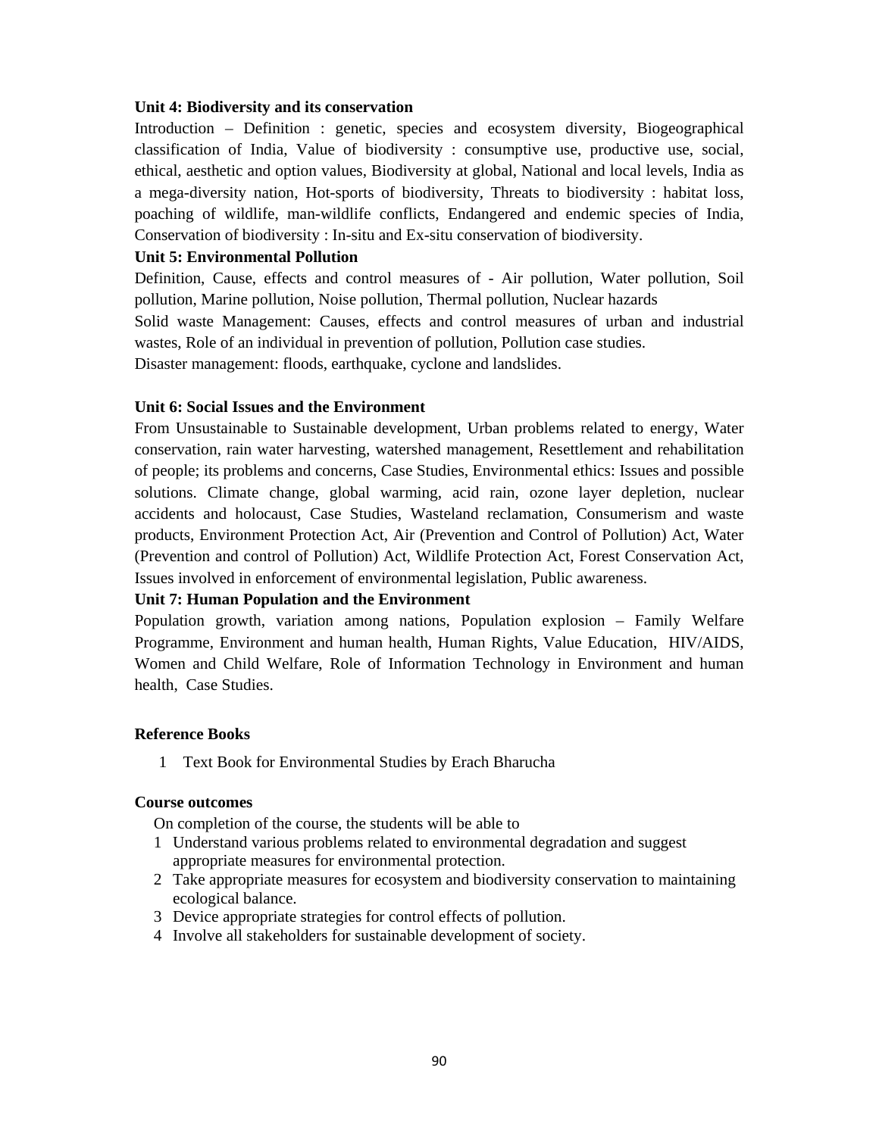#### **Unit 4: Biodiversity and its conservation**

Introduction – Definition : genetic, species and ecosystem diversity, Biogeographical classification of India, Value of biodiversity : consumptive use, productive use, social, ethical, aesthetic and option values, Biodiversity at global, National and local levels, India as a mega-diversity nation, Hot-sports of biodiversity, Threats to biodiversity : habitat loss, poaching of wildlife, man-wildlife conflicts, Endangered and endemic species of India, Conservation of biodiversity : In-situ and Ex-situ conservation of biodiversity.

### **Unit 5: Environmental Pollution**

Definition, Cause, effects and control measures of - Air pollution, Water pollution, Soil pollution, Marine pollution, Noise pollution, Thermal pollution, Nuclear hazards

Solid waste Management: Causes, effects and control measures of urban and industrial wastes, Role of an individual in prevention of pollution, Pollution case studies.

Disaster management: floods, earthquake, cyclone and landslides.

## **Unit 6: Social Issues and the Environment**

From Unsustainable to Sustainable development, Urban problems related to energy, Water conservation, rain water harvesting, watershed management, Resettlement and rehabilitation of people; its problems and concerns, Case Studies, Environmental ethics: Issues and possible solutions. Climate change, global warming, acid rain, ozone layer depletion, nuclear accidents and holocaust, Case Studies, Wasteland reclamation, Consumerism and waste products, Environment Protection Act, Air (Prevention and Control of Pollution) Act, Water (Prevention and control of Pollution) Act, Wildlife Protection Act, Forest Conservation Act, Issues involved in enforcement of environmental legislation, Public awareness.

# **Unit 7: Human Population and the Environment**

Population growth, variation among nations, Population explosion – Family Welfare Programme, Environment and human health, Human Rights, Value Education, HIV/AIDS, Women and Child Welfare, Role of Information Technology in Environment and human health, Case Studies.

### **Reference Books**

1 Text Book for Environmental Studies by Erach Bharucha

### **Course outcomes**

- On completion of the course, the students will be able to
- 1 Understand various problems related to environmental degradation and suggest appropriate measures for environmental protection.
- 2 Take appropriate measures for ecosystem and biodiversity conservation to maintaining ecological balance.
- 3 Device appropriate strategies for control effects of pollution.
- 4 Involve all stakeholders for sustainable development of society.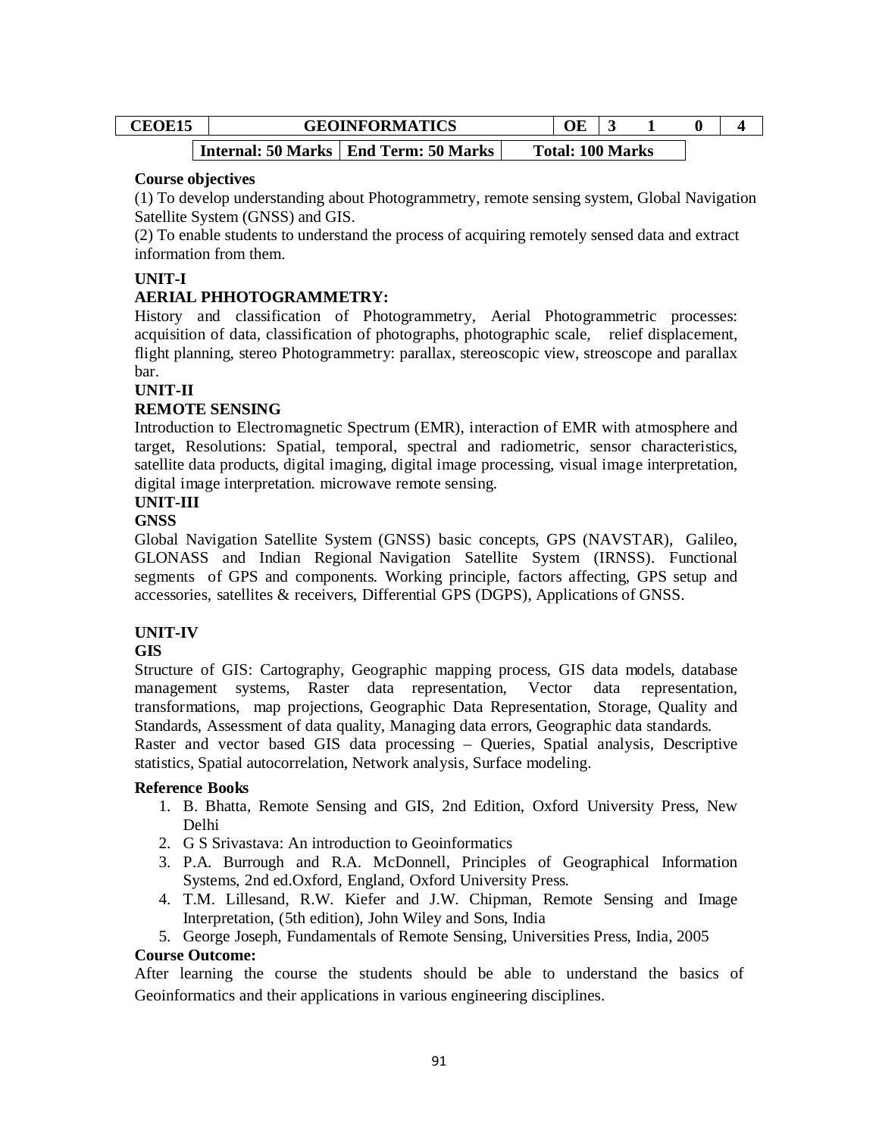| <b>CEOE15</b> | <b>GEOINFORMATICS</b> |                                         |  |                         |  |  |
|---------------|-----------------------|-----------------------------------------|--|-------------------------|--|--|
|               |                       | Internal: 50 Marks   End Term: 50 Marks |  | <b>Total: 100 Marks</b> |  |  |

### **Course objectives**

(1) To develop understanding about Photogrammetry, remote sensing system, Global Navigation Satellite System (GNSS) and GIS.

(2) To enable students to understand the process of acquiring remotely sensed data and extract information from them.

# **UNIT-I**

# **AERIAL PHHOTOGRAMMETRY:**

History and classification of Photogrammetry, Aerial Photogrammetric processes: acquisition of data, classification of photographs, photographic scale, relief displacement, flight planning, stereo Photogrammetry: parallax, stereoscopic view, streoscope and parallax bar.

## **UNIT-II**

# **REMOTE SENSING**

Introduction to Electromagnetic Spectrum (EMR), interaction of EMR with atmosphere and target, Resolutions: Spatial, temporal, spectral and radiometric, sensor characteristics, satellite data products, digital imaging, digital image processing, visual image interpretation, digital image interpretation. microwave remote sensing.

# **UNIT-III**

## **GNSS**

Global Navigation Satellite System (GNSS) basic concepts, GPS (NAVSTAR), Galileo, GLONASS and Indian Regional Navigation Satellite System (IRNSS). Functional segments of GPS and components. Working principle, factors affecting, GPS setup and accessories, satellites & receivers, Differential GPS (DGPS), Applications of GNSS.

# **UNIT-IV**

# **GIS**

Structure of GIS: Cartography, Geographic mapping process, GIS data models, database management systems, Raster data representation, Vector data representation, transformations, map projections, Geographic Data Representation, Storage, Quality and Standards, Assessment of data quality, Managing data errors, Geographic data standards.

Raster and vector based GIS data processing – Queries, Spatial analysis, Descriptive statistics, Spatial autocorrelation, Network analysis, Surface modeling.

# **Reference Books**

- 1. B. Bhatta, Remote Sensing and GIS, 2nd Edition, Oxford University Press, New Delhi
- 2. G S Srivastava: An introduction to Geoinformatics
- 3. P.A. Burrough and R.A. McDonnell, Principles of Geographical Information Systems, 2nd ed.Oxford, England, Oxford University Press.
- 4. T.M. Lillesand, R.W. Kiefer and J.W. Chipman, Remote Sensing and Image Interpretation, (5th edition), John Wiley and Sons, India
- 5. George Joseph, Fundamentals of Remote Sensing, Universities Press, India, 2005

### **Course Outcome:**

After learning the course the students should be able to understand the basics of Geoinformatics and their applications in various engineering disciplines.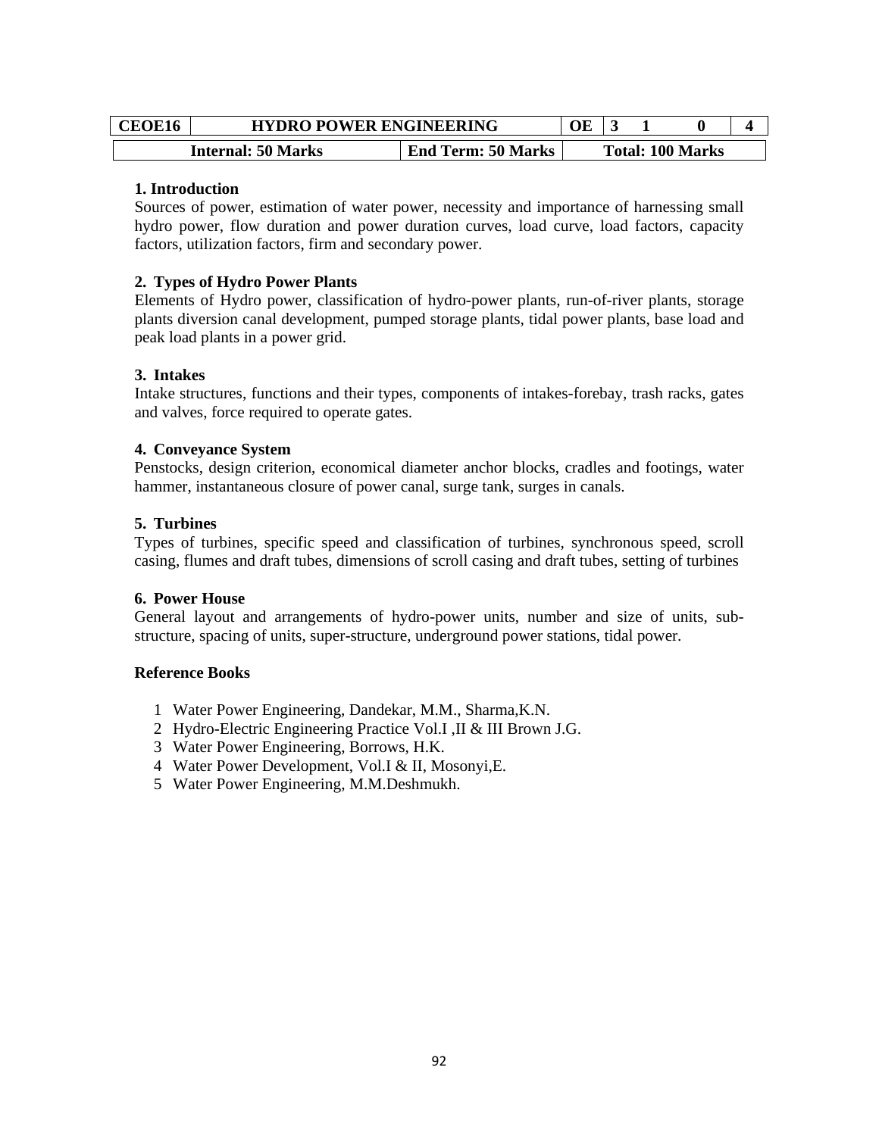| <b>CEOE16</b> | <b>HYDRO POWER ENGINEERING</b> |                           | ЭE |  |                         |  |
|---------------|--------------------------------|---------------------------|----|--|-------------------------|--|
|               | <b>Internal: 50 Marks</b>      | <b>End Term: 50 Marks</b> |    |  | <b>Total: 100 Marks</b> |  |

### **1. Introduction**

Sources of power, estimation of water power, necessity and importance of harnessing small hydro power, flow duration and power duration curves, load curve, load factors, capacity factors, utilization factors, firm and secondary power.

## **2. Types of Hydro Power Plants**

Elements of Hydro power, classification of hydro-power plants, run-of-river plants, storage plants diversion canal development, pumped storage plants, tidal power plants, base load and peak load plants in a power grid.

# **3. Intakes**

Intake structures, functions and their types, components of intakes-forebay, trash racks, gates and valves, force required to operate gates.

## **4. Conveyance System**

Penstocks, design criterion, economical diameter anchor blocks, cradles and footings, water hammer, instantaneous closure of power canal, surge tank, surges in canals.

## **5. Turbines**

Types of turbines, specific speed and classification of turbines, synchronous speed, scroll casing, flumes and draft tubes, dimensions of scroll casing and draft tubes, setting of turbines

### **6. Power House**

General layout and arrangements of hydro-power units, number and size of units, substructure, spacing of units, super-structure, underground power stations, tidal power.

- 1 Water Power Engineering, Dandekar, M.M., Sharma,K.N.
- 2 Hydro-Electric Engineering Practice Vol.I ,II & III Brown J.G.
- 3 Water Power Engineering, Borrows, H.K.
- 4 Water Power Development, Vol.I & II, Mosonyi,E.
- 5 Water Power Engineering, M.M.Deshmukh.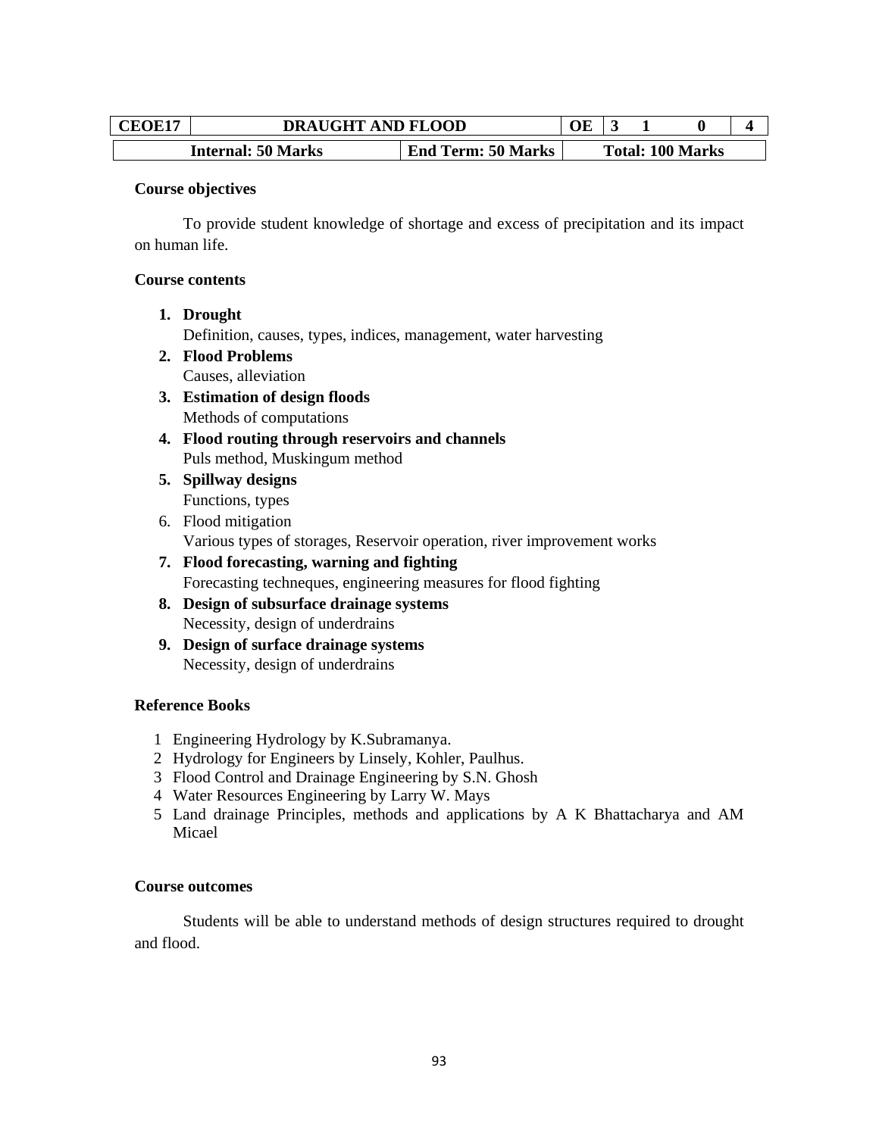| <b>CEOE17</b> | <b>DRAUGHT AND FLOOD</b>  |                           |  |  |                         |  |
|---------------|---------------------------|---------------------------|--|--|-------------------------|--|
|               | <b>Internal: 50 Marks</b> | <b>End Term: 50 Marks</b> |  |  | <b>Total: 100 Marks</b> |  |

#### **Course objectives**

To provide student knowledge of shortage and excess of precipitation and its impact on human life.

#### **Course contents**

**1. Drought** 

Definition, causes, types, indices, management, water harvesting

- **2. Flood Problems**  Causes, alleviation
- **3. Estimation of design floods**  Methods of computations
- **4. Flood routing through reservoirs and channels**  Puls method, Muskingum method
- **5. Spillway designs**  Functions, types
- 6. Flood mitigation Various types of storages, Reservoir operation, river improvement works
- **7. Flood forecasting, warning and fighting**  Forecasting techneques, engineering measures for flood fighting
- **8. Design of subsurface drainage systems**  Necessity, design of underdrains
- **9. Design of surface drainage systems**  Necessity, design of underdrains

### **Reference Books**

- 1 Engineering Hydrology by K.Subramanya.
- 2 Hydrology for Engineers by Linsely, Kohler, Paulhus.
- 3 Flood Control and Drainage Engineering by S.N. Ghosh
- 4 Water Resources Engineering by Larry W. Mays
- 5 Land drainage Principles, methods and applications by A K Bhattacharya and AM Micael

### **Course outcomes**

Students will be able to understand methods of design structures required to drought and flood.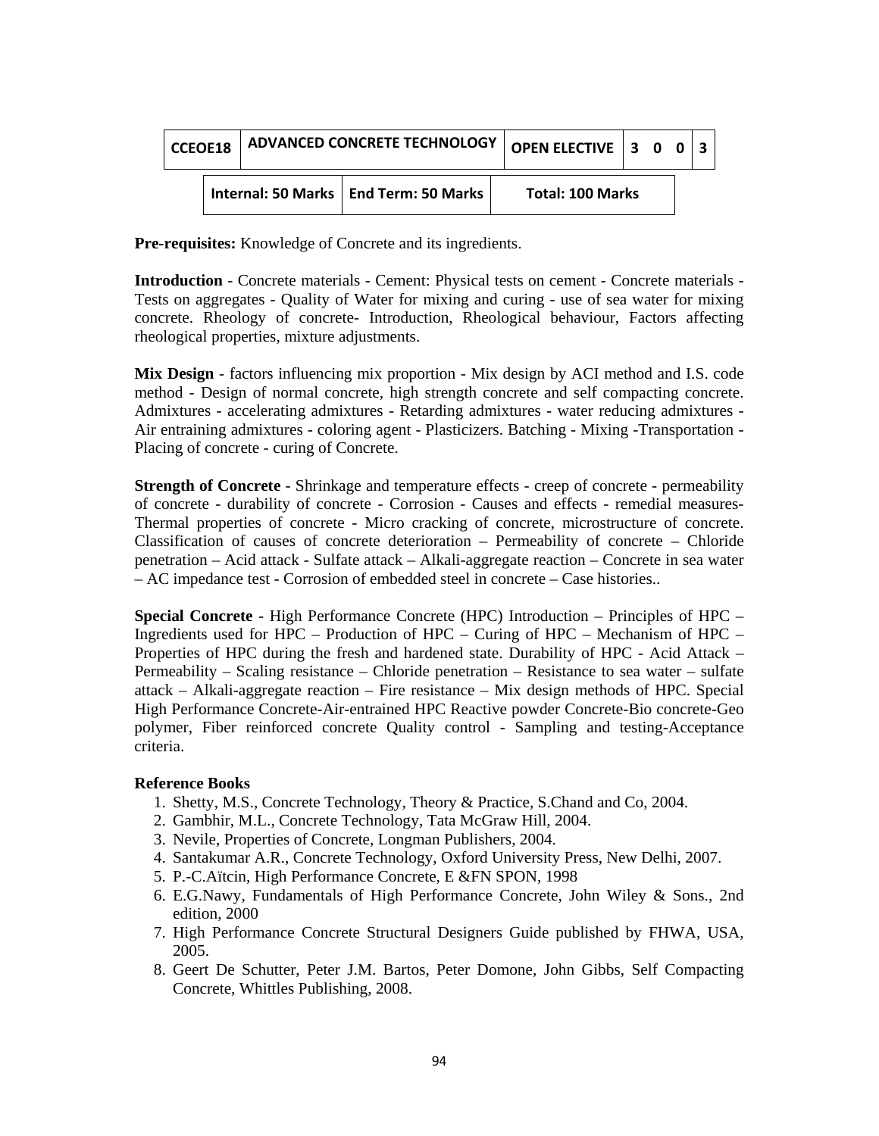| CCEOE18 |  | <b>ADVANCED CONCRETE TECHNOLOGY</b> |                                         |                         | OPEN ELECTIVE $\vert 3 \ 0 \ 0 \vert 3$ |  |  |  |
|---------|--|-------------------------------------|-----------------------------------------|-------------------------|-----------------------------------------|--|--|--|
|         |  |                                     | Internal: 50 Marks   End Term: 50 Marks | <b>Total: 100 Marks</b> |                                         |  |  |  |

**Pre-requisites:** Knowledge of Concrete and its ingredients.

**Introduction** - Concrete materials - Cement: Physical tests on cement - Concrete materials - Tests on aggregates - Quality of Water for mixing and curing - use of sea water for mixing concrete. Rheology of concrete- Introduction, Rheological behaviour, Factors affecting rheological properties, mixture adjustments.

**Mix Design** - factors influencing mix proportion - Mix design by ACI method and I.S. code method - Design of normal concrete, high strength concrete and self compacting concrete. Admixtures - accelerating admixtures - Retarding admixtures - water reducing admixtures - Air entraining admixtures - coloring agent - Plasticizers. Batching - Mixing -Transportation - Placing of concrete - curing of Concrete.

**Strength of Concrete** - Shrinkage and temperature effects - creep of concrete - permeability of concrete - durability of concrete - Corrosion - Causes and effects - remedial measures-Thermal properties of concrete - Micro cracking of concrete, microstructure of concrete. Classification of causes of concrete deterioration – Permeability of concrete – Chloride penetration – Acid attack - Sulfate attack – Alkali-aggregate reaction – Concrete in sea water – AC impedance test - Corrosion of embedded steel in concrete – Case histories..

**Special Concrete** - High Performance Concrete (HPC) Introduction – Principles of HPC – Ingredients used for HPC – Production of HPC – Curing of HPC – Mechanism of HPC – Properties of HPC during the fresh and hardened state. Durability of HPC - Acid Attack – Permeability – Scaling resistance – Chloride penetration – Resistance to sea water – sulfate attack – Alkali-aggregate reaction – Fire resistance – Mix design methods of HPC. Special High Performance Concrete-Air-entrained HPC Reactive powder Concrete-Bio concrete-Geo polymer, Fiber reinforced concrete Quality control - Sampling and testing-Acceptance criteria.

- 1. Shetty, M.S., Concrete Technology, Theory & Practice, S.Chand and Co, 2004.
- 2. Gambhir, M.L., Concrete Technology, Tata McGraw Hill, 2004.
- 3. Nevile, Properties of Concrete, Longman Publishers, 2004.
- 4. Santakumar A.R., Concrete Technology, Oxford University Press, New Delhi, 2007.
- 5. P.-C.Aïtcin, High Performance Concrete, E &FN SPON, 1998
- 6. E.G.Nawy, Fundamentals of High Performance Concrete, John Wiley & Sons., 2nd edition, 2000
- 7. High Performance Concrete Structural Designers Guide published by FHWA, USA, 2005.
- 8. Geert De Schutter, Peter J.M. Bartos, Peter Domone, John Gibbs, Self Compacting Concrete, Whittles Publishing, 2008.